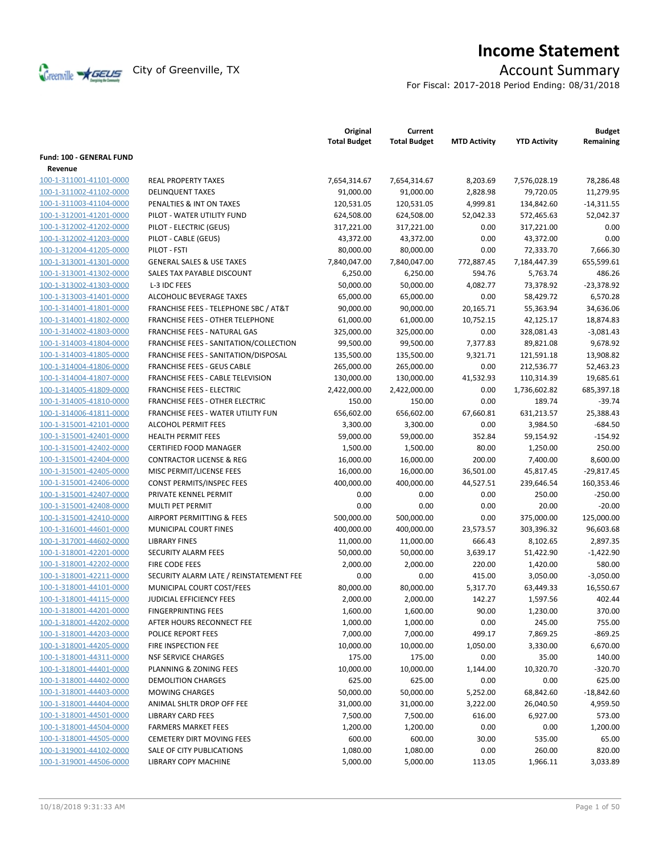

# **Income Statement**

For Fiscal: 2017-2018 Period Ending: 08/31/2018

|                          |                                                  | Original<br><b>Total Budget</b> | Current<br><b>Total Budget</b> | <b>MTD Activity</b> | <b>YTD Activity</b> | <b>Budget</b><br>Remaining |
|--------------------------|--------------------------------------------------|---------------------------------|--------------------------------|---------------------|---------------------|----------------------------|
| Fund: 100 - GENERAL FUND |                                                  |                                 |                                |                     |                     |                            |
| Revenue                  |                                                  |                                 |                                |                     |                     |                            |
| 100-1-311001-41101-0000  | <b>REAL PROPERTY TAXES</b>                       | 7,654,314.67                    | 7,654,314.67                   | 8,203.69            | 7,576,028.19        | 78,286.48                  |
| 100-1-311002-41102-0000  | <b>DELINQUENT TAXES</b>                          | 91,000.00                       | 91,000.00                      | 2,828.98            | 79,720.05           | 11,279.95                  |
| 100-1-311003-41104-0000  | PENALTIES & INT ON TAXES                         | 120,531.05                      | 120,531.05                     | 4,999.81            | 134,842.60          | $-14,311.55$               |
| 100-1-312001-41201-0000  | PILOT - WATER UTILITY FUND                       | 624,508.00                      | 624,508.00                     | 52,042.33           | 572,465.63          | 52,042.37                  |
| 100-1-312002-41202-0000  | PILOT - ELECTRIC (GEUS)                          | 317,221.00                      | 317,221.00                     | 0.00                | 317,221.00          | 0.00                       |
| 100-1-312002-41203-0000  | PILOT - CABLE (GEUS)                             | 43,372.00                       | 43,372.00                      | 0.00                | 43,372.00           | 0.00                       |
| 100-1-312004-41205-0000  | PILOT - FSTI                                     | 80,000.00                       | 80,000.00                      | 0.00                | 72,333.70           | 7,666.30                   |
| 100-1-313001-41301-0000  | <b>GENERAL SALES &amp; USE TAXES</b>             | 7,840,047.00                    | 7,840,047.00                   | 772,887.45          | 7,184,447.39        | 655,599.61                 |
| 100-1-313001-41302-0000  | SALES TAX PAYABLE DISCOUNT                       | 6,250.00                        | 6,250.00                       | 594.76              | 5,763.74            | 486.26                     |
| 100-1-313002-41303-0000  | L-3 IDC FEES                                     | 50,000.00                       | 50,000.00                      | 4,082.77            | 73,378.92           | $-23,378.92$               |
| 100-1-313003-41401-0000  | ALCOHOLIC BEVERAGE TAXES                         | 65,000.00                       | 65,000.00                      | 0.00                | 58,429.72           | 6,570.28                   |
| 100-1-314001-41801-0000  | <b>FRANCHISE FEES - TELEPHONE SBC / AT&amp;T</b> | 90,000.00                       | 90,000.00                      | 20,165.71           | 55,363.94           | 34,636.06                  |
| 100-1-314001-41802-0000  | <b>FRANCHISE FEES - OTHER TELEPHONE</b>          | 61,000.00                       | 61,000.00                      | 10,752.15           | 42,125.17           | 18,874.83                  |
| 100-1-314002-41803-0000  | FRANCHISE FEES - NATURAL GAS                     | 325,000.00                      | 325,000.00                     | 0.00                | 328,081.43          | $-3,081.43$                |
| 100-1-314003-41804-0000  | FRANCHISE FEES - SANITATION/COLLECTION           | 99,500.00                       | 99,500.00                      | 7,377.83            | 89,821.08           | 9,678.92                   |
| 100-1-314003-41805-0000  | FRANCHISE FEES - SANITATION/DISPOSAL             | 135,500.00                      | 135,500.00                     | 9,321.71            | 121,591.18          | 13,908.82                  |
| 100-1-314004-41806-0000  | <b>FRANCHISE FEES - GEUS CABLE</b>               | 265,000.00                      | 265,000.00                     | 0.00                | 212,536.77          | 52,463.23                  |
| 100-1-314004-41807-0000  | FRANCHISE FEES - CABLE TELEVISION                | 130,000.00                      | 130,000.00                     | 41,532.93           | 110,314.39          | 19,685.61                  |
| 100-1-314005-41809-0000  | <b>FRANCHISE FEES - ELECTRIC</b>                 | 2,422,000.00                    | 2,422,000.00                   | 0.00                | 1,736,602.82        | 685,397.18                 |
| 100-1-314005-41810-0000  | <b>FRANCHISE FEES - OTHER ELECTRIC</b>           | 150.00                          | 150.00                         | 0.00                | 189.74              | $-39.74$                   |
| 100-1-314006-41811-0000  | <b>FRANCHISE FEES - WATER UTILITY FUN</b>        | 656,602.00                      | 656,602.00                     | 67,660.81           | 631,213.57          | 25,388.43                  |
| 100-1-315001-42101-0000  | <b>ALCOHOL PERMIT FEES</b>                       | 3,300.00                        | 3,300.00                       | 0.00                | 3,984.50            | $-684.50$                  |
| 100-1-315001-42401-0000  | <b>HEALTH PERMIT FEES</b>                        | 59,000.00                       | 59,000.00                      | 352.84              | 59,154.92           | $-154.92$                  |
| 100-1-315001-42402-0000  | <b>CERTIFIED FOOD MANAGER</b>                    | 1,500.00                        | 1,500.00                       | 80.00               | 1,250.00            | 250.00                     |
| 100-1-315001-42404-0000  | <b>CONTRACTOR LICENSE &amp; REG</b>              | 16,000.00                       | 16,000.00                      | 200.00              | 7,400.00            | 8,600.00                   |
| 100-1-315001-42405-0000  | MISC PERMIT/LICENSE FEES                         | 16,000.00                       | 16,000.00                      | 36,501.00           | 45,817.45           | $-29,817.45$               |
| 100-1-315001-42406-0000  | CONST PERMITS/INSPEC FEES                        | 400,000.00                      | 400,000.00                     | 44,527.51           | 239,646.54          | 160,353.46                 |
| 100-1-315001-42407-0000  | PRIVATE KENNEL PERMIT                            | 0.00                            | 0.00                           | 0.00                | 250.00              | $-250.00$                  |
| 100-1-315001-42408-0000  | MULTI PET PERMIT                                 | 0.00                            | 0.00                           | 0.00                | 20.00               | $-20.00$                   |
| 100-1-315001-42410-0000  | <b>AIRPORT PERMITTING &amp; FEES</b>             | 500,000.00                      | 500,000.00                     | 0.00                | 375,000.00          | 125,000.00                 |
| 100-1-316001-44601-0000  | MUNICIPAL COURT FINES                            | 400,000.00                      | 400,000.00                     | 23,573.57           | 303,396.32          | 96,603.68                  |
| 100-1-317001-44602-0000  | <b>LIBRARY FINES</b>                             | 11,000.00                       | 11,000.00                      | 666.43              | 8,102.65            | 2,897.35                   |
| 100-1-318001-42201-0000  | SECURITY ALARM FEES                              | 50,000.00                       | 50,000.00                      | 3,639.17            | 51,422.90           | $-1,422.90$                |
| 100-1-318001-42202-0000  | FIRE CODE FEES                                   | 2,000.00                        | 2,000.00                       | 220.00              | 1,420.00            | 580.00                     |
| 100-1-318001-42211-0000  | SECURITY ALARM LATE / REINSTATEMENT FEE          | 0.00                            | 0.00                           | 415.00              | 3,050.00            | $-3,050.00$                |
| 100-1-318001-44101-0000  | MUNICIPAL COURT COST/FEES                        | 80,000.00                       | 80,000.00                      | 5,317.70            | 63,449.33           | 16,550.67                  |
| 100-1-318001-44115-0000  | <b>JUDICIAL EFFICIENCY FEES</b>                  | 2,000.00                        | 2,000.00                       | 142.27              | 1,597.56            | 402.44                     |
| 100-1-318001-44201-0000  | <b>FINGERPRINTING FEES</b>                       | 1,600.00                        | 1,600.00                       | 90.00               | 1,230.00            | 370.00                     |
| 100-1-318001-44202-0000  | AFTER HOURS RECONNECT FEE                        | 1,000.00                        | 1,000.00                       | 0.00                | 245.00              | 755.00                     |
| 100-1-318001-44203-0000  | POLICE REPORT FEES                               | 7,000.00                        | 7,000.00                       | 499.17              | 7,869.25            | $-869.25$                  |
| 100-1-318001-44205-0000  | FIRE INSPECTION FEE                              | 10,000.00                       | 10,000.00                      | 1,050.00            | 3,330.00            | 6,670.00                   |
| 100-1-318001-44311-0000  | <b>NSF SERVICE CHARGES</b>                       | 175.00                          | 175.00                         | 0.00                | 35.00               | 140.00                     |
| 100-1-318001-44401-0000  | PLANNING & ZONING FEES                           | 10,000.00                       | 10,000.00                      | 1,144.00            | 10,320.70           | $-320.70$                  |
| 100-1-318001-44402-0000  | DEMOLITION CHARGES                               | 625.00                          | 625.00                         | 0.00                | 0.00                | 625.00                     |
| 100-1-318001-44403-0000  | <b>MOWING CHARGES</b>                            | 50,000.00                       | 50,000.00                      | 5,252.00            | 68,842.60           | $-18,842.60$               |
| 100-1-318001-44404-0000  | ANIMAL SHLTR DROP OFF FEE                        | 31,000.00                       | 31,000.00                      | 3,222.00            | 26,040.50           | 4,959.50                   |
| 100-1-318001-44501-0000  | <b>LIBRARY CARD FEES</b>                         | 7,500.00                        | 7,500.00                       | 616.00              | 6,927.00            | 573.00                     |
| 100-1-318001-44504-0000  | <b>FARMERS MARKET FEES</b>                       | 1,200.00                        | 1,200.00                       | 0.00                | 0.00                | 1,200.00                   |
| 100-1-318001-44505-0000  | <b>CEMETERY DIRT MOVING FEES</b>                 | 600.00                          | 600.00                         | 30.00               | 535.00              | 65.00                      |
| 100-1-319001-44102-0000  | SALE OF CITY PUBLICATIONS                        | 1,080.00                        | 1,080.00                       | 0.00                | 260.00              | 820.00                     |
| 100-1-319001-44506-0000  | LIBRARY COPY MACHINE                             | 5,000.00                        | 5,000.00                       | 113.05              | 1,966.11            | 3,033.89                   |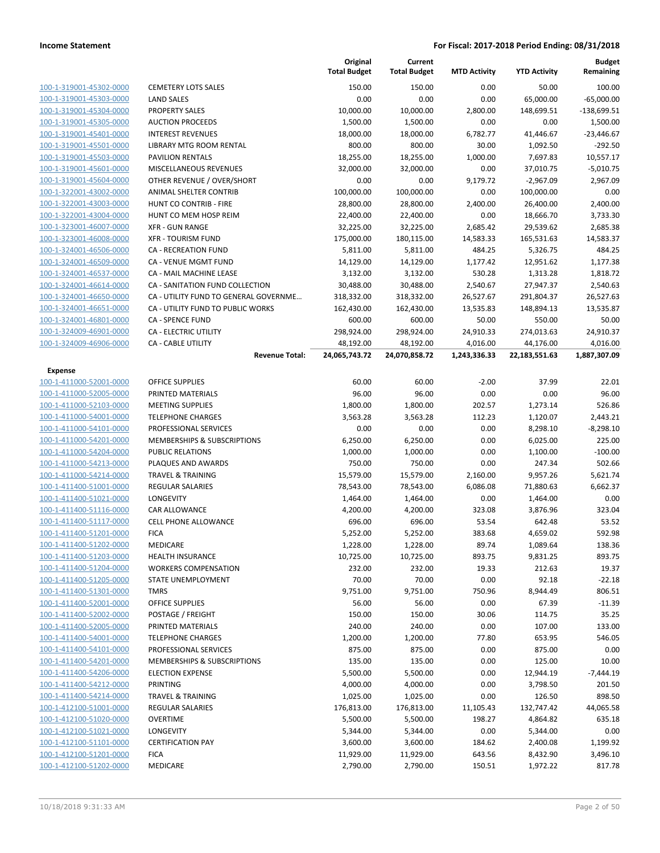|                         |                                       | Original<br><b>Total Budget</b> | Current<br><b>Total Budget</b> | <b>MTD Activity</b> | <b>YTD Activity</b> | <b>Budget</b><br>Remaining |
|-------------------------|---------------------------------------|---------------------------------|--------------------------------|---------------------|---------------------|----------------------------|
| 100-1-319001-45302-0000 | <b>CEMETERY LOTS SALES</b>            | 150.00                          | 150.00                         | 0.00                | 50.00               | 100.00                     |
| 100-1-319001-45303-0000 | <b>LAND SALES</b>                     | 0.00                            | 0.00                           | 0.00                | 65,000.00           | $-65,000.00$               |
| 100-1-319001-45304-0000 | <b>PROPERTY SALES</b>                 | 10,000.00                       | 10,000.00                      | 2,800.00            | 148,699.51          | $-138,699.51$              |
| 100-1-319001-45305-0000 | <b>AUCTION PROCEEDS</b>               | 1,500.00                        | 1,500.00                       | 0.00                | 0.00                | 1,500.00                   |
| 100-1-319001-45401-0000 | <b>INTEREST REVENUES</b>              | 18,000.00                       | 18,000.00                      | 6,782.77            | 41,446.67           | $-23,446.67$               |
| 100-1-319001-45501-0000 | LIBRARY MTG ROOM RENTAL               | 800.00                          | 800.00                         | 30.00               | 1,092.50            | $-292.50$                  |
| 100-1-319001-45503-0000 | <b>PAVILION RENTALS</b>               | 18,255.00                       | 18,255.00                      | 1,000.00            | 7,697.83            | 10,557.17                  |
| 100-1-319001-45601-0000 | MISCELLANEOUS REVENUES                | 32.000.00                       | 32,000.00                      | 0.00                | 37,010.75           | $-5,010.75$                |
| 100-1-319001-45604-0000 | OTHER REVENUE / OVER/SHORT            | 0.00                            | 0.00                           | 9,179.72            | $-2,967.09$         | 2,967.09                   |
| 100-1-322001-43002-0000 | ANIMAL SHELTER CONTRIB                | 100,000.00                      | 100,000.00                     | 0.00                | 100,000.00          | 0.00                       |
| 100-1-322001-43003-0000 | HUNT CO CONTRIB - FIRE                | 28,800.00                       | 28,800.00                      | 2,400.00            | 26,400.00           | 2,400.00                   |
| 100-1-322001-43004-0000 | HUNT CO MEM HOSP REIM                 | 22,400.00                       | 22,400.00                      | 0.00                | 18,666.70           | 3,733.30                   |
| 100-1-323001-46007-0000 | <b>XFR - GUN RANGE</b>                | 32,225.00                       | 32,225.00                      | 2,685.42            | 29,539.62           | 2,685.38                   |
| 100-1-323001-46008-0000 | <b>XFR - TOURISM FUND</b>             | 175,000.00                      | 180,115.00                     | 14,583.33           | 165,531.63          | 14,583.37                  |
| 100-1-324001-46506-0000 | <b>CA - RECREATION FUND</b>           | 5,811.00                        | 5,811.00                       | 484.25              | 5,326.75            | 484.25                     |
| 100-1-324001-46509-0000 | CA - VENUE MGMT FUND                  | 14,129.00                       | 14,129.00                      | 1,177.42            | 12,951.62           | 1,177.38                   |
| 100-1-324001-46537-0000 | <b>CA - MAIL MACHINE LEASE</b>        | 3,132.00                        | 3,132.00                       | 530.28              | 1,313.28            | 1,818.72                   |
| 100-1-324001-46614-0000 | CA - SANITATION FUND COLLECTION       | 30,488.00                       | 30,488.00                      | 2,540.67            | 27,947.37           | 2,540.63                   |
| 100-1-324001-46650-0000 | CA - UTILITY FUND TO GENERAL GOVERNME | 318,332.00                      | 318,332.00                     | 26,527.67           | 291,804.37          | 26,527.63                  |
| 100-1-324001-46651-0000 | CA - UTILITY FUND TO PUBLIC WORKS     | 162,430.00                      | 162,430.00                     | 13,535.83           | 148,894.13          | 13,535.87                  |
| 100-1-324001-46801-0000 | <b>CA - SPENCE FUND</b>               | 600.00                          | 600.00                         | 50.00               | 550.00              | 50.00                      |
| 100-1-324009-46901-0000 | CA - ELECTRIC UTILITY                 | 298,924.00                      | 298,924.00                     | 24,910.33           | 274,013.63          | 24,910.37                  |
| 100-1-324009-46906-0000 | <b>CA - CABLE UTILITY</b>             | 48,192.00                       | 48,192.00                      | 4,016.00            | 44,176.00           | 4,016.00                   |
|                         | <b>Revenue Total:</b>                 | 24,065,743.72                   | 24,070,858.72                  | 1,243,336.33        | 22,183,551.63       | 1,887,307.09               |
| Expense                 |                                       |                                 |                                |                     |                     |                            |
| 100-1-411000-52001-0000 | <b>OFFICE SUPPLIES</b>                | 60.00                           | 60.00                          | $-2.00$             | 37.99               | 22.01                      |
| 100-1-411000-52005-0000 | PRINTED MATERIALS                     | 96.00                           | 96.00                          | 0.00                | 0.00                | 96.00                      |
| 100-1-411000-52103-0000 | <b>MEETING SUPPLIES</b>               | 1,800.00                        | 1,800.00                       | 202.57              | 1,273.14            | 526.86                     |
| 100-1-411000-54001-0000 | <b>TELEPHONE CHARGES</b>              | 3,563.28                        | 3,563.28                       | 112.23              | 1,120.07            | 2,443.21                   |
| 100-1-411000-54101-0000 | PROFESSIONAL SERVICES                 | 0.00                            | 0.00                           | 0.00                | 8,298.10            | $-8,298.10$                |
| 100-1-411000-54201-0000 | MEMBERSHIPS & SUBSCRIPTIONS           | 6,250.00                        | 6,250.00                       | 0.00                | 6,025.00            | 225.00                     |
| 100-1-411000-54204-0000 | <b>PUBLIC RELATIONS</b>               | 1,000.00                        | 1,000.00                       | 0.00                | 1,100.00            | $-100.00$                  |
| 100-1-411000-54213-0000 | PLAQUES AND AWARDS                    | 750.00                          | 750.00                         | 0.00                | 247.34              | 502.66                     |
| 100-1-411000-54214-0000 | <b>TRAVEL &amp; TRAINING</b>          | 15,579.00                       | 15,579.00                      | 2,160.00            | 9,957.26            | 5,621.74                   |
| 100-1-411400-51001-0000 | <b>REGULAR SALARIES</b>               | 78,543.00                       | 78,543.00                      | 6,086.08            | 71,880.63           | 6,662.37                   |
| 100-1-411400-51021-0000 | <b>LONGEVITY</b>                      | 1,464.00                        | 1,464.00                       | 0.00                | 1,464.00            | 0.00                       |
| 100-1-411400-51116-0000 | <b>CAR ALLOWANCE</b>                  | 4,200.00                        | 4,200.00                       | 323.08              | 3,876.96            | 323.04                     |
| 100-1-411400-51117-0000 | <b>CELL PHONE ALLOWANCE</b>           | 696.00                          | 696.00                         | 53.54               | 642.48              | 53.52                      |
| 100-1-411400-51201-0000 | <b>FICA</b>                           | 5,252.00                        | 5,252.00                       | 383.68              | 4,659.02            | 592.98                     |
| 100-1-411400-51202-0000 | MEDICARE                              | 1,228.00                        | 1,228.00                       | 89.74               | 1,089.64            | 138.36                     |
| 100-1-411400-51203-0000 | <b>HEALTH INSURANCE</b>               | 10,725.00                       | 10,725.00                      | 893.75              | 9,831.25            | 893.75                     |
| 100-1-411400-51204-0000 | <b>WORKERS COMPENSATION</b>           | 232.00                          | 232.00                         | 19.33               | 212.63              | 19.37                      |
| 100-1-411400-51205-0000 | STATE UNEMPLOYMENT                    | 70.00                           | 70.00                          | 0.00                | 92.18               | $-22.18$                   |
| 100-1-411400-51301-0000 | <b>TMRS</b>                           | 9,751.00                        | 9,751.00                       | 750.96              | 8,944.49            | 806.51                     |
| 100-1-411400-52001-0000 | OFFICE SUPPLIES                       | 56.00                           | 56.00                          | 0.00                | 67.39               | $-11.39$                   |
| 100-1-411400-52002-0000 | POSTAGE / FREIGHT                     | 150.00                          | 150.00                         | 30.06               | 114.75              | 35.25                      |
| 100-1-411400-52005-0000 | PRINTED MATERIALS                     | 240.00                          | 240.00                         | 0.00                | 107.00              | 133.00                     |
| 100-1-411400-54001-0000 | <b>TELEPHONE CHARGES</b>              | 1,200.00                        | 1,200.00                       | 77.80               | 653.95              | 546.05                     |
| 100-1-411400-54101-0000 | PROFESSIONAL SERVICES                 | 875.00                          | 875.00                         | 0.00                | 875.00              | 0.00                       |
| 100-1-411400-54201-0000 | MEMBERSHIPS & SUBSCRIPTIONS           | 135.00                          | 135.00                         | 0.00                | 125.00              | 10.00                      |
| 100-1-411400-54206-0000 | <b>ELECTION EXPENSE</b>               | 5,500.00                        | 5,500.00                       | 0.00                | 12,944.19           | $-7,444.19$                |
| 100-1-411400-54212-0000 | PRINTING                              | 4,000.00                        | 4,000.00                       | 0.00                | 3,798.50            | 201.50                     |
| 100-1-411400-54214-0000 | <b>TRAVEL &amp; TRAINING</b>          | 1,025.00                        | 1,025.00                       | 0.00                | 126.50              | 898.50                     |
| 100-1-412100-51001-0000 | <b>REGULAR SALARIES</b>               | 176,813.00                      | 176,813.00                     | 11,105.43           | 132,747.42          | 44,065.58                  |
| 100-1-412100-51020-0000 | <b>OVERTIME</b>                       | 5,500.00                        | 5,500.00                       | 198.27              | 4,864.82            | 635.18                     |
| 100-1-412100-51021-0000 | LONGEVITY                             | 5,344.00                        | 5,344.00                       | 0.00                | 5,344.00            | 0.00                       |
| 100-1-412100-51101-0000 | <b>CERTIFICATION PAY</b>              | 3,600.00                        | 3,600.00                       | 184.62              | 2,400.08            | 1,199.92                   |
| 100-1-412100-51201-0000 | <b>FICA</b>                           | 11,929.00                       | 11,929.00                      | 643.56              | 8,432.90            | 3,496.10                   |
| 100-1-412100-51202-0000 | MEDICARE                              | 2,790.00                        | 2,790.00                       | 150.51              | 1,972.22            | 817.78                     |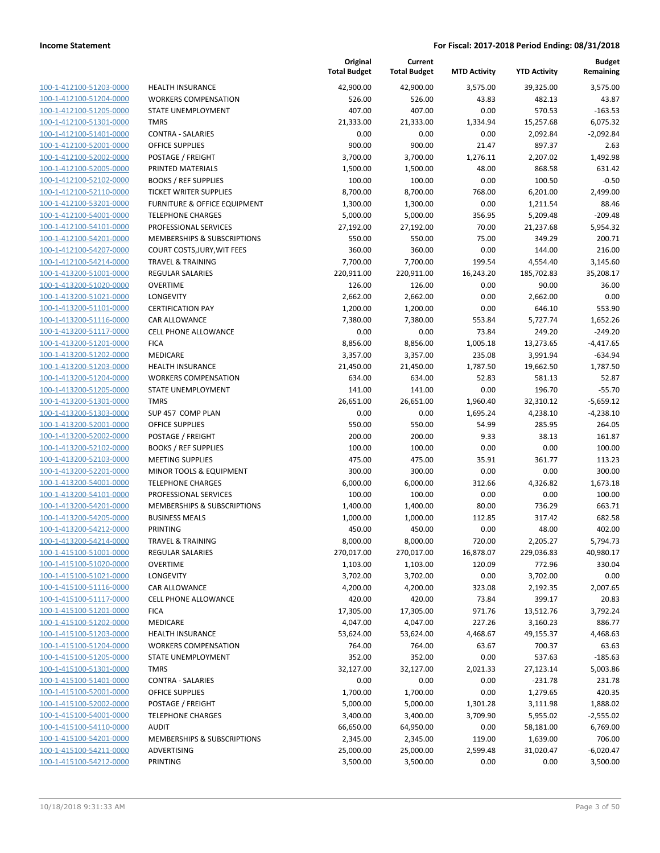| 100-1-412100-51203-0000                                   |
|-----------------------------------------------------------|
| 100-1-412100-51204-0000                                   |
| 100-1-412100-51205-0000                                   |
| <u>100-1-412100-51301-0000</u>                            |
| 100-1-412100-51401-0000                                   |
|                                                           |
| 100-1-412100-52001-0000                                   |
| 100-1-412100-52002-0000                                   |
| 100-1-412100-52005-0000                                   |
| <u>100-1-412100-52102-0000</u>                            |
| 100-1-412100-52110-0000                                   |
| 100-1-412100-53201-<br>-0000                              |
|                                                           |
| 100-1-412100-54001-0000                                   |
| 100-1-412100-54101-0000                                   |
| <u>100-1-412100-54201-0000</u>                            |
| 100-1-412100-54207-0000                                   |
| 100-1-412100-54214-0000                                   |
| 100-1-413200-51001-0000                                   |
| 100-1-413200-51020-0000                                   |
|                                                           |
| 100-1-413200-51021-0000                                   |
| 100-1-413200-51101-0000                                   |
| 100-1-413200-51116-0000                                   |
| 100-1-413200-51117-0000                                   |
| 100-1-413200-51201-0000                                   |
| <u>100-1-413200-51202-0000</u>                            |
| 100-1-413200-51203-0000                                   |
|                                                           |
| 100-1-413200-51204-0000                                   |
| 100-1-413200-51205-0000                                   |
| 100-1-413200-51301-0000                                   |
| <u>100-1-413200-51303-0000</u>                            |
| 100-1-413200-52001-0000                                   |
| 100-1-413200-52002-0000                                   |
| 100-1-413200-52102-0000                                   |
| 100-1-413200-52103-0000                                   |
|                                                           |
| <u>100-1-413200-52201-0000</u>                            |
| 100-1-413200-54001-0000                                   |
| 100-1-413200-54101-0000                                   |
| 100-1-413200-54201-0000                                   |
| 100-1-413200-54205-0000                                   |
| <u>100-1-413200-54212-0000</u>                            |
| 100-1-413200-54214-0000                                   |
| 100-1-415100-51001-0000                                   |
| <u>100-1-415100-51020-0000</u>                            |
|                                                           |
| 100-1-415100-51021-0000                                   |
|                                                           |
| 100-1-415100-51116-0000                                   |
| 100-1-415100-51117-0000                                   |
| 100-1-415100-51201-0000                                   |
| 100-1-415100-51202-0000                                   |
|                                                           |
| 100-1-415100-51203-0000                                   |
| <u>100-1-415100-51204-0000</u>                            |
| 100-1-415100-51205-0000                                   |
| 100-1-415100-51301-0000                                   |
| 100-1-415100-51401-0000                                   |
| 100-1-415100-52001-0000                                   |
| <u>100-1-415100-52002-0000</u>                            |
| 100-1-415100-54001-0000                                   |
|                                                           |
| 100-1-415100-54110-0000                                   |
| 100-1-415100-54201-0000                                   |
| 100-1-415100-54211-0000<br><u>100-1-415100-54212-0000</u> |

|                                                    |                                                        | Original<br><b>Total Budget</b> | Current<br><b>Total Budget</b> | <b>MTD Activity</b> | <b>YTD Activity</b> | <b>Budget</b><br>Remaining |
|----------------------------------------------------|--------------------------------------------------------|---------------------------------|--------------------------------|---------------------|---------------------|----------------------------|
| 100-1-412100-51203-0000                            | <b>HEALTH INSURANCE</b>                                | 42,900.00                       | 42,900.00                      | 3,575.00            | 39,325.00           | 3,575.00                   |
| 100-1-412100-51204-0000                            | <b>WORKERS COMPENSATION</b>                            | 526.00                          | 526.00                         | 43.83               | 482.13              | 43.87                      |
| 100-1-412100-51205-0000                            | STATE UNEMPLOYMENT                                     | 407.00                          | 407.00                         | 0.00                | 570.53              | $-163.53$                  |
| 100-1-412100-51301-0000                            | <b>TMRS</b>                                            | 21,333.00                       | 21,333.00                      | 1,334.94            | 15,257.68           | 6,075.32                   |
| 100-1-412100-51401-0000                            | <b>CONTRA - SALARIES</b>                               | 0.00                            | 0.00                           | 0.00                | 2,092.84            | $-2,092.84$                |
| 100-1-412100-52001-0000                            | <b>OFFICE SUPPLIES</b>                                 | 900.00                          | 900.00                         | 21.47               | 897.37              | 2.63                       |
| 100-1-412100-52002-0000                            | POSTAGE / FREIGHT                                      | 3,700.00                        | 3,700.00                       | 1,276.11            | 2,207.02            | 1,492.98                   |
| 100-1-412100-52005-0000                            | PRINTED MATERIALS                                      | 1,500.00                        | 1,500.00                       | 48.00               | 868.58              | 631.42                     |
| 100-1-412100-52102-0000                            | <b>BOOKS / REF SUPPLIES</b>                            | 100.00                          | 100.00                         | 0.00                | 100.50              | $-0.50$                    |
| 100-1-412100-52110-0000                            | <b>TICKET WRITER SUPPLIES</b>                          | 8,700.00                        | 8,700.00                       | 768.00              | 6,201.00            | 2,499.00                   |
| 100-1-412100-53201-0000                            | FURNITURE & OFFICE EQUIPMENT                           | 1,300.00                        | 1,300.00                       | 0.00                | 1,211.54            | 88.46                      |
| 100-1-412100-54001-0000                            | <b>TELEPHONE CHARGES</b>                               | 5,000.00                        | 5,000.00                       | 356.95              | 5,209.48            | $-209.48$                  |
| 100-1-412100-54101-0000                            | PROFESSIONAL SERVICES                                  | 27,192.00                       | 27,192.00                      | 70.00               | 21,237.68           | 5,954.32                   |
| 100-1-412100-54201-0000                            | MEMBERSHIPS & SUBSCRIPTIONS                            | 550.00                          | 550.00                         | 75.00               | 349.29              | 200.71                     |
| 100-1-412100-54207-0000                            | COURT COSTS, JURY, WIT FEES                            | 360.00                          | 360.00                         | 0.00                | 144.00              | 216.00                     |
| 100-1-412100-54214-0000                            | <b>TRAVEL &amp; TRAINING</b>                           | 7,700.00                        | 7,700.00                       | 199.54              | 4,554.40            | 3,145.60                   |
| 100-1-413200-51001-0000                            | <b>REGULAR SALARIES</b>                                | 220,911.00                      | 220,911.00                     | 16,243.20           | 185,702.83          | 35,208.17                  |
| 100-1-413200-51020-0000                            | <b>OVERTIME</b>                                        | 126.00                          | 126.00                         | 0.00                | 90.00               | 36.00                      |
| 100-1-413200-51021-0000                            | <b>LONGEVITY</b>                                       | 2,662.00                        | 2,662.00                       | 0.00                | 2,662.00            | 0.00                       |
| 100-1-413200-51101-0000                            | <b>CERTIFICATION PAY</b>                               | 1,200.00                        | 1,200.00                       | 0.00                | 646.10              | 553.90                     |
| 100-1-413200-51116-0000<br>100-1-413200-51117-0000 | <b>CAR ALLOWANCE</b>                                   | 7,380.00                        | 7,380.00                       | 553.84              | 5,727.74            | 1,652.26<br>$-249.20$      |
| 100-1-413200-51201-0000                            | CELL PHONE ALLOWANCE<br><b>FICA</b>                    | 0.00<br>8,856.00                | 0.00<br>8,856.00               | 73.84<br>1,005.18   | 249.20<br>13,273.65 | $-4,417.65$                |
| 100-1-413200-51202-0000                            | <b>MEDICARE</b>                                        | 3,357.00                        | 3,357.00                       | 235.08              | 3,991.94            | $-634.94$                  |
| 100-1-413200-51203-0000                            | <b>HEALTH INSURANCE</b>                                | 21,450.00                       | 21,450.00                      | 1,787.50            | 19,662.50           | 1,787.50                   |
| 100-1-413200-51204-0000                            | <b>WORKERS COMPENSATION</b>                            | 634.00                          | 634.00                         | 52.83               | 581.13              | 52.87                      |
| 100-1-413200-51205-0000                            | STATE UNEMPLOYMENT                                     | 141.00                          | 141.00                         | 0.00                | 196.70              | $-55.70$                   |
| 100-1-413200-51301-0000                            | <b>TMRS</b>                                            | 26,651.00                       | 26,651.00                      | 1,960.40            | 32,310.12           | $-5,659.12$                |
| 100-1-413200-51303-0000                            | SUP 457 COMP PLAN                                      | 0.00                            | 0.00                           | 1,695.24            | 4,238.10            | $-4,238.10$                |
| 100-1-413200-52001-0000                            | <b>OFFICE SUPPLIES</b>                                 | 550.00                          | 550.00                         | 54.99               | 285.95              | 264.05                     |
| 100-1-413200-52002-0000                            | POSTAGE / FREIGHT                                      | 200.00                          | 200.00                         | 9.33                | 38.13               | 161.87                     |
| 100-1-413200-52102-0000                            | <b>BOOKS / REF SUPPLIES</b>                            | 100.00                          | 100.00                         | 0.00                | 0.00                | 100.00                     |
| 100-1-413200-52103-0000                            | <b>MEETING SUPPLIES</b>                                | 475.00                          | 475.00                         | 35.91               | 361.77              | 113.23                     |
| 100-1-413200-52201-0000                            | MINOR TOOLS & EQUIPMENT                                | 300.00                          | 300.00                         | 0.00                | 0.00                | 300.00                     |
| 100-1-413200-54001-0000                            | <b>TELEPHONE CHARGES</b>                               | 6,000.00                        | 6,000.00                       | 312.66              | 4,326.82            | 1,673.18                   |
| 100-1-413200-54101-0000                            | PROFESSIONAL SERVICES                                  | 100.00                          | 100.00                         | 0.00                | 0.00                | 100.00                     |
| 100-1-413200-54201-0000                            | MEMBERSHIPS & SUBSCRIPTIONS                            | 1,400.00                        | 1,400.00                       | 80.00               | 736.29              | 663.71                     |
| 100-1-413200-54205-0000                            | <b>BUSINESS MEALS</b>                                  | 1,000.00                        | 1,000.00                       | 112.85              | 317.42              | 682.58                     |
| 100-1-413200-54212-0000                            | PRINTING                                               | 450.00                          | 450.00                         | 0.00                | 48.00               | 402.00                     |
| 100-1-413200-54214-0000                            | <b>TRAVEL &amp; TRAINING</b>                           | 8,000.00                        | 8,000.00                       | 720.00              | 2,205.27            | 5,794.73                   |
| 100-1-415100-51001-0000                            | <b>REGULAR SALARIES</b>                                | 270,017.00                      | 270,017.00                     | 16,878.07           | 229,036.83          | 40,980.17                  |
| 100-1-415100-51020-0000                            | <b>OVERTIME</b>                                        | 1,103.00                        | 1,103.00                       | 120.09              | 772.96              | 330.04                     |
| 100-1-415100-51021-0000                            | <b>LONGEVITY</b>                                       | 3,702.00                        | 3,702.00                       | 0.00                | 3,702.00            | 0.00                       |
| 100-1-415100-51116-0000                            | <b>CAR ALLOWANCE</b>                                   | 4,200.00                        | 4,200.00                       | 323.08              | 2,192.35            | 2,007.65                   |
| 100-1-415100-51117-0000                            | CELL PHONE ALLOWANCE                                   | 420.00                          | 420.00                         | 73.84               | 399.17              | 20.83                      |
| 100-1-415100-51201-0000                            | <b>FICA</b>                                            | 17,305.00                       | 17,305.00                      | 971.76              | 13,512.76           | 3,792.24                   |
| 100-1-415100-51202-0000                            | <b>MEDICARE</b>                                        | 4,047.00                        | 4,047.00<br>53,624.00          | 227.26<br>4,468.67  | 3,160.23            | 886.77<br>4,468.63         |
| 100-1-415100-51203-0000<br>100-1-415100-51204-0000 | <b>HEALTH INSURANCE</b><br><b>WORKERS COMPENSATION</b> | 53,624.00<br>764.00             | 764.00                         | 63.67               | 49,155.37<br>700.37 | 63.63                      |
| 100-1-415100-51205-0000                            | STATE UNEMPLOYMENT                                     | 352.00                          | 352.00                         | 0.00                | 537.63              | $-185.63$                  |
| 100-1-415100-51301-0000                            | <b>TMRS</b>                                            | 32,127.00                       | 32,127.00                      | 2,021.33            | 27,123.14           | 5,003.86                   |
| 100-1-415100-51401-0000                            | <b>CONTRA - SALARIES</b>                               | 0.00                            | 0.00                           | 0.00                | $-231.78$           | 231.78                     |
| 100-1-415100-52001-0000                            | OFFICE SUPPLIES                                        | 1,700.00                        | 1,700.00                       | 0.00                | 1,279.65            | 420.35                     |
| 100-1-415100-52002-0000                            | POSTAGE / FREIGHT                                      | 5,000.00                        | 5,000.00                       | 1,301.28            | 3,111.98            | 1,888.02                   |
| 100-1-415100-54001-0000                            | <b>TELEPHONE CHARGES</b>                               | 3,400.00                        | 3,400.00                       | 3,709.90            | 5,955.02            | $-2,555.02$                |
| 100-1-415100-54110-0000                            | <b>AUDIT</b>                                           | 66,650.00                       | 64,950.00                      | 0.00                | 58,181.00           | 6,769.00                   |
| 100-1-415100-54201-0000                            | MEMBERSHIPS & SUBSCRIPTIONS                            | 2,345.00                        | 2,345.00                       | 119.00              | 1,639.00            | 706.00                     |
| 100-1-415100-54211-0000                            | ADVERTISING                                            | 25,000.00                       | 25,000.00                      | 2,599.48            | 31,020.47           | $-6,020.47$                |
| 100-1-415100-54212-0000                            | PRINTING                                               | 3,500.00                        | 3,500.00                       | 0.00                | 0.00                | 3,500.00                   |
|                                                    |                                                        |                                 |                                |                     |                     |                            |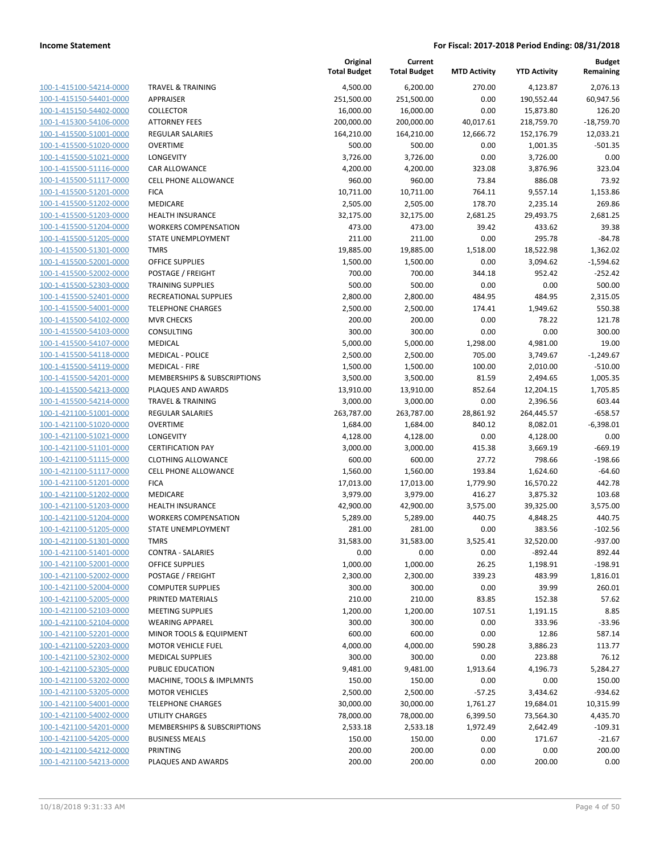| 100-1-415100-54214-0000        |
|--------------------------------|
| 100-1-415150-54401-0000        |
| 100-1-415150-54402-0000        |
| 100-1-415300-54106-0000        |
| 100-1-415500-51001-0000        |
| 100-1-415500-51020-0000        |
|                                |
| 100-1-415500-51021-0000        |
| 100-1-415500-51116-0000        |
| 100-1-415500-51117-0000        |
| 100-1-415500-51201-0000        |
| 100-1-415500-51202-0000        |
| 100-1-415500-51203-0000        |
| 100-1-415500-51204-0000        |
| 100-1-415500-51205-0000        |
| 100-1-415500-51301-0000        |
| 100-1-415500-52001-0000        |
| 100-1-415500-52002-0000        |
|                                |
| 100-1-415500-52303-0000        |
| 100-1-415500-52401-0000        |
| 100-1-415500-54001-0000        |
| 100-1-415500-54102-0000        |
| 100-1-415500-54103-0000        |
| 100-1-415500-54107-0000        |
| 100-1-415500-54118-0000        |
| 100-1-415500-54119-0000        |
| 100-1-415500-54201-0000        |
| 100-1-415500-54213-0000        |
| 100-1-415500-54214-0000        |
| 100-1-421100-51001-0000        |
| 100-1-421100-51020-0000        |
|                                |
| 100-1-421100-51021-0000        |
| 100-1-421100-51101-0000        |
| 100-1-421100-51115-0000        |
| 100-1-421100-51117-0000        |
| 100-1-421100-51201-0000        |
| 100-1-421100-51202-0000        |
| 100-1-421100-51203-0000        |
| 100-1-421100-51204-0000        |
| 100-1-421100-51205-0000        |
| 100-1-421100-51301-0000        |
| 100-1-421100-51401-0000        |
| 1<br>00-1-421100-52001-0000    |
| 100-1-421100-52002-0000        |
|                                |
| 100-1-421100-52004-0000        |
| 100-1-421100-52005-0000        |
| 100-1-421100-52103-0000        |
| <u>100-1-421100-52104-0000</u> |
| <u>100-1-421100-52201-0000</u> |
| 100-1-421100-52203-0000        |
| 100-1-421100-52302-0000        |
| 100-1-421100-52305-0000        |
| 100-1-421100-53202-0000        |
| <u>100-1-421100-53205-0000</u> |
|                                |
| <u>100-1-421100-54001-0000</u> |
| 100-1-421100-54002-0000        |
| 100-1-421100-54201-0000        |
| <u>100-1-421100-54205-0000</u> |
| <u>100-1-421100-54212-0000</u> |
| 100-1-421100-54213-0000        |
|                                |

|                         |                              | Original<br><b>Total Budget</b> | Current<br><b>Total Budget</b> | <b>MTD Activity</b> | <b>YTD Activity</b> | <b>Budget</b><br>Remaining |
|-------------------------|------------------------------|---------------------------------|--------------------------------|---------------------|---------------------|----------------------------|
| 100-1-415100-54214-0000 | <b>TRAVEL &amp; TRAINING</b> | 4,500.00                        | 6,200.00                       | 270.00              | 4,123.87            | 2,076.13                   |
| 100-1-415150-54401-0000 | <b>APPRAISER</b>             | 251,500.00                      | 251,500.00                     | 0.00                | 190,552.44          | 60,947.56                  |
| 100-1-415150-54402-0000 | <b>COLLECTOR</b>             | 16,000.00                       | 16,000.00                      | 0.00                | 15,873.80           | 126.20                     |
| 100-1-415300-54106-0000 | <b>ATTORNEY FEES</b>         | 200,000.00                      | 200,000.00                     | 40,017.61           | 218,759.70          | $-18,759.70$               |
| 100-1-415500-51001-0000 | REGULAR SALARIES             | 164,210.00                      | 164,210.00                     | 12,666.72           | 152,176.79          | 12,033.21                  |
| 100-1-415500-51020-0000 | <b>OVERTIME</b>              | 500.00                          | 500.00                         | 0.00                | 1,001.35            | $-501.35$                  |
| 100-1-415500-51021-0000 | <b>LONGEVITY</b>             | 3,726.00                        | 3,726.00                       | 0.00                | 3,726.00            | 0.00                       |
| 100-1-415500-51116-0000 | CAR ALLOWANCE                | 4,200.00                        | 4,200.00                       | 323.08              | 3,876.96            | 323.04                     |
| 100-1-415500-51117-0000 | <b>CELL PHONE ALLOWANCE</b>  | 960.00                          | 960.00                         | 73.84               | 886.08              | 73.92                      |
| 100-1-415500-51201-0000 | <b>FICA</b>                  | 10,711.00                       | 10,711.00                      | 764.11              | 9,557.14            | 1,153.86                   |
| 100-1-415500-51202-0000 | <b>MEDICARE</b>              | 2,505.00                        | 2,505.00                       | 178.70              | 2,235.14            | 269.86                     |
| 100-1-415500-51203-0000 | HEALTH INSURANCE             | 32,175.00                       | 32,175.00                      | 2,681.25            | 29,493.75           | 2,681.25                   |
| 100-1-415500-51204-0000 | <b>WORKERS COMPENSATION</b>  | 473.00                          | 473.00                         | 39.42               | 433.62              | 39.38                      |
| 100-1-415500-51205-0000 | STATE UNEMPLOYMENT           | 211.00                          | 211.00                         | 0.00                | 295.78              | $-84.78$                   |
| 100-1-415500-51301-0000 | <b>TMRS</b>                  | 19,885.00                       | 19,885.00                      | 1,518.00            | 18,522.98           | 1,362.02                   |
| 100-1-415500-52001-0000 | OFFICE SUPPLIES              | 1,500.00                        | 1,500.00                       | 0.00                | 3,094.62            | $-1,594.62$                |
| 100-1-415500-52002-0000 | POSTAGE / FREIGHT            | 700.00                          | 700.00                         | 344.18              | 952.42              | $-252.42$                  |
| 100-1-415500-52303-0000 | <b>TRAINING SUPPLIES</b>     | 500.00                          | 500.00                         | 0.00                | 0.00                | 500.00                     |
| 100-1-415500-52401-0000 | RECREATIONAL SUPPLIES        | 2,800.00                        | 2,800.00                       | 484.95              | 484.95              | 2,315.05                   |
| 100-1-415500-54001-0000 | <b>TELEPHONE CHARGES</b>     | 2,500.00                        | 2,500.00                       | 174.41              | 1,949.62            | 550.38                     |
| 100-1-415500-54102-0000 | <b>MVR CHECKS</b>            | 200.00                          | 200.00                         | 0.00                | 78.22               | 121.78                     |
| 100-1-415500-54103-0000 | CONSULTING                   | 300.00                          | 300.00                         | 0.00                | 0.00                | 300.00                     |
| 100-1-415500-54107-0000 | MEDICAL                      | 5,000.00                        | 5,000.00                       | 1,298.00            | 4,981.00            | 19.00                      |
| 100-1-415500-54118-0000 | <b>MEDICAL - POLICE</b>      | 2,500.00                        | 2,500.00                       | 705.00              | 3,749.67            | $-1,249.67$                |
| 100-1-415500-54119-0000 | <b>MEDICAL - FIRE</b>        | 1,500.00                        | 1,500.00                       | 100.00              | 2,010.00            | $-510.00$                  |
| 100-1-415500-54201-0000 | MEMBERSHIPS & SUBSCRIPTIONS  | 3,500.00                        | 3,500.00                       | 81.59               | 2,494.65            | 1,005.35                   |
| 100-1-415500-54213-0000 | PLAQUES AND AWARDS           | 13,910.00                       | 13,910.00                      | 852.64              | 12,204.15           | 1,705.85                   |
| 100-1-415500-54214-0000 | <b>TRAVEL &amp; TRAINING</b> | 3,000.00                        | 3,000.00                       | 0.00                | 2,396.56            | 603.44                     |
| 100-1-421100-51001-0000 | <b>REGULAR SALARIES</b>      | 263,787.00                      | 263,787.00                     | 28,861.92           | 264,445.57          | $-658.57$                  |
| 100-1-421100-51020-0000 | <b>OVERTIME</b>              | 1,684.00                        | 1,684.00                       | 840.12              | 8,082.01            | $-6,398.01$                |
| 100-1-421100-51021-0000 | LONGEVITY                    | 4,128.00                        | 4,128.00                       | 0.00                | 4,128.00            | 0.00                       |
| 100-1-421100-51101-0000 | <b>CERTIFICATION PAY</b>     | 3,000.00                        | 3,000.00                       | 415.38              | 3,669.19            | $-669.19$                  |
| 100-1-421100-51115-0000 | <b>CLOTHING ALLOWANCE</b>    | 600.00                          | 600.00                         | 27.72               | 798.66              | $-198.66$                  |
| 100-1-421100-51117-0000 | <b>CELL PHONE ALLOWANCE</b>  | 1,560.00                        | 1,560.00                       | 193.84              | 1,624.60            | $-64.60$                   |
| 100-1-421100-51201-0000 | <b>FICA</b>                  | 17,013.00                       | 17,013.00                      | 1,779.90            | 16,570.22           | 442.78                     |
| 100-1-421100-51202-0000 | MEDICARE                     | 3,979.00                        | 3,979.00                       | 416.27              | 3,875.32            | 103.68                     |
| 100-1-421100-51203-0000 | <b>HEALTH INSURANCE</b>      | 42,900.00                       | 42,900.00                      | 3,575.00            | 39,325.00           | 3,575.00                   |
| 100-1-421100-51204-0000 | <b>WORKERS COMPENSATION</b>  | 5,289.00                        | 5,289.00                       | 440.75              | 4,848.25            | 440.75                     |
| 100-1-421100-51205-0000 | STATE UNEMPLOYMENT           | 281.00                          | 281.00                         | 0.00                | 383.56              | $-102.56$                  |
| 100-1-421100-51301-0000 | <b>TMRS</b>                  | 31,583.00                       | 31,583.00                      | 3,525.41            | 32,520.00           | -937.00                    |
| 100-1-421100-51401-0000 | <b>CONTRA - SALARIES</b>     | 0.00                            | 0.00                           | 0.00                | $-892.44$           | 892.44                     |
| 100-1-421100-52001-0000 | OFFICE SUPPLIES              | 1,000.00                        | 1,000.00                       | 26.25               | 1,198.91            | $-198.91$                  |
| 100-1-421100-52002-0000 | POSTAGE / FREIGHT            | 2,300.00                        | 2,300.00                       | 339.23              | 483.99              | 1,816.01                   |
| 100-1-421100-52004-0000 | <b>COMPUTER SUPPLIES</b>     | 300.00                          | 300.00                         | 0.00                | 39.99               | 260.01                     |
| 100-1-421100-52005-0000 | PRINTED MATERIALS            | 210.00                          | 210.00                         | 83.85               | 152.38              | 57.62                      |
| 100-1-421100-52103-0000 | <b>MEETING SUPPLIES</b>      | 1,200.00                        | 1,200.00                       | 107.51              | 1,191.15            | 8.85                       |
| 100-1-421100-52104-0000 | <b>WEARING APPAREL</b>       | 300.00                          | 300.00                         | 0.00                | 333.96              | $-33.96$                   |
| 100-1-421100-52201-0000 | MINOR TOOLS & EQUIPMENT      | 600.00                          | 600.00                         | 0.00                | 12.86               | 587.14                     |
| 100-1-421100-52203-0000 | <b>MOTOR VEHICLE FUEL</b>    | 4,000.00                        | 4,000.00                       | 590.28              | 3,886.23            | 113.77                     |
| 100-1-421100-52302-0000 | <b>MEDICAL SUPPLIES</b>      | 300.00                          | 300.00                         | 0.00                | 223.88              | 76.12                      |
| 100-1-421100-52305-0000 | PUBLIC EDUCATION             | 9,481.00                        | 9,481.00                       | 1,913.64            | 4,196.73            | 5,284.27                   |
| 100-1-421100-53202-0000 | MACHINE, TOOLS & IMPLMNTS    | 150.00                          | 150.00                         | 0.00                | 0.00                | 150.00                     |
| 100-1-421100-53205-0000 | <b>MOTOR VEHICLES</b>        | 2,500.00                        | 2,500.00                       | $-57.25$            | 3,434.62            | $-934.62$                  |
| 100-1-421100-54001-0000 | <b>TELEPHONE CHARGES</b>     | 30,000.00                       | 30,000.00                      | 1,761.27            | 19,684.01           | 10,315.99                  |
| 100-1-421100-54002-0000 | <b>UTILITY CHARGES</b>       | 78,000.00                       | 78,000.00                      | 6,399.50            | 73,564.30           | 4,435.70                   |
| 100-1-421100-54201-0000 | MEMBERSHIPS & SUBSCRIPTIONS  | 2,533.18                        | 2,533.18                       | 1,972.49            | 2,642.49            | $-109.31$                  |
| 100-1-421100-54205-0000 | <b>BUSINESS MEALS</b>        | 150.00                          | 150.00                         | 0.00                | 171.67              | $-21.67$                   |
| 100-1-421100-54212-0000 | PRINTING                     | 200.00                          | 200.00                         | 0.00                | 0.00                | 200.00                     |
| 100-1-421100-54213-0000 | PLAQUES AND AWARDS           | 200.00                          | 200.00                         | 0.00                | 200.00              | 0.00                       |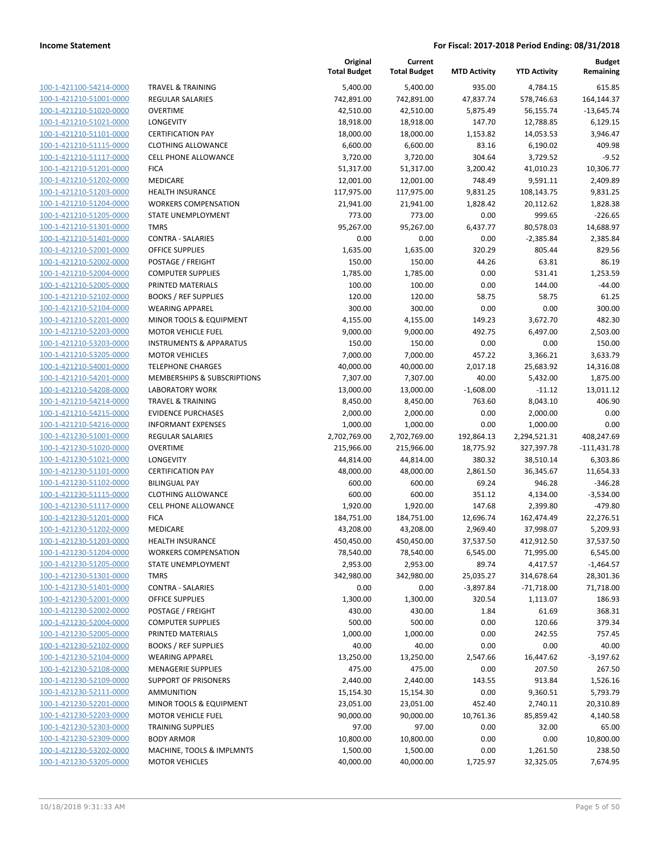| 100-1-421100-54214-0000         |
|---------------------------------|
| 100-1-421210-51001-0000         |
| 100-1-421210-51020-0000         |
| 100-1-421210-51021-0000         |
| 100-1-421210-51101-0000         |
| 100-1-421210-51115-0000         |
| 100-1-421210-51117-0000         |
| 100-1-421210-51201-0000         |
| 100-1-421210-51202-0000         |
| 100-1-421210-51203-0000         |
| 100-1-421210-51204-0000         |
| 100-1-421210-51205-0000         |
| 100-1-421210-51301-0000         |
| 100-1-421210-51401-0000         |
| 100-1-421210-52001-0000         |
| 100-1-421210-52002-0000         |
| 100-1-421210-52004-0000         |
| 100-1-421210-52005-0000         |
| 100-1-421210-52102-0000         |
| 100-1-421210-52104-0000         |
| 100-1-421210-52201-0000         |
|                                 |
| 100-1-421210-52203-0000         |
| 100-1-421210-53203-0000         |
| 100-1-421210-53205-0000         |
| 100-1-421210-54001-0000         |
| 100-1-421210-54201-0000         |
| 100-1-421210-54208-0000         |
| 100-1-421210-54214-0000         |
| 100-1-421210-54215-0000         |
| 100-1-421210-54216-0000         |
| 100-1-421230-51001-0000         |
| 100-1-421230-51020-0000         |
| 100-1-421230-51021-0000         |
| 100-1-421230-51101-0000         |
| 100-1-421230-51102-0000         |
| 100-1-421230-51115-0000         |
| 100-1-421230-51117-0000         |
| 100-1-421230-51201-0000         |
| 100-1-421230-51202-0000         |
| 100-1-421230-51203-0000         |
| -421230-51204-0000<br>$100 - 1$ |
| 100-1-421230-51205-0000         |
| 100-1-421230-51301-0000         |
| <u>100-1-421230-51401-0000</u>  |
| <u>100-1-421230-52001-0000</u>  |
| 100-1-421230-52002-0000         |
| 100-1-421230-52004-0000         |
| <u>100-1-421230-52005-0000</u>  |
| <u>100-1-421230-52102-0000</u>  |
| 100-1-421230-52104-0000         |
| 100-1-421230-52108-0000         |
| 100-1-421230-52109-0000         |
|                                 |
| <u>100-1-421230-52111-0000</u>  |
| <u>100-1-421230-52201-0000</u>  |
| <u>100-1-421230-52203-0000</u>  |
| <u>100-1-421230-52303-0000</u>  |
| 100-1-421230-52309-0000         |
| <u>100-1-421230-53202-0000</u>  |
| <u>100-1-421230-53205-0000</u>  |

|                                                    |                                                          | Original<br><b>Total Budget</b> | Current<br><b>Total Budget</b> | <b>MTD Activity</b> | <b>YTD Activity</b> | Budget<br>Remaining  |
|----------------------------------------------------|----------------------------------------------------------|---------------------------------|--------------------------------|---------------------|---------------------|----------------------|
| 100-1-421100-54214-0000                            | <b>TRAVEL &amp; TRAINING</b>                             | 5,400.00                        | 5,400.00                       | 935.00              | 4,784.15            | 615.85               |
| 100-1-421210-51001-0000                            | <b>REGULAR SALARIES</b>                                  | 742,891.00                      | 742,891.00                     | 47,837.74           | 578,746.63          | 164,144.37           |
| 100-1-421210-51020-0000                            | <b>OVERTIME</b>                                          | 42,510.00                       | 42,510.00                      | 5,875.49            | 56,155.74           | $-13,645.74$         |
| 100-1-421210-51021-0000                            | LONGEVITY                                                | 18,918.00                       | 18,918.00                      | 147.70              | 12,788.85           | 6,129.15             |
| 100-1-421210-51101-0000                            | <b>CERTIFICATION PAY</b>                                 | 18,000.00                       | 18,000.00                      | 1,153.82            | 14,053.53           | 3,946.47             |
| 100-1-421210-51115-0000                            | CLOTHING ALLOWANCE                                       | 6,600.00                        | 6,600.00                       | 83.16               | 6,190.02            | 409.98               |
| 100-1-421210-51117-0000                            | <b>CELL PHONE ALLOWANCE</b>                              | 3,720.00                        | 3,720.00                       | 304.64              | 3,729.52            | $-9.52$              |
| 100-1-421210-51201-0000                            | <b>FICA</b>                                              | 51,317.00                       | 51,317.00                      | 3,200.42            | 41,010.23           | 10,306.77            |
| 100-1-421210-51202-0000                            | MEDICARE                                                 | 12,001.00                       | 12,001.00                      | 748.49              | 9,591.11            | 2,409.89             |
| 100-1-421210-51203-0000                            | <b>HEALTH INSURANCE</b>                                  | 117,975.00                      | 117,975.00                     | 9,831.25            | 108,143.75          | 9,831.25             |
| 100-1-421210-51204-0000                            | <b>WORKERS COMPENSATION</b>                              | 21,941.00                       | 21,941.00                      | 1,828.42            | 20,112.62           | 1,828.38             |
| 100-1-421210-51205-0000                            | STATE UNEMPLOYMENT                                       | 773.00                          | 773.00                         | 0.00                | 999.65              | $-226.65$            |
| 100-1-421210-51301-0000                            | <b>TMRS</b>                                              | 95,267.00                       | 95,267.00                      | 6,437.77            | 80,578.03           | 14,688.97            |
| 100-1-421210-51401-0000                            | <b>CONTRA - SALARIES</b>                                 | 0.00                            | 0.00                           | 0.00                | $-2,385.84$         | 2,385.84             |
| 100-1-421210-52001-0000                            | <b>OFFICE SUPPLIES</b>                                   | 1,635.00                        | 1,635.00                       | 320.29              | 805.44              | 829.56               |
| 100-1-421210-52002-0000                            | POSTAGE / FREIGHT                                        | 150.00                          | 150.00                         | 44.26               | 63.81               | 86.19                |
| 100-1-421210-52004-0000                            | <b>COMPUTER SUPPLIES</b>                                 | 1,785.00                        | 1,785.00                       | 0.00                | 531.41              | 1,253.59             |
| 100-1-421210-52005-0000                            | PRINTED MATERIALS                                        | 100.00                          | 100.00                         | 0.00                | 144.00              | $-44.00$             |
| 100-1-421210-52102-0000<br>100-1-421210-52104-0000 | <b>BOOKS / REF SUPPLIES</b><br><b>WEARING APPAREL</b>    | 120.00<br>300.00                | 120.00<br>300.00               | 58.75<br>0.00       | 58.75<br>0.00       | 61.25<br>300.00      |
| 100-1-421210-52201-0000                            | MINOR TOOLS & EQUIPMENT                                  | 4,155.00                        | 4,155.00                       | 149.23              | 3,672.70            | 482.30               |
| 100-1-421210-52203-0000                            | <b>MOTOR VEHICLE FUEL</b>                                | 9,000.00                        | 9,000.00                       | 492.75              | 6,497.00            | 2,503.00             |
| 100-1-421210-53203-0000                            | <b>INSTRUMENTS &amp; APPARATUS</b>                       | 150.00                          | 150.00                         | 0.00                | 0.00                | 150.00               |
| 100-1-421210-53205-0000                            | <b>MOTOR VEHICLES</b>                                    | 7,000.00                        | 7,000.00                       | 457.22              | 3,366.21            | 3,633.79             |
| 100-1-421210-54001-0000                            | <b>TELEPHONE CHARGES</b>                                 | 40,000.00                       | 40,000.00                      | 2,017.18            | 25,683.92           | 14,316.08            |
| 100-1-421210-54201-0000                            | MEMBERSHIPS & SUBSCRIPTIONS                              | 7,307.00                        | 7,307.00                       | 40.00               | 5,432.00            | 1,875.00             |
| 100-1-421210-54208-0000                            | <b>LABORATORY WORK</b>                                   | 13,000.00                       | 13,000.00                      | $-1,608.00$         | $-11.12$            | 13,011.12            |
| 100-1-421210-54214-0000                            | <b>TRAVEL &amp; TRAINING</b>                             | 8,450.00                        | 8,450.00                       | 763.60              | 8,043.10            | 406.90               |
| 100-1-421210-54215-0000                            | <b>EVIDENCE PURCHASES</b>                                | 2,000.00                        | 2,000.00                       | 0.00                | 2,000.00            | 0.00                 |
| 100-1-421210-54216-0000                            | <b>INFORMANT EXPENSES</b>                                | 1,000.00                        | 1,000.00                       | 0.00                | 1,000.00            | 0.00                 |
| 100-1-421230-51001-0000                            | <b>REGULAR SALARIES</b>                                  | 2,702,769.00                    | 2,702,769.00                   | 192,864.13          | 2,294,521.31        | 408,247.69           |
| 100-1-421230-51020-0000                            | <b>OVERTIME</b>                                          | 215,966.00                      | 215,966.00                     | 18,775.92           | 327,397.78          | $-111,431.78$        |
| 100-1-421230-51021-0000                            | LONGEVITY                                                | 44,814.00                       | 44,814.00                      | 380.32              | 38,510.14           | 6,303.86             |
| 100-1-421230-51101-0000                            | <b>CERTIFICATION PAY</b>                                 | 48,000.00                       | 48,000.00                      | 2,861.50            | 36,345.67           | 11,654.33            |
| 100-1-421230-51102-0000                            | <b>BILINGUAL PAY</b>                                     | 600.00                          | 600.00                         | 69.24               | 946.28              | $-346.28$            |
| 100-1-421230-51115-0000                            | <b>CLOTHING ALLOWANCE</b>                                | 600.00                          | 600.00                         | 351.12              | 4,134.00            | $-3,534.00$          |
| 100-1-421230-51117-0000                            | CELL PHONE ALLOWANCE                                     | 1,920.00                        | 1,920.00                       | 147.68              | 2,399.80            | $-479.80$            |
| 100-1-421230-51201-0000                            | <b>FICA</b>                                              | 184,751.00                      | 184,751.00                     | 12,696.74           | 162,474.49          | 22,276.51            |
| 100-1-421230-51202-0000                            | MEDICARE                                                 | 43,208.00                       | 43,208.00                      | 2,969.40            | 37,998.07           | 5,209.93             |
| 100-1-421230-51203-0000                            | <b>HEALTH INSURANCE</b>                                  | 450,450.00                      | 450,450.00                     | 37,537.50           | 412,912.50          | 37,537.50            |
| 100-1-421230-51204-0000                            | <b>WORKERS COMPENSATION</b>                              | 78,540.00                       | 78,540.00                      | 6,545.00            | 71,995.00           | 6,545.00             |
| 100-1-421230-51205-0000                            | STATE UNEMPLOYMENT                                       | 2,953.00                        | 2,953.00                       | 89.74               | 4,417.57            | $-1,464.57$          |
| 100-1-421230-51301-0000                            | TMRS                                                     | 342,980.00                      | 342,980.00                     | 25,035.27           | 314,678.64          | 28,301.36            |
| 100-1-421230-51401-0000                            | <b>CONTRA - SALARIES</b>                                 | 0.00                            | 0.00                           | $-3,897.84$         | $-71,718.00$        | 71,718.00            |
| 100-1-421230-52001-0000                            | OFFICE SUPPLIES                                          | 1,300.00                        | 1,300.00                       | 320.54              | 1,113.07            | 186.93               |
| 100-1-421230-52002-0000                            | POSTAGE / FREIGHT                                        | 430.00                          | 430.00                         | 1.84                | 61.69               | 368.31               |
| 100-1-421230-52004-0000                            | <b>COMPUTER SUPPLIES</b>                                 | 500.00                          | 500.00                         | 0.00                | 120.66              | 379.34               |
| 100-1-421230-52005-0000                            | PRINTED MATERIALS                                        | 1,000.00                        | 1,000.00                       | 0.00                | 242.55              | 757.45               |
| 100-1-421230-52102-0000                            | <b>BOOKS / REF SUPPLIES</b>                              | 40.00                           | 40.00                          | 0.00                | 0.00                | 40.00                |
| 100-1-421230-52104-0000                            | <b>WEARING APPAREL</b>                                   | 13,250.00                       | 13,250.00                      | 2,547.66            | 16,447.62           | $-3,197.62$          |
| 100-1-421230-52108-0000<br>100-1-421230-52109-0000 | <b>MENAGERIE SUPPLIES</b><br><b>SUPPORT OF PRISONERS</b> | 475.00                          | 475.00                         | 0.00<br>143.55      | 207.50<br>913.84    | 267.50               |
| 100-1-421230-52111-0000                            | <b>AMMUNITION</b>                                        | 2,440.00<br>15,154.30           | 2,440.00<br>15,154.30          | 0.00                | 9,360.51            | 1,526.16<br>5,793.79 |
| 100-1-421230-52201-0000                            | MINOR TOOLS & EQUIPMENT                                  | 23,051.00                       | 23,051.00                      | 452.40              | 2,740.11            | 20,310.89            |
| 100-1-421230-52203-0000                            | <b>MOTOR VEHICLE FUEL</b>                                | 90,000.00                       | 90,000.00                      | 10,761.36           | 85,859.42           | 4,140.58             |
| 100-1-421230-52303-0000                            | <b>TRAINING SUPPLIES</b>                                 | 97.00                           | 97.00                          | 0.00                | 32.00               | 65.00                |
| 100-1-421230-52309-0000                            | <b>BODY ARMOR</b>                                        | 10,800.00                       | 10,800.00                      | 0.00                | 0.00                | 10,800.00            |
| 100-1-421230-53202-0000                            | MACHINE, TOOLS & IMPLMNTS                                | 1,500.00                        | 1,500.00                       | 0.00                | 1,261.50            | 238.50               |
| 100-1-421230-53205-0000                            | <b>MOTOR VEHICLES</b>                                    | 40,000.00                       | 40,000.00                      | 1,725.97            | 32,325.05           | 7,674.95             |
|                                                    |                                                          |                                 |                                |                     |                     |                      |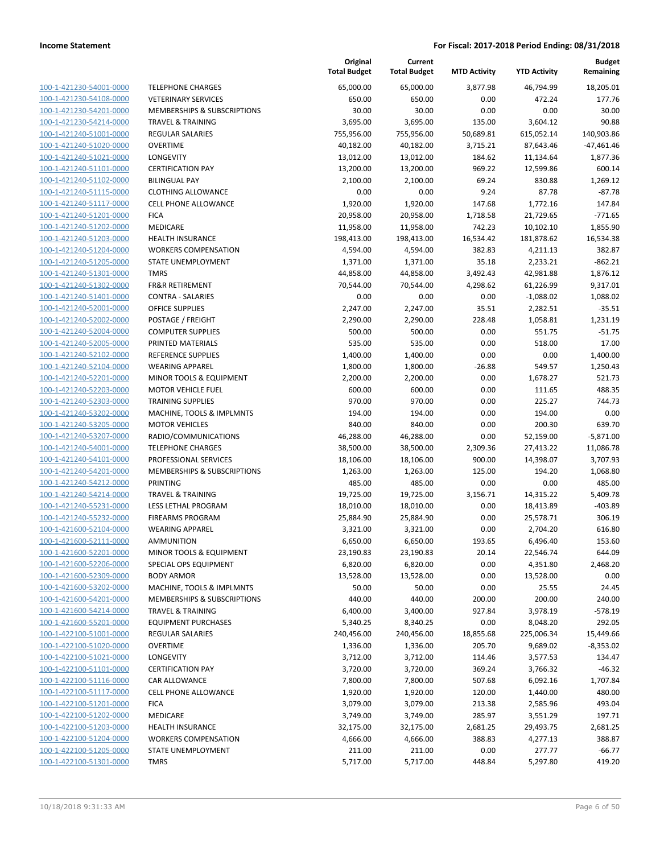| 100-1-421230-54001-0000         |
|---------------------------------|
| 100-1-421230-54108-0000         |
| 100-1-421230-54201-0000         |
| 100-1-421230-54214-0000         |
| 100-1-421240-51001-0000         |
| 100-1-421240-51020-0000         |
| 100-1-421240-51021-0000         |
| 100-1-421240-51101-0000         |
|                                 |
| 100-1-421240-51102-0000         |
| -421240-51115-0000<br>$100 - 1$ |
| 100-1-421240-51117-0000         |
| 100-1-421240-51201-0000         |
| 100-1-421240-51202-0000         |
| 100-1-421240-51203-0000         |
| 100-1-421240-51204-0000         |
| 100-1-421240-51205-0000         |
| 100-1-421240-51301-0000         |
| 100-1-421240-51302-0000         |
|                                 |
| 100-1-421240-51401-0000         |
| $100 - 1$<br>-421240-52001-0000 |
| 100-1-421240-52002-0000         |
| <u>100-1-421240-52004-0000</u>  |
| 100-1-421240-52005-0000         |
| 100-1-421240-52102-0000         |
| -421240-52104-0000<br>$100 - 1$ |
| 100-1-421240-52201-0000         |
| 100-1-421240-52203-0000         |
| 100-1-421240-52303-0000         |
| 100-1-421240-53202-0000         |
| $100 - 1$                       |
| -421240-53205-0000              |
| 100-1-421240-53207-0000         |
| <u>100-1-421240-54001-0000</u>  |
| 100-1-421240-54101-0000         |
| 100-1-421240-54201-0000         |
| 100-1-421240-54212-0000         |
| 100-1-421240-54214-0000         |
| 100-1-421240-55231-0000         |
| 100-1-421240-55232-0000         |
| 100-1-421600-52104-0000         |
| 100-1-421600-52111-0000         |
| 100-1-421600-52201-0000         |
| 100-1-421600-52206-0000         |
|                                 |
| 100-1-421600-52309-0000         |
| <u>100-1-421600-53202-0000</u>  |
| 100-1-421600-54201-0000         |
| 100-1-421600-54214-0000         |
| 100-1-421600-55201-0000         |
| <u>100-1-422100-51001-0000</u>  |
| <u>100-1-422100-51020-0000</u>  |
| 100-1-422100-51021-0000         |
| 100-1-422100-51101-0000         |
| 100-1-422100-51116-0000         |
|                                 |
| <u>100-1-422100-51117-0000</u>  |
| <u>100-1-422100-51201-0000</u>  |
| 100-1-422100-51202-0000         |
| 100-1-422100-51203-0000         |
| 100-1-422100-51204-0000         |
| <u>100-1-422100-51205-0000</u>  |
| <u>100-1-422100-51301-0000</u>  |
|                                 |

|                         |                              | Original<br><b>Total Budget</b> | Current<br><b>Total Budget</b> | <b>MTD Activity</b> | <b>YTD Activity</b> | <b>Budget</b><br>Remaining |
|-------------------------|------------------------------|---------------------------------|--------------------------------|---------------------|---------------------|----------------------------|
| 100-1-421230-54001-0000 | <b>TELEPHONE CHARGES</b>     | 65,000.00                       | 65,000.00                      | 3,877.98            | 46,794.99           | 18,205.01                  |
| 100-1-421230-54108-0000 | <b>VETERINARY SERVICES</b>   | 650.00                          | 650.00                         | 0.00                | 472.24              | 177.76                     |
| 100-1-421230-54201-0000 | MEMBERSHIPS & SUBSCRIPTIONS  | 30.00                           | 30.00                          | 0.00                | 0.00                | 30.00                      |
| 100-1-421230-54214-0000 | <b>TRAVEL &amp; TRAINING</b> | 3,695.00                        | 3,695.00                       | 135.00              | 3,604.12            | 90.88                      |
| 100-1-421240-51001-0000 | <b>REGULAR SALARIES</b>      | 755,956.00                      | 755,956.00                     | 50,689.81           | 615,052.14          | 140,903.86                 |
| 100-1-421240-51020-0000 | <b>OVERTIME</b>              | 40,182.00                       | 40,182.00                      | 3,715.21            | 87,643.46           | $-47,461.46$               |
| 100-1-421240-51021-0000 | <b>LONGEVITY</b>             | 13,012.00                       | 13,012.00                      | 184.62              | 11,134.64           | 1,877.36                   |
| 100-1-421240-51101-0000 | <b>CERTIFICATION PAY</b>     | 13,200.00                       | 13,200.00                      | 969.22              | 12,599.86           | 600.14                     |
| 100-1-421240-51102-0000 | <b>BILINGUAL PAY</b>         | 2,100.00                        | 2,100.00                       | 69.24               | 830.88              | 1,269.12                   |
| 100-1-421240-51115-0000 | <b>CLOTHING ALLOWANCE</b>    | 0.00                            | 0.00                           | 9.24                | 87.78               | $-87.78$                   |
| 100-1-421240-51117-0000 | CELL PHONE ALLOWANCE         | 1,920.00                        | 1,920.00                       | 147.68              | 1,772.16            | 147.84                     |
| 100-1-421240-51201-0000 | <b>FICA</b>                  | 20,958.00                       | 20,958.00                      | 1,718.58            | 21,729.65           | $-771.65$                  |
| 100-1-421240-51202-0000 | MEDICARE                     | 11,958.00                       | 11,958.00                      | 742.23              | 10,102.10           | 1,855.90                   |
| 100-1-421240-51203-0000 | <b>HEALTH INSURANCE</b>      | 198,413.00                      | 198,413.00                     | 16,534.42           | 181,878.62          | 16,534.38                  |
| 100-1-421240-51204-0000 | <b>WORKERS COMPENSATION</b>  | 4,594.00                        | 4,594.00                       | 382.83              | 4,211.13            | 382.87                     |
| 100-1-421240-51205-0000 | STATE UNEMPLOYMENT           | 1,371.00                        | 1,371.00                       | 35.18               | 2,233.21            | $-862.21$                  |
| 100-1-421240-51301-0000 | <b>TMRS</b>                  | 44,858.00                       | 44,858.00                      | 3,492.43            | 42,981.88           | 1,876.12                   |
| 100-1-421240-51302-0000 | <b>FR&amp;R RETIREMENT</b>   | 70,544.00                       | 70,544.00                      | 4,298.62            | 61,226.99           | 9,317.01                   |
| 100-1-421240-51401-0000 | <b>CONTRA - SALARIES</b>     | 0.00                            | 0.00                           | 0.00                | $-1,088.02$         | 1,088.02                   |
| 100-1-421240-52001-0000 | <b>OFFICE SUPPLIES</b>       | 2,247.00                        | 2,247.00                       | 35.51               | 2,282.51            | $-35.51$                   |
| 100-1-421240-52002-0000 | POSTAGE / FREIGHT            | 2,290.00                        | 2,290.00                       | 228.48              | 1,058.81            | 1,231.19                   |
| 100-1-421240-52004-0000 | <b>COMPUTER SUPPLIES</b>     | 500.00                          | 500.00                         | 0.00                | 551.75              | $-51.75$                   |
| 100-1-421240-52005-0000 | PRINTED MATERIALS            | 535.00                          | 535.00                         | 0.00                | 518.00              | 17.00                      |
| 100-1-421240-52102-0000 | REFERENCE SUPPLIES           | 1,400.00                        | 1,400.00                       | 0.00                | 0.00                | 1,400.00                   |
| 100-1-421240-52104-0000 | <b>WEARING APPAREL</b>       | 1,800.00                        | 1,800.00                       | $-26.88$            | 549.57              | 1,250.43                   |
| 100-1-421240-52201-0000 | MINOR TOOLS & EQUIPMENT      | 2,200.00                        | 2,200.00                       | 0.00                | 1,678.27            | 521.73                     |
| 100-1-421240-52203-0000 | <b>MOTOR VEHICLE FUEL</b>    | 600.00                          | 600.00                         | 0.00                | 111.65              | 488.35                     |
| 100-1-421240-52303-0000 | <b>TRAINING SUPPLIES</b>     | 970.00                          | 970.00                         | 0.00                | 225.27              | 744.73                     |
| 100-1-421240-53202-0000 | MACHINE, TOOLS & IMPLMNTS    | 194.00                          | 194.00                         | 0.00                | 194.00              | 0.00                       |
| 100-1-421240-53205-0000 | <b>MOTOR VEHICLES</b>        | 840.00                          | 840.00                         | 0.00                | 200.30              | 639.70                     |
| 100-1-421240-53207-0000 | RADIO/COMMUNICATIONS         | 46,288.00                       | 46,288.00                      | 0.00                | 52,159.00           | $-5,871.00$                |
| 100-1-421240-54001-0000 | <b>TELEPHONE CHARGES</b>     | 38,500.00                       | 38,500.00                      | 2,309.36            | 27,413.22           | 11,086.78                  |
| 100-1-421240-54101-0000 | PROFESSIONAL SERVICES        | 18,106.00                       | 18,106.00                      | 900.00              | 14,398.07           | 3,707.93                   |
| 100-1-421240-54201-0000 | MEMBERSHIPS & SUBSCRIPTIONS  | 1,263.00                        | 1,263.00                       | 125.00              | 194.20              | 1,068.80                   |
| 100-1-421240-54212-0000 | <b>PRINTING</b>              | 485.00                          | 485.00                         | 0.00                | 0.00                | 485.00                     |
| 100-1-421240-54214-0000 | TRAVEL & TRAINING            | 19,725.00                       | 19,725.00                      | 3,156.71            | 14,315.22           | 5,409.78                   |
| 100-1-421240-55231-0000 | LESS LETHAL PROGRAM          | 18,010.00                       | 18,010.00                      | 0.00                | 18,413.89           | -403.89                    |
| 100-1-421240-55232-0000 | <b>FIREARMS PROGRAM</b>      | 25,884.90                       | 25,884.90                      | 0.00                | 25,578.71           | 306.19                     |
| 100-1-421600-52104-0000 | <b>WEARING APPAREL</b>       | 3,321.00                        | 3,321.00                       | 0.00                | 2,704.20            | 616.80                     |
| 100-1-421600-52111-0000 | <b>AMMUNITION</b>            | 6,650.00                        | 6,650.00                       | 193.65              | 6,496.40            | 153.60                     |
| 100-1-421600-52201-0000 | MINOR TOOLS & EQUIPMENT      | 23,190.83                       | 23,190.83                      | 20.14               | 22,546.74           | 644.09                     |
| 100-1-421600-52206-0000 | SPECIAL OPS EQUIPMENT        | 6,820.00                        | 6,820.00                       | 0.00                | 4,351.80            | 2,468.20                   |
| 100-1-421600-52309-0000 | <b>BODY ARMOR</b>            | 13,528.00                       | 13,528.00                      | 0.00                | 13,528.00           | 0.00                       |
| 100-1-421600-53202-0000 | MACHINE, TOOLS & IMPLMNTS    | 50.00                           | 50.00                          | 0.00                | 25.55               | 24.45                      |
| 100-1-421600-54201-0000 | MEMBERSHIPS & SUBSCRIPTIONS  | 440.00                          | 440.00                         | 200.00              | 200.00              | 240.00                     |
| 100-1-421600-54214-0000 | <b>TRAVEL &amp; TRAINING</b> | 6,400.00                        | 3,400.00                       | 927.84              | 3,978.19            | $-578.19$                  |
| 100-1-421600-55201-0000 | <b>EQUIPMENT PURCHASES</b>   | 5,340.25                        | 8,340.25                       | 0.00                | 8,048.20            | 292.05                     |
| 100-1-422100-51001-0000 | REGULAR SALARIES             | 240,456.00                      | 240,456.00                     | 18,855.68           | 225,006.34          | 15,449.66                  |
| 100-1-422100-51020-0000 | <b>OVERTIME</b>              | 1,336.00                        | 1,336.00                       | 205.70              | 9,689.02            | $-8,353.02$                |
| 100-1-422100-51021-0000 | LONGEVITY                    | 3,712.00                        | 3,712.00                       | 114.46              | 3,577.53            | 134.47                     |
| 100-1-422100-51101-0000 | <b>CERTIFICATION PAY</b>     | 3,720.00                        | 3,720.00                       | 369.24              | 3,766.32            | -46.32                     |
| 100-1-422100-51116-0000 | CAR ALLOWANCE                | 7,800.00                        | 7,800.00                       | 507.68              | 6,092.16            | 1,707.84                   |
| 100-1-422100-51117-0000 | CELL PHONE ALLOWANCE         | 1,920.00                        | 1,920.00                       | 120.00              | 1,440.00            | 480.00                     |
| 100-1-422100-51201-0000 | <b>FICA</b>                  | 3,079.00                        | 3,079.00                       | 213.38              | 2,585.96            | 493.04                     |
| 100-1-422100-51202-0000 | MEDICARE                     | 3,749.00                        | 3,749.00                       | 285.97              | 3,551.29            | 197.71                     |
| 100-1-422100-51203-0000 | <b>HEALTH INSURANCE</b>      | 32,175.00                       | 32,175.00                      | 2,681.25            | 29,493.75           | 2,681.25                   |
| 100-1-422100-51204-0000 | <b>WORKERS COMPENSATION</b>  | 4,666.00                        | 4,666.00                       | 388.83              | 4,277.13            | 388.87                     |
| 100-1-422100-51205-0000 | STATE UNEMPLOYMENT           | 211.00                          | 211.00                         | 0.00                | 277.77              | $-66.77$                   |
| 100-1-422100-51301-0000 | <b>TMRS</b>                  | 5,717.00                        | 5,717.00                       | 448.84              | 5,297.80            | 419.20                     |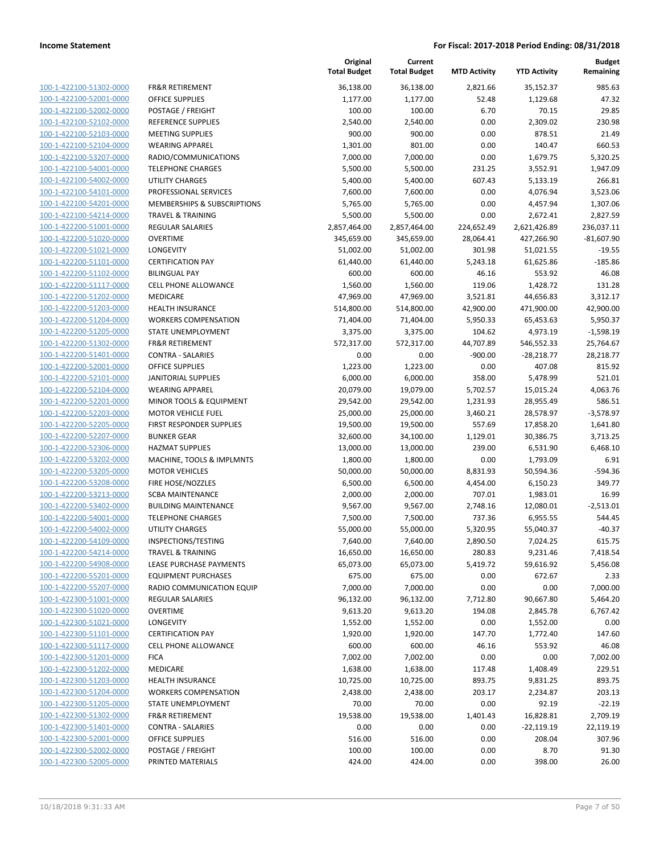| 100-1-422100-51302-0000                      |
|----------------------------------------------|
| 100-1-422100-52001-0000                      |
| 100-1-422100-52002-0000                      |
| 100-1-422100-52102-0000                      |
| 100-1-422100-52103-0000                      |
|                                              |
| 100-1-422100-52104-0000                      |
| 100-1-422100-53207-0000                      |
| 100-1-422100-54001-0000                      |
| 100-1-422100-54002-0000                      |
| $100 -$<br>$-422100 - 54101$<br>1<br>$-0000$ |
| 100-1-422100-54201-0000                      |
| <u>100-1-422100-54214-0000</u>               |
| 100-1-422200-51001-0000                      |
| 100-1-422200-51020-0000                      |
| $100 - 1$<br>-422200-51021<br>-0000          |
| 100-1-422200-51101-0000                      |
|                                              |
| 100-1-422200-51102-0000                      |
| 100-1-422200-51117-0000                      |
| 100-1-422200-51202-0000                      |
| $100-$<br>-422200-51203-0000<br>1            |
| 100-1-422200-51204-0000                      |
| 100-1-422200-51205-0000                      |
| 100-1-422200-51302-0000                      |
| 100-1-422200-51401-0000                      |
| $100 - 1$<br>-422200-52001<br>$-0000$        |
| 100-1-422200-52101-0000                      |
| <u>100-1-422200-52104-0000</u>               |
| 100-1-422200-52201-0000                      |
|                                              |
| 100-1-422200-52203-0000                      |
| $100-$<br>-422200-52205-0000<br>1            |
| 100-1-422200-52207-0000                      |
| 100-1-422200-52306-0000                      |
| 100-1-422200-53202-0000                      |
| 100-1-422200-53205-0000                      |
| 100-1-422200-53208-0000                      |
| 100-1-422200-53213-0000                      |
| 100-1-422200-53402-0000                      |
| 100-1-422200-54001-0000                      |
| 100-1-422200-54002-0000                      |
| 100-1-422200-54109-0000                      |
| 100-1-422200-54214-0000                      |
| 100-1-422200-54908-0000                      |
|                                              |
| <u>100-1-422200-55201-0000</u>               |
| 100-1-422200-55207-0000                      |
| 100-1-422300-51001-0000                      |
| 100-1-422300-51020-0000                      |
| 100-1-422300-51021-0000                      |
| <u>100-1-422300-51101-0000</u>               |
| 100-1-422300-51117-0000                      |
| 100-1-422300-51201-0000                      |
| 100-1-422300-51202-0000                      |
| 100-1-422300-51203-0000                      |
| <u>100-1-422300-51204-0000</u>               |
|                                              |
| 100-1-422300-51205-0000                      |
| 100-1-422300-51302-0000                      |
| 100-1-422300-51401-0000                      |
| 100-1-422300-52001-0000                      |
| <u>100-1-422300-52002-0000</u>               |
| <u>100-1-422300-52005-0000</u>               |
|                                              |

|                                                    |                                                  | Original<br><b>Total Budget</b> | Current<br><b>Total Budget</b> | <b>MTD Activity</b> | <b>YTD Activity</b>    | <b>Budget</b><br>Remaining |
|----------------------------------------------------|--------------------------------------------------|---------------------------------|--------------------------------|---------------------|------------------------|----------------------------|
| 100-1-422100-51302-0000                            | FR&R RETIREMENT                                  | 36,138.00                       | 36,138.00                      | 2,821.66            | 35,152.37              | 985.63                     |
| 100-1-422100-52001-0000                            | <b>OFFICE SUPPLIES</b>                           | 1,177.00                        | 1,177.00                       | 52.48               | 1,129.68               | 47.32                      |
| 100-1-422100-52002-0000                            | POSTAGE / FREIGHT                                | 100.00                          | 100.00                         | 6.70                | 70.15                  | 29.85                      |
| 100-1-422100-52102-0000                            | <b>REFERENCE SUPPLIES</b>                        | 2,540.00                        | 2,540.00                       | 0.00                | 2,309.02               | 230.98                     |
| 100-1-422100-52103-0000                            | <b>MEETING SUPPLIES</b>                          | 900.00                          | 900.00                         | 0.00                | 878.51                 | 21.49                      |
| 100-1-422100-52104-0000                            | <b>WEARING APPAREL</b>                           | 1,301.00                        | 801.00                         | 0.00                | 140.47                 | 660.53                     |
| 100-1-422100-53207-0000                            | RADIO/COMMUNICATIONS                             | 7,000.00                        | 7,000.00                       | 0.00                | 1,679.75               | 5,320.25                   |
| 100-1-422100-54001-0000                            | <b>TELEPHONE CHARGES</b>                         | 5,500.00                        | 5,500.00                       | 231.25              | 3,552.91               | 1,947.09                   |
| 100-1-422100-54002-0000                            | UTILITY CHARGES                                  | 5,400.00                        | 5,400.00                       | 607.43              | 5,133.19               | 266.81                     |
| 100-1-422100-54101-0000                            | PROFESSIONAL SERVICES                            | 7,600.00                        | 7,600.00                       | 0.00                | 4,076.94               | 3,523.06                   |
| 100-1-422100-54201-0000                            | <b>MEMBERSHIPS &amp; SUBSCRIPTIONS</b>           | 5,765.00                        | 5,765.00                       | 0.00                | 4,457.94               | 1,307.06                   |
| 100-1-422100-54214-0000                            | <b>TRAVEL &amp; TRAINING</b>                     | 5,500.00                        | 5,500.00                       | 0.00                | 2,672.41               | 2,827.59                   |
| 100-1-422200-51001-0000                            | <b>REGULAR SALARIES</b>                          | 2,857,464.00                    | 2,857,464.00                   | 224,652.49          | 2,621,426.89           | 236,037.11                 |
| 100-1-422200-51020-0000                            | <b>OVERTIME</b>                                  | 345,659.00                      | 345,659.00                     | 28,064.41           | 427,266.90             | $-81,607.90$               |
| 100-1-422200-51021-0000                            | <b>LONGEVITY</b>                                 | 51,002.00                       | 51,002.00                      | 301.98              | 51,021.55              | $-19.55$                   |
| 100-1-422200-51101-0000                            | <b>CERTIFICATION PAY</b>                         | 61,440.00                       | 61,440.00                      | 5,243.18            | 61,625.86              | $-185.86$                  |
| 100-1-422200-51102-0000                            | <b>BILINGUAL PAY</b>                             | 600.00                          | 600.00                         | 46.16               | 553.92                 | 46.08                      |
| 100-1-422200-51117-0000                            | CELL PHONE ALLOWANCE                             | 1,560.00                        | 1,560.00                       | 119.06              | 1,428.72               | 131.28                     |
| 100-1-422200-51202-0000                            | <b>MEDICARE</b>                                  | 47,969.00                       | 47,969.00                      | 3,521.81            | 44,656.83              | 3,312.17                   |
| 100-1-422200-51203-0000                            | <b>HEALTH INSURANCE</b>                          | 514,800.00                      | 514,800.00                     | 42,900.00           | 471,900.00             | 42,900.00                  |
| 100-1-422200-51204-0000                            | <b>WORKERS COMPENSATION</b>                      | 71,404.00                       | 71,404.00                      | 5,950.33            | 65,453.63              | 5,950.37                   |
| 100-1-422200-51205-0000                            | STATE UNEMPLOYMENT                               | 3,375.00                        | 3,375.00                       | 104.62              | 4,973.19               | $-1,598.19$                |
| 100-1-422200-51302-0000                            | FR&R RETIREMENT                                  | 572,317.00                      | 572,317.00                     | 44,707.89           | 546,552.33             | 25,764.67                  |
| 100-1-422200-51401-0000                            | <b>CONTRA - SALARIES</b>                         | 0.00                            | 0.00                           | $-900.00$           | $-28,218.77$           | 28,218.77                  |
| 100-1-422200-52001-0000                            | OFFICE SUPPLIES                                  | 1,223.00                        | 1,223.00                       | 0.00                | 407.08                 | 815.92                     |
| 100-1-422200-52101-0000                            | <b>JANITORIAL SUPPLIES</b>                       | 6,000.00                        | 6,000.00                       | 358.00              | 5,478.99               | 521.01                     |
| 100-1-422200-52104-0000                            | <b>WEARING APPAREL</b>                           | 20,079.00                       | 19,079.00                      | 5,702.57            | 15,015.24              | 4,063.76                   |
| 100-1-422200-52201-0000                            | MINOR TOOLS & EQUIPMENT                          | 29,542.00                       | 29,542.00                      | 1,231.93            | 28,955.49              | 586.51                     |
| 100-1-422200-52203-0000                            | <b>MOTOR VEHICLE FUEL</b>                        | 25,000.00                       | 25,000.00                      | 3,460.21            | 28,578.97              | $-3,578.97$                |
| 100-1-422200-52205-0000                            | FIRST RESPONDER SUPPLIES                         | 19,500.00                       | 19,500.00                      | 557.69              | 17,858.20              | 1,641.80                   |
| 100-1-422200-52207-0000                            | <b>BUNKER GEAR</b>                               | 32,600.00                       | 34,100.00                      | 1,129.01            | 30,386.75              | 3,713.25                   |
| 100-1-422200-52306-0000                            | <b>HAZMAT SUPPLIES</b>                           | 13,000.00                       | 13,000.00                      | 239.00              | 6,531.90               | 6,468.10                   |
| 100-1-422200-53202-0000                            | MACHINE, TOOLS & IMPLMNTS                        | 1,800.00                        | 1,800.00                       | 0.00                | 1,793.09               | 6.91                       |
| 100-1-422200-53205-0000                            | <b>MOTOR VEHICLES</b>                            | 50,000.00                       | 50,000.00                      | 8,831.93            | 50,594.36              | $-594.36$                  |
| 100-1-422200-53208-0000                            | FIRE HOSE/NOZZLES                                | 6,500.00                        | 6,500.00                       | 4,454.00            | 6,150.23               | 349.77                     |
| 100-1-422200-53213-0000                            | <b>SCBA MAINTENANCE</b>                          | 2,000.00                        | 2,000.00                       | 707.01              | 1,983.01               | 16.99                      |
| 100-1-422200-53402-0000                            | <b>BUILDING MAINTENANCE</b>                      | 9,567.00                        | 9,567.00                       | 2,748.16            | 12,080.01              | $-2,513.01$                |
| 100-1-422200-54001-0000                            | <b>TELEPHONE CHARGES</b>                         | 7,500.00                        | 7,500.00                       | 737.36              | 6,955.55               | 544.45                     |
| 100-1-422200-54002-0000                            | UTILITY CHARGES                                  | 55,000.00                       | 55,000.00                      | 5,320.95            | 55,040.37              | $-40.37$                   |
| 100-1-422200-54109-0000                            | INSPECTIONS/TESTING                              | 7,640.00                        | 7,640.00                       | 2,890.50            | 7,024.25               | 615.75                     |
| 100-1-422200-54214-0000                            | TRAVEL & TRAINING                                | 16,650.00                       | 16,650.00                      | 280.83              | 9,231.46               | 7,418.54                   |
| 100-1-422200-54908-0000                            | LEASE PURCHASE PAYMENTS                          | 65,073.00                       | 65,073.00                      | 5,419.72            | 59,616.92              | 5,456.08                   |
| 100-1-422200-55201-0000                            | <b>EQUIPMENT PURCHASES</b>                       | 675.00                          | 675.00                         | 0.00                | 672.67                 | 2.33                       |
| 100-1-422200-55207-0000                            | RADIO COMMUNICATION EQUIP                        | 7,000.00                        | 7,000.00                       | 0.00                | 0.00                   | 7,000.00                   |
| 100-1-422300-51001-0000                            | REGULAR SALARIES                                 | 96,132.00                       | 96,132.00                      | 7,712.80            | 90,667.80              | 5,464.20                   |
| 100-1-422300-51020-0000                            | <b>OVERTIME</b>                                  | 9,613.20                        | 9,613.20                       | 194.08              | 2,845.78               | 6,767.42                   |
| 100-1-422300-51021-0000                            | LONGEVITY                                        | 1,552.00                        | 1,552.00                       | 0.00                | 1,552.00               | 0.00                       |
| 100-1-422300-51101-0000                            | <b>CERTIFICATION PAY</b>                         | 1,920.00                        | 1,920.00                       | 147.70              | 1,772.40               | 147.60                     |
| 100-1-422300-51117-0000                            | CELL PHONE ALLOWANCE                             | 600.00                          | 600.00                         | 46.16               | 553.92                 | 46.08                      |
| 100-1-422300-51201-0000                            | <b>FICA</b>                                      | 7,002.00                        | 7,002.00                       | 0.00                | 0.00                   | 7,002.00                   |
| 100-1-422300-51202-0000                            | MEDICARE                                         | 1,638.00                        | 1,638.00                       | 117.48              | 1,408.49               | 229.51                     |
| 100-1-422300-51203-0000                            | HEALTH INSURANCE                                 | 10,725.00                       | 10,725.00                      | 893.75              | 9,831.25               | 893.75                     |
| 100-1-422300-51204-0000                            | <b>WORKERS COMPENSATION</b>                      | 2,438.00                        | 2,438.00                       | 203.17              | 2,234.87               | 203.13                     |
| 100-1-422300-51205-0000                            | STATE UNEMPLOYMENT<br><b>FR&amp;R RETIREMENT</b> | 70.00                           | 70.00                          | 0.00                | 92.19                  | $-22.19$<br>2,709.19       |
| 100-1-422300-51302-0000                            |                                                  | 19,538.00                       | 19,538.00                      | 1,401.43            | 16,828.81              |                            |
| 100-1-422300-51401-0000<br>100-1-422300-52001-0000 | <b>CONTRA - SALARIES</b><br>OFFICE SUPPLIES      | 0.00<br>516.00                  | 0.00<br>516.00                 | 0.00<br>0.00        | $-22,119.19$<br>208.04 | 22,119.19<br>307.96        |
| 100-1-422300-52002-0000                            | POSTAGE / FREIGHT                                | 100.00                          | 100.00                         | 0.00                | 8.70                   | 91.30                      |
| 100-1-422300-52005-0000                            | PRINTED MATERIALS                                | 424.00                          | 424.00                         | 0.00                | 398.00                 | 26.00                      |
|                                                    |                                                  |                                 |                                |                     |                        |                            |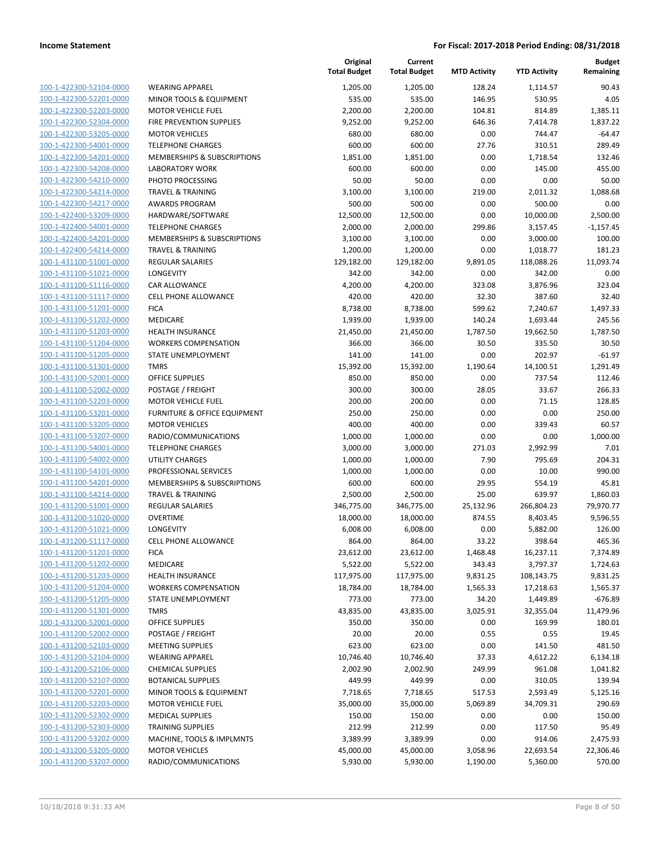| 100-1-422300-52104-0000 | <b>WEARING APPAREL</b>                  |
|-------------------------|-----------------------------------------|
| 100-1-422300-52201-0000 | <b>MINOR TOOLS &amp; EQUIPMENT</b>      |
| 100-1-422300-52203-0000 | <b>MOTOR VEHICLE FUEL</b>               |
| 100-1-422300-52304-0000 | <b>FIRE PREVENTION SUPPLIES</b>         |
| 100-1-422300-53205-0000 | <b>MOTOR VEHICLES</b>                   |
| 100-1-422300-54001-0000 | <b>TELEPHONE CHARGES</b>                |
| 100-1-422300-54201-0000 | <b>MEMBERSHIPS &amp; SUBSCRIPTIONS</b>  |
| 100-1-422300-54208-0000 | <b>LABORATORY WORK</b>                  |
| 100-1-422300-54210-0000 | PHOTO PROCESSING                        |
| 100-1-422300-54214-0000 | <b>TRAVEL &amp; TRAINING</b>            |
| 100-1-422300-54217-0000 | <b>AWARDS PROGRAM</b>                   |
| 100-1-422400-53209-0000 | HARDWARE/SOFTWARE                       |
| 100-1-422400-54001-0000 | <b>TELEPHONE CHARGES</b>                |
| 100-1-422400-54201-0000 | <b>MEMBERSHIPS &amp; SUBSCRIPTIONS</b>  |
| 100-1-422400-54214-0000 | TRAVEL & TRAINING                       |
| 100-1-431100-51001-0000 | <b>REGULAR SALARIES</b>                 |
| 100-1-431100-51021-0000 | LONGEVITY                               |
| 100-1-431100-51116-0000 | CAR ALLOWANCE                           |
| 100-1-431100-51117-0000 | <b>CELL PHONE ALLOWANCE</b>             |
| 100-1-431100-51201-0000 | <b>FICA</b>                             |
| 100-1-431100-51202-0000 | <b>MEDICARE</b>                         |
| 100-1-431100-51203-0000 | <b>HEALTH INSURANCE</b>                 |
| 100-1-431100-51204-0000 | <b>WORKERS COMPENSATION</b>             |
| 100-1-431100-51205-0000 | <b>STATE UNEMPLOYMENT</b>               |
| 100-1-431100-51301-0000 | <b>TMRS</b>                             |
| 100-1-431100-52001-0000 | <b>OFFICE SUPPLIES</b>                  |
| 100-1-431100-52002-0000 | POSTAGE / FREIGHT                       |
| 100-1-431100-52203-0000 | <b>MOTOR VEHICLE FUEL</b>               |
| 100-1-431100-53201-0000 | <b>FURNITURE &amp; OFFICE EQUIPMENT</b> |
| 100-1-431100-53205-0000 | <b>MOTOR VEHICLES</b>                   |
| 100-1-431100-53207-0000 | RADIO/COMMUNICATIONS                    |
| 100-1-431100-54001-0000 | <b>TELEPHONE CHARGES</b>                |
| 100-1-431100-54002-0000 | <b>UTILITY CHARGES</b>                  |
| 100-1-431100-54101-0000 | PROFESSIONAL SERVICES                   |
| 100-1-431100-54201-0000 | <b>MEMBERSHIPS &amp; SUBSCRIPTIONS</b>  |
| 100-1-431100-54214-0000 | <b>TRAVEL &amp; TRAINING</b>            |
| 100-1-431200-51001-0000 | <b>REGULAR SALARIES</b>                 |
| 100-1-431200-51020-0000 | <b>OVERTIME</b>                         |
| 100-1-431200-51021-0000 | LONGEVITY                               |
| 100-1-431200-51117-0000 | <b>CELL PHONE ALLOWANCE</b>             |
| 100-1-431200-51201-0000 | FICA                                    |
| 100-1-431200-51202-0000 | <b>MEDICARE</b>                         |
| 100-1-431200-51203-0000 | <b>HEALTH INSURANCE</b>                 |
| 100-1-431200-51204-0000 | <b>WORKERS COMPENSATION</b>             |
| 100-1-431200-51205-0000 | STATE UNEMPLOYMENT                      |
| 100-1-431200-51301-0000 | <b>TMRS</b>                             |
| 100-1-431200-52001-0000 | OFFICE SUPPLIES                         |
| 100-1-431200-52002-0000 | POSTAGE / FREIGHT                       |
| 100-1-431200-52103-0000 | <b>MEETING SUPPLIES</b>                 |
| 100-1-431200-52104-0000 | <b>WEARING APPAREL</b>                  |
| 100-1-431200-52106-0000 | <b>CHEMICAL SUPPLIES</b>                |
| 100-1-431200-52107-0000 | <b>BOTANICAL SUPPLIES</b>               |
| 100-1-431200-52201-0000 | MINOR TOOLS & EQUIPMENT                 |
|                         | <b>MOTOR VEHICLE FUEL</b>               |
| 100-1-431200-52203-0000 |                                         |
| 100-1-431200-52302-0000 | <b>MEDICAL SUPPLIES</b>                 |
| 100-1-431200-52303-0000 | <b>TRAINING SUPPLIES</b>                |
| 100-1-431200-53202-0000 | MACHINE, TOOLS & IMPLMNTS               |
| 100-1-431200-53205-0000 | <b>MOTOR VEHICLES</b>                   |
| 100-1-431200-53207-0000 | RADIO/COMMUNICATIONS                    |

|                                                    |                                                  | Original<br><b>Total Budget</b> | Current<br><b>Total Budget</b> | <b>MTD Activity</b> | <b>YTD Activity</b> | <b>Budget</b><br>Remaining |
|----------------------------------------------------|--------------------------------------------------|---------------------------------|--------------------------------|---------------------|---------------------|----------------------------|
| 100-1-422300-52104-0000                            | <b>WEARING APPAREL</b>                           | 1,205.00                        | 1,205.00                       | 128.24              | 1,114.57            | 90.43                      |
| 100-1-422300-52201-0000                            | MINOR TOOLS & EQUIPMENT                          | 535.00                          | 535.00                         | 146.95              | 530.95              | 4.05                       |
| 100-1-422300-52203-0000                            | <b>MOTOR VEHICLE FUEL</b>                        | 2,200.00                        | 2,200.00                       | 104.81              | 814.89              | 1,385.11                   |
| 100-1-422300-52304-0000                            | FIRE PREVENTION SUPPLIES                         | 9,252.00                        | 9,252.00                       | 646.36              | 7,414.78            | 1,837.22                   |
| 100-1-422300-53205-0000                            | <b>MOTOR VEHICLES</b>                            | 680.00                          | 680.00                         | 0.00                | 744.47              | $-64.47$                   |
| 100-1-422300-54001-0000                            | <b>TELEPHONE CHARGES</b>                         | 600.00                          | 600.00                         | 27.76               | 310.51              | 289.49                     |
| 100-1-422300-54201-0000                            | MEMBERSHIPS & SUBSCRIPTIONS                      | 1,851.00                        | 1,851.00                       | 0.00                | 1,718.54            | 132.46                     |
| 100-1-422300-54208-0000                            | <b>LABORATORY WORK</b>                           | 600.00                          | 600.00                         | 0.00                | 145.00              | 455.00                     |
| 100-1-422300-54210-0000                            | PHOTO PROCESSING                                 | 50.00                           | 50.00                          | 0.00                | 0.00                | 50.00                      |
| 100-1-422300-54214-0000                            | <b>TRAVEL &amp; TRAINING</b>                     | 3,100.00                        | 3,100.00                       | 219.00              | 2,011.32            | 1,088.68                   |
| 100-1-422300-54217-0000                            | <b>AWARDS PROGRAM</b>                            | 500.00                          | 500.00                         | 0.00                | 500.00              | 0.00                       |
| 100-1-422400-53209-0000                            | HARDWARE/SOFTWARE                                | 12,500.00                       | 12,500.00                      | 0.00                | 10,000.00           | 2,500.00                   |
| 100-1-422400-54001-0000                            | <b>TELEPHONE CHARGES</b>                         | 2,000.00                        | 2,000.00                       | 299.86              | 3,157.45            | $-1,157.45$                |
| 100-1-422400-54201-0000                            | MEMBERSHIPS & SUBSCRIPTIONS                      | 3,100.00                        | 3,100.00                       | 0.00                | 3,000.00            | 100.00                     |
| 100-1-422400-54214-0000                            | <b>TRAVEL &amp; TRAINING</b>                     | 1,200.00                        | 1,200.00                       | 0.00                | 1,018.77            | 181.23                     |
| 100-1-431100-51001-0000                            | <b>REGULAR SALARIES</b>                          | 129,182.00                      | 129,182.00                     | 9,891.05            | 118,088.26          | 11,093.74                  |
| 100-1-431100-51021-0000                            | LONGEVITY                                        | 342.00                          | 342.00                         | 0.00                | 342.00              | 0.00                       |
| 100-1-431100-51116-0000                            | CAR ALLOWANCE                                    | 4,200.00                        | 4,200.00                       | 323.08              | 3,876.96            | 323.04                     |
| 100-1-431100-51117-0000                            | <b>CELL PHONE ALLOWANCE</b>                      | 420.00                          | 420.00                         | 32.30               | 387.60              | 32.40                      |
| 100-1-431100-51201-0000                            | <b>FICA</b>                                      | 8,738.00                        | 8,738.00                       | 599.62              | 7,240.67            | 1,497.33                   |
| 100-1-431100-51202-0000                            | MEDICARE                                         | 1,939.00                        | 1,939.00                       | 140.24              | 1,693.44            | 245.56                     |
| 100-1-431100-51203-0000                            | <b>HEALTH INSURANCE</b>                          | 21,450.00                       | 21,450.00                      | 1,787.50            | 19,662.50           | 1,787.50                   |
| 100-1-431100-51204-0000                            | <b>WORKERS COMPENSATION</b>                      | 366.00                          | 366.00                         | 30.50               | 335.50              | 30.50                      |
| 100-1-431100-51205-0000                            | STATE UNEMPLOYMENT                               | 141.00                          | 141.00                         | 0.00                | 202.97              | $-61.97$                   |
| 100-1-431100-51301-0000                            | <b>TMRS</b>                                      | 15,392.00                       | 15,392.00                      | 1,190.64            | 14,100.51           | 1,291.49                   |
| 100-1-431100-52001-0000                            | <b>OFFICE SUPPLIES</b>                           | 850.00                          | 850.00                         | 0.00                | 737.54              | 112.46                     |
| 100-1-431100-52002-0000                            | POSTAGE / FREIGHT                                | 300.00                          | 300.00                         | 28.05               | 33.67               | 266.33                     |
| 100-1-431100-52203-0000                            | <b>MOTOR VEHICLE FUEL</b>                        | 200.00                          | 200.00                         | 0.00                | 71.15               | 128.85                     |
| 100-1-431100-53201-0000                            | FURNITURE & OFFICE EQUIPMENT                     | 250.00                          | 250.00                         | 0.00                | 0.00                | 250.00                     |
| 100-1-431100-53205-0000                            | <b>MOTOR VEHICLES</b>                            | 400.00                          | 400.00                         | 0.00                | 339.43              | 60.57                      |
| 100-1-431100-53207-0000<br>100-1-431100-54001-0000 | RADIO/COMMUNICATIONS<br><b>TELEPHONE CHARGES</b> | 1,000.00                        | 1,000.00                       | 0.00                | 0.00                | 1,000.00<br>7.01           |
| 100-1-431100-54002-0000                            | <b>UTILITY CHARGES</b>                           | 3,000.00<br>1,000.00            | 3,000.00<br>1,000.00           | 271.03<br>7.90      | 2,992.99<br>795.69  | 204.31                     |
| 100-1-431100-54101-0000                            | PROFESSIONAL SERVICES                            | 1,000.00                        | 1,000.00                       | 0.00                | 10.00               | 990.00                     |
| 100-1-431100-54201-0000                            | MEMBERSHIPS & SUBSCRIPTIONS                      | 600.00                          | 600.00                         | 29.95               | 554.19              | 45.81                      |
| 100-1-431100-54214-0000                            | <b>TRAVEL &amp; TRAINING</b>                     | 2,500.00                        | 2,500.00                       | 25.00               | 639.97              | 1,860.03                   |
| 100-1-431200-51001-0000                            | REGULAR SALARIES                                 | 346,775.00                      | 346,775.00                     | 25,132.96           | 266,804.23          | 79,970.77                  |
| 100-1-431200-51020-0000                            | <b>OVERTIME</b>                                  | 18,000.00                       | 18,000.00                      | 874.55              | 8,403.45            | 9,596.55                   |
| 100-1-431200-51021-0000                            | <b>LONGEVITY</b>                                 | 6,008.00                        | 6,008.00                       | 0.00                | 5,882.00            | 126.00                     |
| 100-1-431200-51117-0000                            | <b>CELL PHONE ALLOWANCE</b>                      | 864.00                          | 864.00                         | 33.22               | 398.64              | 465.36                     |
| 100-1-431200-51201-0000                            | <b>FICA</b>                                      | 23,612.00                       | 23,612.00                      | 1,468.48            | 16,237.11           | 7,374.89                   |
| 100-1-431200-51202-0000                            | MEDICARE                                         | 5,522.00                        | 5,522.00                       | 343.43              | 3,797.37            | 1,724.63                   |
| 100-1-431200-51203-0000                            | <b>HEALTH INSURANCE</b>                          | 117,975.00                      | 117,975.00                     | 9,831.25            | 108,143.75          | 9,831.25                   |
| 100-1-431200-51204-0000                            | <b>WORKERS COMPENSATION</b>                      | 18,784.00                       | 18,784.00                      | 1,565.33            | 17,218.63           | 1,565.37                   |
| 100-1-431200-51205-0000                            | STATE UNEMPLOYMENT                               | 773.00                          | 773.00                         | 34.20               | 1,449.89            | $-676.89$                  |
| 100-1-431200-51301-0000                            | <b>TMRS</b>                                      | 43,835.00                       | 43,835.00                      | 3,025.91            | 32,355.04           | 11,479.96                  |
| 100-1-431200-52001-0000                            | OFFICE SUPPLIES                                  | 350.00                          | 350.00                         | 0.00                | 169.99              | 180.01                     |
| 100-1-431200-52002-0000                            | POSTAGE / FREIGHT                                | 20.00                           | 20.00                          | 0.55                | 0.55                | 19.45                      |
| 100-1-431200-52103-0000                            | <b>MEETING SUPPLIES</b>                          | 623.00                          | 623.00                         | 0.00                | 141.50              | 481.50                     |
| 100-1-431200-52104-0000                            | <b>WEARING APPAREL</b>                           | 10,746.40                       | 10,746.40                      | 37.33               | 4,612.22            | 6,134.18                   |
| 100-1-431200-52106-0000                            | <b>CHEMICAL SUPPLIES</b>                         | 2,002.90                        | 2,002.90                       | 249.99              | 961.08              | 1,041.82                   |
| 100-1-431200-52107-0000                            | <b>BOTANICAL SUPPLIES</b>                        | 449.99                          | 449.99                         | 0.00                | 310.05              | 139.94                     |
| 100-1-431200-52201-0000                            | MINOR TOOLS & EQUIPMENT                          | 7,718.65                        | 7,718.65                       | 517.53              | 2,593.49            | 5,125.16                   |
| 100-1-431200-52203-0000                            | <b>MOTOR VEHICLE FUEL</b>                        | 35,000.00                       | 35,000.00                      | 5,069.89            | 34,709.31           | 290.69                     |
| 100-1-431200-52302-0000                            | <b>MEDICAL SUPPLIES</b>                          | 150.00                          | 150.00                         | 0.00                | 0.00                | 150.00                     |
| 100-1-431200-52303-0000                            | <b>TRAINING SUPPLIES</b>                         | 212.99                          | 212.99                         | 0.00                | 117.50              | 95.49                      |
| 100-1-431200-53202-0000                            | MACHINE, TOOLS & IMPLMNTS                        | 3,389.99                        | 3,389.99                       | 0.00                | 914.06              | 2,475.93                   |
| 100-1-431200-53205-0000                            | <b>MOTOR VEHICLES</b>                            | 45,000.00                       | 45,000.00                      | 3,058.96            | 22,693.54           | 22,306.46                  |
| 100-1-431200-53207-0000                            | RADIO/COMMUNICATIONS                             | 5,930.00                        | 5,930.00                       | 1,190.00            | 5,360.00            | 570.00                     |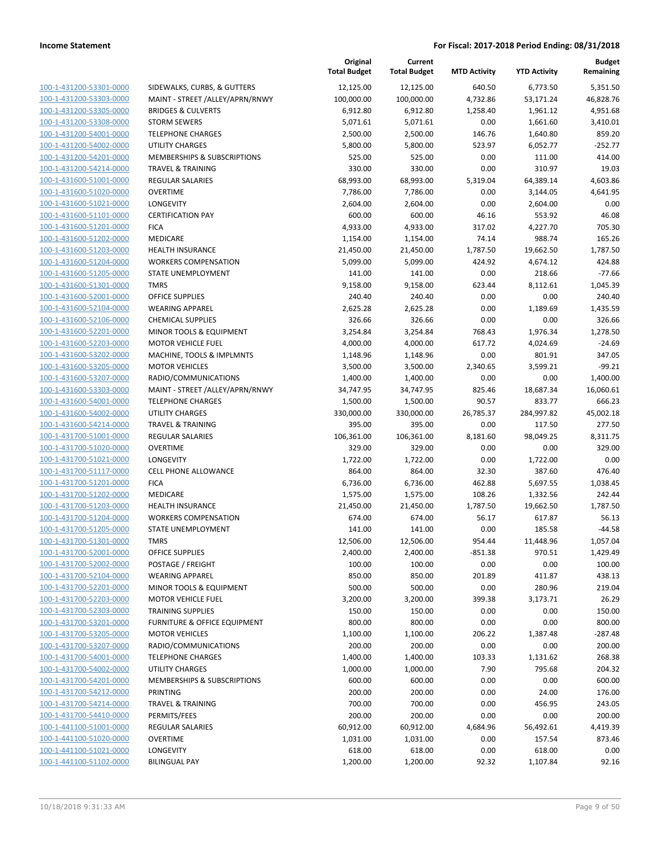|                                                    |                                                    | Original<br><b>Total Budget</b> | Current<br><b>Total Budget</b> | <b>MTD Activity</b> | <b>YTD Activity</b>  | <b>Budget</b><br>Remaining |
|----------------------------------------------------|----------------------------------------------------|---------------------------------|--------------------------------|---------------------|----------------------|----------------------------|
| 100-1-431200-53301-0000                            | SIDEWALKS, CURBS, & GUTTERS                        | 12,125.00                       | 12,125.00                      | 640.50              | 6,773.50             | 5,351.50                   |
| 100-1-431200-53303-0000                            | MAINT - STREET /ALLEY/APRN/RNWY                    | 100,000.00                      | 100,000.00                     | 4,732.86            | 53,171.24            | 46,828.76                  |
| 100-1-431200-53305-0000                            | <b>BRIDGES &amp; CULVERTS</b>                      | 6,912.80                        | 6,912.80                       | 1,258.40            | 1,961.12             | 4,951.68                   |
| 100-1-431200-53308-0000                            | <b>STORM SEWERS</b>                                | 5,071.61                        | 5,071.61                       | 0.00                | 1,661.60             | 3,410.01                   |
| 100-1-431200-54001-0000                            | <b>TELEPHONE CHARGES</b>                           | 2,500.00                        | 2,500.00                       | 146.76              | 1,640.80             | 859.20                     |
| 100-1-431200-54002-0000                            | <b>UTILITY CHARGES</b>                             | 5,800.00                        | 5,800.00                       | 523.97              | 6,052.77             | $-252.77$                  |
| 100-1-431200-54201-0000                            | MEMBERSHIPS & SUBSCRIPTIONS                        | 525.00                          | 525.00                         | 0.00                | 111.00               | 414.00                     |
| 100-1-431200-54214-0000                            | <b>TRAVEL &amp; TRAINING</b>                       | 330.00                          | 330.00                         | 0.00                | 310.97               | 19.03                      |
| 100-1-431600-51001-0000                            | <b>REGULAR SALARIES</b>                            | 68,993.00                       | 68,993.00                      | 5,319.04            | 64,389.14            | 4,603.86                   |
| 100-1-431600-51020-0000                            | <b>OVERTIME</b>                                    | 7,786.00                        | 7,786.00                       | 0.00                | 3,144.05             | 4,641.95                   |
| 100-1-431600-51021-0000                            | <b>LONGEVITY</b>                                   | 2,604.00                        | 2,604.00                       | 0.00                | 2,604.00             | 0.00                       |
| 100-1-431600-51101-0000                            | <b>CERTIFICATION PAY</b>                           | 600.00                          | 600.00                         | 46.16               | 553.92               | 46.08                      |
| 100-1-431600-51201-0000                            | <b>FICA</b>                                        | 4,933.00                        | 4,933.00                       | 317.02              | 4,227.70             | 705.30                     |
| 100-1-431600-51202-0000                            | MEDICARE                                           | 1,154.00                        | 1,154.00                       | 74.14               | 988.74               | 165.26                     |
| 100-1-431600-51203-0000                            | <b>HEALTH INSURANCE</b>                            | 21,450.00                       | 21,450.00                      | 1,787.50            | 19,662.50            | 1,787.50                   |
| 100-1-431600-51204-0000                            | <b>WORKERS COMPENSATION</b>                        | 5,099.00                        | 5,099.00                       | 424.92              | 4,674.12             | 424.88                     |
| 100-1-431600-51205-0000                            | STATE UNEMPLOYMENT                                 | 141.00                          | 141.00                         | 0.00                | 218.66               | $-77.66$                   |
| 100-1-431600-51301-0000                            | <b>TMRS</b>                                        | 9,158.00                        | 9,158.00                       | 623.44              | 8,112.61             | 1,045.39                   |
| 100-1-431600-52001-0000                            | <b>OFFICE SUPPLIES</b>                             | 240.40                          | 240.40                         | 0.00                | 0.00                 | 240.40                     |
| 100-1-431600-52104-0000                            | <b>WEARING APPAREL</b>                             | 2,625.28                        | 2,625.28                       | 0.00                | 1,189.69             | 1,435.59                   |
| 100-1-431600-52106-0000                            | <b>CHEMICAL SUPPLIES</b>                           | 326.66                          | 326.66                         | 0.00                | 0.00                 | 326.66                     |
| 100-1-431600-52201-0000                            | <b>MINOR TOOLS &amp; EQUIPMENT</b>                 | 3,254.84                        | 3,254.84                       | 768.43              | 1,976.34             | 1,278.50                   |
| 100-1-431600-52203-0000                            | <b>MOTOR VEHICLE FUEL</b>                          | 4,000.00                        | 4,000.00                       | 617.72              | 4,024.69             | $-24.69$                   |
| 100-1-431600-53202-0000                            | MACHINE, TOOLS & IMPLMNTS                          | 1,148.96                        | 1,148.96                       | 0.00                | 801.91               | 347.05                     |
| 100-1-431600-53205-0000                            | <b>MOTOR VEHICLES</b>                              | 3,500.00                        | 3,500.00                       | 2,340.65            | 3,599.21             | $-99.21$                   |
| 100-1-431600-53207-0000                            | RADIO/COMMUNICATIONS                               | 1,400.00                        | 1,400.00                       | 0.00                | 0.00                 | 1,400.00                   |
| 100-1-431600-53303-0000                            | MAINT - STREET / ALLEY/APRN/RNWY                   | 34,747.95                       | 34,747.95                      | 825.46              | 18,687.34            | 16,060.61                  |
| 100-1-431600-54001-0000<br>100-1-431600-54002-0000 | <b>TELEPHONE CHARGES</b><br><b>UTILITY CHARGES</b> | 1,500.00                        | 1,500.00                       | 90.57               | 833.77               | 666.23                     |
| 100-1-431600-54214-0000                            | TRAVEL & TRAINING                                  | 330,000.00<br>395.00            | 330,000.00<br>395.00           | 26,785.37<br>0.00   | 284,997.82<br>117.50 | 45,002.18<br>277.50        |
| 100-1-431700-51001-0000                            | REGULAR SALARIES                                   | 106,361.00                      | 106,361.00                     | 8,181.60            | 98,049.25            | 8,311.75                   |
| 100-1-431700-51020-0000                            | <b>OVERTIME</b>                                    | 329.00                          | 329.00                         | 0.00                | 0.00                 | 329.00                     |
| 100-1-431700-51021-0000                            | LONGEVITY                                          | 1,722.00                        | 1,722.00                       | 0.00                | 1,722.00             | 0.00                       |
| 100-1-431700-51117-0000                            | <b>CELL PHONE ALLOWANCE</b>                        | 864.00                          | 864.00                         | 32.30               | 387.60               | 476.40                     |
| 100-1-431700-51201-0000                            | <b>FICA</b>                                        | 6,736.00                        | 6,736.00                       | 462.88              | 5,697.55             | 1,038.45                   |
| 100-1-431700-51202-0000                            | <b>MEDICARE</b>                                    | 1,575.00                        | 1,575.00                       | 108.26              | 1,332.56             | 242.44                     |
| 100-1-431700-51203-0000                            | <b>HEALTH INSURANCE</b>                            | 21,450.00                       | 21,450.00                      | 1,787.50            | 19,662.50            | 1,787.50                   |
| 100-1-431700-51204-0000                            | <b>WORKERS COMPENSATION</b>                        | 674.00                          | 674.00                         | 56.17               | 617.87               | 56.13                      |
| 100-1-431700-51205-0000                            | STATE UNEMPLOYMENT                                 | 141.00                          | 141.00                         | 0.00                | 185.58               | $-44.58$                   |
| 100-1-431700-51301-0000                            | <b>TMRS</b>                                        | 12,506.00                       | 12,506.00                      | 954.44              | 11,448.96            | 1,057.04                   |
| 100-1-431700-52001-0000                            | OFFICE SUPPLIES                                    | 2,400.00                        | 2,400.00                       | $-851.38$           | 970.51               | 1,429.49                   |
| 100-1-431700-52002-0000                            | POSTAGE / FREIGHT                                  | 100.00                          | 100.00                         | 0.00                | 0.00                 | 100.00                     |
| 100-1-431700-52104-0000                            | <b>WEARING APPAREL</b>                             | 850.00                          | 850.00                         | 201.89              | 411.87               | 438.13                     |
| 100-1-431700-52201-0000                            | MINOR TOOLS & EQUIPMENT                            | 500.00                          | 500.00                         | 0.00                | 280.96               | 219.04                     |
| 100-1-431700-52203-0000                            | <b>MOTOR VEHICLE FUEL</b>                          | 3,200.00                        | 3,200.00                       | 399.38              | 3,173.71             | 26.29                      |
| 100-1-431700-52303-0000                            | <b>TRAINING SUPPLIES</b>                           | 150.00                          | 150.00                         | 0.00                | 0.00                 | 150.00                     |
| 100-1-431700-53201-0000                            | <b>FURNITURE &amp; OFFICE EQUIPMENT</b>            | 800.00                          | 800.00                         | 0.00                | 0.00                 | 800.00                     |
| 100-1-431700-53205-0000                            | <b>MOTOR VEHICLES</b>                              | 1,100.00                        | 1,100.00                       | 206.22              | 1,387.48             | -287.48                    |
| 100-1-431700-53207-0000                            | RADIO/COMMUNICATIONS                               | 200.00                          | 200.00                         | 0.00                | 0.00                 | 200.00                     |
| 100-1-431700-54001-0000                            | <b>TELEPHONE CHARGES</b>                           | 1,400.00                        | 1,400.00                       | 103.33              | 1,131.62             | 268.38                     |
| 100-1-431700-54002-0000                            | <b>UTILITY CHARGES</b>                             | 1,000.00                        | 1,000.00                       | 7.90                | 795.68               | 204.32                     |
| 100-1-431700-54201-0000                            | MEMBERSHIPS & SUBSCRIPTIONS                        | 600.00                          | 600.00                         | 0.00                | 0.00                 | 600.00                     |
| 100-1-431700-54212-0000                            | PRINTING                                           | 200.00                          | 200.00                         | 0.00                | 24.00                | 176.00                     |
| 100-1-431700-54214-0000                            | <b>TRAVEL &amp; TRAINING</b>                       | 700.00                          | 700.00                         | 0.00                | 456.95               | 243.05                     |
| 100-1-431700-54410-0000                            | PERMITS/FEES                                       | 200.00                          | 200.00                         | 0.00                | 0.00                 | 200.00                     |
| 100-1-441100-51001-0000                            | REGULAR SALARIES                                   | 60,912.00                       | 60,912.00                      | 4,684.96            | 56,492.61            | 4,419.39                   |
| 100-1-441100-51020-0000                            | <b>OVERTIME</b>                                    | 1,031.00                        | 1,031.00                       | 0.00                | 157.54               | 873.46                     |
| 100-1-441100-51021-0000<br>100-1-441100-51102-0000 | LONGEVITY                                          | 618.00                          | 618.00                         | 0.00                | 618.00               | 0.00                       |
|                                                    | <b>BILINGUAL PAY</b>                               | 1,200.00                        | 1,200.00                       | 92.32               | 1,107.84             | 92.16                      |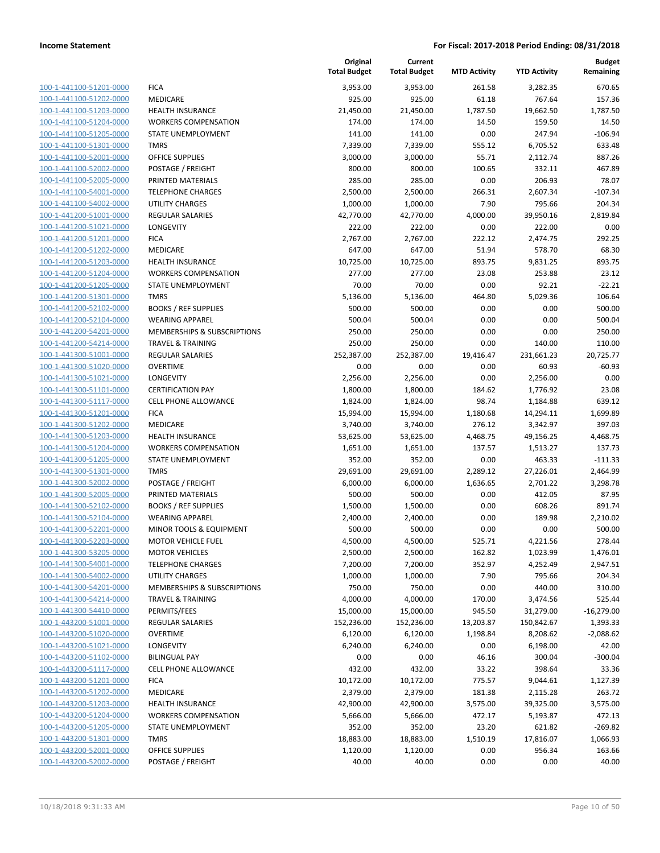| 100-1-441100-51201-0000        |
|--------------------------------|
| 100-1-441100-51202-0000        |
| 100-1-441100-51203-0000        |
| 100-1-441100-51204-0000        |
| 100-1-441100-51205-0000        |
| 100-1-441100-51301-0000        |
| 100-1-441100-52001-0000        |
| 100-1-441100-52002-0000        |
| 100-1-441100-52005-0000        |
| 100-1-441100-54001-0000        |
| 100-1-441100-54002-0000        |
| 100-1-441200-51001-0000        |
| 100-1-441200-51021-0000        |
| 100-1-441200-51201-0000        |
| 100-1-441200-51202-0000        |
| 100-1-441200-51203-0000        |
| 100-1-441200-51204-0000        |
| 100-1-441200-51205-0000        |
| 100-1-441200-51301-0000        |
| 100-1-441200-52102-0000        |
| 100-1-441200-52104-0000        |
| 100-1-441200-54201-0000        |
| 100-1-441200-54214-0000        |
| 100-1-441300-51001-0000        |
| 100-1-441300-51020-0000        |
| 100-1-441300-51021-0000        |
| 100-1-441300-51101-0000        |
| 100-1-441300-51117-0000        |
| 100-1-441300-51201-0000        |
| 100-1-441300-51202-0000        |
| 100-1-441300-51203-0000        |
| 100-1-441300-51204-0000        |
| 100-1-441300-51205-0000        |
| 100-1-441300-51301-0000        |
| 100-1-441300-52002-0000        |
| 100-1-441300-52005-0000        |
| 100-1-441300-52102-0000        |
| 100-1-441300-52104-0000        |
| 100-1-441300-52201-0000        |
| 100-1-441300-52203-0000        |
| 100-1-441300-53205-0000        |
| <u>100-1-441300-54001-0000</u> |
| 100-1-441300-54002-0000        |
| 100-1-441300-54201-0000        |
| 100-1-441300-54214-0000        |
| 100-1-441300-54410-0000        |
| 100-1-443200-51001-0000        |
| <u>100-1-443200-51020-0000</u> |
| <u>100-1-443200-51021-0000</u> |
| 100-1-443200-51102-0000        |
| <u>100-1-443200-51117-0000</u> |
| 100-1-443200-51201-0000        |
| 100-1-443200-51202-0000        |
| 100-1-443200-51203-0000        |
| 100-1-443200-51204-0000        |
| 100-1-443200-51205-0000        |
| 100-1-443200-51301-0000        |
| <u>100-1-443200-52001-0000</u> |
| 100-1-443200-52002-0000        |
|                                |

|                         |                              | Original<br><b>Total Budget</b> | Current<br><b>Total Budget</b> | <b>MTD Activity</b> | <b>YTD Activity</b> | <b>Budget</b><br>Remaining |
|-------------------------|------------------------------|---------------------------------|--------------------------------|---------------------|---------------------|----------------------------|
| 100-1-441100-51201-0000 | <b>FICA</b>                  | 3,953.00                        | 3,953.00                       | 261.58              | 3,282.35            | 670.65                     |
| 100-1-441100-51202-0000 | <b>MEDICARE</b>              | 925.00                          | 925.00                         | 61.18               | 767.64              | 157.36                     |
| 100-1-441100-51203-0000 | <b>HEALTH INSURANCE</b>      | 21,450.00                       | 21,450.00                      | 1,787.50            | 19,662.50           | 1,787.50                   |
| 100-1-441100-51204-0000 | <b>WORKERS COMPENSATION</b>  | 174.00                          | 174.00                         | 14.50               | 159.50              | 14.50                      |
| 100-1-441100-51205-0000 | STATE UNEMPLOYMENT           | 141.00                          | 141.00                         | 0.00                | 247.94              | $-106.94$                  |
| 100-1-441100-51301-0000 | <b>TMRS</b>                  | 7,339.00                        | 7,339.00                       | 555.12              | 6,705.52            | 633.48                     |
| 100-1-441100-52001-0000 | <b>OFFICE SUPPLIES</b>       | 3,000.00                        | 3,000.00                       | 55.71               | 2,112.74            | 887.26                     |
| 100-1-441100-52002-0000 | POSTAGE / FREIGHT            | 800.00                          | 800.00                         | 100.65              | 332.11              | 467.89                     |
| 100-1-441100-52005-0000 | PRINTED MATERIALS            | 285.00                          | 285.00                         | 0.00                | 206.93              | 78.07                      |
| 100-1-441100-54001-0000 | <b>TELEPHONE CHARGES</b>     | 2,500.00                        | 2,500.00                       | 266.31              | 2,607.34            | $-107.34$                  |
| 100-1-441100-54002-0000 | UTILITY CHARGES              | 1,000.00                        | 1,000.00                       | 7.90                | 795.66              | 204.34                     |
| 100-1-441200-51001-0000 | REGULAR SALARIES             | 42,770.00                       | 42,770.00                      | 4,000.00            | 39,950.16           | 2,819.84                   |
| 100-1-441200-51021-0000 | LONGEVITY                    | 222.00                          | 222.00                         | 0.00                | 222.00              | 0.00                       |
| 100-1-441200-51201-0000 | <b>FICA</b>                  | 2,767.00                        | 2,767.00                       | 222.12              | 2,474.75            | 292.25                     |
| 100-1-441200-51202-0000 | MEDICARE                     | 647.00                          | 647.00                         | 51.94               | 578.70              | 68.30                      |
| 100-1-441200-51203-0000 | <b>HEALTH INSURANCE</b>      | 10,725.00                       | 10,725.00                      | 893.75              | 9,831.25            | 893.75                     |
| 100-1-441200-51204-0000 | <b>WORKERS COMPENSATION</b>  | 277.00                          | 277.00                         | 23.08               | 253.88              | 23.12                      |
| 100-1-441200-51205-0000 | <b>STATE UNEMPLOYMENT</b>    | 70.00                           | 70.00                          | 0.00                | 92.21               | $-22.21$                   |
| 100-1-441200-51301-0000 | <b>TMRS</b>                  | 5,136.00                        | 5,136.00                       | 464.80              | 5,029.36            | 106.64                     |
| 100-1-441200-52102-0000 | <b>BOOKS / REF SUPPLIES</b>  | 500.00                          | 500.00                         | 0.00                | 0.00                | 500.00                     |
| 100-1-441200-52104-0000 | <b>WEARING APPAREL</b>       | 500.04                          | 500.04                         | 0.00                | 0.00                | 500.04                     |
| 100-1-441200-54201-0000 | MEMBERSHIPS & SUBSCRIPTIONS  | 250.00                          | 250.00                         | 0.00                | 0.00                | 250.00                     |
| 100-1-441200-54214-0000 | <b>TRAVEL &amp; TRAINING</b> | 250.00                          | 250.00                         | 0.00                | 140.00              | 110.00                     |
| 100-1-441300-51001-0000 | <b>REGULAR SALARIES</b>      | 252,387.00                      | 252,387.00                     | 19,416.47           | 231,661.23          | 20,725.77                  |
| 100-1-441300-51020-0000 | <b>OVERTIME</b>              | 0.00                            | 0.00                           | 0.00                | 60.93               | $-60.93$                   |
| 100-1-441300-51021-0000 | LONGEVITY                    | 2,256.00                        | 2,256.00                       | 0.00                | 2,256.00            | 0.00                       |
| 100-1-441300-51101-0000 | <b>CERTIFICATION PAY</b>     | 1,800.00                        | 1,800.00                       | 184.62              | 1,776.92            | 23.08                      |
| 100-1-441300-51117-0000 | <b>CELL PHONE ALLOWANCE</b>  | 1,824.00                        | 1,824.00                       | 98.74               | 1,184.88            | 639.12                     |
| 100-1-441300-51201-0000 | <b>FICA</b>                  | 15,994.00                       | 15,994.00                      | 1,180.68            | 14,294.11           | 1,699.89                   |
| 100-1-441300-51202-0000 | <b>MEDICARE</b>              | 3,740.00                        | 3,740.00                       | 276.12              | 3,342.97            | 397.03                     |
| 100-1-441300-51203-0000 | <b>HEALTH INSURANCE</b>      | 53,625.00                       | 53,625.00                      | 4,468.75            | 49,156.25           | 4,468.75                   |
| 100-1-441300-51204-0000 | <b>WORKERS COMPENSATION</b>  | 1,651.00                        | 1,651.00                       | 137.57              | 1,513.27            | 137.73                     |
| 100-1-441300-51205-0000 | STATE UNEMPLOYMENT           | 352.00                          | 352.00                         | 0.00                | 463.33              | $-111.33$                  |
| 100-1-441300-51301-0000 | <b>TMRS</b>                  | 29,691.00                       | 29,691.00                      | 2,289.12            | 27,226.01           | 2,464.99                   |
| 100-1-441300-52002-0000 | POSTAGE / FREIGHT            | 6,000.00                        | 6,000.00                       | 1,636.65            | 2,701.22            | 3,298.78                   |
| 100-1-441300-52005-0000 | PRINTED MATERIALS            | 500.00                          | 500.00                         | 0.00                | 412.05              | 87.95                      |
| 100-1-441300-52102-0000 | <b>BOOKS / REF SUPPLIES</b>  | 1,500.00                        | 1,500.00                       | 0.00                | 608.26              | 891.74                     |
| 100-1-441300-52104-0000 | <b>WEARING APPAREL</b>       | 2,400.00                        | 2,400.00                       | 0.00                | 189.98              | 2,210.02                   |
| 100-1-441300-52201-0000 | MINOR TOOLS & EQUIPMENT      | 500.00                          | 500.00                         | 0.00                | 0.00                | 500.00                     |
| 100-1-441300-52203-0000 | <b>MOTOR VEHICLE FUEL</b>    | 4,500.00                        | 4,500.00                       | 525.71              | 4,221.56            | 278.44                     |
| 100-1-441300-53205-0000 | <b>MOTOR VEHICLES</b>        | 2,500.00                        | 2,500.00                       | 162.82              | 1,023.99            | 1,476.01                   |
| 100-1-441300-54001-0000 | <b>TELEPHONE CHARGES</b>     | 7,200.00                        | 7,200.00                       | 352.97              | 4,252.49            | 2,947.51                   |
| 100-1-441300-54002-0000 | UTILITY CHARGES              | 1,000.00                        | 1,000.00                       | 7.90                | 795.66              | 204.34                     |
| 100-1-441300-54201-0000 | MEMBERSHIPS & SUBSCRIPTIONS  | 750.00                          | 750.00                         | 0.00                | 440.00              | 310.00                     |
| 100-1-441300-54214-0000 | <b>TRAVEL &amp; TRAINING</b> | 4,000.00                        | 4,000.00                       | 170.00              | 3,474.56            | 525.44                     |
| 100-1-441300-54410-0000 | PERMITS/FEES                 | 15,000.00                       | 15,000.00                      | 945.50              | 31,279.00           | $-16,279.00$               |
| 100-1-443200-51001-0000 | <b>REGULAR SALARIES</b>      | 152,236.00                      | 152,236.00                     | 13,203.87           | 150,842.67          | 1,393.33                   |
| 100-1-443200-51020-0000 | <b>OVERTIME</b>              | 6,120.00                        | 6,120.00                       | 1,198.84            | 8,208.62            | $-2,088.62$                |
| 100-1-443200-51021-0000 | LONGEVITY                    | 6,240.00                        | 6,240.00                       | 0.00                | 6,198.00            | 42.00                      |
| 100-1-443200-51102-0000 | <b>BILINGUAL PAY</b>         | 0.00                            | 0.00                           | 46.16               | 300.04              | $-300.04$                  |
| 100-1-443200-51117-0000 | <b>CELL PHONE ALLOWANCE</b>  | 432.00                          | 432.00                         | 33.22               | 398.64              | 33.36                      |
| 100-1-443200-51201-0000 | <b>FICA</b>                  | 10,172.00                       | 10,172.00                      | 775.57              | 9,044.61            | 1,127.39                   |
| 100-1-443200-51202-0000 | MEDICARE                     | 2,379.00                        | 2,379.00                       | 181.38              | 2,115.28            | 263.72                     |
| 100-1-443200-51203-0000 | <b>HEALTH INSURANCE</b>      | 42,900.00                       | 42,900.00                      | 3,575.00            | 39,325.00           | 3,575.00                   |
| 100-1-443200-51204-0000 | <b>WORKERS COMPENSATION</b>  | 5,666.00                        | 5,666.00                       | 472.17              | 5,193.87            | 472.13                     |
| 100-1-443200-51205-0000 | STATE UNEMPLOYMENT           | 352.00                          | 352.00                         | 23.20               | 621.82              | $-269.82$                  |
| 100-1-443200-51301-0000 | <b>TMRS</b>                  | 18,883.00                       | 18,883.00                      | 1,510.19            | 17,816.07           | 1,066.93                   |
| 100-1-443200-52001-0000 | <b>OFFICE SUPPLIES</b>       | 1,120.00                        | 1,120.00                       | 0.00                | 956.34              | 163.66                     |
| 100-1-443200-52002-0000 | POSTAGE / FREIGHT            | 40.00                           | 40.00                          | 0.00                | 0.00                | 40.00                      |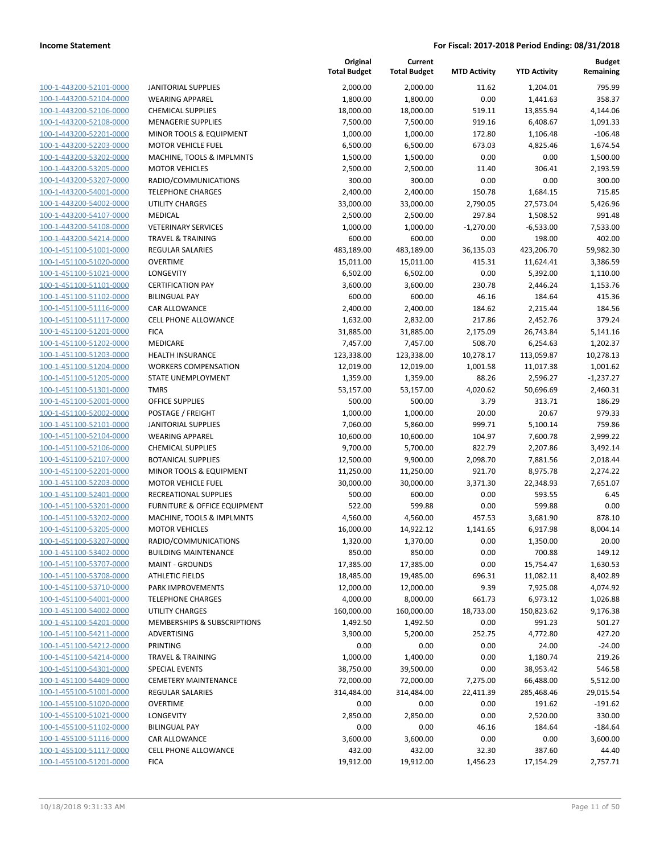100-1-443200-52101-0000 100-1-443200-52104-0000 100-1-443200-52106-0000 100-1-443200-52108-0000 100-1-443200-52201-0000 100-1-443200-52203-0000 100-1-443200-53202-0000 100-1-443200-53205-0000 100-1-443200-53207-0000 100-1-443200-54001-0000 100-1-443200-54002-0000 100-1-443200-54107-0000 MEDICAL 2,500.00 2,500.00 297.84 1,508.52 991.48 100-1-443200-54108-0000 100-1-443200-54214-0000 100-1-451100-51001-0000 100-1-451100-51020-0000 100-1-451100-51021-0000 100-1-451100-51101-0000 100-1-451100-51102-0000 BILINGUAL PAY 600.00 600.00 46.16 184.64 415.36 100-1-451100-51116-0000 100-1-451100-51117-0000 100-1-451100-51201-0000 100-1-451100-51202-0000 100-1-451100-51203-0000 100-1-451100-51204-0000 100-1-451100-51205-0000 100-1-451100-51301-0000 100-1-451100-52001-0000 100-1-451100-52002-0000 100-1-451100-52101-0000 100-1-451100-52104-0000 100-1-451100-52106-0000 100-1-451100-52107-0000 100-1-451100-52201-0000 100-1-451100-52203-0000 100-1-451100-52401-0000 100-1-451100-53201-0000 100-1-451100-53202-0000 100-1-451100-53205-0000 100-1-451100-53207-0000 100-1-451100-53402-0000 100-1-451100-53707-0000 100-1-451100-53708-0000 100-1-451100-53710-0000 100-1-451100-54001-0000 100-1-451100-54002-0000 100-1-451100-54201-0000 100-1-451100-54211-0000 100-1-451100-54212-0000 100-1-451100-54214-0000 100-1-451100-54301-0000 100-1-451100-54409-0000 100-1-455100-51001-0000 100-1-455100-51020-0000 100-1-455100-51021-0000 LONGEVITY 2,850.00 2,850.00 0.00 2,520.00 330.00 100-1-455100-51102-0000 100-1-455100-51116-0000 100-1-455100-51117-0000 100-1-455100-51201-0000

|                              | Original<br><b>Total Budget</b> | Current<br><b>Total Budget</b> | <b>MTD Activity</b> | <b>YTD Activity</b> | <b>Budget</b><br>Remaining |
|------------------------------|---------------------------------|--------------------------------|---------------------|---------------------|----------------------------|
| <b>JANITORIAL SUPPLIES</b>   | 2,000.00                        | 2,000.00                       | 11.62               | 1,204.01            | 795.99                     |
| <b>WEARING APPAREL</b>       | 1,800.00                        | 1,800.00                       | 0.00                | 1,441.63            | 358.37                     |
| <b>CHEMICAL SUPPLIES</b>     | 18,000.00                       | 18,000.00                      | 519.11              | 13,855.94           | 4,144.06                   |
| <b>MENAGERIE SUPPLIES</b>    | 7,500.00                        | 7,500.00                       | 919.16              | 6,408.67            | 1,091.33                   |
| MINOR TOOLS & EQUIPMENT      | 1,000.00                        | 1,000.00                       | 172.80              | 1,106.48            | $-106.48$                  |
| <b>MOTOR VEHICLE FUEL</b>    | 6,500.00                        | 6,500.00                       | 673.03              | 4,825.46            | 1,674.54                   |
| MACHINE, TOOLS & IMPLMNTS    | 1,500.00                        | 1,500.00                       | 0.00                | 0.00                | 1,500.00                   |
| <b>MOTOR VEHICLES</b>        | 2,500.00                        | 2,500.00                       | 11.40               | 306.41              | 2,193.59                   |
| RADIO/COMMUNICATIONS         | 300.00                          | 300.00                         | 0.00                | 0.00                | 300.00                     |
| <b>TELEPHONE CHARGES</b>     | 2,400.00                        | 2,400.00                       | 150.78              | 1,684.15            | 715.85                     |
| <b>UTILITY CHARGES</b>       | 33,000.00                       | 33,000.00                      | 2,790.05            | 27,573.04           | 5,426.96                   |
| <b>MEDICAL</b>               | 2,500.00                        | 2,500.00                       | 297.84              | 1,508.52            | 991.48                     |
| <b>VETERINARY SERVICES</b>   | 1,000.00                        | 1,000.00                       | $-1,270.00$         | $-6,533.00$         | 7,533.00                   |
| <b>TRAVEL &amp; TRAINING</b> | 600.00                          | 600.00                         | 0.00                | 198.00              | 402.00                     |
| REGULAR SALARIES             | 483,189.00                      | 483,189.00                     | 36,135.03           | 423,206.70          | 59,982.30                  |
| <b>OVERTIME</b>              | 15,011.00                       | 15,011.00                      | 415.31              | 11,624.41           | 3,386.59                   |
| LONGEVITY                    | 6,502.00                        | 6,502.00                       | 0.00                | 5,392.00            | 1,110.00                   |
| <b>CERTIFICATION PAY</b>     | 3,600.00                        | 3,600.00                       | 230.78              | 2,446.24            | 1,153.76                   |
| <b>BILINGUAL PAY</b>         | 600.00                          | 600.00                         | 46.16               | 184.64              | 415.36                     |
| CAR ALLOWANCE                | 2,400.00                        | 2,400.00                       | 184.62              | 2,215.44            | 184.56                     |
| <b>CELL PHONE ALLOWANCE</b>  | 1,632.00                        | 2,832.00                       | 217.86              | 2,452.76            | 379.24                     |
| <b>FICA</b>                  | 31,885.00                       | 31,885.00                      | 2,175.09            | 26,743.84           | 5,141.16                   |
| MEDICARE                     | 7,457.00                        | 7,457.00                       | 508.70              | 6,254.63            | 1,202.37                   |
| <b>HEALTH INSURANCE</b>      | 123,338.00                      | 123,338.00                     | 10,278.17           | 113,059.87          | 10,278.13                  |
| <b>WORKERS COMPENSATION</b>  | 12,019.00                       | 12,019.00                      | 1,001.58            | 11,017.38           | 1,001.62                   |
| STATE UNEMPLOYMENT           | 1,359.00                        | 1,359.00                       | 88.26               | 2,596.27            | $-1,237.27$                |
| <b>TMRS</b>                  | 53,157.00                       | 53,157.00                      | 4,020.62            | 50,696.69           | 2,460.31                   |
| <b>OFFICE SUPPLIES</b>       | 500.00                          | 500.00                         | 3.79                | 313.71              | 186.29                     |
| POSTAGE / FREIGHT            | 1,000.00                        | 1,000.00                       | 20.00               | 20.67               | 979.33                     |
| <b>JANITORIAL SUPPLIES</b>   | 7,060.00                        | 5,860.00                       | 999.71              | 5,100.14            | 759.86                     |
| <b>WEARING APPAREL</b>       | 10,600.00                       | 10,600.00                      | 104.97              | 7,600.78            | 2,999.22                   |
| <b>CHEMICAL SUPPLIES</b>     | 9,700.00                        | 5,700.00                       | 822.79              | 2,207.86            | 3,492.14                   |
| <b>BOTANICAL SUPPLIES</b>    | 12,500.00                       | 9,900.00                       | 2,098.70            | 7,881.56            | 2,018.44                   |
| MINOR TOOLS & EQUIPMENT      | 11,250.00                       | 11,250.00                      | 921.70              | 8,975.78            | 2,274.22                   |
| <b>MOTOR VEHICLE FUEL</b>    | 30,000.00                       | 30,000.00                      | 3,371.30            | 22,348.93           | 7,651.07                   |
| RECREATIONAL SUPPLIES        | 500.00                          | 600.00                         | 0.00                | 593.55              | 6.45                       |
| FURNITURE & OFFICE EQUIPMENT | 522.00                          | 599.88                         | 0.00                | 599.88              | 0.00                       |
| MACHINE, TOOLS & IMPLMNTS    | 4,560.00                        | 4,560.00                       | 457.53              | 3,681.90            | 878.10                     |
| <b>MOTOR VEHICLES</b>        | 16,000.00                       | 14,922.12                      | 1,141.65            | 6,917.98            | 8,004.14                   |
| RADIO/COMMUNICATIONS         | 1,320.00                        | 1,370.00                       | 0.00                | 1,350.00            | 20.00                      |
| <b>BUILDING MAINTENANCE</b>  | 850.00                          | 850.00                         | 0.00                | 700.88              | 149.12                     |
| <b>MAINT - GROUNDS</b>       | 17,385.00                       | 17,385.00                      | 0.00                | 15,754.47           | 1,630.53                   |
| <b>ATHLETIC FIELDS</b>       | 18,485.00                       | 19,485.00                      | 696.31              | 11,082.11           | 8,402.89                   |
| PARK IMPROVEMENTS            | 12,000.00                       | 12,000.00                      | 9.39                | 7,925.08            | 4,074.92                   |
| <b>TELEPHONE CHARGES</b>     | 4,000.00                        | 8,000.00                       | 661.73              | 6,973.12            | 1,026.88                   |
| UTILITY CHARGES              | 160,000.00                      | 160,000.00                     | 18,733.00           | 150,823.62          | 9,176.38                   |
| MEMBERSHIPS & SUBSCRIPTIONS  | 1,492.50                        | 1,492.50                       | 0.00                | 991.23              | 501.27                     |
| ADVERTISING                  | 3,900.00                        | 5,200.00                       | 252.75              | 4,772.80            | 427.20                     |
| PRINTING                     | 0.00                            | 0.00                           | 0.00                | 24.00               | $-24.00$                   |
| <b>TRAVEL &amp; TRAINING</b> | 1,000.00                        | 1,400.00                       | 0.00                | 1,180.74            | 219.26                     |
| <b>SPECIAL EVENTS</b>        | 38,750.00                       | 39,500.00                      | 0.00                | 38,953.42           | 546.58                     |
| <b>CEMETERY MAINTENANCE</b>  | 72,000.00                       | 72,000.00                      | 7,275.00            | 66,488.00           | 5,512.00                   |
| <b>REGULAR SALARIES</b>      | 314,484.00                      | 314,484.00                     | 22,411.39           | 285,468.46          | 29,015.54                  |
| <b>OVERTIME</b>              | 0.00                            | 0.00                           | 0.00                | 191.62              | $-191.62$                  |
| LONGEVITY                    | 2,850.00                        | 2,850.00                       | 0.00                | 2,520.00            | 330.00                     |
| <b>BILINGUAL PAY</b>         | 0.00                            | 0.00                           | 46.16               | 184.64              | $-184.64$                  |
| CAR ALLOWANCE                | 3,600.00                        | 3,600.00                       | 0.00                | 0.00                | 3,600.00                   |
| CELL PHONE ALLOWANCE         | 432.00                          | 432.00                         | 32.30               | 387.60              | 44.40                      |
| <b>FICA</b>                  | 19,912.00                       | 19,912.00                      | 1,456.23            | 17,154.29           | 2,757.71                   |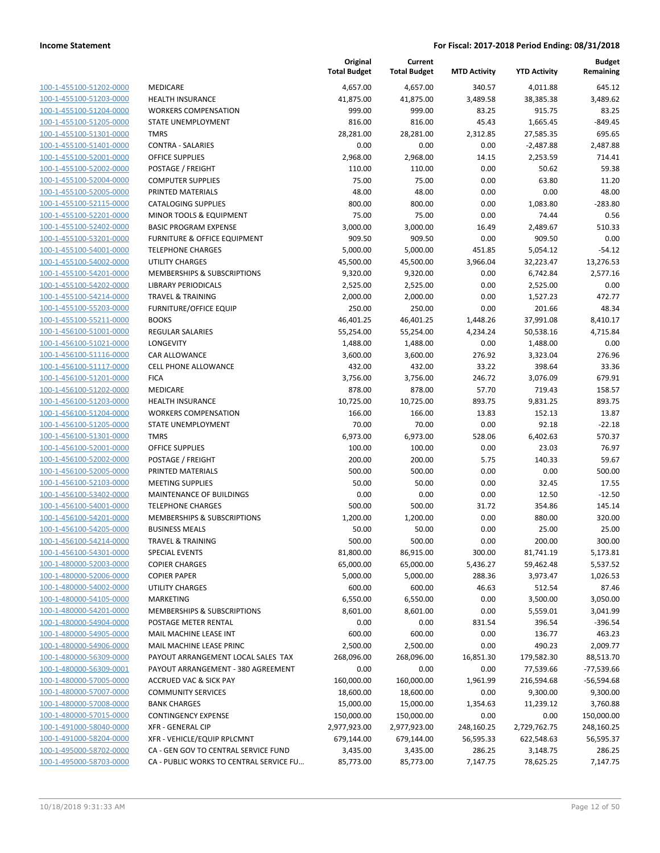| 100-1-455100-51202-0000        |
|--------------------------------|
| 100-1-455100-51203-0000        |
| 100-1-455100-51204-0000        |
| 100-1-455100-51205-0000        |
| <u>100-1-455100-51301-0000</u> |
| 100-1-455100-51401-0000        |
| 100-1-455100-52001-0000        |
| 100-1-455100-52002-0000        |
| 100-1-455100-52004-0000        |
| 100-1-455100-52005-0000        |
| 100-1-455100-52115-0000        |
| 100-1-455100-52201-0000        |
| 100-1-455100-52402-0000        |
| 100-1-455100-53201-0000        |
| 100-1-455100-54001-0000        |
| 100-1-455100-54002-0000        |
|                                |
| 100-1-455100-54201-0000        |
| 100-1-455100-54202-0000        |
| 100-1-455100-54214-0000        |
| 100-1-455100-55203-0000        |
| 100-1-455100-55211-0000        |
| 100-1-456100-51001-0000        |
| 100-1-456100-51021-0000        |
| 100-1-456100-51116-0000        |
| 100-1-456100-51117-0000        |
| 100-1-456100-51201-0000        |
| 100-1-456100-51202-0000        |
| 100-1-456100-51203-0000        |
| 100-1-456100-51204-0000        |
| <u>100-1-456100-51205-0000</u> |
| 100-1-456100-51301-0000        |
| 100-1-456100-52001-0000        |
| 100-1-456100-52002-0000        |
| 100-1-456100-52005-0000        |
|                                |
| <u>100-1-456100-52103-0000</u> |
| 100-1-456100-53402-0000        |
| 100-1-456100-54001-0000        |
| 100-1-456100-54201-0000        |
| 100-1-456100-54205-0000        |
| <u>100-1-456100-54214-0000</u> |
| <u>100-1-456100-54301-0000</u> |
| <u>100-1-480000-52003-0000</u> |
| <u>100-1-480000-52006-0000</u> |
| 100-1-480000-54002-0000        |
| <u>100-1-480000-54105-0000</u> |
| <u>100-1-480000-54201-0000</u> |
| 100-1-480000-54904-0000        |
| <u>100-1-480000-54905-0000</u> |
| <u>100-1-480000-54906-0000</u> |
| <u>100-1-480000-56309-0000</u> |
| <u>100-1-480000-56309-0001</u> |
|                                |
| <u>100-1-480000-57005-0000</u> |
| <u>100-1-480000-57007-0000</u> |
| <u>100-1-480000-57008-0000</u> |
| <u>100-1-480000-57015-0000</u> |
| <u>100-1-491000-58040-0000</u> |
| 100-1-491000-58204-0000        |
| <u>100-1-495000-58702-0000</u> |
| 100-1-495000-58703-0000        |
|                                |

|                         |                                         | Original<br><b>Total Budget</b> | Current<br><b>Total Budget</b> | <b>MTD Activity</b> | <b>YTD Activity</b> | <b>Budget</b><br>Remaining |
|-------------------------|-----------------------------------------|---------------------------------|--------------------------------|---------------------|---------------------|----------------------------|
| 100-1-455100-51202-0000 | MEDICARE                                | 4,657.00                        | 4,657.00                       | 340.57              | 4,011.88            | 645.12                     |
| 100-1-455100-51203-0000 | <b>HEALTH INSURANCE</b>                 | 41,875.00                       | 41,875.00                      | 3,489.58            | 38,385.38           | 3,489.62                   |
| 100-1-455100-51204-0000 | <b>WORKERS COMPENSATION</b>             | 999.00                          | 999.00                         | 83.25               | 915.75              | 83.25                      |
| 100-1-455100-51205-0000 | STATE UNEMPLOYMENT                      | 816.00                          | 816.00                         | 45.43               | 1,665.45            | $-849.45$                  |
| 100-1-455100-51301-0000 | <b>TMRS</b>                             | 28,281.00                       | 28,281.00                      | 2,312.85            | 27,585.35           | 695.65                     |
| 100-1-455100-51401-0000 | <b>CONTRA - SALARIES</b>                | 0.00                            | 0.00                           | 0.00                | $-2,487.88$         | 2,487.88                   |
| 100-1-455100-52001-0000 | <b>OFFICE SUPPLIES</b>                  | 2,968.00                        | 2,968.00                       | 14.15               | 2,253.59            | 714.41                     |
| 100-1-455100-52002-0000 | POSTAGE / FREIGHT                       | 110.00                          | 110.00                         | 0.00                | 50.62               | 59.38                      |
| 100-1-455100-52004-0000 | <b>COMPUTER SUPPLIES</b>                | 75.00                           | 75.00                          | 0.00                | 63.80               | 11.20                      |
| 100-1-455100-52005-0000 | PRINTED MATERIALS                       | 48.00                           | 48.00                          | 0.00                | 0.00                | 48.00                      |
| 100-1-455100-52115-0000 | <b>CATALOGING SUPPLIES</b>              | 800.00                          | 800.00                         | 0.00                | 1,083.80            | $-283.80$                  |
| 100-1-455100-52201-0000 | MINOR TOOLS & EQUIPMENT                 | 75.00                           | 75.00                          | 0.00                | 74.44               | 0.56                       |
| 100-1-455100-52402-0000 | <b>BASIC PROGRAM EXPENSE</b>            | 3,000.00                        | 3,000.00                       | 16.49               | 2,489.67            | 510.33                     |
| 100-1-455100-53201-0000 | <b>FURNITURE &amp; OFFICE EQUIPMENT</b> | 909.50                          | 909.50                         | 0.00                | 909.50              | 0.00                       |
| 100-1-455100-54001-0000 | <b>TELEPHONE CHARGES</b>                | 5,000.00                        | 5,000.00                       | 451.85              | 5,054.12            | $-54.12$                   |
| 100-1-455100-54002-0000 | <b>UTILITY CHARGES</b>                  | 45,500.00                       | 45,500.00                      | 3,966.04            | 32,223.47           | 13,276.53                  |
| 100-1-455100-54201-0000 | <b>MEMBERSHIPS &amp; SUBSCRIPTIONS</b>  | 9,320.00                        | 9,320.00                       | 0.00                | 6,742.84            | 2,577.16                   |
| 100-1-455100-54202-0000 | <b>LIBRARY PERIODICALS</b>              | 2,525.00                        | 2,525.00                       | 0.00                | 2,525.00            | 0.00                       |
| 100-1-455100-54214-0000 | <b>TRAVEL &amp; TRAINING</b>            | 2,000.00                        | 2,000.00                       | 0.00                | 1,527.23            | 472.77                     |
| 100-1-455100-55203-0000 | <b>FURNITURE/OFFICE EQUIP</b>           | 250.00                          | 250.00                         | 0.00                | 201.66              | 48.34                      |
| 100-1-455100-55211-0000 | <b>BOOKS</b>                            | 46,401.25                       | 46,401.25                      | 1,448.26            | 37,991.08           | 8,410.17                   |
| 100-1-456100-51001-0000 | <b>REGULAR SALARIES</b>                 | 55,254.00                       | 55,254.00                      | 4,234.24            | 50,538.16           | 4,715.84                   |
| 100-1-456100-51021-0000 | LONGEVITY                               | 1,488.00                        | 1,488.00                       | 0.00                | 1,488.00            | 0.00                       |
| 100-1-456100-51116-0000 | CAR ALLOWANCE                           | 3,600.00                        | 3,600.00                       | 276.92              | 3,323.04            | 276.96                     |
| 100-1-456100-51117-0000 | <b>CELL PHONE ALLOWANCE</b>             | 432.00                          | 432.00                         | 33.22               | 398.64              | 33.36                      |
| 100-1-456100-51201-0000 | <b>FICA</b>                             | 3,756.00                        | 3,756.00                       | 246.72              | 3,076.09            | 679.91                     |
| 100-1-456100-51202-0000 | MEDICARE                                | 878.00                          | 878.00                         | 57.70               | 719.43              | 158.57                     |
| 100-1-456100-51203-0000 | HEALTH INSURANCE                        | 10,725.00                       | 10,725.00                      | 893.75              | 9,831.25            | 893.75                     |
| 100-1-456100-51204-0000 | <b>WORKERS COMPENSATION</b>             | 166.00                          | 166.00                         | 13.83               | 152.13              | 13.87                      |
| 100-1-456100-51205-0000 | STATE UNEMPLOYMENT                      | 70.00                           | 70.00                          | 0.00                | 92.18               | $-22.18$                   |
| 100-1-456100-51301-0000 | <b>TMRS</b>                             | 6,973.00                        | 6,973.00                       | 528.06              | 6,402.63            | 570.37                     |
| 100-1-456100-52001-0000 | <b>OFFICE SUPPLIES</b>                  | 100.00                          | 100.00                         | 0.00                | 23.03               | 76.97                      |
| 100-1-456100-52002-0000 | POSTAGE / FREIGHT                       | 200.00                          | 200.00                         | 5.75                | 140.33              | 59.67                      |
| 100-1-456100-52005-0000 | PRINTED MATERIALS                       | 500.00                          | 500.00                         | 0.00                | 0.00                | 500.00                     |
| 100-1-456100-52103-0000 | <b>MEETING SUPPLIES</b>                 | 50.00                           | 50.00                          | 0.00                | 32.45               | 17.55                      |
| 100-1-456100-53402-0000 | <b>MAINTENANCE OF BUILDINGS</b>         | 0.00                            | 0.00                           | 0.00                | 12.50               | $-12.50$                   |
| 100-1-456100-54001-0000 | <b>TELEPHONE CHARGES</b>                | 500.00                          | 500.00                         | 31.72               | 354.86              | 145.14                     |
| 100-1-456100-54201-0000 | MEMBERSHIPS & SUBSCRIPTIONS             | 1,200.00                        | 1,200.00                       | 0.00                | 880.00              | 320.00                     |
| 100-1-456100-54205-0000 | <b>BUSINESS MEALS</b>                   | 50.00                           | 50.00                          | 0.00                | 25.00               | 25.00                      |
| 100-1-456100-54214-0000 | <b>TRAVEL &amp; TRAINING</b>            | 500.00                          | 500.00                         | 0.00                | 200.00              | 300.00                     |
| 100-1-456100-54301-0000 | <b>SPECIAL EVENTS</b>                   | 81,800.00                       | 86,915.00                      | 300.00              | 81,741.19           | 5,173.81                   |
| 100-1-480000-52003-0000 | <b>COPIER CHARGES</b>                   | 65,000.00                       | 65,000.00                      | 5,436.27            | 59,462.48           | 5,537.52                   |
| 100-1-480000-52006-0000 | <b>COPIER PAPER</b>                     | 5,000.00                        | 5,000.00                       | 288.36              | 3,973.47            | 1,026.53                   |
| 100-1-480000-54002-0000 | <b>UTILITY CHARGES</b>                  | 600.00                          | 600.00                         | 46.63               | 512.54              | 87.46                      |
| 100-1-480000-54105-0000 | <b>MARKETING</b>                        | 6,550.00                        | 6,550.00                       | 0.00                | 3,500.00            | 3,050.00                   |
| 100-1-480000-54201-0000 | <b>MEMBERSHIPS &amp; SUBSCRIPTIONS</b>  | 8,601.00                        | 8,601.00                       | 0.00                | 5,559.01            | 3,041.99                   |
| 100-1-480000-54904-0000 | POSTAGE METER RENTAL                    | 0.00                            | 0.00                           | 831.54              | 396.54              | $-396.54$                  |
| 100-1-480000-54905-0000 | MAIL MACHINE LEASE INT                  | 600.00                          | 600.00                         | 0.00                | 136.77              | 463.23                     |
| 100-1-480000-54906-0000 | MAIL MACHINE LEASE PRINC                | 2,500.00                        | 2,500.00                       | 0.00                | 490.23              | 2,009.77                   |
| 100-1-480000-56309-0000 | PAYOUT ARRANGEMENT LOCAL SALES TAX      | 268,096.00                      | 268,096.00                     | 16,851.30           | 179,582.30          | 88,513.70                  |
| 100-1-480000-56309-0001 | PAYOUT ARRANGEMENT - 380 AGREEMENT      | 0.00                            | 0.00                           | 0.00                | 77,539.66           | $-77,539.66$               |
| 100-1-480000-57005-0000 | <b>ACCRUED VAC &amp; SICK PAY</b>       | 160,000.00                      | 160,000.00                     | 1,961.99            | 216,594.68          | $-56,594.68$               |
| 100-1-480000-57007-0000 | <b>COMMUNITY SERVICES</b>               | 18,600.00                       | 18,600.00                      | 0.00                | 9,300.00            | 9,300.00                   |
| 100-1-480000-57008-0000 | <b>BANK CHARGES</b>                     | 15,000.00                       | 15,000.00                      | 1,354.63            | 11,239.12           | 3,760.88                   |
| 100-1-480000-57015-0000 | <b>CONTINGENCY EXPENSE</b>              | 150,000.00                      | 150,000.00                     | 0.00                | 0.00                | 150,000.00                 |
| 100-1-491000-58040-0000 | <b>XFR - GENERAL CIP</b>                | 2,977,923.00                    | 2,977,923.00                   | 248,160.25          | 2,729,762.75        | 248,160.25                 |
| 100-1-491000-58204-0000 | XFR - VEHICLE/EQUIP RPLCMNT             | 679,144.00                      | 679,144.00                     | 56,595.33           | 622,548.63          | 56,595.37                  |
| 100-1-495000-58702-0000 | CA - GEN GOV TO CENTRAL SERVICE FUND    | 3,435.00                        | 3,435.00                       | 286.25              | 3,148.75            | 286.25                     |
| 100-1-495000-58703-0000 | CA - PUBLIC WORKS TO CENTRAL SERVICE FU | 85,773.00                       | 85,773.00                      | 7,147.75            | 78,625.25           | 7,147.75                   |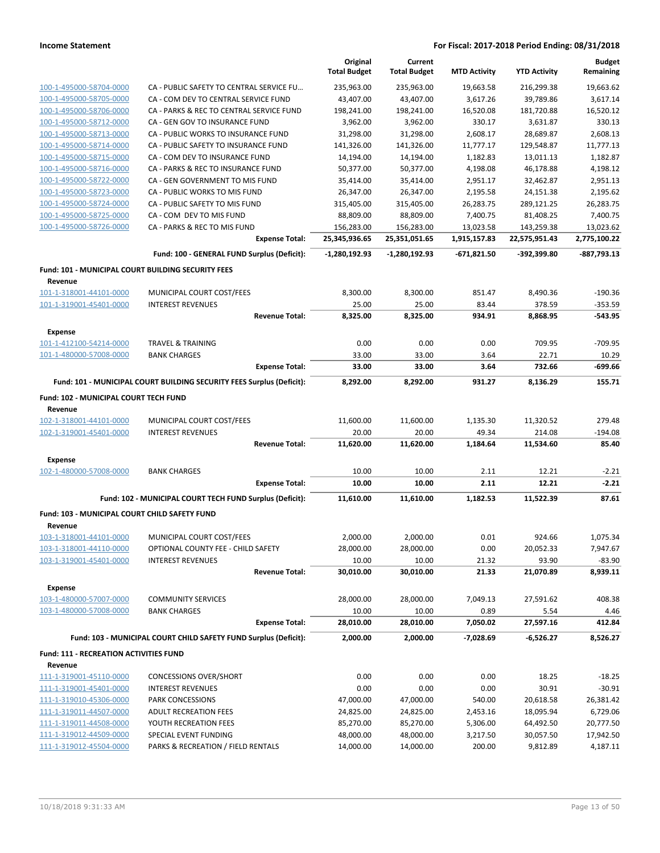|                                                                      |                                                                       | Original<br><b>Total Budget</b> | Current<br><b>Total Budget</b> | <b>MTD Activity</b> | <b>YTD Activity</b> | <b>Budget</b><br>Remaining |
|----------------------------------------------------------------------|-----------------------------------------------------------------------|---------------------------------|--------------------------------|---------------------|---------------------|----------------------------|
| 100-1-495000-58704-0000                                              | CA - PUBLIC SAFETY TO CENTRAL SERVICE FU                              | 235,963.00                      | 235,963.00                     | 19,663.58           | 216,299.38          | 19,663.62                  |
| 100-1-495000-58705-0000                                              | CA - COM DEV TO CENTRAL SERVICE FUND                                  | 43,407.00                       | 43,407.00                      | 3,617.26            | 39,789.86           | 3,617.14                   |
| 100-1-495000-58706-0000                                              | CA - PARKS & REC TO CENTRAL SERVICE FUND                              | 198,241.00                      | 198,241.00                     | 16,520.08           | 181,720.88          | 16,520.12                  |
| 100-1-495000-58712-0000                                              | CA - GEN GOV TO INSURANCE FUND                                        | 3,962.00                        | 3,962.00                       | 330.17              | 3,631.87            | 330.13                     |
| 100-1-495000-58713-0000                                              | CA - PUBLIC WORKS TO INSURANCE FUND                                   | 31,298.00                       | 31,298.00                      | 2,608.17            | 28,689.87           | 2,608.13                   |
| 100-1-495000-58714-0000                                              | CA - PUBLIC SAFETY TO INSURANCE FUND                                  | 141,326.00                      | 141,326.00                     | 11,777.17           | 129,548.87          | 11,777.13                  |
| 100-1-495000-58715-0000                                              | CA - COM DEV TO INSURANCE FUND                                        | 14,194.00                       | 14,194.00                      | 1,182.83            | 13,011.13           | 1,182.87                   |
| 100-1-495000-58716-0000                                              | CA - PARKS & REC TO INSURANCE FUND                                    | 50,377.00                       | 50,377.00                      | 4,198.08            | 46,178.88           | 4,198.12                   |
| 100-1-495000-58722-0000                                              | CA - GEN GOVERNMENT TO MIS FUND                                       | 35,414.00                       | 35,414.00                      | 2,951.17            | 32,462.87           | 2,951.13                   |
| 100-1-495000-58723-0000                                              | CA - PUBLIC WORKS TO MIS FUND                                         | 26,347.00                       | 26,347.00                      | 2,195.58            | 24,151.38           | 2,195.62                   |
| 100-1-495000-58724-0000                                              | CA - PUBLIC SAFETY TO MIS FUND                                        | 315,405.00                      | 315,405.00                     | 26,283.75           | 289,121.25          | 26,283.75                  |
| 100-1-495000-58725-0000                                              | CA - COM DEV TO MIS FUND                                              | 88,809.00                       | 88,809.00                      | 7,400.75            | 81,408.25           | 7,400.75                   |
| 100-1-495000-58726-0000                                              | CA - PARKS & REC TO MIS FUND                                          | 156,283.00                      | 156,283.00                     | 13,023.58           | 143,259.38          | 13,023.62                  |
|                                                                      | <b>Expense Total:</b>                                                 | 25,345,936.65                   | 25,351,051.65                  | 1,915,157.83        | 22,575,951.43       | 2,775,100.22               |
|                                                                      | Fund: 100 - GENERAL FUND Surplus (Deficit):                           | -1,280,192.93                   | -1,280,192.93                  | -671,821.50         | -392,399.80         | -887,793.13                |
| <b>Fund: 101 - MUNICIPAL COURT BUILDING SECURITY FEES</b><br>Revenue |                                                                       |                                 |                                |                     |                     |                            |
| 101-1-318001-44101-0000                                              | MUNICIPAL COURT COST/FEES                                             | 8,300.00                        | 8,300.00                       | 851.47              | 8,490.36            | $-190.36$                  |
| 101-1-319001-45401-0000                                              | <b>INTEREST REVENUES</b>                                              | 25.00                           | 25.00                          | 83.44               | 378.59              | $-353.59$                  |
|                                                                      | <b>Revenue Total:</b>                                                 | 8,325.00                        | 8,325.00                       | 934.91              | 8,868.95            | $-543.95$                  |
| <b>Expense</b>                                                       |                                                                       |                                 |                                |                     |                     |                            |
| 101-1-412100-54214-0000                                              | <b>TRAVEL &amp; TRAINING</b>                                          | 0.00                            | 0.00                           | 0.00                | 709.95              | -709.95                    |
| 101-1-480000-57008-0000                                              | <b>BANK CHARGES</b>                                                   | 33.00                           | 33.00                          | 3.64                | 22.71               | 10.29                      |
|                                                                      | <b>Expense Total:</b>                                                 | 33.00                           | 33.00                          | 3.64                | 732.66              | -699.66                    |
|                                                                      | Fund: 101 - MUNICIPAL COURT BUILDING SECURITY FEES Surplus (Deficit): | 8,292.00                        | 8,292.00                       | 931.27              | 8,136.29            | 155.71                     |
| Fund: 102 - MUNICIPAL COURT TECH FUND<br>Revenue                     |                                                                       |                                 |                                |                     |                     |                            |
| 102-1-318001-44101-0000                                              | MUNICIPAL COURT COST/FEES                                             | 11,600.00                       | 11,600.00                      | 1,135.30            | 11,320.52           | 279.48                     |
| 102-1-319001-45401-0000                                              | <b>INTEREST REVENUES</b>                                              | 20.00                           | 20.00                          | 49.34               | 214.08              | -194.08                    |
|                                                                      | <b>Revenue Total:</b>                                                 | 11,620.00                       | 11,620.00                      | 1,184.64            | 11,534.60           | 85.40                      |
| <b>Expense</b>                                                       |                                                                       |                                 |                                |                     |                     |                            |
| 102-1-480000-57008-0000                                              | <b>BANK CHARGES</b>                                                   | 10.00                           | 10.00                          | 2.11                | 12.21               | $-2.21$                    |
|                                                                      | <b>Expense Total:</b>                                                 | 10.00                           | 10.00                          | 2.11                | 12.21               | $-2.21$                    |
|                                                                      | Fund: 102 - MUNICIPAL COURT TECH FUND Surplus (Deficit):              | 11,610.00                       | 11,610.00                      | 1,182.53            | 11,522.39           | 87.61                      |
| <b>Fund: 103 - MUNICIPAL COURT CHILD SAFETY FUND</b><br>Revenue      |                                                                       |                                 |                                |                     |                     |                            |
| 103-1-318001-44101-0000                                              | MUNICIPAL COURT COST/FEES                                             | 2,000.00                        | 2,000.00                       | 0.01                | 924.66              | 1,075.34                   |
| 103-1-318001-44110-0000                                              | OPTIONAL COUNTY FEE - CHILD SAFETY                                    | 28,000.00                       | 28,000.00                      | 0.00                | 20,052.33           | 7,947.67                   |
| 103-1-319001-45401-0000                                              | <b>INTEREST REVENUES</b>                                              | 10.00                           | 10.00                          | 21.32               | 93.90               | $-83.90$                   |
|                                                                      | <b>Revenue Total:</b>                                                 | 30,010.00                       | 30,010.00                      | 21.33               | 21,070.89           | 8,939.11                   |
| <b>Expense</b>                                                       |                                                                       |                                 |                                |                     |                     |                            |
| 103-1-480000-57007-0000                                              | <b>COMMUNITY SERVICES</b>                                             | 28,000.00                       | 28,000.00                      | 7,049.13            | 27,591.62           | 408.38                     |
| 103-1-480000-57008-0000                                              | <b>BANK CHARGES</b>                                                   | 10.00                           | 10.00                          | 0.89                | 5.54                | 4.46                       |
|                                                                      | <b>Expense Total:</b>                                                 | 28,010.00                       | 28,010.00                      | 7,050.02            | 27,597.16           | 412.84                     |
|                                                                      | Fund: 103 - MUNICIPAL COURT CHILD SAFETY FUND Surplus (Deficit):      | 2,000.00                        | 2,000.00                       | -7,028.69           | $-6,526.27$         | 8,526.27                   |
| <b>Fund: 111 - RECREATION ACTIVITIES FUND</b>                        |                                                                       |                                 |                                |                     |                     |                            |
| Revenue<br>111-1-319001-45110-0000                                   | <b>CONCESSIONS OVER/SHORT</b>                                         | 0.00                            | 0.00                           | 0.00                | 18.25               | $-18.25$                   |
| 111-1-319001-45401-0000                                              | <b>INTEREST REVENUES</b>                                              | 0.00                            | 0.00                           | 0.00                | 30.91               | $-30.91$                   |
| 111-1-319010-45306-0000                                              | PARK CONCESSIONS                                                      | 47,000.00                       | 47,000.00                      | 540.00              | 20,618.58           | 26,381.42                  |
| 111-1-319011-44507-0000                                              | <b>ADULT RECREATION FEES</b>                                          | 24,825.00                       | 24,825.00                      | 2,453.16            | 18,095.94           | 6,729.06                   |
| 111-1-319011-44508-0000                                              | YOUTH RECREATION FEES                                                 | 85,270.00                       | 85,270.00                      | 5,306.00            | 64,492.50           | 20,777.50                  |
| 111-1-319012-44509-0000                                              | SPECIAL EVENT FUNDING                                                 | 48,000.00                       | 48,000.00                      | 3,217.50            | 30,057.50           | 17,942.50                  |
| 111-1-319012-45504-0000                                              | PARKS & RECREATION / FIELD RENTALS                                    | 14,000.00                       | 14,000.00                      | 200.00              | 9,812.89            | 4,187.11                   |
|                                                                      |                                                                       |                                 |                                |                     |                     |                            |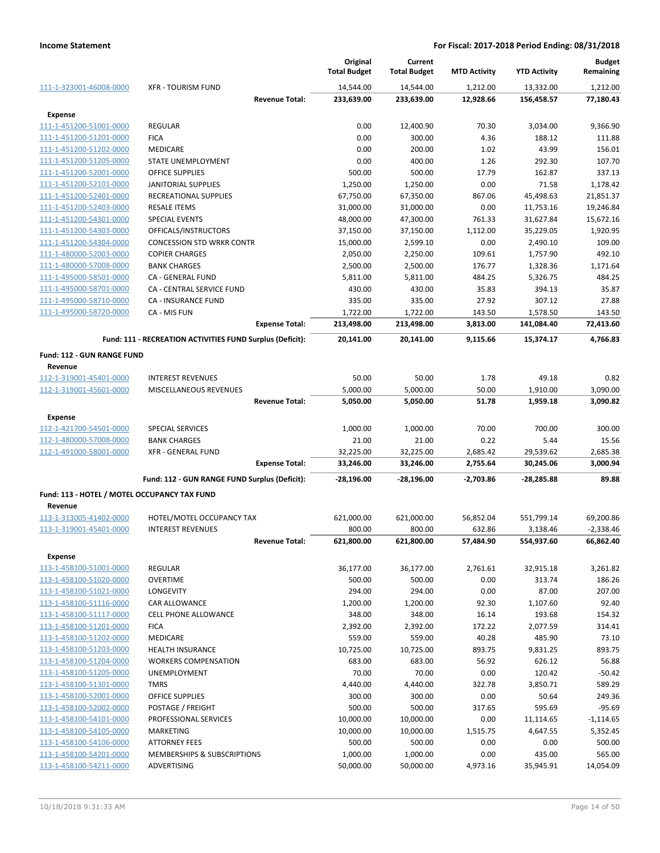|                                              |                                                           | Original<br><b>Total Budget</b> | Current<br><b>Total Budget</b> | <b>MTD Activity</b> | <b>YTD Activity</b> | <b>Budget</b><br>Remaining |
|----------------------------------------------|-----------------------------------------------------------|---------------------------------|--------------------------------|---------------------|---------------------|----------------------------|
| 111-1-323001-46008-0000                      | <b>XFR - TOURISM FUND</b>                                 | 14,544.00                       | 14,544.00                      | 1,212.00            | 13,332.00           | 1,212.00                   |
|                                              | <b>Revenue Total:</b>                                     | 233,639.00                      | 233,639.00                     | 12,928.66           | 156,458.57          | 77,180.43                  |
| Expense                                      |                                                           |                                 |                                |                     |                     |                            |
| 111-1-451200-51001-0000                      | <b>REGULAR</b>                                            | 0.00                            | 12,400.90                      | 70.30               | 3,034.00            | 9,366.90                   |
| 111-1-451200-51201-0000                      | <b>FICA</b>                                               | 0.00                            | 300.00                         | 4.36                | 188.12              | 111.88                     |
| 111-1-451200-51202-0000                      | <b>MEDICARE</b>                                           | 0.00                            | 200.00                         | 1.02                | 43.99               | 156.01                     |
| 111-1-451200-51205-0000                      | STATE UNEMPLOYMENT                                        | 0.00                            | 400.00                         | 1.26                | 292.30              | 107.70                     |
| 111-1-451200-52001-0000                      | <b>OFFICE SUPPLIES</b>                                    | 500.00                          | 500.00                         | 17.79               | 162.87              | 337.13                     |
| 111-1-451200-52101-0000                      | <b>JANITORIAL SUPPLIES</b>                                | 1,250.00                        | 1,250.00                       | 0.00                | 71.58               | 1,178.42                   |
| 111-1-451200-52401-0000                      | RECREATIONAL SUPPLIES                                     | 67,750.00                       | 67,350.00                      | 867.06              | 45,498.63           | 21,851.37                  |
| 111-1-451200-52403-0000                      | <b>RESALE ITEMS</b>                                       | 31,000.00                       | 31,000.00                      | 0.00                | 11,753.16           | 19,246.84                  |
| 111-1-451200-54301-0000                      | SPECIAL EVENTS                                            | 48,000.00                       | 47,300.00                      | 761.33              | 31,627.84           | 15,672.16                  |
| 111-1-451200-54303-0000                      | OFFICALS/INSTRUCTORS                                      | 37,150.00                       | 37,150.00                      | 1,112.00            | 35,229.05           | 1,920.95                   |
| 111-1-451200-54304-0000                      | <b>CONCESSION STD WRKR CONTR</b>                          | 15,000.00                       | 2,599.10                       | 0.00                | 2,490.10            | 109.00                     |
| 111-1-480000-52003-0000                      | <b>COPIER CHARGES</b>                                     | 2,050.00                        | 2,250.00                       | 109.61              | 1,757.90            | 492.10                     |
| 111-1-480000-57008-0000                      | <b>BANK CHARGES</b>                                       | 2,500.00                        | 2,500.00                       | 176.77              | 1,328.36            | 1,171.64                   |
| 111-1-495000-58501-0000                      | <b>CA - GENERAL FUND</b>                                  | 5,811.00                        | 5,811.00                       | 484.25              | 5,326.75            | 484.25                     |
| 111-1-495000-58701-0000                      | CA - CENTRAL SERVICE FUND                                 | 430.00                          | 430.00                         | 35.83               | 394.13              | 35.87                      |
| 111-1-495000-58710-0000                      | CA - INSURANCE FUND                                       | 335.00                          | 335.00                         | 27.92               | 307.12              | 27.88                      |
| 111-1-495000-58720-0000                      | CA - MIS FUN                                              | 1,722.00                        | 1,722.00                       | 143.50              | 1,578.50            | 143.50                     |
|                                              | <b>Expense Total:</b>                                     | 213,498.00                      | 213,498.00                     | 3,813.00            | 141,084.40          | 72,413.60                  |
|                                              | Fund: 111 - RECREATION ACTIVITIES FUND Surplus (Deficit): | 20,141.00                       | 20,141.00                      | 9,115.66            | 15,374.17           | 4.766.83                   |
| <b>Fund: 112 - GUN RANGE FUND</b>            |                                                           |                                 |                                |                     |                     |                            |
| Revenue                                      |                                                           |                                 |                                |                     |                     |                            |
| 112-1-319001-45401-0000                      | <b>INTEREST REVENUES</b>                                  | 50.00                           | 50.00                          | 1.78                | 49.18               | 0.82                       |
| 112-1-319001-45601-0000                      | MISCELLANEOUS REVENUES                                    | 5,000.00                        | 5,000.00                       | 50.00               | 1,910.00            | 3,090.00                   |
|                                              | <b>Revenue Total:</b>                                     | 5,050.00                        | 5,050.00                       | 51.78               | 1,959.18            | 3,090.82                   |
| Expense                                      |                                                           |                                 |                                |                     |                     |                            |
| 112-1-421700-54501-0000                      | <b>SPECIAL SERVICES</b>                                   | 1,000.00                        | 1,000.00                       | 70.00               | 700.00              | 300.00                     |
| 112-1-480000-57008-0000                      | <b>BANK CHARGES</b>                                       | 21.00                           | 21.00                          | 0.22                | 5.44                | 15.56                      |
| 112-1-491000-58001-0000                      | <b>XFR - GENERAL FUND</b>                                 | 32,225.00                       | 32,225.00                      | 2,685.42            | 29,539.62           | 2,685.38                   |
|                                              | <b>Expense Total:</b>                                     | 33,246.00                       | 33,246.00                      | 2,755.64            | 30,245.06           | 3,000.94                   |
|                                              | Fund: 112 - GUN RANGE FUND Surplus (Deficit):             | -28,196.00                      | $-28,196.00$                   | $-2,703.86$         | -28,285.88          | 89.88                      |
| Fund: 113 - HOTEL / MOTEL OCCUPANCY TAX FUND |                                                           |                                 |                                |                     |                     |                            |
| Revenue                                      |                                                           |                                 |                                |                     |                     |                            |
| 113-1-313005-41402-0000                      | HOTEL/MOTEL OCCUPANCY TAX                                 | 621,000.00                      | 621,000.00                     | 56,852.04           | 551,799.14          | 69,200.86                  |
| 113-1-319001-45401-0000                      | <b>INTEREST REVENUES</b>                                  | 800.00                          | 800.00                         | 632.86              | 3,138.46            | $-2,338.46$                |
|                                              | <b>Revenue Total:</b>                                     | 621,800.00                      | 621,800.00                     | 57,484.90           | 554,937.60          | 66,862.40                  |
| <b>Expense</b>                               |                                                           |                                 |                                |                     |                     |                            |
| 113-1-458100-51001-0000                      | <b>REGULAR</b>                                            | 36,177.00                       | 36,177.00                      | 2,761.61            | 32,915.18           | 3,261.82                   |
| 113-1-458100-51020-0000                      | <b>OVERTIME</b>                                           | 500.00                          | 500.00                         | 0.00                | 313.74              | 186.26                     |
| 113-1-458100-51021-0000                      | <b>LONGEVITY</b>                                          | 294.00                          | 294.00                         | 0.00                | 87.00               | 207.00                     |
| 113-1-458100-51116-0000                      | <b>CAR ALLOWANCE</b>                                      | 1,200.00                        | 1,200.00                       | 92.30               | 1,107.60            | 92.40                      |
| 113-1-458100-51117-0000                      | <b>CELL PHONE ALLOWANCE</b>                               | 348.00                          | 348.00                         | 16.14               | 193.68              | 154.32                     |
| 113-1-458100-51201-0000                      | <b>FICA</b>                                               | 2,392.00                        | 2,392.00                       | 172.22              | 2,077.59            | 314.41                     |
| 113-1-458100-51202-0000                      | <b>MEDICARE</b>                                           | 559.00                          | 559.00                         | 40.28               | 485.90              | 73.10                      |
| 113-1-458100-51203-0000                      | <b>HEALTH INSURANCE</b>                                   | 10,725.00                       | 10,725.00                      | 893.75              | 9,831.25            | 893.75                     |
| 113-1-458100-51204-0000                      | <b>WORKERS COMPENSATION</b>                               | 683.00                          | 683.00                         | 56.92               | 626.12              | 56.88                      |
| 113-1-458100-51205-0000                      | <b>UNEMPLOYMENT</b>                                       | 70.00                           | 70.00                          | 0.00                | 120.42              | $-50.42$                   |
| 113-1-458100-51301-0000                      | <b>TMRS</b>                                               | 4,440.00                        | 4,440.00                       | 322.78              | 3,850.71            | 589.29                     |
| 113-1-458100-52001-0000                      | <b>OFFICE SUPPLIES</b>                                    | 300.00                          | 300.00                         | 0.00                | 50.64               | 249.36                     |
| 113-1-458100-52002-0000                      | POSTAGE / FREIGHT                                         | 500.00                          | 500.00                         | 317.65              | 595.69              | $-95.69$                   |
| 113-1-458100-54101-0000                      | PROFESSIONAL SERVICES                                     | 10,000.00                       | 10,000.00                      | 0.00                | 11,114.65           | $-1,114.65$                |
| 113-1-458100-54105-0000                      | MARKETING                                                 | 10,000.00                       | 10,000.00                      | 1,515.75            | 4,647.55            | 5,352.45                   |
| 113-1-458100-54106-0000                      | <b>ATTORNEY FEES</b>                                      | 500.00                          | 500.00                         | 0.00                | 0.00                | 500.00                     |
| 113-1-458100-54201-0000                      | MEMBERSHIPS & SUBSCRIPTIONS                               | 1,000.00                        | 1,000.00                       | 0.00                | 435.00              | 565.00                     |
| 113-1-458100-54211-0000                      | ADVERTISING                                               | 50,000.00                       | 50,000.00                      | 4,973.16            | 35,945.91           | 14,054.09                  |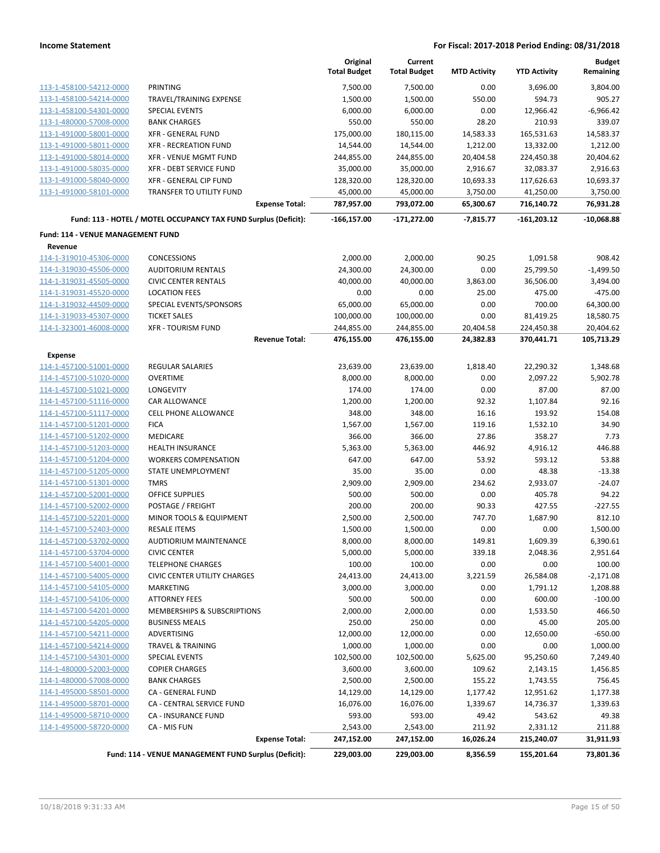|                                   |                                                                 | Original<br><b>Total Budget</b> | Current<br><b>Total Budget</b> | <b>MTD Activity</b> | <b>YTD Activity</b> | <b>Budget</b><br>Remaining |
|-----------------------------------|-----------------------------------------------------------------|---------------------------------|--------------------------------|---------------------|---------------------|----------------------------|
| 113-1-458100-54212-0000           | PRINTING                                                        | 7,500.00                        | 7,500.00                       | 0.00                | 3,696.00            | 3,804.00                   |
| 113-1-458100-54214-0000           | TRAVEL/TRAINING EXPENSE                                         | 1,500.00                        | 1,500.00                       | 550.00              | 594.73              | 905.27                     |
| 113-1-458100-54301-0000           | <b>SPECIAL EVENTS</b>                                           | 6,000.00                        | 6,000.00                       | 0.00                | 12,966.42           | $-6,966.42$                |
| 113-1-480000-57008-0000           | <b>BANK CHARGES</b>                                             | 550.00                          | 550.00                         | 28.20               | 210.93              | 339.07                     |
| 113-1-491000-58001-0000           | <b>XFR - GENERAL FUND</b>                                       | 175,000.00                      | 180,115.00                     | 14,583.33           | 165,531.63          | 14,583.37                  |
| 113-1-491000-58011-0000           | <b>XFR - RECREATION FUND</b>                                    | 14,544.00                       | 14,544.00                      | 1,212.00            | 13,332.00           | 1,212.00                   |
| 113-1-491000-58014-0000           | <b>XFR - VENUE MGMT FUND</b>                                    | 244,855.00                      | 244,855.00                     | 20,404.58           | 224,450.38          | 20,404.62                  |
| 113-1-491000-58035-0000           | XFR - DEBT SERVICE FUND                                         | 35,000.00                       | 35,000.00                      | 2,916.67            | 32,083.37           | 2,916.63                   |
| 113-1-491000-58040-0000           | XFR - GENERAL CIP FUND                                          | 128,320.00                      | 128,320.00                     | 10,693.33           | 117,626.63          | 10,693.37                  |
| 113-1-491000-58101-0000           | TRANSFER TO UTILITY FUND                                        | 45,000.00                       | 45,000.00                      | 3,750.00            | 41,250.00           | 3,750.00                   |
|                                   | <b>Expense Total:</b>                                           | 787,957.00                      | 793,072.00                     | 65,300.67           | 716,140.72          | 76,931.28                  |
|                                   | Fund: 113 - HOTEL / MOTEL OCCUPANCY TAX FUND Surplus (Deficit): | $-166, 157.00$                  | $-171,272.00$                  | $-7,815.77$         | $-161,203.12$       | $-10,068.88$               |
| Fund: 114 - VENUE MANAGEMENT FUND |                                                                 |                                 |                                |                     |                     |                            |
| Revenue                           |                                                                 |                                 |                                |                     |                     |                            |
| 114-1-319010-45306-0000           | <b>CONCESSIONS</b>                                              | 2,000.00                        | 2,000.00                       | 90.25               | 1,091.58            | 908.42                     |
| 114-1-319030-45506-0000           | <b>AUDITORIUM RENTALS</b>                                       | 24,300.00                       | 24,300.00                      | 0.00                | 25,799.50           | $-1,499.50$                |
| 114-1-319031-45505-0000           | <b>CIVIC CENTER RENTALS</b>                                     | 40,000.00                       | 40,000.00                      | 3,863.00            | 36,506.00           | 3,494.00                   |
| 114-1-319031-45520-0000           | <b>LOCATION FEES</b>                                            | 0.00                            | 0.00                           | 25.00               | 475.00              | $-475.00$                  |
| 114-1-319032-44509-0000           | SPECIAL EVENTS/SPONSORS                                         | 65,000.00                       | 65,000.00                      | 0.00                | 700.00              | 64,300.00                  |
| 114-1-319033-45307-0000           | <b>TICKET SALES</b>                                             | 100,000.00                      | 100,000.00                     | 0.00                | 81,419.25           | 18,580.75                  |
| 114-1-323001-46008-0000           | <b>XFR - TOURISM FUND</b>                                       | 244,855.00                      | 244,855.00                     | 20,404.58           | 224,450.38          | 20,404.62                  |
|                                   | <b>Revenue Total:</b>                                           | 476,155.00                      | 476,155.00                     | 24,382.83           | 370,441.71          | 105,713.29                 |
| <b>Expense</b>                    |                                                                 |                                 |                                |                     |                     |                            |
| 114-1-457100-51001-0000           | REGULAR SALARIES                                                | 23,639.00                       | 23,639.00                      | 1,818.40            | 22,290.32           | 1,348.68                   |
| 114-1-457100-51020-0000           | <b>OVERTIME</b>                                                 | 8,000.00                        | 8,000.00                       | 0.00                | 2,097.22            | 5,902.78                   |
| 114-1-457100-51021-0000           | LONGEVITY                                                       | 174.00                          | 174.00                         | 0.00                | 87.00               | 87.00                      |
| 114-1-457100-51116-0000           | <b>CAR ALLOWANCE</b>                                            | 1,200.00                        | 1,200.00                       | 92.32               | 1,107.84            | 92.16                      |
| 114-1-457100-51117-0000           | <b>CELL PHONE ALLOWANCE</b>                                     | 348.00                          | 348.00                         | 16.16               | 193.92              | 154.08                     |
| 114-1-457100-51201-0000           | <b>FICA</b>                                                     | 1,567.00                        | 1,567.00                       | 119.16              | 1,532.10            | 34.90                      |
| 114-1-457100-51202-0000           | MEDICARE                                                        | 366.00                          | 366.00                         | 27.86               | 358.27              | 7.73                       |
| 114-1-457100-51203-0000           | <b>HEALTH INSURANCE</b>                                         | 5,363.00                        | 5,363.00                       | 446.92              | 4,916.12            | 446.88                     |
| 114-1-457100-51204-0000           | <b>WORKERS COMPENSATION</b>                                     | 647.00                          | 647.00                         | 53.92               | 593.12              | 53.88                      |
| 114-1-457100-51205-0000           | STATE UNEMPLOYMENT                                              | 35.00                           | 35.00                          | 0.00                | 48.38               | $-13.38$                   |
| 114-1-457100-51301-0000           | <b>TMRS</b>                                                     | 2,909.00                        | 2,909.00                       | 234.62              | 2,933.07            | $-24.07$                   |
| 114-1-457100-52001-0000           | OFFICE SUPPLIES                                                 | 500.00                          | 500.00                         | 0.00                | 405.78              | 94.22                      |
| 114-1-457100-52002-0000           | POSTAGE / FREIGHT                                               | 200.00                          | 200.00                         | 90.33               | 427.55              | $-227.55$                  |
| 114-1-457100-52201-0000           | MINOR TOOLS & EQUIPMENT                                         | 2,500.00                        | 2,500.00                       | 747.70              | 1,687.90            | 812.10                     |
| 114-1-457100-52403-0000           | <b>RESALE ITEMS</b>                                             | 1,500.00                        | 1,500.00                       | 0.00                | 0.00                | 1,500.00                   |
| 114-1-457100-53702-0000           | AUDTIORIUM MAINTENANCE                                          | 8,000.00                        | 8,000.00                       | 149.81              | 1,609.39            | 6,390.61                   |
| 114-1-457100-53704-0000           | <b>CIVIC CENTER</b>                                             | 5,000.00                        | 5,000.00                       | 339.18              | 2,048.36            | 2,951.64                   |
| 114-1-457100-54001-0000           | <b>TELEPHONE CHARGES</b>                                        | 100.00                          | 100.00                         | 0.00                | 0.00                | 100.00                     |
| 114-1-457100-54005-0000           | <b>CIVIC CENTER UTILITY CHARGES</b>                             | 24,413.00                       | 24,413.00                      | 3,221.59            | 26,584.08           | $-2,171.08$                |
| 114-1-457100-54105-0000           | MARKETING                                                       | 3,000.00                        | 3,000.00                       | 0.00                | 1,791.12            | 1,208.88                   |
| 114-1-457100-54106-0000           | <b>ATTORNEY FEES</b>                                            | 500.00                          | 500.00                         | 0.00                | 600.00              | $-100.00$                  |
| 114-1-457100-54201-0000           | MEMBERSHIPS & SUBSCRIPTIONS                                     | 2,000.00                        | 2,000.00                       | 0.00                | 1,533.50            | 466.50                     |
| 114-1-457100-54205-0000           | <b>BUSINESS MEALS</b>                                           | 250.00                          | 250.00                         | 0.00                | 45.00               | 205.00                     |
| 114-1-457100-54211-0000           | <b>ADVERTISING</b>                                              | 12,000.00                       | 12,000.00                      | 0.00                | 12,650.00           | $-650.00$                  |
| 114-1-457100-54214-0000           | <b>TRAVEL &amp; TRAINING</b>                                    | 1,000.00                        | 1,000.00                       | 0.00                | 0.00                | 1,000.00                   |
| 114-1-457100-54301-0000           | <b>SPECIAL EVENTS</b>                                           | 102,500.00                      | 102,500.00                     | 5,625.00            | 95,250.60           | 7,249.40                   |
| 114-1-480000-52003-0000           | <b>COPIER CHARGES</b>                                           | 3,600.00                        | 3,600.00                       | 109.62              | 2,143.15            | 1,456.85                   |
| 114-1-480000-57008-0000           | <b>BANK CHARGES</b>                                             | 2,500.00                        | 2,500.00                       | 155.22              | 1,743.55            | 756.45                     |
| 114-1-495000-58501-0000           | CA - GENERAL FUND                                               | 14,129.00                       | 14,129.00                      | 1,177.42            | 12,951.62           | 1,177.38                   |
| 114-1-495000-58701-0000           | CA - CENTRAL SERVICE FUND                                       | 16,076.00                       | 16,076.00                      | 1,339.67            | 14,736.37           | 1,339.63                   |
| 114-1-495000-58710-0000           | CA - INSURANCE FUND                                             | 593.00                          | 593.00                         | 49.42               | 543.62              | 49.38                      |
| 114-1-495000-58720-0000           | CA - MIS FUN                                                    | 2,543.00                        | 2,543.00                       | 211.92              | 2,331.12            | 211.88                     |
|                                   | <b>Expense Total:</b>                                           | 247,152.00                      | 247,152.00                     | 16,026.24           | 215,240.07          | 31,911.93                  |
|                                   | Fund: 114 - VENUE MANAGEMENT FUND Surplus (Deficit):            | 229,003.00                      | 229,003.00                     | 8,356.59            | 155,201.64          | 73,801.36                  |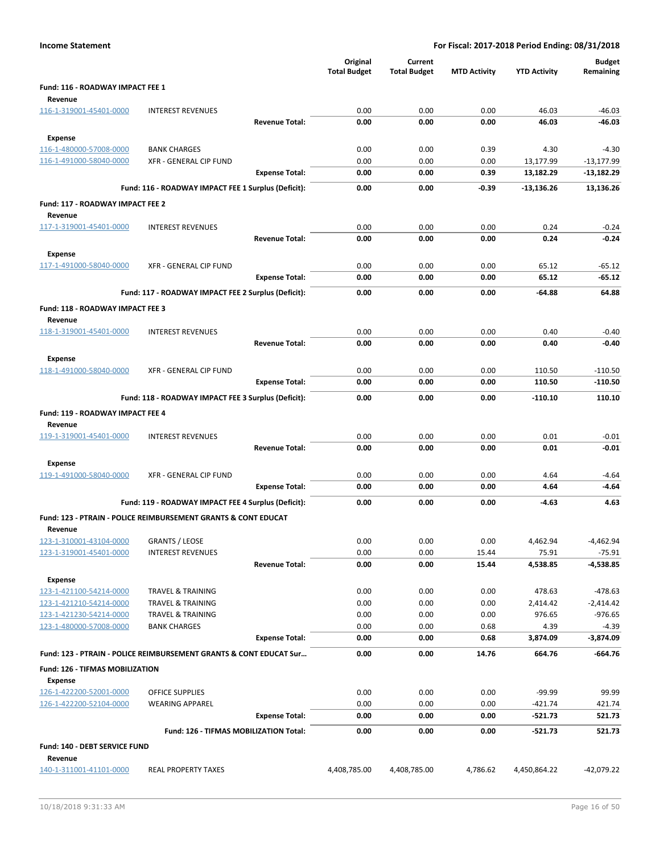|                                                    |                                                                               |                       | Original            | Current             |                     |                        | <b>Budget</b>        |
|----------------------------------------------------|-------------------------------------------------------------------------------|-----------------------|---------------------|---------------------|---------------------|------------------------|----------------------|
|                                                    |                                                                               |                       | <b>Total Budget</b> | <b>Total Budget</b> | <b>MTD Activity</b> | <b>YTD Activity</b>    | Remaining            |
| Fund: 116 - ROADWAY IMPACT FEE 1                   |                                                                               |                       |                     |                     |                     |                        |                      |
| Revenue<br>116-1-319001-45401-0000                 | <b>INTEREST REVENUES</b>                                                      |                       | 0.00                | 0.00                | 0.00                | 46.03                  | $-46.03$             |
|                                                    |                                                                               | <b>Revenue Total:</b> | 0.00                | 0.00                | 0.00                | 46.03                  | $-46.03$             |
| <b>Expense</b>                                     |                                                                               |                       |                     |                     |                     |                        |                      |
| 116-1-480000-57008-0000                            | <b>BANK CHARGES</b>                                                           |                       | 0.00                | 0.00                | 0.39                | 4.30                   | $-4.30$              |
| 116-1-491000-58040-0000                            | <b>XFR - GENERAL CIP FUND</b>                                                 |                       | 0.00                | 0.00                | 0.00                | 13,177.99              | $-13,177.99$         |
|                                                    |                                                                               | <b>Expense Total:</b> | 0.00                | 0.00                | 0.39                | 13,182.29              | $-13,182.29$         |
|                                                    | Fund: 116 - ROADWAY IMPACT FEE 1 Surplus (Deficit):                           |                       | 0.00                | 0.00                | -0.39               | -13,136.26             | 13,136.26            |
| Fund: 117 - ROADWAY IMPACT FEE 2<br>Revenue        |                                                                               |                       |                     |                     |                     |                        |                      |
| 117-1-319001-45401-0000                            | <b>INTEREST REVENUES</b>                                                      |                       | 0.00                | 0.00                | 0.00                | 0.24                   | $-0.24$              |
|                                                    |                                                                               | <b>Revenue Total:</b> | 0.00                | 0.00                | 0.00                | 0.24                   | $-0.24$              |
| <b>Expense</b>                                     |                                                                               |                       |                     |                     |                     |                        |                      |
| 117-1-491000-58040-0000                            | <b>XFR - GENERAL CIP FUND</b>                                                 |                       | 0.00                | 0.00                | 0.00                | 65.12                  | $-65.12$             |
|                                                    |                                                                               | <b>Expense Total:</b> | 0.00                | 0.00                | 0.00                | 65.12                  | $-65.12$             |
|                                                    | Fund: 117 - ROADWAY IMPACT FEE 2 Surplus (Deficit):                           |                       | 0.00                | 0.00                | 0.00                | $-64.88$               | 64.88                |
| <b>Fund: 118 - ROADWAY IMPACT FEE 3</b><br>Revenue |                                                                               |                       |                     |                     |                     |                        |                      |
| 118-1-319001-45401-0000                            | <b>INTEREST REVENUES</b>                                                      |                       | 0.00                | 0.00                | 0.00                | 0.40                   | $-0.40$              |
|                                                    |                                                                               | <b>Revenue Total:</b> | 0.00                | 0.00                | 0.00                | 0.40                   | $-0.40$              |
| Expense                                            |                                                                               |                       |                     |                     |                     |                        |                      |
| 118-1-491000-58040-0000                            | XFR - GENERAL CIP FUND                                                        |                       | 0.00                | 0.00                | 0.00                | 110.50                 | $-110.50$            |
|                                                    |                                                                               | <b>Expense Total:</b> | 0.00                | 0.00                | 0.00                | 110.50                 | $-110.50$            |
|                                                    | Fund: 118 - ROADWAY IMPACT FEE 3 Surplus (Deficit):                           |                       | 0.00                | 0.00                | 0.00                | $-110.10$              | 110.10               |
| <b>Fund: 119 - ROADWAY IMPACT FEE 4</b><br>Revenue |                                                                               |                       |                     |                     |                     |                        |                      |
| 119-1-319001-45401-0000                            | <b>INTEREST REVENUES</b>                                                      |                       | 0.00                | 0.00                | 0.00                | 0.01                   | $-0.01$              |
|                                                    |                                                                               | <b>Revenue Total:</b> | 0.00                | 0.00                | 0.00                | 0.01                   | $-0.01$              |
| Expense                                            |                                                                               |                       |                     |                     |                     |                        |                      |
| 119-1-491000-58040-0000                            | XFR - GENERAL CIP FUND                                                        |                       | 0.00                | 0.00                | 0.00                | 4.64                   | $-4.64$              |
|                                                    |                                                                               | <b>Expense Total:</b> | 0.00                | 0.00                | 0.00                | 4.64                   | $-4.64$              |
|                                                    | Fund: 119 - ROADWAY IMPACT FEE 4 Surplus (Deficit):                           |                       | 0.00                | 0.00                | 0.00                | $-4.63$                | 4.63                 |
| Revenue                                            | Fund: 123 - PTRAIN - POLICE REIMBURSEMENT GRANTS & CONT EDUCAT                |                       |                     |                     |                     |                        |                      |
| 123-1-310001-43104-0000                            | <b>GRANTS / LEOSE</b>                                                         |                       | 0.00                | 0.00                | 0.00                | 4,462.94               | -4,462.94            |
| 123-1-319001-45401-0000                            | <b>INTEREST REVENUES</b>                                                      |                       | 0.00                | 0.00                | 15.44               | 75.91                  | $-75.91$             |
|                                                    |                                                                               | <b>Revenue Total:</b> | 0.00                | 0.00                | 15.44               | 4,538.85               | -4,538.85            |
| Expense                                            |                                                                               |                       |                     |                     |                     |                        |                      |
| 123-1-421100-54214-0000                            | <b>TRAVEL &amp; TRAINING</b>                                                  |                       | 0.00                | 0.00                | 0.00                | 478.63                 | $-478.63$            |
| 123-1-421210-54214-0000                            | <b>TRAVEL &amp; TRAINING</b>                                                  |                       | 0.00                | 0.00                | 0.00                | 2,414.42               | $-2,414.42$          |
| 123-1-421230-54214-0000<br>123-1-480000-57008-0000 | <b>TRAVEL &amp; TRAINING</b><br><b>BANK CHARGES</b>                           |                       | 0.00<br>0.00        | 0.00<br>0.00        | 0.00<br>0.68        | 976.65<br>4.39         | $-976.65$<br>$-4.39$ |
|                                                    |                                                                               | <b>Expense Total:</b> | 0.00                | 0.00                | 0.68                | 3,874.09               | -3,874.09            |
|                                                    | <b>Fund: 123 - PTRAIN - POLICE REIMBURSEMENT GRANTS &amp; CONT EDUCAT Sur</b> |                       | 0.00                | 0.00                | 14.76               | 664.76                 | $-664.76$            |
|                                                    |                                                                               |                       |                     |                     |                     |                        |                      |
| Fund: 126 - TIFMAS MOBILIZATION<br>Expense         |                                                                               |                       |                     |                     |                     |                        |                      |
| 126-1-422200-52001-0000                            | OFFICE SUPPLIES                                                               |                       | 0.00                | 0.00                | 0.00                | $-99.99$               | 99.99                |
| 126-1-422200-52104-0000                            | <b>WEARING APPAREL</b>                                                        | <b>Expense Total:</b> | 0.00                | 0.00<br>0.00        | 0.00                | $-421.74$<br>$-521.73$ | 421.74               |
|                                                    |                                                                               |                       | 0.00                |                     | 0.00                |                        | 521.73               |
| Fund: 140 - DEBT SERVICE FUND                      | Fund: 126 - TIFMAS MOBILIZATION Total:                                        |                       | 0.00                | 0.00                | 0.00                | $-521.73$              | 521.73               |
| Revenue                                            |                                                                               |                       |                     |                     |                     |                        |                      |
| 140-1-311001-41101-0000                            | REAL PROPERTY TAXES                                                           |                       | 4,408,785.00        | 4,408,785.00        | 4,786.62            | 4,450,864.22           | $-42,079.22$         |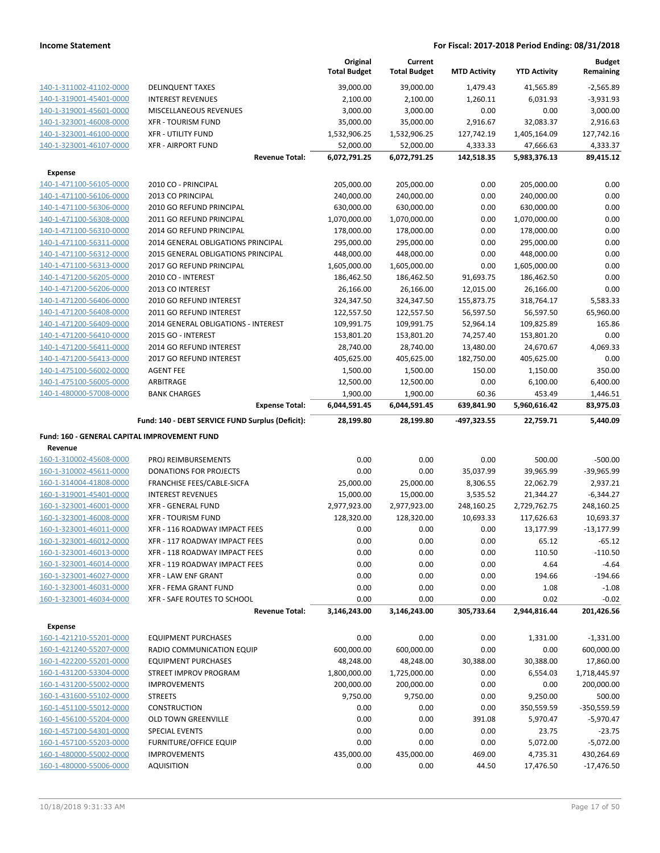|                                              |                                                  | Original<br><b>Total Budget</b> | Current<br><b>Total Budget</b> | <b>MTD Activity</b> | <b>YTD Activity</b> | <b>Budget</b><br>Remaining |
|----------------------------------------------|--------------------------------------------------|---------------------------------|--------------------------------|---------------------|---------------------|----------------------------|
| 140-1-311002-41102-0000                      | <b>DELINQUENT TAXES</b>                          | 39,000.00                       | 39,000.00                      | 1,479.43            | 41,565.89           | $-2,565.89$                |
| 140-1-319001-45401-0000                      | <b>INTEREST REVENUES</b>                         | 2,100.00                        | 2,100.00                       | 1,260.11            | 6,031.93            | $-3,931.93$                |
| 140-1-319001-45601-0000                      | MISCELLANEOUS REVENUES                           | 3,000.00                        | 3,000.00                       | 0.00                | 0.00                | 3,000.00                   |
| 140-1-323001-46008-0000                      | <b>XFR - TOURISM FUND</b>                        | 35,000.00                       | 35,000.00                      | 2,916.67            | 32,083.37           | 2,916.63                   |
| 140-1-323001-46100-0000                      | <b>XFR - UTILITY FUND</b>                        | 1,532,906.25                    | 1,532,906.25                   | 127,742.19          | 1,405,164.09        | 127,742.16                 |
| 140-1-323001-46107-0000                      | <b>XFR - AIRPORT FUND</b>                        | 52,000.00                       | 52,000.00                      | 4,333.33            | 47,666.63           | 4,333.37                   |
|                                              | <b>Revenue Total:</b>                            | 6,072,791.25                    | 6,072,791.25                   | 142,518.35          | 5,983,376.13        | 89,415.12                  |
| <b>Expense</b>                               |                                                  |                                 |                                |                     |                     |                            |
| 140-1-471100-56105-0000                      | 2010 CO - PRINCIPAL                              | 205,000.00                      | 205,000.00                     | 0.00                | 205,000.00          | 0.00                       |
| 140-1-471100-56106-0000                      | 2013 CO PRINCIPAL                                | 240,000.00                      | 240,000.00                     | 0.00                | 240,000.00          | 0.00                       |
| 140-1-471100-56306-0000                      | 2010 GO REFUND PRINCIPAL                         | 630,000.00                      | 630,000.00                     | 0.00                | 630,000.00          | 0.00                       |
| 140-1-471100-56308-0000                      | 2011 GO REFUND PRINCIPAL                         | 1,070,000.00                    | 1,070,000.00                   | 0.00                | 1,070,000.00        | 0.00                       |
| 140-1-471100-56310-0000                      | 2014 GO REFUND PRINCIPAL                         | 178,000.00                      | 178,000.00                     | 0.00                | 178,000.00          | 0.00                       |
| 140-1-471100-56311-0000                      | 2014 GENERAL OBLIGATIONS PRINCIPAL               | 295,000.00                      | 295,000.00                     | 0.00                | 295,000.00          | 0.00                       |
| 140-1-471100-56312-0000                      | 2015 GENERAL OBLIGATIONS PRINCIPAL               | 448,000.00                      | 448,000.00                     | 0.00                | 448,000.00          | 0.00                       |
| 140-1-471100-56313-0000                      | 2017 GO REFUND PRINCIPAL                         | 1,605,000.00                    | 1,605,000.00                   | 0.00                | 1,605,000.00        | 0.00                       |
| 140-1-471200-56205-0000                      | 2010 CO - INTEREST                               | 186,462.50                      | 186,462.50                     | 91,693.75           | 186,462.50          | 0.00                       |
| 140-1-471200-56206-0000                      | 2013 CO INTEREST                                 | 26,166.00                       | 26,166.00                      | 12,015.00           | 26,166.00           | 0.00                       |
| 140-1-471200-56406-0000                      | 2010 GO REFUND INTEREST                          | 324,347.50                      | 324,347.50                     | 155,873.75          | 318,764.17          | 5,583.33                   |
| 140-1-471200-56408-0000                      | 2011 GO REFUND INTEREST                          | 122,557.50                      | 122,557.50                     | 56,597.50           | 56,597.50           | 65,960.00                  |
| 140-1-471200-56409-0000                      | 2014 GENERAL OBLIGATIONS - INTEREST              | 109,991.75                      | 109,991.75                     | 52,964.14           | 109,825.89          | 165.86                     |
| 140-1-471200-56410-0000                      | 2015 GO - INTEREST                               | 153,801.20                      | 153,801.20                     | 74,257.40           | 153,801.20          | 0.00                       |
| 140-1-471200-56411-0000                      | 2014 GO REFUND INTEREST                          | 28,740.00                       | 28,740.00                      | 13,480.00           | 24,670.67           | 4,069.33                   |
| 140-1-471200-56413-0000                      | 2017 GO REFUND INTEREST                          | 405,625.00                      | 405,625.00                     | 182,750.00          | 405,625.00          | 0.00                       |
| 140-1-475100-56002-0000                      | <b>AGENT FEE</b>                                 | 1,500.00                        | 1,500.00                       | 150.00              | 1,150.00            | 350.00                     |
| 140-1-475100-56005-0000                      | ARBITRAGE                                        | 12,500.00                       | 12,500.00                      | 0.00                | 6,100.00            | 6,400.00                   |
| 140-1-480000-57008-0000                      | <b>BANK CHARGES</b>                              | 1,900.00                        | 1,900.00                       | 60.36               | 453.49              | 1,446.51                   |
|                                              | <b>Expense Total:</b>                            | 6,044,591.45                    | 6,044,591.45                   | 639,841.90          | 5,960,616.42        | 83,975.03                  |
|                                              |                                                  |                                 |                                |                     |                     |                            |
|                                              | Fund: 140 - DEBT SERVICE FUND Surplus (Deficit): | 28,199.80                       | 28,199.80                      | -497,323.55         | 22,759.71           | 5,440.09                   |
| Fund: 160 - GENERAL CAPITAL IMPROVEMENT FUND |                                                  |                                 |                                |                     |                     |                            |
| Revenue                                      |                                                  |                                 |                                |                     |                     |                            |
| 160-1-310002-45608-0000                      | PROJ REIMBURSEMENTS                              | 0.00                            | 0.00                           | 0.00                | 500.00              | $-500.00$                  |
| 160-1-310002-45611-0000                      | DONATIONS FOR PROJECTS                           | 0.00                            | 0.00                           | 35,037.99           | 39,965.99           | -39,965.99                 |
| 160-1-314004-41808-0000                      | FRANCHISE FEES/CABLE-SICFA                       | 25,000.00                       | 25,000.00                      | 8,306.55            | 22,062.79           | 2,937.21                   |
| 160-1-319001-45401-0000                      | <b>INTEREST REVENUES</b>                         | 15,000.00                       | 15,000.00                      | 3,535.52            | 21,344.27           | $-6,344.27$                |
| 160-1-323001-46001-0000                      | <b>XFR - GENERAL FUND</b>                        | 2,977,923.00                    | 2,977,923.00                   | 248,160.25          | 2,729,762.75        | 248,160.25                 |
| 160-1-323001-46008-0000                      | <b>XFR - TOURISM FUND</b>                        | 128,320.00                      | 128,320.00                     | 10,693.33           | 117,626.63          | 10,693.37                  |
| 160-1-323001-46011-0000                      | XFR - 116 ROADWAY IMPACT FEES                    | 0.00                            | 0.00                           | 0.00                | 13,177.99           | $-13,177.99$               |
| 160-1-323001-46012-0000                      | XFR - 117 ROADWAY IMPACT FEES                    | 0.00                            | 0.00                           | 0.00                | 65.12               | $-65.12$                   |
| 160-1-323001-46013-0000                      | XFR - 118 ROADWAY IMPACT FEES                    | 0.00                            | 0.00                           | 0.00                | 110.50              | $-110.50$                  |
| 160-1-323001-46014-0000                      | XFR - 119 ROADWAY IMPACT FEES                    | 0.00                            | 0.00                           | 0.00                | 4.64                | $-4.64$                    |
| 160-1-323001-46027-0000                      | <b>XFR - LAW ENF GRANT</b>                       | 0.00                            | 0.00                           | 0.00                | 194.66              | $-194.66$                  |
| 160-1-323001-46031-0000                      | <b>XFR - FEMA GRANT FUND</b>                     | 0.00                            | 0.00                           | 0.00                | 1.08                | $-1.08$                    |
| 160-1-323001-46034-0000                      | XFR - SAFE ROUTES TO SCHOOL                      | 0.00                            | 0.00                           | 0.00                | 0.02                | $-0.02$                    |
|                                              | <b>Revenue Total:</b>                            | 3,146,243.00                    | 3,146,243.00                   | 305,733.64          | 2,944,816.44        | 201,426.56                 |
| <b>Expense</b>                               |                                                  |                                 |                                |                     |                     |                            |
| 160-1-421210-55201-0000                      | <b>EQUIPMENT PURCHASES</b>                       | 0.00                            | 0.00                           | 0.00                | 1,331.00            | $-1,331.00$                |
| 160-1-421240-55207-0000                      | RADIO COMMUNICATION EQUIP                        | 600,000.00                      | 600,000.00                     | 0.00                | 0.00                | 600,000.00                 |
| 160-1-422200-55201-0000                      | <b>EQUIPMENT PURCHASES</b>                       | 48,248.00                       | 48,248.00                      | 30,388.00           | 30,388.00           | 17,860.00                  |
| 160-1-431200-53304-0000                      | STREET IMPROV PROGRAM                            | 1,800,000.00                    | 1,725,000.00                   | 0.00                | 6,554.03            | 1,718,445.97               |
| 160-1-431200-55002-0000                      | <b>IMPROVEMENTS</b>                              | 200,000.00                      | 200,000.00                     | 0.00                | 0.00                | 200,000.00                 |
| 160-1-431600-55102-0000                      | <b>STREETS</b>                                   | 9,750.00                        | 9,750.00                       | 0.00                | 9,250.00            | 500.00                     |
| 160-1-451100-55012-0000                      | CONSTRUCTION                                     | 0.00                            | 0.00                           | 0.00                | 350,559.59          | $-350,559.59$              |
| 160-1-456100-55204-0000                      | <b>OLD TOWN GREENVILLE</b>                       | 0.00                            | 0.00                           | 391.08              | 5,970.47            | $-5,970.47$                |
| 160-1-457100-54301-0000                      | <b>SPECIAL EVENTS</b>                            | 0.00                            | 0.00                           | 0.00                | 23.75               | $-23.75$                   |
| 160-1-457100-55203-0000                      | <b>FURNITURE/OFFICE EQUIP</b>                    | 0.00                            | 0.00                           | 0.00                | 5,072.00            | $-5,072.00$                |
| 160-1-480000-55002-0000                      | <b>IMPROVEMENTS</b>                              | 435,000.00                      | 435,000.00                     | 469.00              | 4,735.31            | 430,264.69                 |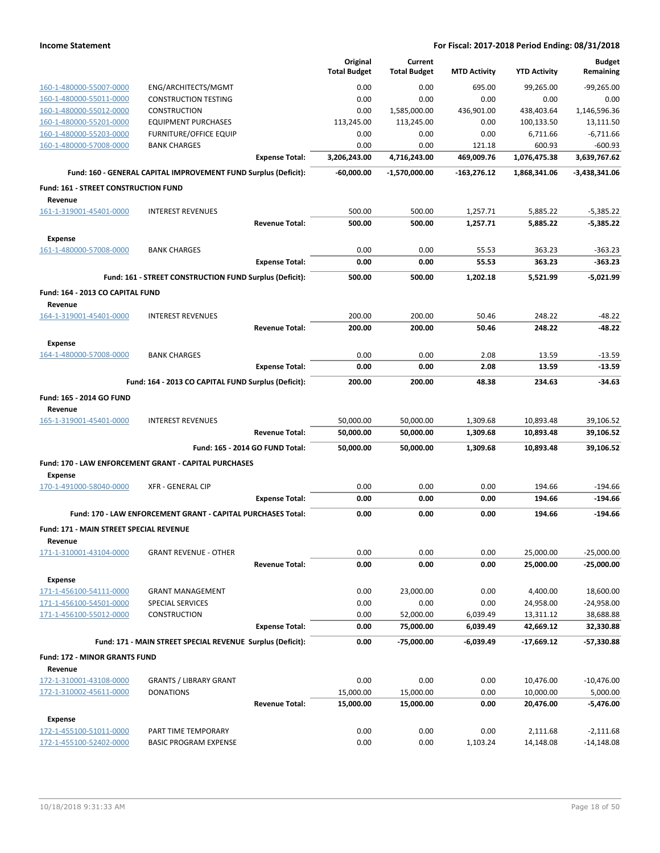|                                                    |                                                                 |                                 | Original            | Current             |                     |                       | <b>Budget</b>               |
|----------------------------------------------------|-----------------------------------------------------------------|---------------------------------|---------------------|---------------------|---------------------|-----------------------|-----------------------------|
|                                                    |                                                                 |                                 | <b>Total Budget</b> | <b>Total Budget</b> | <b>MTD Activity</b> | <b>YTD Activity</b>   | Remaining                   |
| 160-1-480000-55007-0000                            | ENG/ARCHITECTS/MGMT                                             |                                 | 0.00                | 0.00                | 695.00              | 99,265.00             | $-99,265.00$                |
| 160-1-480000-55011-0000                            | <b>CONSTRUCTION TESTING</b>                                     |                                 | 0.00                | 0.00                | 0.00                | 0.00                  | 0.00                        |
| 160-1-480000-55012-0000                            | <b>CONSTRUCTION</b>                                             |                                 | 0.00                | 1,585,000.00        | 436,901.00          | 438,403.64            | 1,146,596.36                |
| 160-1-480000-55201-0000                            | <b>EQUIPMENT PURCHASES</b>                                      |                                 | 113,245.00          | 113,245.00          | 0.00                | 100,133.50            | 13,111.50                   |
| 160-1-480000-55203-0000                            | <b>FURNITURE/OFFICE EQUIP</b>                                   |                                 | 0.00                | 0.00                | 0.00                | 6,711.66              | $-6,711.66$                 |
| 160-1-480000-57008-0000                            | <b>BANK CHARGES</b>                                             |                                 | 0.00                | 0.00                | 121.18              | 600.93                | $-600.93$                   |
|                                                    |                                                                 | <b>Expense Total:</b>           | 3,206,243.00        | 4,716,243.00        | 469,009.76          | 1,076,475.38          | 3,639,767.62                |
|                                                    | Fund: 160 - GENERAL CAPITAL IMPROVEMENT FUND Surplus (Deficit): |                                 | -60,000.00          | -1,570,000.00       | $-163,276.12$       | 1,868,341.06          | -3,438,341.06               |
| <b>Fund: 161 - STREET CONSTRUCTION FUND</b>        |                                                                 |                                 |                     |                     |                     |                       |                             |
| Revenue                                            |                                                                 |                                 |                     |                     |                     |                       |                             |
| 161-1-319001-45401-0000                            | <b>INTEREST REVENUES</b>                                        |                                 | 500.00              | 500.00              | 1,257.71            | 5,885.22              | $-5,385.22$                 |
|                                                    |                                                                 | <b>Revenue Total:</b>           | 500.00              | 500.00              | 1,257.71            | 5,885.22              | $-5,385.22$                 |
| <b>Expense</b>                                     |                                                                 |                                 |                     |                     |                     |                       |                             |
| 161-1-480000-57008-0000                            | <b>BANK CHARGES</b>                                             |                                 | 0.00                | 0.00                | 55.53               | 363.23                | $-363.23$                   |
|                                                    |                                                                 | <b>Expense Total:</b>           | 0.00                | 0.00                | 55.53               | 363.23                | $-363.23$                   |
|                                                    | Fund: 161 - STREET CONSTRUCTION FUND Surplus (Deficit):         |                                 | 500.00              | 500.00              | 1,202.18            | 5,521.99              | $-5.021.99$                 |
| Fund: 164 - 2013 CO CAPITAL FUND                   |                                                                 |                                 |                     |                     |                     |                       |                             |
| Revenue                                            |                                                                 |                                 |                     |                     |                     |                       |                             |
| 164-1-319001-45401-0000                            | <b>INTEREST REVENUES</b>                                        |                                 | 200.00              | 200.00              | 50.46               | 248.22                | $-48.22$                    |
|                                                    |                                                                 | <b>Revenue Total:</b>           | 200.00              | 200.00              | 50.46               | 248.22                | $-48.22$                    |
|                                                    |                                                                 |                                 |                     |                     |                     |                       |                             |
| <b>Expense</b><br>164-1-480000-57008-0000          | <b>BANK CHARGES</b>                                             |                                 | 0.00                | 0.00                | 2.08                | 13.59                 | $-13.59$                    |
|                                                    |                                                                 | <b>Expense Total:</b>           | 0.00                | 0.00                | 2.08                | 13.59                 | $-13.59$                    |
|                                                    |                                                                 |                                 |                     |                     |                     |                       |                             |
|                                                    | Fund: 164 - 2013 CO CAPITAL FUND Surplus (Deficit):             |                                 | 200.00              | 200.00              | 48.38               | 234.63                | $-34.63$                    |
| Fund: 165 - 2014 GO FUND                           |                                                                 |                                 |                     |                     |                     |                       |                             |
| Revenue                                            |                                                                 |                                 |                     |                     |                     |                       |                             |
| 165-1-319001-45401-0000                            | <b>INTEREST REVENUES</b>                                        |                                 | 50,000.00           | 50,000.00           | 1,309.68            | 10,893.48             | 39,106.52                   |
|                                                    |                                                                 | <b>Revenue Total:</b>           | 50,000.00           | 50,000.00           | 1,309.68            | 10,893.48             | 39,106.52                   |
|                                                    |                                                                 | Fund: 165 - 2014 GO FUND Total: | 50,000.00           | 50,000.00           | 1,309.68            | 10,893.48             | 39,106.52                   |
|                                                    | Fund: 170 - LAW ENFORCEMENT GRANT - CAPITAL PURCHASES           |                                 |                     |                     |                     |                       |                             |
| <b>Expense</b>                                     |                                                                 |                                 |                     |                     |                     |                       |                             |
| 170-1-491000-58040-0000                            | <b>XFR - GENERAL CIP</b>                                        |                                 | 0.00                | 0.00                | 0.00                | 194.66                | $-194.66$                   |
|                                                    |                                                                 | <b>Expense Total:</b>           | 0.00                | 0.00                | 0.00                | 194.66                | $-194.66$                   |
|                                                    | Fund: 170 - LAW ENFORCEMENT GRANT - CAPITAL PURCHASES Total:    |                                 | 0.00                | 0.00                | 0.00                | 194.66                | $-194.66$                   |
| <b>Fund: 171 - MAIN STREET SPECIAL REVENUE</b>     |                                                                 |                                 |                     |                     |                     |                       |                             |
| Revenue                                            |                                                                 |                                 |                     |                     |                     |                       |                             |
| 171-1-310001-43104-0000                            | <b>GRANT REVENUE - OTHER</b>                                    |                                 | 0.00                | 0.00                | 0.00                | 25,000.00             | $-25,000.00$                |
|                                                    |                                                                 | <b>Revenue Total:</b>           | 0.00                | 0.00                | 0.00                | 25,000.00             | $-25,000.00$                |
| <b>Expense</b>                                     |                                                                 |                                 |                     |                     |                     |                       |                             |
| 171-1-456100-54111-0000                            | <b>GRANT MANAGEMENT</b>                                         |                                 | 0.00                | 23,000.00           | 0.00                | 4,400.00              | 18,600.00                   |
| 171-1-456100-54501-0000                            | SPECIAL SERVICES                                                |                                 | 0.00                | 0.00                | 0.00                | 24,958.00             | $-24,958.00$                |
| 171-1-456100-55012-0000                            | CONSTRUCTION                                                    |                                 | 0.00                | 52,000.00           | 6,039.49            | 13,311.12             | 38,688.88                   |
|                                                    |                                                                 | <b>Expense Total:</b>           | 0.00                | 75,000.00           | 6,039.49            | 42,669.12             | 32,330.88                   |
|                                                    | Fund: 171 - MAIN STREET SPECIAL REVENUE Surplus (Deficit):      |                                 | 0.00                | -75,000.00          | -6,039.49           | -17,669.12            | $-57,330.88$                |
|                                                    |                                                                 |                                 |                     |                     |                     |                       |                             |
| Fund: 172 - MINOR GRANTS FUND                      |                                                                 |                                 |                     |                     |                     |                       |                             |
| Revenue<br>172-1-310001-43108-0000                 | <b>GRANTS / LIBRARY GRANT</b>                                   |                                 | 0.00                | 0.00                | 0.00                | 10,476.00             | $-10,476.00$                |
| 172-1-310002-45611-0000                            | <b>DONATIONS</b>                                                |                                 | 15,000.00           | 15,000.00           | 0.00                | 10,000.00             | 5,000.00                    |
|                                                    |                                                                 | <b>Revenue Total:</b>           | 15,000.00           | 15,000.00           | 0.00                | 20,476.00             | $-5,476.00$                 |
|                                                    |                                                                 |                                 |                     |                     |                     |                       |                             |
| <b>Expense</b>                                     |                                                                 |                                 |                     |                     |                     |                       |                             |
| 172-1-455100-51011-0000<br>172-1-455100-52402-0000 | PART TIME TEMPORARY<br><b>BASIC PROGRAM EXPENSE</b>             |                                 | 0.00<br>0.00        | 0.00<br>0.00        | 0.00<br>1,103.24    | 2,111.68<br>14,148.08 | $-2,111.68$<br>$-14,148.08$ |
|                                                    |                                                                 |                                 |                     |                     |                     |                       |                             |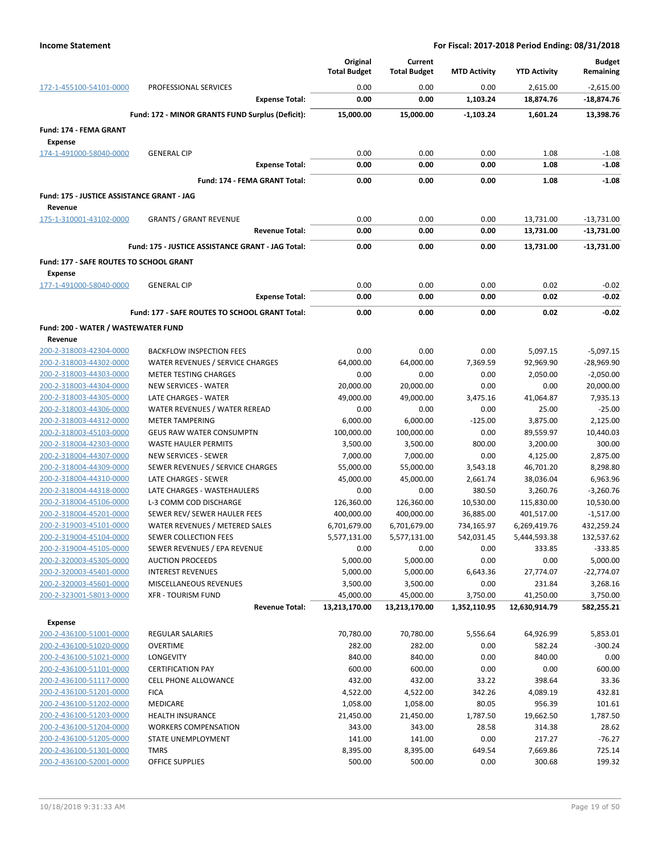|                                                    |                                                       | Original<br><b>Total Budget</b> | Current<br><b>Total Budget</b> | <b>MTD Activity</b> | <b>YTD Activity</b>    | <b>Budget</b><br>Remaining |
|----------------------------------------------------|-------------------------------------------------------|---------------------------------|--------------------------------|---------------------|------------------------|----------------------------|
| 172-1-455100-54101-0000                            | PROFESSIONAL SERVICES                                 | 0.00                            | 0.00                           | 0.00                | 2,615.00               | $-2,615.00$                |
|                                                    | <b>Expense Total:</b>                                 | 0.00                            | 0.00                           | 1,103.24            | 18,874.76              | -18,874.76                 |
|                                                    | Fund: 172 - MINOR GRANTS FUND Surplus (Deficit):      | 15,000.00                       | 15,000.00                      | $-1,103.24$         | 1,601.24               | 13,398.76                  |
| Fund: 174 - FEMA GRANT                             |                                                       |                                 |                                |                     |                        |                            |
| <b>Expense</b>                                     |                                                       |                                 |                                |                     |                        |                            |
| 174-1-491000-58040-0000                            | <b>GENERAL CIP</b>                                    | 0.00                            | 0.00                           | 0.00                | 1.08                   | $-1.08$                    |
|                                                    | <b>Expense Total:</b>                                 | 0.00                            | 0.00                           | 0.00                | 1.08                   | $-1.08$                    |
|                                                    | Fund: 174 - FEMA GRANT Total:                         | 0.00                            | 0.00                           | 0.00                | 1.08                   | $-1.08$                    |
| Fund: 175 - JUSTICE ASSISTANCE GRANT - JAG         |                                                       |                                 |                                |                     |                        |                            |
| Revenue                                            |                                                       |                                 |                                |                     |                        |                            |
| 175-1-310001-43102-0000                            | <b>GRANTS / GRANT REVENUE</b>                         | 0.00                            | 0.00                           | 0.00                | 13,731.00              | $-13,731.00$               |
|                                                    | <b>Revenue Total:</b>                                 | 0.00                            | 0.00                           | 0.00                | 13,731.00              | -13,731.00                 |
|                                                    | Fund: 175 - JUSTICE ASSISTANCE GRANT - JAG Total:     | 0.00                            | 0.00                           | 0.00                | 13,731.00              | -13,731.00                 |
| Fund: 177 - SAFE ROUTES TO SCHOOL GRANT            |                                                       |                                 |                                |                     |                        |                            |
| <b>Expense</b>                                     |                                                       |                                 |                                |                     |                        |                            |
| 177-1-491000-58040-0000                            | <b>GENERAL CIP</b>                                    | 0.00                            | 0.00                           | 0.00                | 0.02                   | $-0.02$                    |
|                                                    | <b>Expense Total:</b>                                 | 0.00                            | 0.00                           | 0.00                | 0.02                   | $-0.02$                    |
|                                                    | Fund: 177 - SAFE ROUTES TO SCHOOL GRANT Total:        | 0.00                            | 0.00                           | 0.00                | 0.02                   | $-0.02$                    |
| Fund: 200 - WATER / WASTEWATER FUND                |                                                       |                                 |                                |                     |                        |                            |
| Revenue                                            |                                                       |                                 |                                |                     |                        |                            |
| 200-2-318003-42304-0000                            | <b>BACKFLOW INSPECTION FEES</b>                       | 0.00                            | 0.00                           | 0.00                | 5,097.15               | $-5,097.15$                |
| 200-2-318003-44302-0000                            | WATER REVENUES / SERVICE CHARGES                      | 64,000.00                       | 64,000.00                      | 7,369.59            | 92,969.90              | $-28,969.90$               |
| 200-2-318003-44303-0000                            | <b>METER TESTING CHARGES</b>                          | 0.00                            | 0.00                           | 0.00                | 2,050.00               | $-2,050.00$                |
| 200-2-318003-44304-0000                            | <b>NEW SERVICES - WATER</b>                           | 20,000.00                       | 20,000.00                      | 0.00                | 0.00                   | 20,000.00                  |
| 200-2-318003-44305-0000                            | LATE CHARGES - WATER                                  | 49,000.00                       | 49,000.00                      | 3,475.16            | 41,064.87              | 7,935.13                   |
| 200-2-318003-44306-0000                            | WATER REVENUES / WATER REREAD                         | 0.00                            | 0.00                           | 0.00                | 25.00                  | $-25.00$                   |
| 200-2-318003-44312-0000                            | <b>METER TAMPERING</b>                                | 6,000.00                        | 6,000.00                       | $-125.00$           | 3,875.00               | 2,125.00                   |
| 200-2-318003-45103-0000                            | <b>GEUS RAW WATER CONSUMPTN</b>                       | 100,000.00                      | 100,000.00                     | 0.00                | 89,559.97              | 10,440.03                  |
| 200-2-318004-42303-0000                            | <b>WASTE HAULER PERMITS</b>                           | 3,500.00                        | 3,500.00                       | 800.00              | 3,200.00               | 300.00                     |
| 200-2-318004-44307-0000                            | <b>NEW SERVICES - SEWER</b>                           | 7,000.00                        | 7,000.00                       | 0.00                | 4,125.00               | 2,875.00                   |
| 200-2-318004-44309-0000                            | SEWER REVENUES / SERVICE CHARGES                      | 55,000.00                       | 55,000.00                      | 3,543.18            | 46,701.20              | 8,298.80                   |
| 200-2-318004-44310-0000                            | LATE CHARGES - SEWER                                  | 45,000.00                       | 45,000.00                      | 2,661.74            | 38,036.04              | 6,963.96                   |
| 200-2-318004-44318-0000                            | LATE CHARGES - WASTEHAULERS                           | 0.00                            | 0.00                           | 380.50              | 3,260.76               | $-3,260.76$                |
| 200-2-318004-45106-0000                            | L-3 COMM COD DISCHARGE                                | 126,360.00                      | 126,360.00                     | 10,530.00           | 115,830.00             | 10,530.00                  |
| 200-2-318004-45201-0000                            | SEWER REV/ SEWER HAULER FEES                          | 400,000.00                      | 400,000.00                     | 36,885.00           | 401,517.00             | $-1,517.00$                |
| 200-2-319003-45101-0000                            | WATER REVENUES / METERED SALES                        | 6,701,679.00                    | 6,701,679.00                   | 734,165.97          | 6,269,419.76           | 432,259.24                 |
| 200-2-319004-45104-0000<br>200-2-319004-45105-0000 | SEWER COLLECTION FEES<br>SEWER REVENUES / EPA REVENUE | 5,577,131.00<br>0.00            | 5,577,131.00<br>0.00           | 542,031.45<br>0.00  | 5,444,593.38<br>333.85 | 132,537.62<br>$-333.85$    |
| 200-2-320003-45305-0000                            | <b>AUCTION PROCEEDS</b>                               | 5,000.00                        | 5,000.00                       | 0.00                | 0.00                   | 5,000.00                   |
| 200-2-320003-45401-0000                            | <b>INTEREST REVENUES</b>                              | 5,000.00                        | 5,000.00                       | 6,643.36            | 27,774.07              | $-22,774.07$               |
| 200-2-320003-45601-0000                            | MISCELLANEOUS REVENUES                                | 3,500.00                        | 3,500.00                       | 0.00                | 231.84                 | 3,268.16                   |
| 200-2-323001-58013-0000                            | <b>XFR - TOURISM FUND</b>                             | 45,000.00                       | 45,000.00                      | 3,750.00            | 41,250.00              | 3,750.00                   |
|                                                    | <b>Revenue Total:</b>                                 | 13,213,170.00                   | 13,213,170.00                  | 1,352,110.95        | 12,630,914.79          | 582,255.21                 |
| <b>Expense</b>                                     |                                                       |                                 |                                |                     |                        |                            |
| 200-2-436100-51001-0000                            | REGULAR SALARIES                                      | 70,780.00                       | 70,780.00                      | 5,556.64            | 64,926.99              | 5,853.01                   |
| 200-2-436100-51020-0000                            | <b>OVERTIME</b>                                       | 282.00                          | 282.00                         | 0.00                | 582.24                 | $-300.24$                  |
| 200-2-436100-51021-0000                            | <b>LONGEVITY</b>                                      | 840.00                          | 840.00                         | 0.00                | 840.00                 | 0.00                       |
| 200-2-436100-51101-0000                            | <b>CERTIFICATION PAY</b>                              | 600.00                          | 600.00                         | 0.00                | 0.00                   | 600.00                     |
| 200-2-436100-51117-0000                            | <b>CELL PHONE ALLOWANCE</b>                           | 432.00                          | 432.00                         | 33.22               | 398.64                 | 33.36                      |
| 200-2-436100-51201-0000                            | <b>FICA</b>                                           | 4,522.00                        | 4,522.00                       | 342.26              | 4,089.19               | 432.81                     |
| 200-2-436100-51202-0000                            | MEDICARE                                              | 1,058.00                        | 1,058.00                       | 80.05               | 956.39                 | 101.61                     |
| 200-2-436100-51203-0000                            | <b>HEALTH INSURANCE</b>                               | 21,450.00                       | 21,450.00                      | 1,787.50            | 19,662.50              | 1,787.50                   |
| 200-2-436100-51204-0000                            | <b>WORKERS COMPENSATION</b>                           | 343.00                          | 343.00                         | 28.58               | 314.38                 | 28.62                      |
| 200-2-436100-51205-0000                            | STATE UNEMPLOYMENT                                    | 141.00                          | 141.00                         | 0.00                | 217.27                 | $-76.27$                   |
| 200-2-436100-51301-0000                            | <b>TMRS</b>                                           | 8,395.00                        | 8,395.00                       | 649.54              | 7,669.86               | 725.14                     |
| 200-2-436100-52001-0000                            | <b>OFFICE SUPPLIES</b>                                | 500.00                          | 500.00                         | 0.00                | 300.68                 | 199.32                     |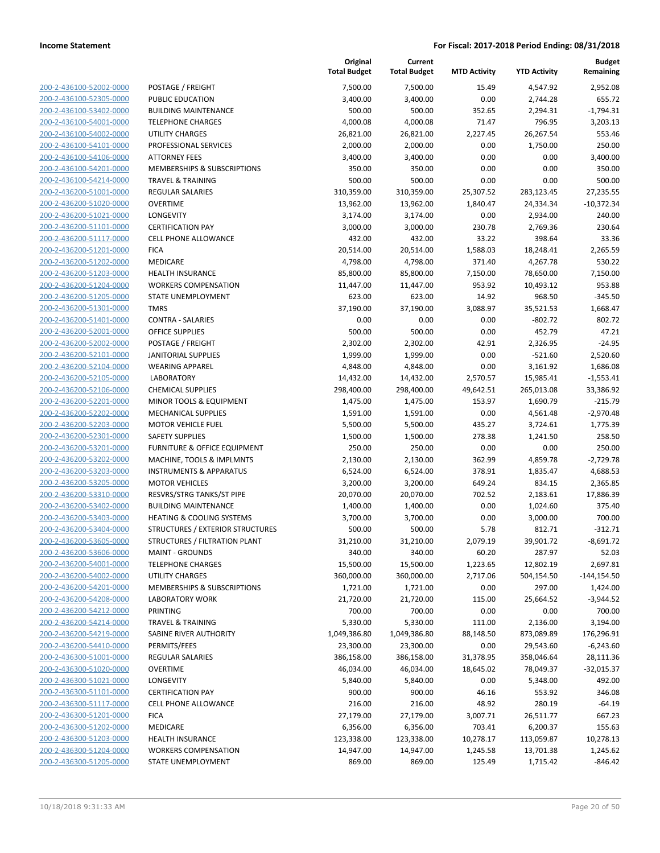| 200-2-436100-52002-0000        |
|--------------------------------|
| 200-2-436100-52305-0000        |
| 200-2-436100-53402-0000        |
| 200-2-436100-54001-0000        |
| 200-2-436100-54002-0000        |
| 200-2-436100-54101-0000        |
| 200-2-436100-54106-0000        |
| 200-2-436100-54201-0000        |
|                                |
| 200-2-436100-54214-0000        |
| 200-2-436200-51001-0000        |
| 200-2-436200-51020-0000        |
| 200-2-436200-51021-0000        |
| 200-2-436200-51101-0000        |
| 200-2-436200-51117-0000        |
| 200-2-436200-51201-0000        |
| 200-2-436200-51202-0000        |
| 200-2-436200-51203-0000        |
| 200-2-436200-51204-0000        |
| 200-2-436200-51205-0000        |
| 200-2-436200-51301-0000        |
| 200-2-436200-51401-0000        |
|                                |
| 200-2-436200-52001-0000        |
| 200-2-436200-52002-0000        |
| 200-2-436200-52101-0000        |
| 200-2-436200-52104-0000        |
| 200-2-436200-52105-0000        |
| 200-2-436200-52106-0000        |
| 200-2-436200-52201-0000        |
| 200-2-436200-52202-0000        |
| 200-2-436200-52203-0000        |
| 200-2-436200-52301-0000        |
| 200-2-436200-53201-0000        |
|                                |
| 200-2-436200-53202-0000        |
| 200-2-436200-53203-0000        |
| 200-2-436200-53205-0000        |
| 200-2-436200-53310-0000        |
| 200-2-436200-53402-0000        |
| 200-2-436200-53403-0000        |
| 200-2-436200-53404-0000        |
| 200-2-436200-53605-0000        |
| 200-2-436200-53606-0000        |
| 200-2-436200-54001-0000        |
| 200-2-436200-54002-0000        |
| <u>200-2-436200-54201-0000</u> |
| 200-2-436200-54208-0000        |
|                                |
| 200-2-436200-54212-0000        |
| 200-2-436200-54214-0000        |
| 200-2-436200-54219-0000        |
| <u>200-2-436200-54410-0000</u> |
| 200-2-436300-51001-0000        |
| 200-2-436300-51020-0000        |
| 200-2-436300-51021-0000        |
| <u>200-2-436300-51101-0000</u> |
| <u>200-2-436300-51117-0000</u> |
| 200-2-436300-51201-0000        |
| 200-2-436300-51202-0000        |
| 200-2-436300-51203-0000        |
| <u>200-2-436300-51204-0000</u> |
| 200-2-436300-51205-0000        |
|                                |

|                         |                                         | Original<br><b>Total Budget</b> | Current<br><b>Total Budget</b> | <b>MTD Activity</b> | <b>YTD Activity</b> | <b>Budget</b><br>Remaining |
|-------------------------|-----------------------------------------|---------------------------------|--------------------------------|---------------------|---------------------|----------------------------|
| 200-2-436100-52002-0000 | POSTAGE / FREIGHT                       | 7,500.00                        | 7,500.00                       | 15.49               | 4,547.92            | 2,952.08                   |
| 200-2-436100-52305-0000 | PUBLIC EDUCATION                        | 3,400.00                        | 3,400.00                       | 0.00                | 2,744.28            | 655.72                     |
| 200-2-436100-53402-0000 | <b>BUILDING MAINTENANCE</b>             | 500.00                          | 500.00                         | 352.65              | 2,294.31            | $-1,794.31$                |
| 200-2-436100-54001-0000 | <b>TELEPHONE CHARGES</b>                | 4,000.08                        | 4,000.08                       | 71.47               | 796.95              | 3,203.13                   |
| 200-2-436100-54002-0000 | <b>UTILITY CHARGES</b>                  | 26,821.00                       | 26,821.00                      | 2,227.45            | 26,267.54           | 553.46                     |
| 200-2-436100-54101-0000 | PROFESSIONAL SERVICES                   | 2,000.00                        | 2,000.00                       | 0.00                | 1,750.00            | 250.00                     |
| 200-2-436100-54106-0000 | <b>ATTORNEY FEES</b>                    | 3,400.00                        | 3,400.00                       | 0.00                | 0.00                | 3,400.00                   |
| 200-2-436100-54201-0000 | <b>MEMBERSHIPS &amp; SUBSCRIPTIONS</b>  | 350.00                          | 350.00                         | 0.00                | 0.00                | 350.00                     |
| 200-2-436100-54214-0000 | <b>TRAVEL &amp; TRAINING</b>            | 500.00                          | 500.00                         | 0.00                | 0.00                | 500.00                     |
| 200-2-436200-51001-0000 | <b>REGULAR SALARIES</b>                 | 310,359.00                      | 310,359.00                     | 25,307.52           | 283,123.45          | 27,235.55                  |
| 200-2-436200-51020-0000 | <b>OVERTIME</b>                         | 13,962.00                       | 13,962.00                      | 1,840.47            | 24,334.34           | $-10,372.34$               |
| 200-2-436200-51021-0000 | LONGEVITY                               | 3,174.00                        | 3,174.00                       | 0.00                | 2,934.00            | 240.00                     |
| 200-2-436200-51101-0000 | <b>CERTIFICATION PAY</b>                | 3,000.00                        | 3,000.00                       | 230.78              | 2,769.36            | 230.64                     |
| 200-2-436200-51117-0000 | <b>CELL PHONE ALLOWANCE</b>             | 432.00                          | 432.00                         | 33.22               | 398.64              | 33.36                      |
| 200-2-436200-51201-0000 | <b>FICA</b>                             | 20,514.00                       | 20,514.00                      | 1,588.03            | 18,248.41           | 2,265.59                   |
| 200-2-436200-51202-0000 | MEDICARE                                | 4,798.00                        | 4,798.00                       | 371.40              | 4,267.78            | 530.22                     |
| 200-2-436200-51203-0000 | <b>HEALTH INSURANCE</b>                 | 85,800.00                       | 85,800.00                      | 7,150.00            | 78,650.00           | 7,150.00                   |
| 200-2-436200-51204-0000 | <b>WORKERS COMPENSATION</b>             | 11,447.00                       | 11,447.00                      | 953.92              | 10,493.12           | 953.88                     |
| 200-2-436200-51205-0000 | <b>STATE UNEMPLOYMENT</b>               | 623.00                          | 623.00                         | 14.92               | 968.50              | $-345.50$                  |
| 200-2-436200-51301-0000 | <b>TMRS</b>                             | 37,190.00                       | 37,190.00                      | 3,088.97            | 35,521.53           | 1,668.47                   |
| 200-2-436200-51401-0000 | <b>CONTRA - SALARIES</b>                | 0.00                            | 0.00                           | 0.00                | $-802.72$           | 802.72                     |
| 200-2-436200-52001-0000 | <b>OFFICE SUPPLIES</b>                  | 500.00                          | 500.00                         | 0.00                | 452.79              | 47.21                      |
| 200-2-436200-52002-0000 | POSTAGE / FREIGHT                       | 2,302.00                        | 2,302.00                       | 42.91               | 2,326.95            | $-24.95$                   |
| 200-2-436200-52101-0000 | <b>JANITORIAL SUPPLIES</b>              | 1,999.00                        | 1,999.00                       | 0.00                | $-521.60$           | 2,520.60                   |
| 200-2-436200-52104-0000 | <b>WEARING APPAREL</b>                  | 4,848.00                        | 4,848.00                       | 0.00                | 3,161.92            | 1,686.08                   |
| 200-2-436200-52105-0000 | <b>LABORATORY</b>                       | 14,432.00                       | 14,432.00                      | 2,570.57            | 15,985.41           | $-1,553.41$                |
| 200-2-436200-52106-0000 | <b>CHEMICAL SUPPLIES</b>                | 298,400.00                      | 298,400.00                     | 49,642.51           | 265,013.08          | 33,386.92                  |
| 200-2-436200-52201-0000 | MINOR TOOLS & EQUIPMENT                 | 1,475.00                        | 1,475.00                       | 153.97              | 1,690.79            | $-215.79$                  |
| 200-2-436200-52202-0000 | <b>MECHANICAL SUPPLIES</b>              | 1,591.00                        | 1,591.00                       | 0.00                | 4,561.48            | $-2,970.48$                |
| 200-2-436200-52203-0000 | <b>MOTOR VEHICLE FUEL</b>               | 5,500.00                        | 5,500.00                       | 435.27              | 3,724.61            | 1,775.39                   |
| 200-2-436200-52301-0000 | <b>SAFETY SUPPLIES</b>                  | 1,500.00                        | 1,500.00                       | 278.38              | 1,241.50            | 258.50                     |
| 200-2-436200-53201-0000 | FURNITURE & OFFICE EQUIPMENT            | 250.00                          | 250.00                         | 0.00                | 0.00                | 250.00                     |
| 200-2-436200-53202-0000 | MACHINE, TOOLS & IMPLMNTS               | 2,130.00                        | 2,130.00                       | 362.99              | 4,859.78            | $-2,729.78$                |
| 200-2-436200-53203-0000 | <b>INSTRUMENTS &amp; APPARATUS</b>      | 6,524.00                        | 6,524.00                       | 378.91              | 1,835.47            | 4,688.53                   |
| 200-2-436200-53205-0000 | <b>MOTOR VEHICLES</b>                   | 3,200.00                        | 3,200.00                       | 649.24              | 834.15              | 2,365.85                   |
| 200-2-436200-53310-0000 | RESVRS/STRG TANKS/ST PIPE               | 20,070.00                       | 20,070.00                      | 702.52              | 2,183.61            | 17,886.39                  |
| 200-2-436200-53402-0000 | <b>BUILDING MAINTENANCE</b>             | 1,400.00                        | 1,400.00                       | 0.00                | 1,024.60            | 375.40                     |
| 200-2-436200-53403-0000 | <b>HEATING &amp; COOLING SYSTEMS</b>    | 3,700.00                        | 3,700.00                       | 0.00                | 3,000.00            | 700.00                     |
| 200-2-436200-53404-0000 | <b>STRUCTURES / EXTERIOR STRUCTURES</b> | 500.00                          | 500.00                         | 5.78                | 812.71              | $-312.71$                  |
| 200-2-436200-53605-0000 | STRUCTURES / FILTRATION PLANT           | 31,210.00                       | 31,210.00                      | 2,079.19            | 39,901.72           | $-8,691.72$                |
| 200-2-436200-53606-0000 | <b>MAINT - GROUNDS</b>                  | 340.00                          | 340.00                         | 60.20               | 287.97              | 52.03                      |
| 200-2-436200-54001-0000 | <b>TELEPHONE CHARGES</b>                | 15,500.00                       | 15,500.00                      | 1,223.65            | 12,802.19           | 2,697.81                   |
| 200-2-436200-54002-0000 | <b>UTILITY CHARGES</b>                  | 360,000.00                      | 360,000.00                     | 2,717.06            | 504,154.50          | $-144, 154.50$             |
| 200-2-436200-54201-0000 | MEMBERSHIPS & SUBSCRIPTIONS             | 1,721.00                        | 1,721.00                       | 0.00                | 297.00              | 1,424.00                   |
| 200-2-436200-54208-0000 | <b>LABORATORY WORK</b>                  | 21,720.00                       | 21,720.00                      | 115.00              | 25,664.52           | $-3,944.52$                |
| 200-2-436200-54212-0000 | PRINTING                                | 700.00                          | 700.00                         | 0.00                | 0.00                | 700.00                     |
| 200-2-436200-54214-0000 | <b>TRAVEL &amp; TRAINING</b>            | 5,330.00                        | 5,330.00                       | 111.00              | 2,136.00            | 3,194.00                   |
| 200-2-436200-54219-0000 | <b>SABINE RIVER AUTHORITY</b>           | 1,049,386.80                    | 1,049,386.80                   | 88,148.50           | 873,089.89          | 176,296.91                 |
| 200-2-436200-54410-0000 | PERMITS/FEES                            | 23,300.00                       | 23,300.00                      | 0.00                | 29,543.60           | $-6,243.60$                |
| 200-2-436300-51001-0000 | <b>REGULAR SALARIES</b>                 | 386,158.00                      | 386,158.00                     | 31,378.95           | 358,046.64          | 28,111.36                  |
| 200-2-436300-51020-0000 | <b>OVERTIME</b>                         | 46,034.00                       | 46,034.00                      | 18,645.02           | 78,049.37           | $-32,015.37$               |
| 200-2-436300-51021-0000 | LONGEVITY                               | 5,840.00                        | 5,840.00                       | 0.00                | 5,348.00            | 492.00                     |
| 200-2-436300-51101-0000 | <b>CERTIFICATION PAY</b>                | 900.00                          | 900.00                         | 46.16               | 553.92              | 346.08                     |
| 200-2-436300-51117-0000 | <b>CELL PHONE ALLOWANCE</b>             | 216.00                          | 216.00                         | 48.92               | 280.19              | $-64.19$                   |
| 200-2-436300-51201-0000 | <b>FICA</b>                             | 27,179.00                       | 27,179.00                      | 3,007.71            | 26,511.77           | 667.23                     |
| 200-2-436300-51202-0000 | MEDICARE                                | 6,356.00                        | 6,356.00                       | 703.41              | 6,200.37            | 155.63                     |
| 200-2-436300-51203-0000 | <b>HEALTH INSURANCE</b>                 | 123,338.00                      | 123,338.00                     | 10,278.17           | 113,059.87          | 10,278.13                  |
| 200-2-436300-51204-0000 | <b>WORKERS COMPENSATION</b>             | 14,947.00                       | 14,947.00                      | 1,245.58            | 13,701.38           | 1,245.62                   |
| 200-2-436300-51205-0000 | STATE UNEMPLOYMENT                      | 869.00                          | 869.00                         | 125.49              | 1,715.42            | $-846.42$                  |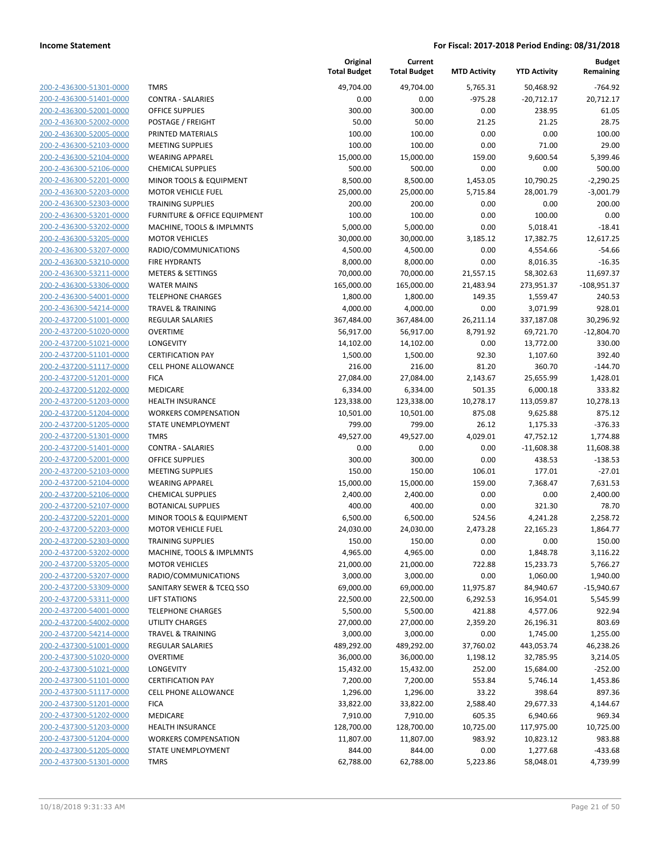**Current**

**Original**

**Budget**

| 200-2-436300-51301-0000        |
|--------------------------------|
| 200-2-436300-51401-0000        |
| 200-2-436300-52001-0000        |
| 200-2-436300-52002-0000        |
| 200-2-436300-52005-0000        |
| 200-2-436300-52103-0000        |
| 200-2-436300-52104-0000        |
| 200-2-436300-52106-0000        |
| 200-2-436300-52201-0000        |
| 200-2-436300-52203-0000        |
| 200-2-436300-52303-0000        |
| 200-2-436300-53201-0000        |
| 200-2-436300-53202-0000        |
| 200-2-436300-53205-0000        |
| 200-2-436300-53207-0000        |
| 200-2-436300-53210-0000        |
| 200-2-436300-53211-0000        |
| 200-2-436300-53306-0000        |
| 200-2-436300-54001-0000        |
| 200-2-436300-54214-0000        |
| 200-2-437200-51001-0000        |
| 200-2-437200-51020-0000        |
| 200-2-437200-51021-0000        |
| 200-2-437200-51101-0000        |
| 200-2-437200-51117-0000        |
| 200-2-437200-51201-0000        |
|                                |
| 200-2-437200-51202-0000        |
| 200-2-437200-51203-0000        |
| 200-2-437200-51204-0000        |
| 200-2-437200-51205-0000        |
| 200-2-437200-51301-0000        |
| 200-2-437200-51401-0000        |
| 200-2-437200-52001-0000        |
| 200-2-437200-52103-0000        |
| 200-2-437200-52104-0000        |
| 200-2-437200-52106-0000        |
| 200-2-437200-52107-0000        |
| 200-2-437200-52201-0000        |
| 200-2-437200-52203-0000        |
| 200-2-437200-52303-0000        |
| 200-2-437200-53202-0000        |
| <u>200-2-437200-53205-0000</u> |
| 200-2-437200-53207-0000        |
| 200-2-437200-53309-0000        |
| 200-2-437200-53311-0000        |
| 200-2-437200-54001-0000        |
| 200-2-437200-54002-0000        |
| 200-2-437200-54214-0000        |
| 200-2-437300-51001-0000        |
| 200-2-437300-51020-0000        |
| 200-2-437300-51021-0000        |
| 200-2-437300-51101-0000        |
| 200-2-437300-51117-0000        |
| <u>200-2-437300-51201-0000</u> |
| 200-2-437300-51202-0000        |
| 200-2-437300-51203-0000        |
| 200-2-437300-51204-0000        |
|                                |
| 200-2-437300-51205-0000        |
| 200-2-437300-51301-0000        |
|                                |

|                         |                              | <b>Total Budget</b> | <b>Total Budget</b> | <b>MTD Activity</b> | <b>YTD Activity</b> | Remaining     |
|-------------------------|------------------------------|---------------------|---------------------|---------------------|---------------------|---------------|
| 200-2-436300-51301-0000 | <b>TMRS</b>                  | 49,704.00           | 49,704.00           | 5,765.31            | 50,468.92           | $-764.92$     |
| 200-2-436300-51401-0000 | <b>CONTRA - SALARIES</b>     | 0.00                | 0.00                | $-975.28$           | $-20,712.17$        | 20,712.17     |
| 200-2-436300-52001-0000 | <b>OFFICE SUPPLIES</b>       | 300.00              | 300.00              | 0.00                | 238.95              | 61.05         |
| 200-2-436300-52002-0000 | POSTAGE / FREIGHT            | 50.00               | 50.00               | 21.25               | 21.25               | 28.75         |
| 200-2-436300-52005-0000 | PRINTED MATERIALS            | 100.00              | 100.00              | 0.00                | 0.00                | 100.00        |
| 200-2-436300-52103-0000 | <b>MEETING SUPPLIES</b>      | 100.00              | 100.00              | 0.00                | 71.00               | 29.00         |
| 200-2-436300-52104-0000 | <b>WEARING APPAREL</b>       | 15,000.00           | 15,000.00           | 159.00              | 9,600.54            | 5,399.46      |
| 200-2-436300-52106-0000 | <b>CHEMICAL SUPPLIES</b>     | 500.00              | 500.00              | 0.00                | 0.00                | 500.00        |
| 200-2-436300-52201-0000 | MINOR TOOLS & EQUIPMENT      | 8,500.00            | 8,500.00            | 1,453.05            | 10,790.25           | $-2,290.25$   |
| 200-2-436300-52203-0000 | <b>MOTOR VEHICLE FUEL</b>    | 25,000.00           | 25,000.00           | 5,715.84            | 28,001.79           | $-3,001.79$   |
| 200-2-436300-52303-0000 | <b>TRAINING SUPPLIES</b>     | 200.00              | 200.00              | 0.00                | 0.00                | 200.00        |
| 200-2-436300-53201-0000 | FURNITURE & OFFICE EQUIPMENT | 100.00              | 100.00              | 0.00                | 100.00              | 0.00          |
| 200-2-436300-53202-0000 | MACHINE, TOOLS & IMPLMNTS    | 5,000.00            | 5,000.00            | 0.00                | 5,018.41            | $-18.41$      |
| 200-2-436300-53205-0000 | <b>MOTOR VEHICLES</b>        | 30,000.00           | 30,000.00           | 3,185.12            | 17,382.75           | 12,617.25     |
| 200-2-436300-53207-0000 | RADIO/COMMUNICATIONS         | 4,500.00            | 4,500.00            | 0.00                | 4,554.66            | $-54.66$      |
| 200-2-436300-53210-0000 | FIRE HYDRANTS                | 8,000.00            | 8,000.00            | 0.00                | 8,016.35            | $-16.35$      |
| 200-2-436300-53211-0000 | <b>METERS &amp; SETTINGS</b> | 70,000.00           | 70,000.00           | 21,557.15           | 58,302.63           | 11,697.37     |
| 200-2-436300-53306-0000 | <b>WATER MAINS</b>           | 165,000.00          | 165,000.00          | 21,483.94           | 273,951.37          | $-108,951.37$ |
| 200-2-436300-54001-0000 | <b>TELEPHONE CHARGES</b>     | 1,800.00            | 1,800.00            | 149.35              | 1,559.47            | 240.53        |
| 200-2-436300-54214-0000 | <b>TRAVEL &amp; TRAINING</b> | 4,000.00            | 4,000.00            | 0.00                | 3,071.99            | 928.01        |
| 200-2-437200-51001-0000 | REGULAR SALARIES             | 367,484.00          | 367,484.00          | 26,211.14           | 337,187.08          | 30,296.92     |
| 200-2-437200-51020-0000 | <b>OVERTIME</b>              | 56,917.00           | 56,917.00           | 8,791.92            | 69,721.70           | $-12,804.70$  |
| 200-2-437200-51021-0000 | LONGEVITY                    | 14,102.00           | 14,102.00           | 0.00                | 13,772.00           | 330.00        |
| 200-2-437200-51101-0000 | <b>CERTIFICATION PAY</b>     | 1,500.00            | 1,500.00            | 92.30               | 1,107.60            | 392.40        |
| 200-2-437200-51117-0000 | CELL PHONE ALLOWANCE         | 216.00              | 216.00              | 81.20               | 360.70              | $-144.70$     |
| 200-2-437200-51201-0000 | <b>FICA</b>                  | 27,084.00           | 27,084.00           | 2,143.67            | 25,655.99           | 1,428.01      |
| 200-2-437200-51202-0000 | MEDICARE                     | 6,334.00            | 6,334.00            | 501.35              | 6,000.18            | 333.82        |
| 200-2-437200-51203-0000 | <b>HEALTH INSURANCE</b>      | 123,338.00          | 123,338.00          | 10,278.17           | 113,059.87          | 10,278.13     |
| 200-2-437200-51204-0000 | <b>WORKERS COMPENSATION</b>  | 10,501.00           | 10,501.00           | 875.08              | 9,625.88            | 875.12        |
| 200-2-437200-51205-0000 | STATE UNEMPLOYMENT           | 799.00              | 799.00              | 26.12               | 1,175.33            | $-376.33$     |
| 200-2-437200-51301-0000 | <b>TMRS</b>                  | 49,527.00           | 49,527.00           | 4,029.01            | 47,752.12           | 1,774.88      |
| 200-2-437200-51401-0000 | <b>CONTRA - SALARIES</b>     | 0.00                | 0.00                | 0.00                | $-11,608.38$        | 11,608.38     |
| 200-2-437200-52001-0000 | <b>OFFICE SUPPLIES</b>       | 300.00              | 300.00              | 0.00                | 438.53              | $-138.53$     |
| 200-2-437200-52103-0000 | <b>MEETING SUPPLIES</b>      | 150.00              | 150.00              | 106.01              | 177.01              | $-27.01$      |
| 200-2-437200-52104-0000 | <b>WEARING APPAREL</b>       | 15,000.00           | 15,000.00           | 159.00              | 7,368.47            | 7,631.53      |
| 200-2-437200-52106-0000 | <b>CHEMICAL SUPPLIES</b>     | 2,400.00            | 2,400.00            | 0.00                | 0.00                | 2,400.00      |
| 200-2-437200-52107-0000 | <b>BOTANICAL SUPPLIES</b>    | 400.00              | 400.00              | 0.00                | 321.30              | 78.70         |
| 200-2-437200-52201-0000 | MINOR TOOLS & EQUIPMENT      | 6,500.00            | 6,500.00            | 524.56              | 4,241.28            | 2,258.72      |
| 200-2-437200-52203-0000 | <b>MOTOR VEHICLE FUEL</b>    | 24,030.00           | 24,030.00           | 2,473.28            | 22,165.23           | 1,864.77      |
| 200-2-437200-52303-0000 | <b>TRAINING SUPPLIES</b>     | 150.00              | 150.00              | 0.00                | 0.00                | 150.00        |
| 200-2-437200-53202-0000 | MACHINE, TOOLS & IMPLMNTS    | 4,965.00            | 4,965.00            | 0.00                | 1,848.78            | 3,116.22      |
| 200-2-437200-53205-0000 | <b>MOTOR VEHICLES</b>        | 21,000.00           | 21,000.00           | 722.88              | 15,233.73           | 5,766.27      |
| 200-2-437200-53207-0000 | RADIO/COMMUNICATIONS         | 3,000.00            | 3,000.00            | 0.00                | 1,060.00            | 1,940.00      |
| 200-2-437200-53309-0000 | SANITARY SEWER & TCEQ SSO    | 69,000.00           | 69,000.00           | 11,975.87           | 84,940.67           | $-15,940.67$  |
| 200-2-437200-53311-0000 | <b>LIFT STATIONS</b>         | 22,500.00           | 22,500.00           | 6,292.53            | 16,954.01           | 5,545.99      |
| 200-2-437200-54001-0000 | <b>TELEPHONE CHARGES</b>     | 5,500.00            | 5,500.00            | 421.88              | 4,577.06            | 922.94        |
| 200-2-437200-54002-0000 | <b>UTILITY CHARGES</b>       | 27,000.00           | 27,000.00           | 2,359.20            | 26,196.31           | 803.69        |
| 200-2-437200-54214-0000 | <b>TRAVEL &amp; TRAINING</b> | 3,000.00            | 3,000.00            | 0.00                | 1,745.00            | 1,255.00      |
| 200-2-437300-51001-0000 | <b>REGULAR SALARIES</b>      | 489,292.00          | 489,292.00          | 37,760.02           | 443,053.74          | 46,238.26     |
| 200-2-437300-51020-0000 | <b>OVERTIME</b>              | 36,000.00           | 36,000.00           | 1,198.12            | 32,785.95           | 3,214.05      |
| 200-2-437300-51021-0000 | LONGEVITY                    | 15,432.00           | 15,432.00           | 252.00              | 15,684.00           | $-252.00$     |
| 200-2-437300-51101-0000 | <b>CERTIFICATION PAY</b>     | 7,200.00            | 7,200.00            | 553.84              | 5,746.14            | 1,453.86      |
| 200-2-437300-51117-0000 | <b>CELL PHONE ALLOWANCE</b>  | 1,296.00            | 1,296.00            | 33.22               | 398.64              | 897.36        |
| 200-2-437300-51201-0000 | <b>FICA</b>                  | 33,822.00           | 33,822.00           | 2,588.40            | 29,677.33           | 4,144.67      |
| 200-2-437300-51202-0000 | MEDICARE                     | 7,910.00            | 7,910.00            | 605.35              | 6,940.66            | 969.34        |
| 200-2-437300-51203-0000 | HEALTH INSURANCE             | 128,700.00          | 128,700.00          | 10,725.00           | 117,975.00          | 10,725.00     |
| 200-2-437300-51204-0000 | <b>WORKERS COMPENSATION</b>  | 11,807.00           | 11,807.00           | 983.92              | 10,823.12           | 983.88        |
| 200-2-437300-51205-0000 | STATE UNEMPLOYMENT           | 844.00              | 844.00              | 0.00                | 1,277.68            | $-433.68$     |
| 200-2-437300-51301-0000 | <b>TMRS</b>                  | 62,788.00           | 62,788.00           | 5,223.86            | 58,048.01           | 4,739.99      |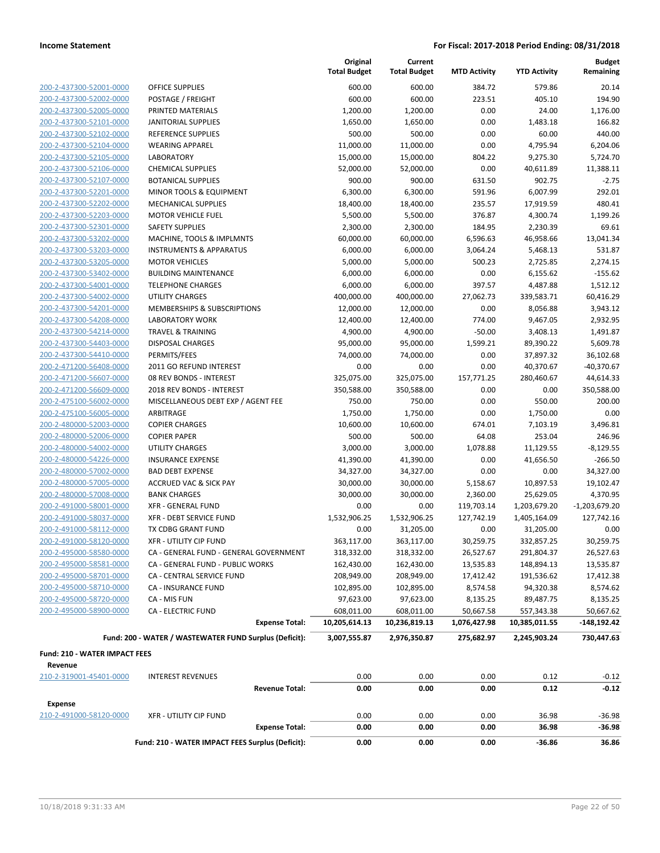|                                      |                                                        | Original<br><b>Total Budget</b> | Current<br><b>Total Budget</b> | <b>MTD Activity</b> | <b>YTD Activity</b> | <b>Budget</b><br>Remaining |
|--------------------------------------|--------------------------------------------------------|---------------------------------|--------------------------------|---------------------|---------------------|----------------------------|
| 200-2-437300-52001-0000              | <b>OFFICE SUPPLIES</b>                                 | 600.00                          | 600.00                         | 384.72              | 579.86              | 20.14                      |
| 200-2-437300-52002-0000              | POSTAGE / FREIGHT                                      | 600.00                          | 600.00                         | 223.51              | 405.10              | 194.90                     |
| 200-2-437300-52005-0000              | PRINTED MATERIALS                                      | 1,200.00                        | 1,200.00                       | 0.00                | 24.00               | 1,176.00                   |
| 200-2-437300-52101-0000              | <b>JANITORIAL SUPPLIES</b>                             | 1,650.00                        | 1,650.00                       | 0.00                | 1,483.18            | 166.82                     |
| 200-2-437300-52102-0000              | REFERENCE SUPPLIES                                     | 500.00                          | 500.00                         | 0.00                | 60.00               | 440.00                     |
| 200-2-437300-52104-0000              | <b>WEARING APPAREL</b>                                 | 11,000.00                       | 11,000.00                      | 0.00                | 4,795.94            | 6,204.06                   |
| 200-2-437300-52105-0000              | <b>LABORATORY</b>                                      | 15,000.00                       | 15,000.00                      | 804.22              | 9,275.30            | 5,724.70                   |
| 200-2-437300-52106-0000              | <b>CHEMICAL SUPPLIES</b>                               | 52,000.00                       | 52,000.00                      | 0.00                | 40,611.89           | 11,388.11                  |
| 200-2-437300-52107-0000              | <b>BOTANICAL SUPPLIES</b>                              | 900.00                          | 900.00                         | 631.50              | 902.75              | $-2.75$                    |
| 200-2-437300-52201-0000              | MINOR TOOLS & EQUIPMENT                                | 6,300.00                        | 6,300.00                       | 591.96              | 6,007.99            | 292.01                     |
| 200-2-437300-52202-0000              | <b>MECHANICAL SUPPLIES</b>                             | 18,400.00                       | 18,400.00                      | 235.57              | 17,919.59           | 480.41                     |
| 200-2-437300-52203-0000              | <b>MOTOR VEHICLE FUEL</b>                              | 5,500.00                        | 5,500.00                       | 376.87              | 4,300.74            | 1,199.26                   |
| 200-2-437300-52301-0000              | <b>SAFETY SUPPLIES</b>                                 | 2,300.00                        | 2,300.00                       | 184.95              | 2,230.39            | 69.61                      |
| 200-2-437300-53202-0000              | MACHINE, TOOLS & IMPLMNTS                              | 60,000.00                       | 60,000.00                      | 6,596.63            | 46,958.66           | 13,041.34                  |
| 200-2-437300-53203-0000              | <b>INSTRUMENTS &amp; APPARATUS</b>                     | 6,000.00                        | 6,000.00                       | 3,064.24            | 5,468.13            | 531.87                     |
| 200-2-437300-53205-0000              | <b>MOTOR VEHICLES</b>                                  | 5,000.00                        | 5,000.00                       | 500.23              | 2,725.85            | 2,274.15                   |
| 200-2-437300-53402-0000              | <b>BUILDING MAINTENANCE</b>                            | 6,000.00                        | 6,000.00                       | 0.00                | 6,155.62            | $-155.62$                  |
| 200-2-437300-54001-0000              | <b>TELEPHONE CHARGES</b>                               | 6,000.00                        | 6,000.00                       | 397.57              | 4,487.88            | 1,512.12                   |
| 200-2-437300-54002-0000              | UTILITY CHARGES                                        | 400,000.00                      | 400,000.00                     | 27,062.73           | 339,583.71          | 60,416.29                  |
| 200-2-437300-54201-0000              | MEMBERSHIPS & SUBSCRIPTIONS                            | 12,000.00                       | 12,000.00                      | 0.00                | 8,056.88            | 3,943.12                   |
| 200-2-437300-54208-0000              | <b>LABORATORY WORK</b>                                 | 12,400.00                       | 12,400.00                      | 774.00              | 9,467.05            | 2,932.95                   |
| 200-2-437300-54214-0000              | <b>TRAVEL &amp; TRAINING</b>                           | 4,900.00                        | 4,900.00                       | $-50.00$            | 3,408.13            | 1,491.87                   |
| 200-2-437300-54403-0000              | <b>DISPOSAL CHARGES</b>                                | 95,000.00                       | 95,000.00                      | 1,599.21            | 89,390.22           | 5,609.78                   |
| 200-2-437300-54410-0000              | PERMITS/FEES                                           | 74,000.00                       | 74,000.00                      | 0.00                | 37,897.32           | 36,102.68                  |
| 200-2-471200-56408-0000              | 2011 GO REFUND INTEREST                                | 0.00                            | 0.00                           | 0.00                | 40,370.67           | $-40,370.67$               |
| 200-2-471200-56607-0000              | 08 REV BONDS - INTEREST                                | 325,075.00                      | 325,075.00                     | 157,771.25          | 280,460.67          | 44,614.33                  |
| 200-2-471200-56609-0000              | 2018 REV BONDS - INTEREST                              | 350,588.00                      | 350,588.00                     | 0.00                | 0.00                | 350,588.00                 |
| 200-2-475100-56002-0000              | MISCELLANEOUS DEBT EXP / AGENT FEE                     | 750.00                          | 750.00                         | 0.00                | 550.00              | 200.00                     |
| 200-2-475100-56005-0000              | ARBITRAGE                                              | 1,750.00                        | 1,750.00                       | 0.00                | 1,750.00            | 0.00                       |
| 200-2-480000-52003-0000              | <b>COPIER CHARGES</b>                                  | 10,600.00                       | 10,600.00                      | 674.01              | 7,103.19            | 3,496.81                   |
| 200-2-480000-52006-0000              | <b>COPIER PAPER</b>                                    | 500.00                          | 500.00                         | 64.08               | 253.04              | 246.96                     |
| 200-2-480000-54002-0000              | <b>UTILITY CHARGES</b>                                 | 3,000.00                        | 3,000.00                       | 1,078.88            | 11,129.55           | $-8,129.55$                |
| 200-2-480000-54226-0000              | <b>INSURANCE EXPENSE</b>                               | 41,390.00                       | 41,390.00                      | 0.00                | 41,656.50           | $-266.50$                  |
| 200-2-480000-57002-0000              | <b>BAD DEBT EXPENSE</b>                                | 34,327.00                       | 34,327.00                      | 0.00                | 0.00                | 34,327.00                  |
| 200-2-480000-57005-0000              | <b>ACCRUED VAC &amp; SICK PAY</b>                      | 30,000.00                       | 30,000.00                      | 5,158.67            | 10,897.53           | 19,102.47                  |
| 200-2-480000-57008-0000              | <b>BANK CHARGES</b>                                    | 30,000.00                       | 30,000.00                      | 2,360.00            | 25,629.05           | 4,370.95                   |
| 200-2-491000-58001-0000              | <b>XFR - GENERAL FUND</b>                              | 0.00                            | 0.00                           | 119,703.14          | 1,203,679.20        | $-1,203,679.20$            |
| 200-2-491000-58037-0000              | <b>XFR - DEBT SERVICE FUND</b>                         | 1,532,906.25                    | 1,532,906.25                   | 127,742.19          | 1,405,164.09        | 127,742.16                 |
| 200-2-491000-58112-0000              | TX CDBG GRANT FUND                                     | 0.00                            | 31,205.00                      | 0.00                | 31,205.00           | 0.00                       |
| 200-2-491000-58120-0000              | <b>XFR - UTILITY CIP FUND</b>                          | 363,117.00                      | 363,117.00                     | 30,259.75           | 332,857.25          | 30,259.75                  |
| 200-2-495000-58580-0000              | CA - GENERAL FUND - GENERAL GOVERNMENT                 | 318,332.00                      | 318,332.00                     | 26,527.67           | 291,804.37          | 26,527.63                  |
| 200-2-495000-58581-0000              | CA - GENERAL FUND - PUBLIC WORKS                       | 162,430.00                      | 162,430.00                     | 13,535.83           | 148,894.13          | 13,535.87                  |
| 200-2-495000-58701-0000              | CA - CENTRAL SERVICE FUND                              | 208,949.00                      | 208,949.00                     | 17,412.42           | 191,536.62          | 17,412.38                  |
| 200-2-495000-58710-0000              | CA - INSURANCE FUND                                    | 102,895.00                      | 102,895.00                     | 8,574.58            | 94,320.38           | 8,574.62                   |
| 200-2-495000-58720-0000              | CA - MIS FUN                                           | 97,623.00                       | 97,623.00                      | 8,135.25            | 89,487.75           | 8,135.25                   |
| 200-2-495000-58900-0000              | <b>CA - ELECTRIC FUND</b>                              | 608,011.00                      | 608,011.00                     | 50,667.58           | 557,343.38          | 50,667.62                  |
|                                      | <b>Expense Total:</b>                                  | 10,205,614.13                   | 10,236,819.13                  | 1,076,427.98        | 10,385,011.55       | -148,192.42                |
|                                      | Fund: 200 - WATER / WASTEWATER FUND Surplus (Deficit): | 3,007,555.87                    | 2,976,350.87                   | 275,682.97          | 2,245,903.24        | 730,447.63                 |
| <b>Fund: 210 - WATER IMPACT FEES</b> |                                                        |                                 |                                |                     |                     |                            |
| Revenue                              |                                                        |                                 |                                |                     |                     |                            |
| 210-2-319001-45401-0000              | <b>INTEREST REVENUES</b>                               | 0.00                            | 0.00                           | 0.00                | 0.12                | $-0.12$                    |
|                                      | <b>Revenue Total:</b>                                  | 0.00                            | 0.00                           | 0.00                | 0.12                | $-0.12$                    |
| Expense                              |                                                        |                                 |                                |                     |                     |                            |
| 210-2-491000-58120-0000              | <b>XFR - UTILITY CIP FUND</b>                          | 0.00                            | 0.00                           | 0.00                | 36.98               | $-36.98$                   |
|                                      | <b>Expense Total:</b>                                  | 0.00                            | 0.00                           | 0.00                | 36.98               | $-36.98$                   |
|                                      | Fund: 210 - WATER IMPACT FEES Surplus (Deficit):       | 0.00                            | 0.00                           | 0.00                | -36.86              | 36.86                      |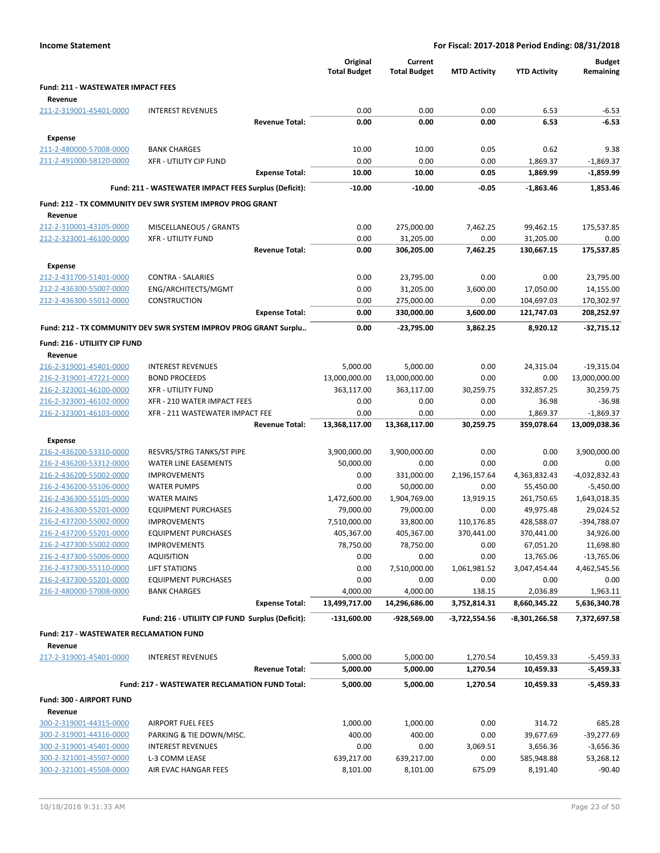|                                                      |                                                                  |                       | Original<br><b>Total Budget</b> | Current<br><b>Total Budget</b> | <b>MTD Activity</b> | <b>YTD Activity</b>     | <b>Budget</b><br>Remaining |
|------------------------------------------------------|------------------------------------------------------------------|-----------------------|---------------------------------|--------------------------------|---------------------|-------------------------|----------------------------|
| <b>Fund: 211 - WASTEWATER IMPACT FEES</b><br>Revenue |                                                                  |                       |                                 |                                |                     |                         |                            |
| 211-2-319001-45401-0000                              | <b>INTEREST REVENUES</b>                                         |                       | 0.00                            | 0.00                           | 0.00                | 6.53                    | $-6.53$                    |
|                                                      |                                                                  | <b>Revenue Total:</b> | 0.00                            | 0.00                           | 0.00                | 6.53                    | $-6.53$                    |
| Expense                                              |                                                                  |                       |                                 |                                |                     |                         |                            |
| 211-2-480000-57008-0000                              | <b>BANK CHARGES</b>                                              |                       | 10.00                           | 10.00                          | 0.05                | 0.62                    | 9.38                       |
| 211-2-491000-58120-0000                              | <b>XFR - UTILITY CIP FUND</b>                                    |                       | 0.00                            | 0.00                           | 0.00                | 1,869.37                | $-1,869.37$                |
|                                                      |                                                                  | <b>Expense Total:</b> | 10.00                           | 10.00                          | 0.05                | 1,869.99                | $-1,859.99$                |
|                                                      | Fund: 211 - WASTEWATER IMPACT FEES Surplus (Deficit):            |                       | $-10.00$                        | $-10.00$                       | $-0.05$             | -1,863.46               | 1,853.46                   |
|                                                      | Fund: 212 - TX COMMUNITY DEV SWR SYSTEM IMPROV PROG GRANT        |                       |                                 |                                |                     |                         |                            |
| Revenue                                              |                                                                  |                       |                                 |                                |                     |                         |                            |
| 212-2-310001-43105-0000                              | MISCELLANEOUS / GRANTS                                           |                       | 0.00                            | 275,000.00                     | 7,462.25            | 99,462.15               | 175,537.85                 |
| 212-2-323001-46100-0000                              | <b>XFR - UTILITY FUND</b>                                        |                       | 0.00                            | 31,205.00                      | 0.00                | 31,205.00               | 0.00                       |
|                                                      |                                                                  | <b>Revenue Total:</b> | 0.00                            | 306,205.00                     | 7,462.25            | 130,667.15              | 175,537.85                 |
| <b>Expense</b>                                       |                                                                  |                       |                                 |                                |                     |                         |                            |
| 212-2-431700-51401-0000<br>212-2-436300-55007-0000   | <b>CONTRA - SALARIES</b>                                         |                       | 0.00                            | 23,795.00                      | 0.00                | 0.00                    | 23,795.00                  |
| 212-2-436300-55012-0000                              | ENG/ARCHITECTS/MGMT<br>CONSTRUCTION                              |                       | 0.00<br>0.00                    | 31,205.00<br>275,000.00        | 3,600.00<br>0.00    | 17,050.00<br>104,697.03 | 14,155.00<br>170,302.97    |
|                                                      |                                                                  | <b>Expense Total:</b> | 0.00                            | 330,000.00                     | 3,600.00            | 121,747.03              | 208,252.97                 |
|                                                      | Fund: 212 - TX COMMUNITY DEV SWR SYSTEM IMPROV PROG GRANT Surplu |                       | 0.00                            | -23,795.00                     | 3,862.25            | 8,920.12                | $-32,715.12$               |
| Fund: 216 - UTILIITY CIP FUND                        |                                                                  |                       |                                 |                                |                     |                         |                            |
| Revenue                                              |                                                                  |                       |                                 |                                |                     |                         |                            |
| 216-2-319001-45401-0000                              | <b>INTEREST REVENUES</b>                                         |                       | 5,000.00                        | 5,000.00                       | 0.00                | 24,315.04               | $-19,315.04$               |
| 216-2-319001-47221-0000                              | <b>BOND PROCEEDS</b>                                             |                       | 13,000,000.00                   | 13,000,000.00                  | 0.00                | 0.00                    | 13,000,000.00              |
| 216-2-323001-46100-0000                              | <b>XFR - UTILITY FUND</b>                                        |                       | 363,117.00                      | 363,117.00                     | 30,259.75           | 332,857.25              | 30,259.75                  |
| 216-2-323001-46102-0000                              | XFR - 210 WATER IMPACT FEES                                      |                       | 0.00                            | 0.00                           | 0.00                | 36.98                   | $-36.98$                   |
| 216-2-323001-46103-0000                              | XFR - 211 WASTEWATER IMPACT FEE                                  |                       | 0.00                            | 0.00                           | 0.00                | 1,869.37                | $-1,869.37$                |
|                                                      |                                                                  | <b>Revenue Total:</b> | 13,368,117.00                   | 13,368,117.00                  | 30,259.75           | 359,078.64              | 13,009,038.36              |
| Expense                                              |                                                                  |                       |                                 |                                |                     |                         |                            |
| 216-2-436200-53310-0000                              | RESVRS/STRG TANKS/ST PIPE                                        |                       | 3,900,000.00                    | 3,900,000.00                   | 0.00                | 0.00                    | 3,900,000.00               |
| 216-2-436200-53312-0000                              | <b>WATER LINE EASEMENTS</b>                                      |                       | 50,000.00                       | 0.00                           | 0.00                | 0.00                    | 0.00                       |
| 216-2-436200-55002-0000                              | <b>IMPROVEMENTS</b>                                              |                       | 0.00                            | 331,000.00                     | 2,196,157.64        | 4,363,832.43            | -4,032,832.43              |
| 216-2-436200-55106-0000                              | <b>WATER PUMPS</b>                                               |                       | 0.00                            | 50,000.00                      | 0.00                | 55,450.00               | $-5,450.00$                |
| 216-2-436300-55105-0000<br>216-2-436300-55201-0000   | <b>WATER MAINS</b><br><b>EQUIPMENT PURCHASES</b>                 |                       | 1,472,600.00<br>79,000.00       | 1,904,769.00                   | 13,919.15<br>0.00   | 261,750.65              | 1,643,018.35<br>29,024.52  |
| 216-2-437200-55002-0000                              | <b>IMPROVEMENTS</b>                                              |                       | 7,510,000.00                    | 79,000.00<br>33,800.00         | 110,176.85          | 49,975.48<br>428,588.07 | -394,788.07                |
| 216-2-437200-55201-0000                              | <b>EQUIPMENT PURCHASES</b>                                       |                       | 405,367.00                      | 405,367.00                     | 370,441.00          | 370,441.00              | 34,926.00                  |
| 216-2-437300-55002-0000                              | <b>IMPROVEMENTS</b>                                              |                       | 78,750.00                       | 78,750.00                      | 0.00                | 67,051.20               | 11,698.80                  |
| 216-2-437300-55006-0000                              | <b>AQUISITION</b>                                                |                       | 0.00                            | 0.00                           | 0.00                | 13,765.06               | $-13,765.06$               |
| 216-2-437300-55110-0000                              | LIFT STATIONS                                                    |                       | 0.00                            | 7,510,000.00                   | 1,061,981.52        | 3,047,454.44            | 4,462,545.56               |
| 216-2-437300-55201-0000                              | <b>EQUIPMENT PURCHASES</b>                                       |                       | 0.00                            | 0.00                           | 0.00                | 0.00                    | 0.00                       |
| 216-2-480000-57008-0000                              | <b>BANK CHARGES</b>                                              |                       | 4,000.00                        | 4,000.00                       | 138.15              | 2,036.89                | 1,963.11                   |
|                                                      |                                                                  | <b>Expense Total:</b> | 13,499,717.00                   | 14,296,686.00                  | 3,752,814.31        | 8,660,345.22            | 5,636,340.78               |
|                                                      | Fund: 216 - UTILIITY CIP FUND Surplus (Deficit):                 |                       | $-131,600.00$                   | -928,569.00                    | -3,722,554.56       | -8,301,266.58           | 7,372,697.58               |
| <b>Fund: 217 - WASTEWATER RECLAMATION FUND</b>       |                                                                  |                       |                                 |                                |                     |                         |                            |
| Revenue<br>217-2-319001-45401-0000                   | <b>INTEREST REVENUES</b>                                         |                       | 5,000.00                        | 5,000.00                       | 1,270.54            | 10,459.33               | $-5,459.33$                |
|                                                      |                                                                  | <b>Revenue Total:</b> | 5,000.00                        | 5,000.00                       | 1,270.54            | 10,459.33               | $-5,459.33$                |
|                                                      | Fund: 217 - WASTEWATER RECLAMATION FUND Total:                   |                       | 5,000.00                        | 5,000.00                       | 1,270.54            | 10,459.33               | $-5,459.33$                |
| Fund: 300 - AIRPORT FUND                             |                                                                  |                       |                                 |                                |                     |                         |                            |
| Revenue                                              |                                                                  |                       |                                 |                                |                     |                         |                            |
| 300-2-319001-44315-0000                              | <b>AIRPORT FUEL FEES</b>                                         |                       | 1,000.00                        | 1,000.00                       | 0.00                | 314.72                  | 685.28                     |
| 300-2-319001-44316-0000                              | PARKING & TIE DOWN/MISC.                                         |                       | 400.00                          | 400.00                         | 0.00                | 39,677.69               | $-39,277.69$               |
| 300-2-319001-45401-0000                              | <b>INTEREST REVENUES</b>                                         |                       | 0.00                            | 0.00                           | 3,069.51            | 3,656.36                | $-3,656.36$                |
| 300-2-321001-45507-0000                              | L-3 COMM LEASE                                                   |                       | 639,217.00                      | 639,217.00                     | 0.00                | 585,948.88              | 53,268.12                  |
| 300-2-321001-45508-0000                              | AIR EVAC HANGAR FEES                                             |                       | 8,101.00                        | 8,101.00                       | 675.09              | 8,191.40                | $-90.40$                   |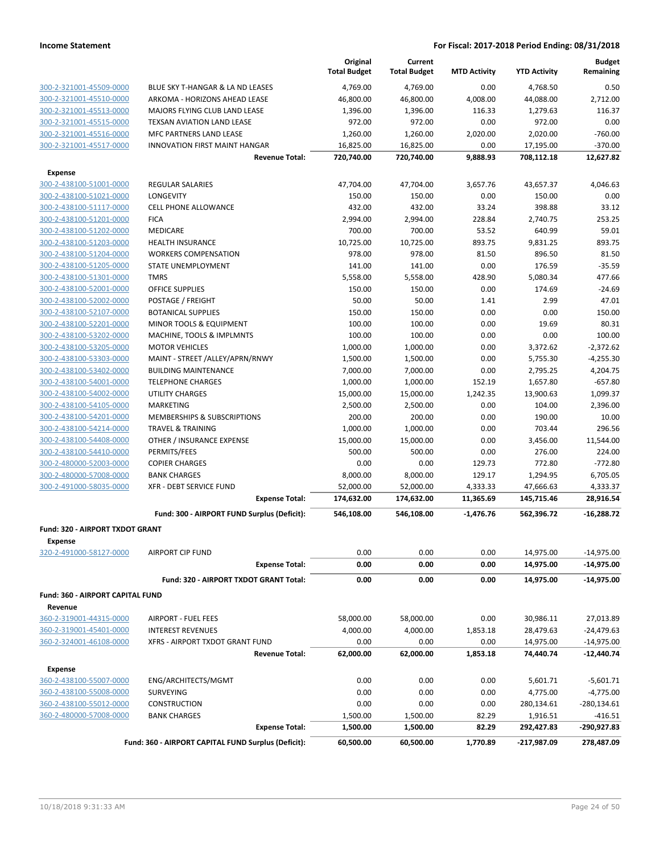|                                            |                                                     | Original<br><b>Total Budget</b> | Current<br><b>Total Budget</b> | <b>MTD Activity</b> | <b>YTD Activity</b> | <b>Budget</b><br>Remaining |
|--------------------------------------------|-----------------------------------------------------|---------------------------------|--------------------------------|---------------------|---------------------|----------------------------|
| 300-2-321001-45509-0000                    | BLUE SKY T-HANGAR & LA ND LEASES                    | 4,769.00                        | 4,769.00                       | 0.00                | 4,768.50            | 0.50                       |
| 300-2-321001-45510-0000                    | ARKOMA - HORIZONS AHEAD LEASE                       | 46,800.00                       | 46,800.00                      | 4,008.00            | 44,088.00           | 2,712.00                   |
| 300-2-321001-45513-0000                    | MAJORS FLYING CLUB LAND LEASE                       | 1,396.00                        | 1,396.00                       | 116.33              | 1,279.63            | 116.37                     |
| 300-2-321001-45515-0000                    | TEXSAN AVIATION LAND LEASE                          | 972.00                          | 972.00                         | 0.00                | 972.00              | 0.00                       |
| 300-2-321001-45516-0000                    | <b>MFC PARTNERS LAND LEASE</b>                      | 1,260.00                        | 1,260.00                       | 2,020.00            | 2,020.00            | $-760.00$                  |
| 300-2-321001-45517-0000                    | <b>INNOVATION FIRST MAINT HANGAR</b>                | 16,825.00                       | 16,825.00                      | 0.00                | 17,195.00           | $-370.00$                  |
|                                            | <b>Revenue Total:</b>                               | 720,740.00                      | 720,740.00                     | 9,888.93            | 708,112.18          | 12,627.82                  |
| <b>Expense</b>                             |                                                     |                                 |                                |                     |                     |                            |
| 300-2-438100-51001-0000                    | <b>REGULAR SALARIES</b>                             | 47,704.00                       | 47,704.00                      | 3,657.76            | 43,657.37           | 4,046.63                   |
| 300-2-438100-51021-0000                    | <b>LONGEVITY</b>                                    | 150.00                          | 150.00                         | 0.00                | 150.00              | 0.00                       |
| 300-2-438100-51117-0000                    | <b>CELL PHONE ALLOWANCE</b>                         | 432.00                          | 432.00                         | 33.24               | 398.88              | 33.12                      |
| 300-2-438100-51201-0000                    | <b>FICA</b>                                         | 2,994.00                        | 2,994.00                       | 228.84              | 2,740.75            | 253.25                     |
| 300-2-438100-51202-0000                    | <b>MEDICARE</b>                                     | 700.00                          | 700.00                         | 53.52               | 640.99              | 59.01                      |
| 300-2-438100-51203-0000                    | <b>HEALTH INSURANCE</b>                             | 10,725.00                       | 10,725.00                      | 893.75              | 9,831.25            | 893.75                     |
| 300-2-438100-51204-0000                    | <b>WORKERS COMPENSATION</b>                         | 978.00                          | 978.00                         | 81.50               | 896.50              | 81.50                      |
| 300-2-438100-51205-0000                    | <b>STATE UNEMPLOYMENT</b>                           | 141.00                          | 141.00                         | 0.00                | 176.59              | $-35.59$                   |
| 300-2-438100-51301-0000                    | <b>TMRS</b>                                         | 5,558.00                        | 5,558.00                       | 428.90              | 5,080.34            | 477.66                     |
| 300-2-438100-52001-0000                    | <b>OFFICE SUPPLIES</b>                              | 150.00                          | 150.00                         | 0.00                | 174.69              | $-24.69$                   |
| 300-2-438100-52002-0000                    | POSTAGE / FREIGHT                                   | 50.00                           | 50.00                          | 1.41                | 2.99                | 47.01                      |
| 300-2-438100-52107-0000                    | <b>BOTANICAL SUPPLIES</b>                           | 150.00                          | 150.00                         | 0.00                | 0.00                | 150.00                     |
| 300-2-438100-52201-0000                    | <b>MINOR TOOLS &amp; EQUIPMENT</b>                  | 100.00                          | 100.00                         | 0.00                | 19.69               | 80.31                      |
| 300-2-438100-53202-0000                    | MACHINE, TOOLS & IMPLMNTS                           | 100.00                          | 100.00                         | 0.00                | 0.00                | 100.00                     |
| 300-2-438100-53205-0000                    | <b>MOTOR VEHICLES</b>                               | 1,000.00                        | 1,000.00                       | 0.00                | 3,372.62            | $-2,372.62$                |
| 300-2-438100-53303-0000                    | MAINT - STREET /ALLEY/APRN/RNWY                     | 1,500.00                        | 1,500.00                       | 0.00                | 5,755.30            | $-4,255.30$                |
| 300-2-438100-53402-0000                    | <b>BUILDING MAINTENANCE</b>                         | 7,000.00                        | 7,000.00                       | 0.00                | 2,795.25            | 4,204.75                   |
| 300-2-438100-54001-0000                    | <b>TELEPHONE CHARGES</b>                            | 1,000.00                        | 1,000.00                       | 152.19              | 1,657.80            | $-657.80$                  |
| 300-2-438100-54002-0000                    | UTILITY CHARGES                                     | 15,000.00                       | 15,000.00                      | 1,242.35            | 13,900.63           | 1,099.37                   |
| 300-2-438100-54105-0000                    | MARKETING                                           | 2,500.00                        | 2,500.00                       | 0.00                | 104.00              | 2,396.00                   |
| 300-2-438100-54201-0000                    | <b>MEMBERSHIPS &amp; SUBSCRIPTIONS</b>              | 200.00                          | 200.00                         | 0.00                | 190.00              | 10.00                      |
| 300-2-438100-54214-0000                    | <b>TRAVEL &amp; TRAINING</b>                        | 1,000.00                        | 1,000.00                       | 0.00                | 703.44              | 296.56                     |
| 300-2-438100-54408-0000                    | OTHER / INSURANCE EXPENSE                           | 15,000.00                       | 15,000.00                      | 0.00                | 3,456.00            | 11,544.00                  |
| 300-2-438100-54410-0000                    | PERMITS/FEES                                        | 500.00                          | 500.00                         | 0.00                | 276.00              | 224.00                     |
| 300-2-480000-52003-0000                    | <b>COPIER CHARGES</b>                               | 0.00                            | 0.00                           | 129.73              | 772.80              | $-772.80$                  |
| 300-2-480000-57008-0000                    | <b>BANK CHARGES</b>                                 | 8,000.00                        | 8,000.00                       | 129.17              | 1,294.95            | 6,705.05                   |
| 300-2-491000-58035-0000                    | <b>XFR - DEBT SERVICE FUND</b>                      | 52,000.00                       | 52,000.00                      | 4,333.33            | 47,666.63           | 4,333.37                   |
|                                            | <b>Expense Total:</b>                               | 174,632.00                      | 174,632.00                     | 11,365.69           | 145,715.46          | 28,916.54                  |
|                                            | Fund: 300 - AIRPORT FUND Surplus (Deficit):         | 546,108.00                      | 546,108.00                     | $-1,476.76$         | 562,396.72          | $-16,288.72$               |
| Fund: 320 - AIRPORT TXDOT GRANT<br>Expense |                                                     |                                 |                                |                     |                     |                            |
| 320-2-491000-58127-0000                    | <b>AIRPORT CIP FUND</b>                             | 0.00                            | 0.00                           | 0.00                | 14,975.00           | $-14,975.00$               |
|                                            | <b>Expense Total:</b>                               | 0.00                            | 0.00                           | 0.00                | 14,975.00           | $-14,975.00$               |
|                                            | Fund: 320 - AIRPORT TXDOT GRANT Total:              | 0.00                            | 0.00                           | 0.00                | 14,975.00           | $-14,975.00$               |
| <b>Fund: 360 - AIRPORT CAPITAL FUND</b>    |                                                     |                                 |                                |                     |                     |                            |
| Revenue                                    |                                                     |                                 |                                |                     |                     |                            |
| 360-2-319001-44315-0000                    | <b>AIRPORT - FUEL FEES</b>                          | 58,000.00                       | 58,000.00                      | 0.00                | 30,986.11           | 27,013.89                  |
| 360-2-319001-45401-0000                    | <b>INTEREST REVENUES</b>                            | 4,000.00                        | 4,000.00                       | 1,853.18            | 28,479.63           | $-24,479.63$               |
| 360-2-324001-46108-0000                    | XFRS - AIRPORT TXDOT GRANT FUND                     | 0.00                            | 0.00                           | 0.00                | 14,975.00           | $-14,975.00$               |
|                                            | <b>Revenue Total:</b>                               | 62,000.00                       | 62,000.00                      | 1,853.18            | 74,440.74           | $-12,440.74$               |
| <b>Expense</b>                             |                                                     |                                 |                                |                     |                     |                            |
| 360-2-438100-55007-0000                    | ENG/ARCHITECTS/MGMT                                 | 0.00                            | 0.00                           | 0.00                | 5,601.71            | $-5,601.71$                |
| 360-2-438100-55008-0000                    | <b>SURVEYING</b>                                    | 0.00                            | 0.00                           | 0.00                | 4,775.00            | $-4,775.00$                |
| 360-2-438100-55012-0000                    | CONSTRUCTION                                        | 0.00                            | 0.00                           | 0.00                | 280,134.61          | $-280,134.61$              |
| 360-2-480000-57008-0000                    | <b>BANK CHARGES</b>                                 | 1,500.00                        | 1,500.00                       | 82.29               | 1,916.51            | $-416.51$                  |
|                                            | <b>Expense Total:</b>                               | 1,500.00                        | 1,500.00                       | 82.29               | 292,427.83          | -290,927.83                |
|                                            | Fund: 360 - AIRPORT CAPITAL FUND Surplus (Deficit): | 60,500.00                       | 60,500.00                      | 1,770.89            | -217,987.09         | 278,487.09                 |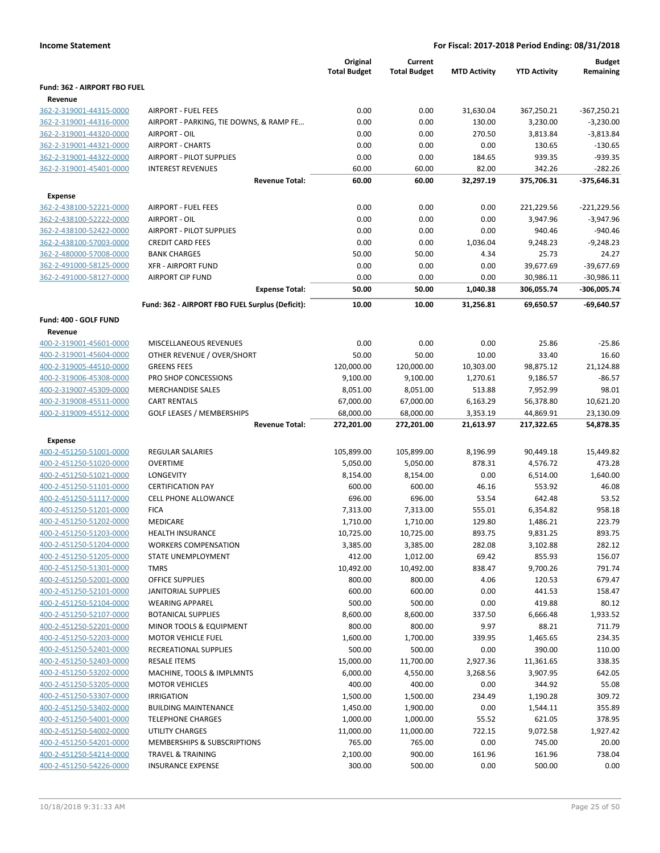|                                                    |                                                 | Original<br><b>Total Budget</b> | Current<br><b>Total Budget</b> | <b>MTD Activity</b> | <b>YTD Activity</b>  | <b>Budget</b><br>Remaining |
|----------------------------------------------------|-------------------------------------------------|---------------------------------|--------------------------------|---------------------|----------------------|----------------------------|
| Fund: 362 - AIRPORT FBO FUEL                       |                                                 |                                 |                                |                     |                      |                            |
| Revenue                                            |                                                 |                                 |                                |                     |                      |                            |
| 362-2-319001-44315-0000                            | <b>AIRPORT - FUEL FEES</b>                      | 0.00                            | 0.00                           | 31,630.04           | 367,250.21           | $-367,250.21$              |
| 362-2-319001-44316-0000                            | AIRPORT - PARKING, TIE DOWNS, & RAMP FE         | 0.00                            | 0.00                           | 130.00              | 3,230.00             | $-3,230.00$                |
| 362-2-319001-44320-0000                            | AIRPORT - OIL                                   | 0.00                            | 0.00                           | 270.50              | 3,813.84             | $-3,813.84$                |
| 362-2-319001-44321-0000                            | <b>AIRPORT - CHARTS</b>                         | 0.00                            | 0.00                           | 0.00                | 130.65               | $-130.65$                  |
| 362-2-319001-44322-0000                            | <b>AIRPORT - PILOT SUPPLIES</b>                 | 0.00                            | 0.00                           | 184.65              | 939.35               | $-939.35$                  |
| 362-2-319001-45401-0000                            | <b>INTEREST REVENUES</b>                        | 60.00                           | 60.00                          | 82.00               | 342.26               | $-282.26$                  |
|                                                    | <b>Revenue Total:</b>                           | 60.00                           | 60.00                          | 32,297.19           | 375,706.31           | $-375,646.31$              |
| <b>Expense</b>                                     |                                                 |                                 |                                |                     |                      |                            |
| 362-2-438100-52221-0000                            | <b>AIRPORT - FUEL FEES</b>                      | 0.00                            | 0.00                           | 0.00                | 221,229.56           | $-221,229.56$              |
| 362-2-438100-52222-0000                            | AIRPORT - OIL                                   | 0.00                            | 0.00                           | 0.00                | 3,947.96             | $-3,947.96$                |
| 362-2-438100-52422-0000                            | <b>AIRPORT - PILOT SUPPLIES</b>                 | 0.00                            | 0.00                           | 0.00                | 940.46               | $-940.46$                  |
| 362-2-438100-57003-0000                            | <b>CREDIT CARD FEES</b>                         | 0.00                            | 0.00                           | 1,036.04            | 9,248.23             | $-9,248.23$                |
| 362-2-480000-57008-0000                            | <b>BANK CHARGES</b>                             | 50.00                           | 50.00                          | 4.34                | 25.73                | 24.27                      |
| 362-2-491000-58125-0000                            | <b>XFR - AIRPORT FUND</b>                       | 0.00                            | 0.00                           | 0.00                | 39,677.69            | $-39,677.69$               |
| 362-2-491000-58127-0000                            | <b>AIRPORT CIP FUND</b>                         | 0.00                            | 0.00                           | 0.00                | 30,986.11            | $-30,986.11$               |
|                                                    | <b>Expense Total:</b>                           | 50.00                           | 50.00                          | 1,040.38            | 306,055.74           | -306,005.74                |
|                                                    | Fund: 362 - AIRPORT FBO FUEL Surplus (Deficit): | 10.00                           | 10.00                          | 31,256.81           | 69,650.57            | $-69,640.57$               |
|                                                    |                                                 |                                 |                                |                     |                      |                            |
| Fund: 400 - GOLF FUND<br>Revenue                   |                                                 |                                 |                                |                     |                      |                            |
| 400-2-319001-45601-0000                            | MISCELLANEOUS REVENUES                          | 0.00                            | 0.00                           | 0.00                | 25.86                | $-25.86$                   |
| 400-2-319001-45604-0000                            | OTHER REVENUE / OVER/SHORT                      | 50.00                           | 50.00                          | 10.00               | 33.40                | 16.60                      |
| 400-2-319005-44510-0000                            | <b>GREENS FEES</b>                              | 120,000.00                      | 120,000.00                     | 10,303.00           | 98,875.12            | 21,124.88                  |
| 400-2-319006-45308-0000                            | PRO SHOP CONCESSIONS                            | 9,100.00                        | 9,100.00                       | 1,270.61            | 9,186.57             | $-86.57$                   |
| 400-2-319007-45309-0000                            | <b>MERCHANDISE SALES</b>                        | 8,051.00                        | 8,051.00                       | 513.88              | 7,952.99             | 98.01                      |
| 400-2-319008-45511-0000                            | <b>CART RENTALS</b>                             | 67,000.00                       | 67,000.00                      | 6,163.29            | 56,378.80            | 10,621.20                  |
| 400-2-319009-45512-0000                            | <b>GOLF LEASES / MEMBERSHIPS</b>                | 68,000.00                       | 68,000.00                      | 3,353.19            | 44,869.91            | 23,130.09                  |
|                                                    | <b>Revenue Total:</b>                           | 272,201.00                      | 272,201.00                     | 21,613.97           | 217,322.65           | 54,878.35                  |
|                                                    |                                                 |                                 |                                |                     |                      |                            |
| <b>Expense</b>                                     |                                                 |                                 |                                |                     |                      |                            |
| 400-2-451250-51001-0000                            | <b>REGULAR SALARIES</b>                         | 105,899.00                      | 105,899.00                     | 8,196.99            | 90,449.18            | 15,449.82                  |
| 400-2-451250-51020-0000                            | <b>OVERTIME</b>                                 | 5,050.00                        | 5,050.00                       | 878.31              | 4,576.72             | 473.28                     |
| 400-2-451250-51021-0000                            | LONGEVITY                                       | 8,154.00                        | 8,154.00                       | 0.00                | 6,514.00             | 1,640.00                   |
| 400-2-451250-51101-0000                            | <b>CERTIFICATION PAY</b>                        | 600.00                          | 600.00                         | 46.16               | 553.92               | 46.08                      |
| 400-2-451250-51117-0000<br>400-2-451250-51201-0000 | <b>CELL PHONE ALLOWANCE</b><br><b>FICA</b>      | 696.00<br>7,313.00              | 696.00                         | 53.54<br>555.01     | 642.48<br>6,354.82   | 53.52                      |
| 400-2-451250-51202-0000                            | <b>MEDICARE</b>                                 | 1,710.00                        | 7,313.00<br>1,710.00           | 129.80              |                      | 958.18<br>223.79           |
| 400-2-451250-51203-0000                            | <b>HEALTH INSURANCE</b>                         | 10,725.00                       | 10,725.00                      | 893.75              | 1,486.21<br>9,831.25 | 893.75                     |
| 400-2-451250-51204-0000                            | <b>WORKERS COMPENSATION</b>                     | 3,385.00                        | 3,385.00                       | 282.08              | 3,102.88             | 282.12                     |
| 400-2-451250-51205-0000                            | STATE UNEMPLOYMENT                              | 412.00                          | 1,012.00                       | 69.42               | 855.93               | 156.07                     |
| 400-2-451250-51301-0000                            | <b>TMRS</b>                                     | 10,492.00                       | 10,492.00                      | 838.47              | 9,700.26             | 791.74                     |
| 400-2-451250-52001-0000                            | OFFICE SUPPLIES                                 | 800.00                          | 800.00                         | 4.06                | 120.53               | 679.47                     |
| 400-2-451250-52101-0000                            | <b>JANITORIAL SUPPLIES</b>                      | 600.00                          | 600.00                         | 0.00                | 441.53               | 158.47                     |
| 400-2-451250-52104-0000                            | <b>WEARING APPAREL</b>                          | 500.00                          | 500.00                         | 0.00                | 419.88               | 80.12                      |
| 400-2-451250-52107-0000                            | <b>BOTANICAL SUPPLIES</b>                       | 8,600.00                        | 8,600.00                       | 337.50              | 6,666.48             | 1,933.52                   |
| 400-2-451250-52201-0000                            | MINOR TOOLS & EQUIPMENT                         | 800.00                          | 800.00                         | 9.97                | 88.21                | 711.79                     |
| 400-2-451250-52203-0000                            | <b>MOTOR VEHICLE FUEL</b>                       | 1,600.00                        | 1,700.00                       | 339.95              | 1,465.65             | 234.35                     |
| 400-2-451250-52401-0000                            | RECREATIONAL SUPPLIES                           | 500.00                          | 500.00                         | 0.00                | 390.00               | 110.00                     |
| 400-2-451250-52403-0000                            | <b>RESALE ITEMS</b>                             | 15,000.00                       | 11,700.00                      | 2,927.36            | 11,361.65            | 338.35                     |
| 400-2-451250-53202-0000                            | MACHINE, TOOLS & IMPLMNTS                       | 6,000.00                        | 4,550.00                       | 3,268.56            | 3,907.95             | 642.05                     |
| 400-2-451250-53205-0000                            | <b>MOTOR VEHICLES</b>                           | 400.00                          | 400.00                         | 0.00                | 344.92               | 55.08                      |
| 400-2-451250-53307-0000                            | <b>IRRIGATION</b>                               | 1,500.00                        | 1,500.00                       | 234.49              | 1,190.28             | 309.72                     |
| 400-2-451250-53402-0000                            | <b>BUILDING MAINTENANCE</b>                     | 1,450.00                        | 1,900.00                       | 0.00                | 1,544.11             | 355.89                     |
| 400-2-451250-54001-0000                            | <b>TELEPHONE CHARGES</b>                        | 1,000.00                        | 1,000.00                       | 55.52               | 621.05               | 378.95                     |
| 400-2-451250-54002-0000                            | UTILITY CHARGES                                 | 11,000.00                       | 11,000.00                      | 722.15              | 9,072.58             | 1,927.42                   |
| 400-2-451250-54201-0000                            | MEMBERSHIPS & SUBSCRIPTIONS                     | 765.00                          | 765.00                         | 0.00                | 745.00               | 20.00                      |
| 400-2-451250-54214-0000                            | TRAVEL & TRAINING                               | 2,100.00                        | 900.00                         | 161.96              | 161.96               | 738.04                     |
| 400-2-451250-54226-0000                            | <b>INSURANCE EXPENSE</b>                        | 300.00                          | 500.00                         | 0.00                | 500.00               | 0.00                       |
|                                                    |                                                 |                                 |                                |                     |                      |                            |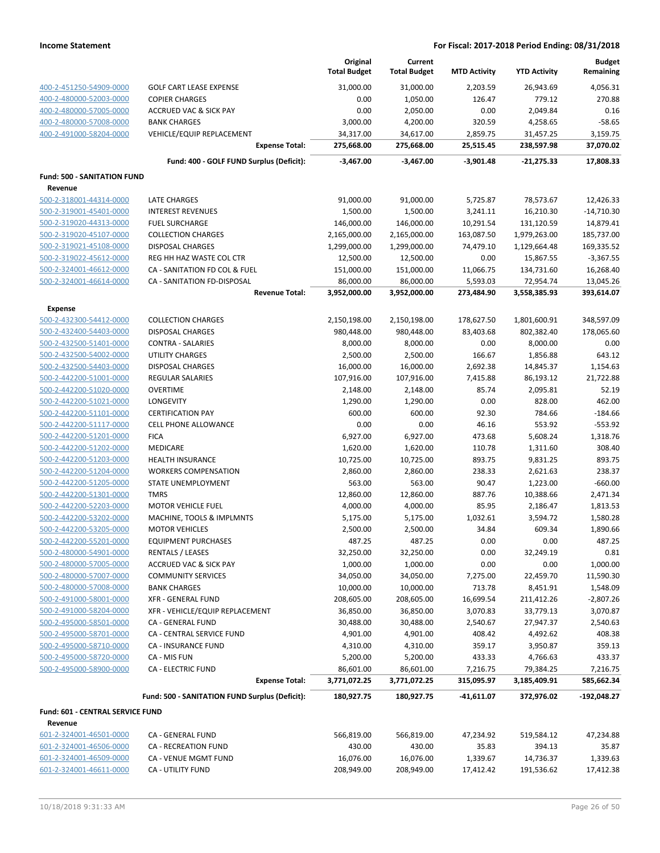|                                                    |                                                      | Original<br><b>Total Budget</b> | Current<br><b>Total Budget</b> | <b>MTD Activity</b>     | <b>YTD Activity</b>          | <b>Budget</b><br>Remaining |
|----------------------------------------------------|------------------------------------------------------|---------------------------------|--------------------------------|-------------------------|------------------------------|----------------------------|
| 400-2-451250-54909-0000                            | <b>GOLF CART LEASE EXPENSE</b>                       | 31,000.00                       | 31,000.00                      | 2,203.59                | 26,943.69                    | 4.056.31                   |
| 400-2-480000-52003-0000                            | <b>COPIER CHARGES</b>                                | 0.00                            | 1,050.00                       | 126.47                  | 779.12                       | 270.88                     |
| 400-2-480000-57005-0000                            | <b>ACCRUED VAC &amp; SICK PAY</b>                    | 0.00                            | 2,050.00                       | 0.00                    | 2,049.84                     | 0.16                       |
| 400-2-480000-57008-0000                            | <b>BANK CHARGES</b>                                  | 3,000.00                        | 4,200.00                       | 320.59                  | 4,258.65                     | $-58.65$                   |
| 400-2-491000-58204-0000                            | <b>VEHICLE/EQUIP REPLACEMENT</b>                     | 34,317.00                       | 34,617.00                      | 2,859.75                | 31,457.25                    | 3,159.75                   |
|                                                    | <b>Expense Total:</b>                                | 275,668.00                      | 275,668.00                     | 25,515.45               | 238,597.98                   | 37,070.02                  |
|                                                    | Fund: 400 - GOLF FUND Surplus (Deficit):             | $-3,467.00$                     | $-3,467.00$                    | -3,901.48               | -21,275.33                   | 17,808.33                  |
| <b>Fund: 500 - SANITATION FUND</b>                 |                                                      |                                 |                                |                         |                              |                            |
| Revenue                                            |                                                      |                                 |                                |                         |                              |                            |
| 500-2-318001-44314-0000                            | <b>LATE CHARGES</b>                                  | 91,000.00                       | 91,000.00                      | 5,725.87                | 78,573.67                    | 12,426.33                  |
| 500-2-319001-45401-0000                            | <b>INTEREST REVENUES</b>                             | 1,500.00                        | 1,500.00                       | 3,241.11                | 16,210.30                    | $-14,710.30$               |
| 500-2-319020-44313-0000                            | <b>FUEL SURCHARGE</b>                                | 146,000.00                      | 146,000.00                     | 10,291.54               | 131,120.59                   | 14,879.41                  |
| 500-2-319020-45107-0000<br>500-2-319021-45108-0000 | <b>COLLECTION CHARGES</b><br><b>DISPOSAL CHARGES</b> | 2,165,000.00<br>1,299,000.00    | 2,165,000.00<br>1,299,000.00   | 163,087.50<br>74,479.10 | 1,979,263.00<br>1,129,664.48 | 185,737.00<br>169,335.52   |
| 500-2-319022-45612-0000                            | REG HH HAZ WASTE COL CTR                             | 12,500.00                       | 12,500.00                      | 0.00                    | 15,867.55                    | $-3,367.55$                |
| 500-2-324001-46612-0000                            | CA - SANITATION FD COL & FUEL                        | 151,000.00                      | 151,000.00                     | 11,066.75               | 134,731.60                   | 16,268.40                  |
| 500-2-324001-46614-0000                            | CA - SANITATION FD-DISPOSAL                          | 86,000.00                       | 86,000.00                      | 5,593.03                | 72,954.74                    | 13,045.26                  |
|                                                    | <b>Revenue Total:</b>                                | 3,952,000.00                    | 3,952,000.00                   | 273,484.90              | 3,558,385.93                 | 393,614.07                 |
| <b>Expense</b>                                     |                                                      |                                 |                                |                         |                              |                            |
| 500-2-432300-54412-0000                            | <b>COLLECTION CHARGES</b>                            | 2,150,198.00                    | 2,150,198.00                   | 178,627.50              | 1,801,600.91                 | 348,597.09                 |
| 500-2-432400-54403-0000                            | <b>DISPOSAL CHARGES</b>                              | 980,448.00                      | 980,448.00                     | 83,403.68               | 802,382.40                   | 178,065.60                 |
| 500-2-432500-51401-0000                            | <b>CONTRA - SALARIES</b>                             | 8,000.00                        | 8,000.00                       | 0.00                    | 8,000.00                     | 0.00                       |
| 500-2-432500-54002-0000                            | UTILITY CHARGES                                      | 2,500.00                        | 2,500.00                       | 166.67                  | 1,856.88                     | 643.12                     |
| 500-2-432500-54403-0000                            | <b>DISPOSAL CHARGES</b>                              | 16,000.00                       | 16,000.00                      | 2,692.38                | 14,845.37                    | 1,154.63                   |
| 500-2-442200-51001-0000                            | REGULAR SALARIES                                     | 107,916.00                      | 107,916.00                     | 7,415.88                | 86,193.12                    | 21,722.88                  |
| 500-2-442200-51020-0000                            | <b>OVERTIME</b>                                      | 2,148.00                        | 2,148.00                       | 85.74                   | 2,095.81                     | 52.19                      |
| 500-2-442200-51021-0000                            | LONGEVITY                                            | 1,290.00                        | 1,290.00                       | 0.00                    | 828.00                       | 462.00                     |
| 500-2-442200-51101-0000                            | <b>CERTIFICATION PAY</b>                             | 600.00                          | 600.00                         | 92.30                   | 784.66                       | $-184.66$                  |
| 500-2-442200-51117-0000                            | CELL PHONE ALLOWANCE                                 | 0.00                            | 0.00                           | 46.16                   | 553.92                       | $-553.92$                  |
| 500-2-442200-51201-0000                            | <b>FICA</b>                                          | 6,927.00                        | 6,927.00                       | 473.68                  | 5,608.24                     | 1,318.76                   |
| 500-2-442200-51202-0000                            | <b>MEDICARE</b>                                      | 1,620.00                        | 1,620.00                       | 110.78                  | 1,311.60                     | 308.40                     |
| 500-2-442200-51203-0000                            | <b>HEALTH INSURANCE</b>                              | 10,725.00                       | 10,725.00                      | 893.75                  | 9,831.25                     | 893.75                     |
| 500-2-442200-51204-0000                            | <b>WORKERS COMPENSATION</b>                          | 2,860.00                        | 2,860.00                       | 238.33                  | 2,621.63                     | 238.37                     |
| 500-2-442200-51205-0000                            | STATE UNEMPLOYMENT                                   | 563.00<br>12,860.00             | 563.00                         | 90.47                   | 1,223.00                     | $-660.00$                  |
| 500-2-442200-51301-0000<br>500-2-442200-52203-0000 | <b>TMRS</b><br><b>MOTOR VEHICLE FUEL</b>             |                                 | 12,860.00                      | 887.76<br>85.95         | 10,388.66                    | 2,471.34<br>1,813.53       |
| 500-2-442200-53202-0000                            | MACHINE, TOOLS & IMPLMNTS                            | 4,000.00<br>5,175.00            | 4,000.00<br>5,175.00           | 1,032.61                | 2,186.47<br>3,594.72         | 1,580.28                   |
| 500-2-442200-53205-0000                            | <b>MOTOR VEHICLES</b>                                | 2,500.00                        | 2,500.00                       | 34.84                   | 609.34                       | 1,890.66                   |
| 500-2-442200-55201-0000                            | <b>EQUIPMENT PURCHASES</b>                           | 487.25                          | 487.25                         | 0.00                    | 0.00                         | 487.25                     |
| 500-2-480000-54901-0000                            | <b>RENTALS / LEASES</b>                              | 32,250.00                       | 32,250.00                      | 0.00                    | 32,249.19                    | 0.81                       |
| 500-2-480000-57005-0000                            | <b>ACCRUED VAC &amp; SICK PAY</b>                    | 1,000.00                        | 1,000.00                       | 0.00                    | 0.00                         | 1,000.00                   |
| 500-2-480000-57007-0000                            | <b>COMMUNITY SERVICES</b>                            | 34,050.00                       | 34,050.00                      | 7,275.00                | 22,459.70                    | 11,590.30                  |
| 500-2-480000-57008-0000                            | <b>BANK CHARGES</b>                                  | 10,000.00                       | 10,000.00                      | 713.78                  | 8,451.91                     | 1,548.09                   |
| 500-2-491000-58001-0000                            | <b>XFR - GENERAL FUND</b>                            | 208,605.00                      | 208,605.00                     | 16,699.54               | 211,412.26                   | -2,807.26                  |
| 500-2-491000-58204-0000                            | XFR - VEHICLE/EQUIP REPLACEMENT                      | 36,850.00                       | 36,850.00                      | 3,070.83                | 33,779.13                    | 3,070.87                   |
| 500-2-495000-58501-0000                            | CA - GENERAL FUND                                    | 30,488.00                       | 30,488.00                      | 2,540.67                | 27,947.37                    | 2,540.63                   |
| 500-2-495000-58701-0000                            | CA - CENTRAL SERVICE FUND                            | 4,901.00                        | 4,901.00                       | 408.42                  | 4,492.62                     | 408.38                     |
| 500-2-495000-58710-0000                            | CA - INSURANCE FUND                                  | 4,310.00                        | 4,310.00                       | 359.17                  | 3,950.87                     | 359.13                     |
| 500-2-495000-58720-0000                            | CA - MIS FUN                                         | 5,200.00                        | 5,200.00                       | 433.33                  | 4,766.63                     | 433.37                     |
| 500-2-495000-58900-0000                            | <b>CA - ELECTRIC FUND</b>                            | 86,601.00                       | 86,601.00                      | 7,216.75                | 79,384.25                    | 7,216.75                   |
|                                                    | <b>Expense Total:</b>                                | 3,771,072.25                    | 3,771,072.25                   | 315,095.97              | 3,185,409.91                 | 585,662.34                 |
|                                                    | Fund: 500 - SANITATION FUND Surplus (Deficit):       | 180,927.75                      | 180,927.75                     | -41,611.07              | 372,976.02                   | -192,048.27                |
| Fund: 601 - CENTRAL SERVICE FUND                   |                                                      |                                 |                                |                         |                              |                            |
| Revenue                                            |                                                      |                                 |                                |                         |                              |                            |
| 601-2-324001-46501-0000                            | CA - GENERAL FUND                                    | 566,819.00                      | 566,819.00                     | 47,234.92               | 519,584.12                   | 47,234.88                  |
| 601-2-324001-46506-0000                            | CA - RECREATION FUND                                 | 430.00                          | 430.00                         | 35.83                   | 394.13                       | 35.87                      |
| 601-2-324001-46509-0000                            | CA - VENUE MGMT FUND                                 | 16,076.00                       | 16,076.00                      | 1,339.67                | 14,736.37                    | 1,339.63                   |
| 601-2-324001-46611-0000                            | CA - UTILITY FUND                                    | 208,949.00                      | 208,949.00                     | 17,412.42               | 191,536.62                   | 17,412.38                  |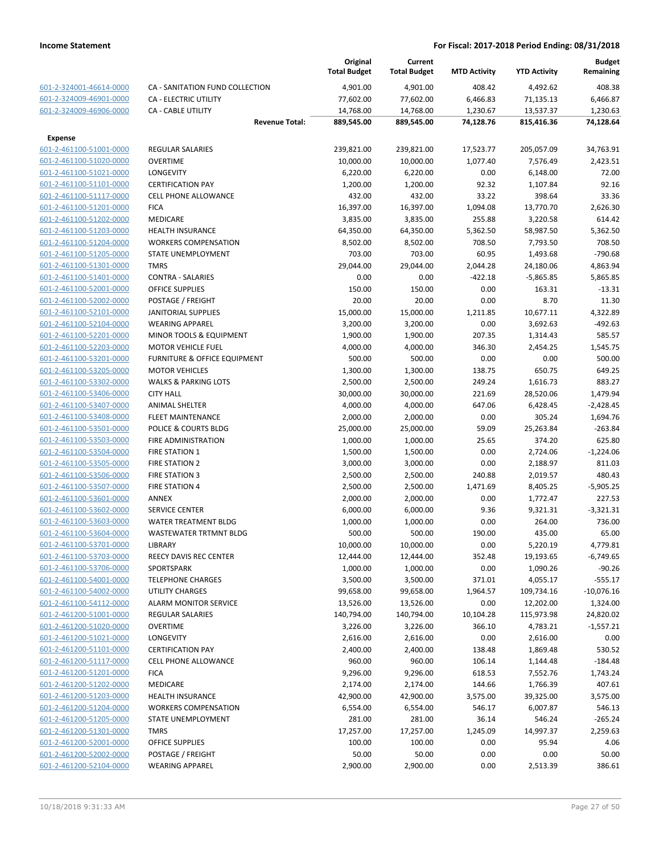|                         |                                    | Original<br><b>Total Budget</b> | Current<br><b>Total Budget</b> | <b>MTD Activity</b> | <b>YTD Activity</b> | <b>Budget</b><br>Remaining |
|-------------------------|------------------------------------|---------------------------------|--------------------------------|---------------------|---------------------|----------------------------|
| 601-2-324001-46614-0000 | CA - SANITATION FUND COLLECTION    | 4,901.00                        | 4,901.00                       | 408.42              | 4,492.62            | 408.38                     |
| 601-2-324009-46901-0000 | CA - ELECTRIC UTILITY              | 77,602.00                       | 77,602.00                      | 6,466.83            | 71,135.13           | 6,466.87                   |
| 601-2-324009-46906-0000 | <b>CA - CABLE UTILITY</b>          | 14,768.00                       | 14,768.00                      | 1,230.67            | 13,537.37           | 1,230.63                   |
|                         | <b>Revenue Total:</b>              | 889,545.00                      | 889,545.00                     | 74,128.76           | 815,416.36          | 74.128.64                  |
| <b>Expense</b>          |                                    |                                 |                                |                     |                     |                            |
| 601-2-461100-51001-0000 | <b>REGULAR SALARIES</b>            | 239,821.00                      | 239,821.00                     | 17,523.77           | 205,057.09          | 34,763.91                  |
| 601-2-461100-51020-0000 | <b>OVERTIME</b>                    | 10,000.00                       | 10,000.00                      | 1,077.40            | 7,576.49            | 2,423.51                   |
| 601-2-461100-51021-0000 | <b>LONGEVITY</b>                   | 6,220.00                        | 6,220.00                       | 0.00                | 6,148.00            | 72.00                      |
| 601-2-461100-51101-0000 | <b>CERTIFICATION PAY</b>           | 1,200.00                        | 1,200.00                       | 92.32               | 1,107.84            | 92.16                      |
| 601-2-461100-51117-0000 | <b>CELL PHONE ALLOWANCE</b>        | 432.00                          | 432.00                         | 33.22               | 398.64              | 33.36                      |
| 601-2-461100-51201-0000 | <b>FICA</b>                        | 16,397.00                       | 16,397.00                      | 1,094.08            | 13,770.70           | 2,626.30                   |
| 601-2-461100-51202-0000 | <b>MEDICARE</b>                    | 3,835.00                        | 3,835.00                       | 255.88              | 3,220.58            | 614.42                     |
| 601-2-461100-51203-0000 | <b>HEALTH INSURANCE</b>            | 64,350.00                       | 64,350.00                      | 5,362.50            | 58,987.50           | 5,362.50                   |
| 601-2-461100-51204-0000 | <b>WORKERS COMPENSATION</b>        | 8,502.00                        | 8,502.00                       | 708.50              | 7,793.50            | 708.50                     |
| 601-2-461100-51205-0000 | STATE UNEMPLOYMENT                 | 703.00                          | 703.00                         | 60.95               | 1,493.68            | $-790.68$                  |
| 601-2-461100-51301-0000 | <b>TMRS</b>                        | 29,044.00                       | 29,044.00                      | 2,044.28            | 24,180.06           | 4,863.94                   |
| 601-2-461100-51401-0000 | <b>CONTRA - SALARIES</b>           | 0.00                            | 0.00                           | $-422.18$           | $-5,865.85$         | 5,865.85                   |
| 601-2-461100-52001-0000 | <b>OFFICE SUPPLIES</b>             | 150.00                          | 150.00                         | 0.00                | 163.31              | $-13.31$                   |
| 601-2-461100-52002-0000 | POSTAGE / FREIGHT                  | 20.00                           | 20.00                          | 0.00                | 8.70                | 11.30                      |
| 601-2-461100-52101-0000 | JANITORIAL SUPPLIES                | 15,000.00                       | 15,000.00                      | 1,211.85            | 10,677.11           | 4,322.89                   |
| 601-2-461100-52104-0000 | <b>WEARING APPAREL</b>             | 3,200.00                        | 3,200.00                       | 0.00                | 3,692.63            | $-492.63$                  |
| 601-2-461100-52201-0000 | <b>MINOR TOOLS &amp; EQUIPMENT</b> | 1,900.00                        | 1,900.00                       | 207.35              | 1,314.43            | 585.57                     |
| 601-2-461100-52203-0000 | <b>MOTOR VEHICLE FUEL</b>          | 4,000.00                        | 4,000.00                       | 346.30              | 2,454.25            | 1,545.75                   |
| 601-2-461100-53201-0000 | FURNITURE & OFFICE EQUIPMENT       | 500.00                          | 500.00                         | 0.00                | 0.00                | 500.00                     |
| 601-2-461100-53205-0000 | <b>MOTOR VEHICLES</b>              | 1,300.00                        | 1,300.00                       | 138.75              | 650.75              | 649.25                     |
| 601-2-461100-53302-0000 | <b>WALKS &amp; PARKING LOTS</b>    | 2,500.00                        | 2,500.00                       | 249.24              | 1,616.73            | 883.27                     |
| 601-2-461100-53406-0000 | <b>CITY HALL</b>                   | 30,000.00                       | 30,000.00                      | 221.69              | 28,520.06           | 1,479.94                   |
| 601-2-461100-53407-0000 | <b>ANIMAL SHELTER</b>              | 4,000.00                        | 4,000.00                       | 647.06              | 6,428.45            | $-2,428.45$                |
| 601-2-461100-53408-0000 | <b>FLEET MAINTENANCE</b>           | 2,000.00                        | 2,000.00                       | 0.00                | 305.24              | 1,694.76                   |
| 601-2-461100-53501-0000 | POLICE & COURTS BLDG               | 25,000.00                       | 25,000.00                      | 59.09               | 25,263.84           | $-263.84$                  |
| 601-2-461100-53503-0000 | FIRE ADMINISTRATION                | 1,000.00                        | 1,000.00                       | 25.65               | 374.20              | 625.80                     |
| 601-2-461100-53504-0000 | <b>FIRE STATION 1</b>              | 1,500.00                        | 1,500.00                       | 0.00                | 2,724.06            | $-1,224.06$                |
| 601-2-461100-53505-0000 | <b>FIRE STATION 2</b>              | 3,000.00                        | 3,000.00                       | 0.00                | 2,188.97            | 811.03                     |
| 601-2-461100-53506-0000 | <b>FIRE STATION 3</b>              | 2,500.00                        | 2,500.00                       | 240.88              | 2,019.57            | 480.43                     |
| 601-2-461100-53507-0000 | <b>FIRE STATION 4</b>              | 2,500.00                        | 2,500.00                       | 1,471.69            | 8,405.25            | $-5,905.25$                |
| 601-2-461100-53601-0000 | <b>ANNEX</b>                       | 2,000.00                        | 2,000.00                       | 0.00                | 1,772.47            | 227.53                     |
| 601-2-461100-53602-0000 | <b>SERVICE CENTER</b>              | 6,000.00                        | 6,000.00                       | 9.36                | 9,321.31            | $-3,321.31$                |
| 601-2-461100-53603-0000 | WATER TREATMENT BLDG               | 1,000.00                        | 1,000.00                       | 0.00                | 264.00              | 736.00                     |
| 601-2-461100-53604-0000 | WASTEWATER TRTMNT BLDG             | 500.00                          | 500.00                         | 190.00              | 435.00              | 65.00                      |
| 601-2-461100-53701-0000 | LIBRARY                            | 10,000.00                       | 10,000.00                      | 0.00                | 5,220.19            | 4,779.81                   |
| 601-2-461100-53703-0000 | <b>REECY DAVIS REC CENTER</b>      | 12,444.00                       | 12,444.00                      | 352.48              | 19,193.65           | $-6,749.65$                |
| 601-2-461100-53706-0000 | SPORTSPARK                         | 1,000.00                        | 1,000.00                       | 0.00                | 1,090.26            | $-90.26$                   |
| 601-2-461100-54001-0000 | <b>TELEPHONE CHARGES</b>           | 3,500.00                        | 3,500.00                       | 371.01              | 4,055.17            | $-555.17$                  |
| 601-2-461100-54002-0000 | UTILITY CHARGES                    | 99,658.00                       | 99,658.00                      | 1,964.57            | 109,734.16          | $-10,076.16$               |
| 601-2-461100-54112-0000 | <b>ALARM MONITOR SERVICE</b>       | 13,526.00                       | 13,526.00                      | 0.00                | 12,202.00           | 1,324.00                   |
| 601-2-461200-51001-0000 | <b>REGULAR SALARIES</b>            | 140,794.00                      | 140,794.00                     | 10,104.28           | 115,973.98          | 24,820.02                  |
| 601-2-461200-51020-0000 | <b>OVERTIME</b>                    | 3,226.00                        | 3,226.00                       | 366.10              | 4,783.21            | $-1,557.21$                |
| 601-2-461200-51021-0000 | <b>LONGEVITY</b>                   | 2,616.00                        | 2,616.00                       | 0.00                | 2,616.00            | 0.00                       |
| 601-2-461200-51101-0000 | <b>CERTIFICATION PAY</b>           | 2,400.00                        | 2,400.00                       | 138.48              | 1,869.48            | 530.52                     |
| 601-2-461200-51117-0000 | <b>CELL PHONE ALLOWANCE</b>        | 960.00                          | 960.00                         | 106.14              | 1,144.48            | $-184.48$                  |
| 601-2-461200-51201-0000 | <b>FICA</b>                        | 9,296.00                        | 9,296.00                       | 618.53              | 7,552.76            | 1,743.24                   |
| 601-2-461200-51202-0000 | <b>MEDICARE</b>                    | 2,174.00                        | 2,174.00                       | 144.66              | 1,766.39            | 407.61                     |
| 601-2-461200-51203-0000 | <b>HEALTH INSURANCE</b>            | 42,900.00                       | 42,900.00                      | 3,575.00            | 39,325.00           | 3,575.00                   |
| 601-2-461200-51204-0000 | <b>WORKERS COMPENSATION</b>        | 6,554.00                        | 6,554.00                       | 546.17              | 6,007.87            | 546.13                     |
| 601-2-461200-51205-0000 | STATE UNEMPLOYMENT                 | 281.00                          | 281.00                         | 36.14               | 546.24              | $-265.24$                  |
| 601-2-461200-51301-0000 | <b>TMRS</b>                        | 17,257.00                       | 17,257.00                      | 1,245.09            | 14,997.37           | 2,259.63                   |
| 601-2-461200-52001-0000 | <b>OFFICE SUPPLIES</b>             | 100.00                          | 100.00                         | 0.00                | 95.94               | 4.06                       |
| 601-2-461200-52002-0000 | POSTAGE / FREIGHT                  | 50.00                           | 50.00                          | 0.00                | 0.00                | 50.00                      |
| 601-2-461200-52104-0000 | <b>WEARING APPAREL</b>             | 2,900.00                        | 2,900.00                       | 0.00                | 2,513.39            | 386.61                     |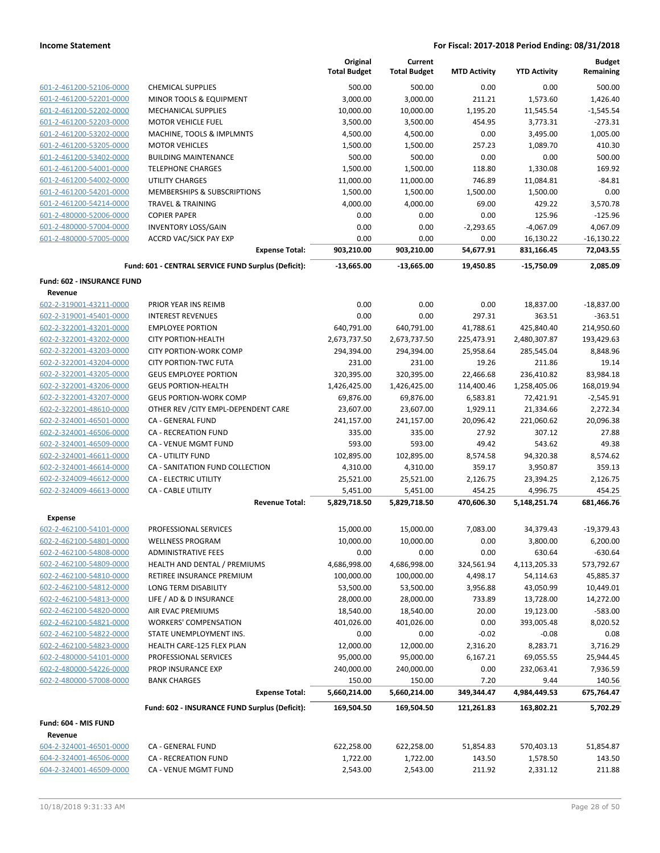|                                              |                                                     | Original<br><b>Total Budget</b> | Current<br><b>Total Budget</b> | <b>MTD Activity</b>  | <b>YTD Activity</b>      | <b>Budget</b><br>Remaining |
|----------------------------------------------|-----------------------------------------------------|---------------------------------|--------------------------------|----------------------|--------------------------|----------------------------|
| 601-2-461200-52106-0000                      | <b>CHEMICAL SUPPLIES</b>                            | 500.00                          | 500.00                         | 0.00                 | 0.00                     | 500.00                     |
| 601-2-461200-52201-0000                      | MINOR TOOLS & EQUIPMENT                             | 3,000.00                        | 3,000.00                       | 211.21               | 1,573.60                 | 1,426.40                   |
| 601-2-461200-52202-0000                      | <b>MECHANICAL SUPPLIES</b>                          | 10,000.00                       | 10,000.00                      | 1,195.20             | 11,545.54                | $-1,545.54$                |
| 601-2-461200-52203-0000                      | <b>MOTOR VEHICLE FUEL</b>                           | 3,500.00                        | 3,500.00                       | 454.95               | 3,773.31                 | $-273.31$                  |
| 601-2-461200-53202-0000                      | MACHINE, TOOLS & IMPLMNTS                           | 4,500.00                        | 4,500.00                       | 0.00                 | 3,495.00                 | 1,005.00                   |
| 601-2-461200-53205-0000                      | <b>MOTOR VEHICLES</b>                               | 1,500.00                        | 1,500.00                       | 257.23               | 1,089.70                 | 410.30                     |
| 601-2-461200-53402-0000                      | <b>BUILDING MAINTENANCE</b>                         | 500.00                          | 500.00                         | 0.00                 | 0.00                     | 500.00                     |
| 601-2-461200-54001-0000                      | <b>TELEPHONE CHARGES</b>                            | 1,500.00                        | 1,500.00                       | 118.80               | 1,330.08                 | 169.92                     |
| 601-2-461200-54002-0000                      | <b>UTILITY CHARGES</b>                              | 11,000.00                       | 11,000.00                      | 746.89               | 11,084.81                | $-84.81$                   |
| 601-2-461200-54201-0000                      | MEMBERSHIPS & SUBSCRIPTIONS                         | 1,500.00                        | 1,500.00                       | 1,500.00             | 1,500.00                 | 0.00                       |
| 601-2-461200-54214-0000                      | <b>TRAVEL &amp; TRAINING</b>                        | 4,000.00                        | 4,000.00                       | 69.00                | 429.22                   | 3,570.78                   |
| 601-2-480000-52006-0000                      | <b>COPIER PAPER</b>                                 | 0.00                            | 0.00                           | 0.00                 | 125.96                   | $-125.96$                  |
| 601-2-480000-57004-0000                      | <b>INVENTORY LOSS/GAIN</b>                          | 0.00                            | 0.00                           | $-2,293.65$          | $-4,067.09$              | 4,067.09                   |
| 601-2-480000-57005-0000                      | ACCRD VAC/SICK PAY EXP                              | 0.00                            | 0.00                           | 0.00                 | 16,130.22                | $-16,130.22$               |
|                                              | <b>Expense Total:</b>                               | 903,210.00                      | 903,210.00                     | 54,677.91            | 831,166.45               | 72,043.55                  |
|                                              | Fund: 601 - CENTRAL SERVICE FUND Surplus (Deficit): | $-13,665.00$                    | $-13,665.00$                   | 19,450.85            | $-15,750.09$             | 2.085.09                   |
| <b>Fund: 602 - INSURANCE FUND</b><br>Revenue |                                                     |                                 |                                |                      |                          |                            |
| 602-2-319001-43211-0000                      | PRIOR YEAR INS REIMB                                | 0.00                            | 0.00                           | 0.00                 | 18,837.00                | $-18,837.00$               |
| 602-2-319001-45401-0000                      | <b>INTEREST REVENUES</b>                            | 0.00                            | 0.00                           | 297.31               | 363.51                   | $-363.51$                  |
| 602-2-322001-43201-0000                      | <b>EMPLOYEE PORTION</b>                             | 640,791.00                      | 640,791.00                     | 41,788.61            | 425,840.40               | 214,950.60                 |
| 602-2-322001-43202-0000                      | <b>CITY PORTION-HEALTH</b>                          | 2,673,737.50                    | 2,673,737.50                   | 225,473.91           | 2,480,307.87             | 193,429.63                 |
| 602-2-322001-43203-0000                      | <b>CITY PORTION-WORK COMP</b>                       | 294,394.00                      | 294,394.00                     | 25,958.64            | 285,545.04               | 8,848.96                   |
| 602-2-322001-43204-0000                      | <b>CITY PORTION-TWC FUTA</b>                        | 231.00                          | 231.00                         | 19.26                | 211.86                   | 19.14                      |
| 602-2-322001-43205-0000                      | <b>GEUS EMPLOYEE PORTION</b>                        | 320,395.00                      | 320,395.00                     | 22,466.68            | 236,410.82               | 83,984.18                  |
| 602-2-322001-43206-0000                      | <b>GEUS PORTION-HEALTH</b>                          | 1,426,425.00                    | 1,426,425.00                   | 114,400.46           | 1,258,405.06             | 168,019.94                 |
| 602-2-322001-43207-0000                      | <b>GEUS PORTION-WORK COMP</b>                       | 69,876.00                       | 69,876.00                      | 6,583.81             | 72,421.91                | $-2,545.91$                |
| 602-2-322001-48610-0000                      | OTHER REV / CITY EMPL-DEPENDENT CARE                | 23,607.00                       | 23,607.00                      | 1,929.11             | 21,334.66                | 2,272.34                   |
| 602-2-324001-46501-0000                      | CA - GENERAL FUND                                   | 241,157.00                      | 241,157.00                     | 20,096.42            | 221,060.62               | 20,096.38                  |
| 602-2-324001-46506-0000                      | <b>CA - RECREATION FUND</b>                         | 335.00                          | 335.00                         | 27.92                | 307.12                   | 27.88                      |
| 602-2-324001-46509-0000                      | CA - VENUE MGMT FUND                                | 593.00                          | 593.00                         | 49.42                | 543.62                   | 49.38                      |
| 602-2-324001-46611-0000                      | <b>CA - UTILITY FUND</b>                            | 102,895.00                      | 102,895.00                     | 8,574.58             | 94,320.38                | 8,574.62                   |
| 602-2-324001-46614-0000                      | CA - SANITATION FUND COLLECTION                     | 4,310.00                        | 4,310.00                       | 359.17               | 3,950.87                 | 359.13                     |
| 602-2-324009-46612-0000                      | <b>CA - ELECTRIC UTILITY</b>                        | 25,521.00                       | 25,521.00                      | 2,126.75             | 23,394.25                | 2,126.75                   |
| 602-2-324009-46613-0000                      | <b>CA - CABLE UTILITY</b><br><b>Revenue Total:</b>  | 5,451.00<br>5,829,718.50        | 5,451.00<br>5,829,718.50       | 454.25<br>470,606.30 | 4,996.75<br>5,148,251.74 | 454.25<br>681,466.76       |
| <b>Expense</b>                               |                                                     |                                 |                                |                      |                          |                            |
| 602-2-462100-54101-0000                      | PROFESSIONAL SERVICES                               | 15,000.00                       | 15,000.00                      | 7,083.00             | 34,379.43                | $-19,379.43$               |
| 602-2-462100-54801-0000                      | <b>WELLNESS PROGRAM</b>                             | 10,000.00                       | 10,000.00                      | 0.00                 | 3,800.00                 | 6,200.00                   |
| 602-2-462100-54808-0000                      | <b>ADMINISTRATIVE FEES</b>                          | 0.00                            | 0.00                           | 0.00                 | 630.64                   | $-630.64$                  |
| 602-2-462100-54809-0000                      | HEALTH AND DENTAL / PREMIUMS                        | 4,686,998.00                    | 4,686,998.00                   | 324,561.94           | 4,113,205.33             | 573,792.67                 |
| 602-2-462100-54810-0000                      | RETIREE INSURANCE PREMIUM                           | 100,000.00                      | 100,000.00                     | 4,498.17             | 54,114.63                | 45,885.37                  |
| 602-2-462100-54812-0000                      | LONG TERM DISABILITY                                | 53,500.00                       | 53,500.00                      | 3,956.88             | 43,050.99                | 10,449.01                  |
| 602-2-462100-54813-0000                      | LIFE / AD & D INSURANCE                             | 28,000.00                       | 28,000.00                      | 733.89               | 13,728.00                | 14,272.00                  |
| 602-2-462100-54820-0000                      | AIR EVAC PREMIUMS                                   | 18,540.00                       | 18,540.00                      | 20.00                | 19,123.00                | $-583.00$                  |
| 602-2-462100-54821-0000                      | <b>WORKERS' COMPENSATION</b>                        | 401,026.00                      | 401,026.00                     | 0.00                 | 393,005.48               | 8,020.52                   |
| 602-2-462100-54822-0000                      | STATE UNEMPLOYMENT INS.                             | 0.00                            | 0.00                           | $-0.02$              | $-0.08$                  | 0.08                       |
| 602-2-462100-54823-0000                      | HEALTH CARE-125 FLEX PLAN                           | 12,000.00                       | 12,000.00                      | 2,316.20             | 8,283.71                 | 3,716.29                   |
| 602-2-480000-54101-0000                      | PROFESSIONAL SERVICES                               | 95,000.00                       | 95,000.00                      | 6,167.21             | 69,055.55                | 25,944.45                  |
| 602-2-480000-54226-0000                      | PROP INSURANCE EXP                                  | 240,000.00                      | 240,000.00                     | 0.00                 | 232,063.41               | 7,936.59                   |
| 602-2-480000-57008-0000                      | <b>BANK CHARGES</b>                                 | 150.00                          | 150.00                         | 7.20                 | 9.44                     | 140.56                     |
|                                              | <b>Expense Total:</b>                               | 5,660,214.00                    | 5,660,214.00                   | 349,344.47           | 4,984,449.53             | 675,764.47                 |
|                                              | Fund: 602 - INSURANCE FUND Surplus (Deficit):       | 169,504.50                      | 169,504.50                     | 121,261.83           | 163,802.21               | 5,702.29                   |
| Fund: 604 - MIS FUND<br>Revenue              |                                                     |                                 |                                |                      |                          |                            |
| 604-2-324001-46501-0000                      | CA - GENERAL FUND                                   | 622,258.00                      | 622,258.00                     | 51,854.83            | 570,403.13               | 51,854.87                  |
| 604-2-324001-46506-0000                      | CA - RECREATION FUND                                | 1,722.00                        | 1,722.00                       | 143.50               | 1,578.50                 | 143.50                     |
| 604-2-324001-46509-0000                      | CA - VENUE MGMT FUND                                | 2,543.00                        | 2,543.00                       | 211.92               | 2,331.12                 | 211.88                     |
|                                              |                                                     |                                 |                                |                      |                          |                            |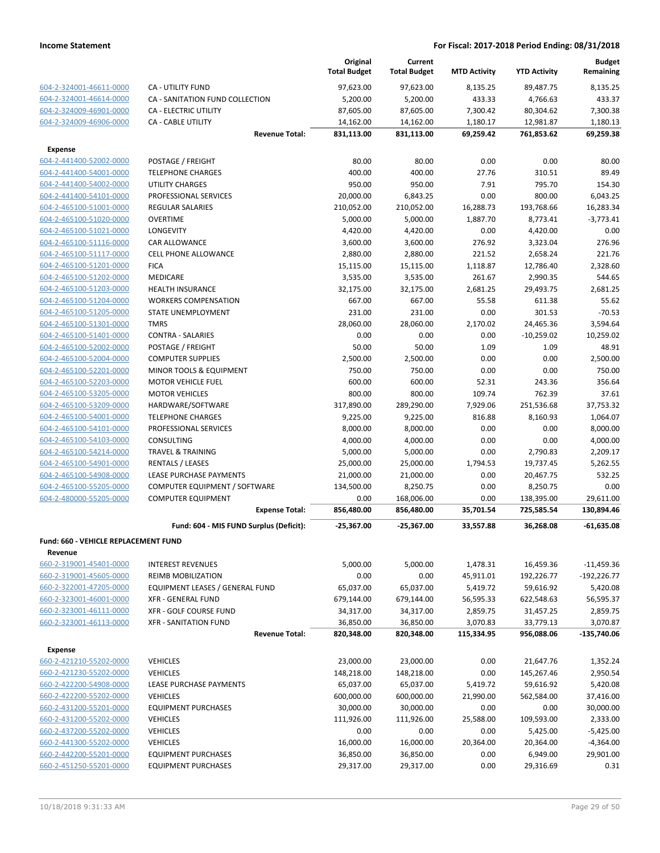|                                                    |                                                       | Original<br><b>Total Budget</b> | Current<br><b>Total Budget</b> | <b>MTD Activity</b>   | <b>YTD Activity</b>     | <b>Budget</b><br>Remaining |
|----------------------------------------------------|-------------------------------------------------------|---------------------------------|--------------------------------|-----------------------|-------------------------|----------------------------|
| 604-2-324001-46611-0000                            | CA - UTILITY FUND                                     | 97,623.00                       | 97,623.00                      | 8,135.25              | 89,487.75               | 8,135.25                   |
| 604-2-324001-46614-0000                            | CA - SANITATION FUND COLLECTION                       | 5,200.00                        | 5,200.00                       | 433.33                | 4,766.63                | 433.37                     |
| 604-2-324009-46901-0000                            | <b>CA - ELECTRIC UTILITY</b>                          | 87,605.00                       | 87,605.00                      | 7,300.42              | 80,304.62               | 7,300.38                   |
| 604-2-324009-46906-0000                            | CA - CABLE UTILITY                                    | 14,162.00                       | 14,162.00                      | 1,180.17              | 12,981.87               | 1,180.13                   |
|                                                    | <b>Revenue Total:</b>                                 | 831,113.00                      | 831,113.00                     | 69,259.42             | 761,853.62              | 69,259.38                  |
| <b>Expense</b>                                     |                                                       |                                 |                                |                       |                         |                            |
| 604-2-441400-52002-0000                            | POSTAGE / FREIGHT                                     | 80.00                           | 80.00                          | 0.00                  | 0.00                    | 80.00                      |
| 604-2-441400-54001-0000                            | <b>TELEPHONE CHARGES</b>                              | 400.00                          | 400.00                         | 27.76                 | 310.51                  | 89.49                      |
| 604-2-441400-54002-0000                            | UTILITY CHARGES                                       | 950.00                          | 950.00                         | 7.91                  | 795.70                  | 154.30                     |
| 604-2-441400-54101-0000                            | PROFESSIONAL SERVICES                                 | 20,000.00                       | 6,843.25                       | 0.00                  | 800.00                  | 6,043.25                   |
| 604-2-465100-51001-0000                            | <b>REGULAR SALARIES</b>                               | 210,052.00                      | 210,052.00                     | 16,288.73             | 193,768.66              | 16,283.34                  |
| 604-2-465100-51020-0000                            | <b>OVERTIME</b>                                       | 5,000.00                        | 5,000.00                       | 1,887.70              | 8,773.41                | $-3,773.41$                |
| 604-2-465100-51021-0000                            | LONGEVITY                                             | 4,420.00                        | 4,420.00                       | 0.00                  | 4,420.00                | 0.00                       |
| 604-2-465100-51116-0000                            | CAR ALLOWANCE                                         | 3,600.00                        | 3,600.00                       | 276.92                | 3,323.04                | 276.96                     |
| 604-2-465100-51117-0000                            | <b>CELL PHONE ALLOWANCE</b>                           | 2,880.00                        | 2,880.00                       | 221.52                | 2,658.24                | 221.76                     |
| 604-2-465100-51201-0000                            | <b>FICA</b>                                           | 15,115.00                       | 15,115.00                      | 1,118.87              | 12,786.40               | 2,328.60                   |
| 604-2-465100-51202-0000                            | <b>MEDICARE</b>                                       | 3,535.00                        | 3,535.00                       | 261.67                | 2,990.35                | 544.65                     |
| 604-2-465100-51203-0000                            | <b>HEALTH INSURANCE</b>                               | 32,175.00                       | 32,175.00                      | 2,681.25              | 29,493.75               | 2,681.25                   |
| 604-2-465100-51204-0000                            | <b>WORKERS COMPENSATION</b>                           | 667.00                          | 667.00                         | 55.58                 | 611.38                  | 55.62                      |
| 604-2-465100-51205-0000                            | STATE UNEMPLOYMENT                                    | 231.00                          | 231.00                         | 0.00                  | 301.53                  | $-70.53$                   |
| 604-2-465100-51301-0000                            | <b>TMRS</b>                                           | 28,060.00                       | 28,060.00                      | 2,170.02              | 24,465.36               | 3,594.64                   |
| 604-2-465100-51401-0000                            | <b>CONTRA - SALARIES</b>                              | 0.00                            | 0.00                           | 0.00                  | $-10,259.02$            | 10,259.02                  |
| 604-2-465100-52002-0000                            | POSTAGE / FREIGHT                                     | 50.00                           | 50.00                          | 1.09                  | 1.09                    | 48.91                      |
| 604-2-465100-52004-0000                            | <b>COMPUTER SUPPLIES</b>                              | 2,500.00                        | 2,500.00                       | 0.00                  | 0.00                    | 2,500.00                   |
| 604-2-465100-52201-0000                            | MINOR TOOLS & EQUIPMENT                               | 750.00                          | 750.00                         | 0.00                  | 0.00                    | 750.00                     |
| 604-2-465100-52203-0000                            | <b>MOTOR VEHICLE FUEL</b>                             | 600.00                          | 600.00                         | 52.31                 | 243.36                  | 356.64                     |
| 604-2-465100-53205-0000                            | <b>MOTOR VEHICLES</b>                                 | 800.00                          | 800.00                         | 109.74                | 762.39                  | 37.61                      |
| 604-2-465100-53209-0000                            | HARDWARE/SOFTWARE                                     | 317,890.00                      | 289,290.00                     | 7,929.06              | 251,536.68              | 37,753.32                  |
| 604-2-465100-54001-0000                            | <b>TELEPHONE CHARGES</b>                              | 9,225.00                        | 9,225.00                       | 816.88                | 8,160.93                | 1,064.07                   |
| 604-2-465100-54101-0000<br>604-2-465100-54103-0000 | PROFESSIONAL SERVICES<br>CONSULTING                   | 8,000.00<br>4,000.00            | 8,000.00<br>4,000.00           | 0.00<br>0.00          | 0.00<br>0.00            | 8,000.00<br>4,000.00       |
| 604-2-465100-54214-0000                            | <b>TRAVEL &amp; TRAINING</b>                          | 5,000.00                        | 5,000.00                       | 0.00                  | 2,790.83                | 2,209.17                   |
| 604-2-465100-54901-0000                            | RENTALS / LEASES                                      | 25,000.00                       | 25,000.00                      | 1,794.53              | 19,737.45               | 5,262.55                   |
| 604-2-465100-54908-0000                            | LEASE PURCHASE PAYMENTS                               | 21,000.00                       | 21,000.00                      | 0.00                  | 20,467.75               | 532.25                     |
| 604-2-465100-55205-0000                            | COMPUTER EQUIPMENT / SOFTWARE                         | 134,500.00                      | 8,250.75                       | 0.00                  | 8,250.75                | 0.00                       |
| 604-2-480000-55205-0000                            | <b>COMPUTER EQUIPMENT</b>                             | 0.00                            | 168,006.00                     | 0.00                  | 138,395.00              | 29,611.00                  |
|                                                    | <b>Expense Total:</b>                                 | 856,480.00                      | 856,480.00                     | 35,701.54             | 725,585.54              | 130,894.46                 |
|                                                    | Fund: 604 - MIS FUND Surplus (Deficit):               | $-25,367.00$                    | $-25,367.00$                   | 33,557.88             | 36,268.08               | $-61,635.08$               |
|                                                    |                                                       |                                 |                                |                       |                         |                            |
| Fund: 660 - VEHICLE REPLACEMENT FUND               |                                                       |                                 |                                |                       |                         |                            |
| Revenue                                            |                                                       |                                 |                                |                       |                         |                            |
| 660-2-319001-45401-0000                            | <b>INTEREST REVENUES</b>                              | 5,000.00                        | 5,000.00                       | 1,478.31              | 16,459.36<br>192,226.77 | $-11,459.36$               |
| 660-2-319001-45605-0000<br>660-2-322001-47205-0000 | REIMB MOBILIZATION<br>EQUIPMENT LEASES / GENERAL FUND | 0.00<br>65,037.00               | 0.00<br>65,037.00              | 45,911.01<br>5,419.72 | 59,616.92               | $-192,226.77$<br>5,420.08  |
| 660-2-323001-46001-0000                            | XFR - GENERAL FUND                                    | 679,144.00                      | 679,144.00                     | 56,595.33             | 622,548.63              | 56,595.37                  |
| 660-2-323001-46111-0000                            | XFR - GOLF COURSE FUND                                | 34,317.00                       | 34,317.00                      | 2,859.75              | 31,457.25               | 2,859.75                   |
| 660-2-323001-46113-0000                            | <b>XFR - SANITATION FUND</b>                          | 36,850.00                       | 36,850.00                      | 3,070.83              | 33,779.13               | 3,070.87                   |
|                                                    | <b>Revenue Total:</b>                                 | 820,348.00                      | 820,348.00                     | 115,334.95            | 956,088.06              | -135,740.06                |
|                                                    |                                                       |                                 |                                |                       |                         |                            |
| <b>Expense</b>                                     |                                                       |                                 |                                |                       |                         |                            |
| 660-2-421210-55202-0000                            | <b>VEHICLES</b>                                       | 23,000.00                       | 23,000.00                      | 0.00                  | 21,647.76               | 1,352.24                   |
| 660-2-421230-55202-0000                            | <b>VEHICLES</b>                                       | 148,218.00                      | 148,218.00                     | 0.00                  | 145,267.46              | 2,950.54                   |
| 660-2-422200-54908-0000                            | LEASE PURCHASE PAYMENTS                               | 65,037.00                       | 65,037.00                      | 5,419.72              | 59,616.92               | 5,420.08                   |
| 660-2-422200-55202-0000                            | <b>VEHICLES</b>                                       | 600,000.00                      | 600,000.00                     | 21,990.00             | 562,584.00              | 37,416.00                  |
| 660-2-431200-55201-0000                            | <b>EQUIPMENT PURCHASES</b>                            | 30,000.00                       | 30,000.00                      | 0.00                  | 0.00                    | 30,000.00                  |
| 660-2-431200-55202-0000                            | <b>VEHICLES</b>                                       | 111,926.00                      | 111,926.00                     | 25,588.00             | 109,593.00              | 2,333.00                   |
| 660-2-437200-55202-0000<br>660-2-441300-55202-0000 | <b>VEHICLES</b><br><b>VEHICLES</b>                    | 0.00<br>16,000.00               | 0.00<br>16,000.00              | 0.00<br>20,364.00     | 5,425.00<br>20,364.00   | $-5,425.00$<br>$-4,364.00$ |
| 660-2-442200-55201-0000                            | <b>EQUIPMENT PURCHASES</b>                            | 36,850.00                       | 36,850.00                      | 0.00                  | 6,949.00                | 29,901.00                  |
| 660-2-451250-55201-0000                            | <b>EQUIPMENT PURCHASES</b>                            | 29,317.00                       | 29,317.00                      | 0.00                  | 29,316.69               | 0.31                       |
|                                                    |                                                       |                                 |                                |                       |                         |                            |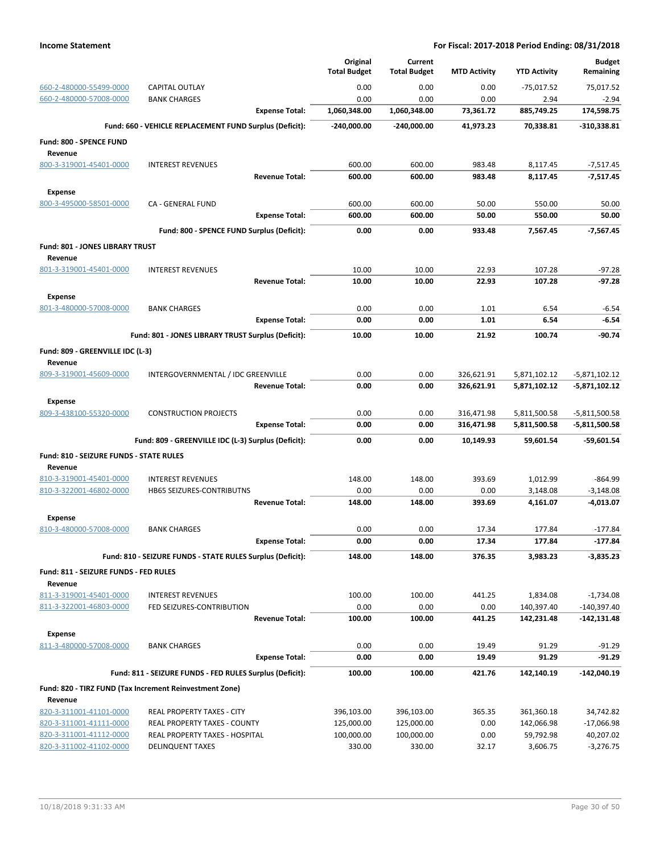|                                                    |                                                                | Original                 | Current                  |                          |                              | <b>Budget</b>                    |
|----------------------------------------------------|----------------------------------------------------------------|--------------------------|--------------------------|--------------------------|------------------------------|----------------------------------|
|                                                    |                                                                | <b>Total Budget</b>      | <b>Total Budget</b>      | <b>MTD Activity</b>      | <b>YTD Activity</b>          | Remaining                        |
| 660-2-480000-55499-0000                            | <b>CAPITAL OUTLAY</b>                                          | 0.00                     | 0.00                     | 0.00                     | $-75,017.52$                 | 75.017.52                        |
| 660-2-480000-57008-0000                            | <b>BANK CHARGES</b>                                            | 0.00                     | 0.00                     | 0.00                     | 2.94                         | $-2.94$                          |
|                                                    | <b>Expense Total:</b>                                          | 1,060,348.00             | 1,060,348.00             | 73,361.72                | 885,749.25                   | 174,598.75                       |
|                                                    | Fund: 660 - VEHICLE REPLACEMENT FUND Surplus (Deficit):        | $-240,000.00$            | $-240,000.00$            | 41,973.23                | 70,338.81                    | -310,338.81                      |
| Fund: 800 - SPENCE FUND                            |                                                                |                          |                          |                          |                              |                                  |
| Revenue<br>800-3-319001-45401-0000                 | <b>INTEREST REVENUES</b>                                       | 600.00                   | 600.00                   | 983.48                   | 8,117.45                     | $-7,517.45$                      |
|                                                    | <b>Revenue Total:</b>                                          | 600.00                   | 600.00                   | 983.48                   | 8,117.45                     | $-7,517.45$                      |
| <b>Expense</b>                                     |                                                                |                          |                          |                          |                              |                                  |
| 800-3-495000-58501-0000                            | CA - GENERAL FUND                                              | 600.00                   | 600.00                   | 50.00                    | 550.00                       | 50.00                            |
|                                                    | <b>Expense Total:</b>                                          | 600.00                   | 600.00                   | 50.00                    | 550.00                       | 50.00                            |
|                                                    | Fund: 800 - SPENCE FUND Surplus (Deficit):                     | 0.00                     | 0.00                     | 933.48                   | 7,567.45                     | $-7,567.45$                      |
| Fund: 801 - JONES LIBRARY TRUST                    |                                                                |                          |                          |                          |                              |                                  |
| Revenue                                            |                                                                |                          |                          |                          |                              |                                  |
| 801-3-319001-45401-0000                            | <b>INTEREST REVENUES</b>                                       | 10.00                    | 10.00                    | 22.93                    | 107.28                       | $-97.28$                         |
|                                                    | <b>Revenue Total:</b>                                          | 10.00                    | 10.00                    | 22.93                    | 107.28                       | $-97.28$                         |
| <b>Expense</b>                                     |                                                                |                          |                          |                          |                              |                                  |
| 801-3-480000-57008-0000                            | <b>BANK CHARGES</b>                                            | 0.00                     | 0.00                     | 1.01                     | 6.54                         | $-6.54$                          |
|                                                    | <b>Expense Total:</b>                                          | 0.00                     | 0.00                     | 1.01                     | 6.54                         | $-6.54$                          |
|                                                    | Fund: 801 - JONES LIBRARY TRUST Surplus (Deficit):             | 10.00                    | 10.00                    | 21.92                    | 100.74                       | $-90.74$                         |
| Fund: 809 - GREENVILLE IDC (L-3)                   |                                                                |                          |                          |                          |                              |                                  |
| Revenue                                            |                                                                |                          |                          |                          |                              |                                  |
| 809-3-319001-45609-0000                            | INTERGOVERNMENTAL / IDC GREENVILLE<br><b>Revenue Total:</b>    | 0.00<br>0.00             | 0.00<br>0.00             | 326,621.91<br>326,621.91 | 5,871,102.12<br>5,871,102.12 | $-5,871,102.12$<br>-5,871,102.12 |
|                                                    |                                                                |                          |                          |                          |                              |                                  |
| <b>Expense</b><br>809-3-438100-55320-0000          | <b>CONSTRUCTION PROJECTS</b>                                   | 0.00                     | 0.00                     | 316,471.98               | 5,811,500.58                 | $-5,811,500.58$                  |
|                                                    | <b>Expense Total:</b>                                          | 0.00                     | 0.00                     | 316,471.98               | 5,811,500.58                 | -5,811,500.58                    |
|                                                    | Fund: 809 - GREENVILLE IDC (L-3) Surplus (Deficit):            | 0.00                     | 0.00                     | 10,149.93                | 59,601.54                    | $-59,601.54$                     |
|                                                    |                                                                |                          |                          |                          |                              |                                  |
| Fund: 810 - SEIZURE FUNDS - STATE RULES<br>Revenue |                                                                |                          |                          |                          |                              |                                  |
| 810-3-319001-45401-0000                            | <b>INTEREST REVENUES</b>                                       | 148.00                   | 148.00                   | 393.69                   | 1,012.99                     | $-864.99$                        |
| 810-3-322001-46802-0000                            | HB65 SEIZURES-CONTRIBUTNS                                      | 0.00                     | 0.00                     | 0.00                     | 3,148.08                     | $-3,148.08$                      |
|                                                    | <b>Revenue Total:</b>                                          | 148.00                   | 148.00                   | 393.69                   | 4,161.07                     | $-4,013.07$                      |
| <b>Expense</b>                                     |                                                                |                          |                          |                          |                              |                                  |
| 810-3-480000-57008-0000                            | <b>BANK CHARGES</b>                                            | 0.00                     | 0.00                     | 17.34                    | 177.84                       | $-177.84$                        |
|                                                    | <b>Expense Total:</b>                                          | 0.00                     | 0.00                     | 17.34                    | 177.84                       | -177.84                          |
|                                                    | Fund: 810 - SEIZURE FUNDS - STATE RULES Surplus (Deficit):     | 148.00                   | 148.00                   | 376.35                   | 3,983.23                     | $-3,835.23$                      |
| Fund: 811 - SEIZURE FUNDS - FED RULES<br>Revenue   |                                                                |                          |                          |                          |                              |                                  |
| 811-3-319001-45401-0000                            | <b>INTEREST REVENUES</b>                                       | 100.00                   | 100.00                   | 441.25                   | 1,834.08                     | $-1,734.08$                      |
| 811-3-322001-46803-0000                            | FED SEIZURES-CONTRIBUTION                                      | 0.00                     | 0.00                     | 0.00                     | 140,397.40                   | $-140,397.40$                    |
|                                                    | <b>Revenue Total:</b>                                          | 100.00                   | 100.00                   | 441.25                   | 142,231.48                   | -142,131.48                      |
| <b>Expense</b>                                     |                                                                |                          |                          |                          |                              |                                  |
| 811-3-480000-57008-0000                            | <b>BANK CHARGES</b>                                            | 0.00                     | 0.00                     | 19.49                    | 91.29                        | $-91.29$                         |
|                                                    | <b>Expense Total:</b>                                          | 0.00                     | 0.00                     | 19.49                    | 91.29                        | $-91.29$                         |
|                                                    | Fund: 811 - SEIZURE FUNDS - FED RULES Surplus (Deficit):       | 100.00                   | 100.00                   | 421.76                   | 142,140.19                   | $-142,040.19$                    |
|                                                    | Fund: 820 - TIRZ FUND (Tax Increment Reinvestment Zone)        |                          |                          |                          |                              |                                  |
| Revenue                                            |                                                                |                          |                          |                          |                              |                                  |
| 820-3-311001-41101-0000                            | REAL PROPERTY TAXES - CITY                                     | 396,103.00               | 396,103.00               | 365.35                   | 361,360.18                   | 34,742.82                        |
| 820-3-311001-41111-0000<br>820-3-311001-41112-0000 | REAL PROPERTY TAXES - COUNTY<br>REAL PROPERTY TAXES - HOSPITAL | 125,000.00<br>100,000.00 | 125,000.00<br>100,000.00 | 0.00<br>0.00             | 142,066.98<br>59,792.98      | $-17,066.98$<br>40,207.02        |
| 820-3-311002-41102-0000                            | <b>DELINQUENT TAXES</b>                                        | 330.00                   | 330.00                   | 32.17                    | 3,606.75                     | $-3,276.75$                      |
|                                                    |                                                                |                          |                          |                          |                              |                                  |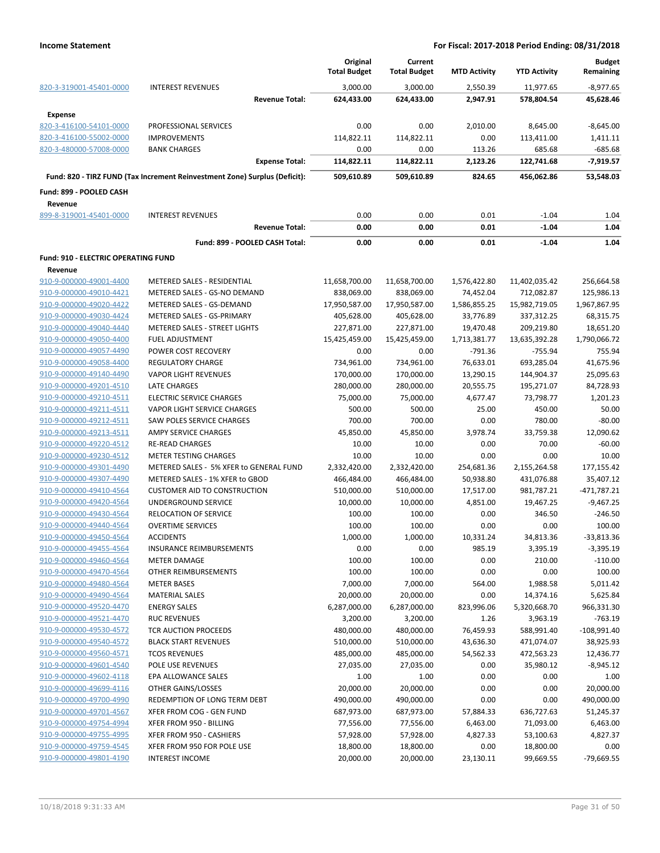|                                            |                                                                            | Original<br><b>Total Budget</b> | Current<br><b>Total Budget</b> | <b>MTD Activity</b> | <b>YTD Activity</b> | <b>Budget</b><br>Remaining |
|--------------------------------------------|----------------------------------------------------------------------------|---------------------------------|--------------------------------|---------------------|---------------------|----------------------------|
| 820-3-319001-45401-0000                    | <b>INTEREST REVENUES</b>                                                   | 3,000.00                        | 3,000.00                       | 2,550.39            | 11,977.65           | $-8,977.65$                |
| <b>Expense</b>                             | <b>Revenue Total:</b>                                                      | 624,433.00                      | 624,433.00                     | 2,947.91            | 578,804.54          | 45,628.46                  |
| 820-3-416100-54101-0000                    | PROFESSIONAL SERVICES                                                      | 0.00                            | 0.00                           | 2,010.00            | 8,645.00            | $-8,645.00$                |
| 820-3-416100-55002-0000                    | <b>IMPROVEMENTS</b>                                                        | 114,822.11                      | 114,822.11                     | 0.00                | 113,411.00          | 1,411.11                   |
| 820-3-480000-57008-0000                    | <b>BANK CHARGES</b>                                                        | 0.00                            | 0.00                           | 113.26              | 685.68              | $-685.68$                  |
|                                            | <b>Expense Total:</b>                                                      | 114,822.11                      | 114,822.11                     | 2,123.26            | 122,741.68          | $-7,919.57$                |
|                                            | Fund: 820 - TIRZ FUND (Tax Increment Reinvestment Zone) Surplus (Deficit): | 509,610.89                      | 509,610.89                     | 824.65              | 456,062.86          | 53,548.03                  |
| Fund: 899 - POOLED CASH                    |                                                                            |                                 |                                |                     |                     |                            |
| Revenue                                    |                                                                            |                                 |                                |                     |                     |                            |
| 899-8-319001-45401-0000                    | <b>INTEREST REVENUES</b>                                                   | 0.00                            | 0.00                           | 0.01                | $-1.04$             | 1.04                       |
|                                            | <b>Revenue Total:</b>                                                      | 0.00                            | 0.00                           | 0.01                | $-1.04$             | 1.04                       |
|                                            | Fund: 899 - POOLED CASH Total:                                             | 0.00                            | 0.00                           | 0.01                | $-1.04$             | 1.04                       |
| <b>Fund: 910 - ELECTRIC OPERATING FUND</b> |                                                                            |                                 |                                |                     |                     |                            |
| Revenue                                    |                                                                            |                                 |                                |                     |                     |                            |
| 910-9-000000-49001-4400                    | METERED SALES - RESIDENTIAL                                                | 11,658,700.00                   | 11,658,700.00                  | 1,576,422.80        | 11,402,035.42       | 256,664.58                 |
| 910-9-000000-49010-4421                    | METERED SALES - GS-NO DEMAND                                               | 838,069.00                      | 838,069.00                     | 74,452.04           | 712,082.87          | 125,986.13                 |
| 910-9-000000-49020-4422                    | METERED SALES - GS-DEMAND                                                  | 17,950,587.00                   | 17,950,587.00                  | 1,586,855.25        | 15,982,719.05       | 1,967,867.95               |
| 910-9-000000-49030-4424                    | METERED SALES - GS-PRIMARY                                                 | 405,628.00                      | 405,628.00                     | 33,776.89           | 337,312.25          | 68,315.75                  |
| 910-9-000000-49040-4440                    | METERED SALES - STREET LIGHTS                                              | 227,871.00                      | 227,871.00                     | 19,470.48           | 209,219.80          | 18,651.20                  |
| 910-9-000000-49050-4400                    | <b>FUEL ADJUSTMENT</b>                                                     | 15,425,459.00                   | 15,425,459.00                  | 1,713,381.77        | 13,635,392.28       | 1,790,066.72               |
| 910-9-000000-49057-4490                    | POWER COST RECOVERY                                                        | 0.00                            | 0.00                           | $-791.36$           | $-755.94$           | 755.94                     |
| 910-9-000000-49058-4400                    | <b>REGULATORY CHARGE</b>                                                   | 734,961.00                      | 734,961.00                     | 76,633.01           | 693,285.04          | 41,675.96                  |
| 910-9-000000-49140-4490                    | <b>VAPOR LIGHT REVENUES</b>                                                | 170,000.00                      | 170,000.00                     | 13,290.15           | 144,904.37          | 25,095.63                  |
| 910-9-000000-49201-4510                    | <b>LATE CHARGES</b>                                                        | 280,000.00                      | 280,000.00                     | 20,555.75           | 195,271.07          | 84,728.93                  |
| 910-9-000000-49210-4511                    | <b>ELECTRIC SERVICE CHARGES</b>                                            | 75,000.00                       | 75,000.00                      | 4,677.47            | 73,798.77           | 1,201.23                   |
| 910-9-000000-49211-4511                    | <b>VAPOR LIGHT SERVICE CHARGES</b>                                         | 500.00                          | 500.00                         | 25.00               | 450.00              | 50.00                      |
| 910-9-000000-49212-4511                    | SAW POLES SERVICE CHARGES                                                  | 700.00                          | 700.00                         | 0.00                | 780.00              | $-80.00$                   |
| 910-9-000000-49213-4511                    | <b>AMPY SERVICE CHARGES</b>                                                | 45,850.00                       | 45,850.00                      | 3,978.74            | 33,759.38           | 12,090.62                  |
| 910-9-000000-49220-4512                    | <b>RE-READ CHARGES</b>                                                     | 10.00                           | 10.00                          | 0.00                | 70.00               | -60.00                     |
| 910-9-000000-49230-4512                    | <b>METER TESTING CHARGES</b>                                               | 10.00                           | 10.00                          | 0.00                | 0.00                | 10.00                      |
| 910-9-000000-49301-4490                    | METERED SALES - 5% XFER to GENERAL FUND                                    | 2,332,420.00                    | 2,332,420.00                   | 254,681.36          | 2,155,264.58        | 177,155.42                 |
| 910-9-000000-49307-4490                    | METERED SALES - 1% XFER to GBOD                                            | 466,484.00                      | 466,484.00                     | 50,938.80           | 431,076.88          | 35,407.12                  |
| 910-9-000000-49410-4564                    | <b>CUSTOMER AID TO CONSTRUCTION</b>                                        | 510,000.00                      | 510,000.00                     | 17,517.00           | 981,787.21          | $-471,787.21$              |
| 910-9-000000-49420-4564                    | UNDERGROUND SERVICE                                                        | 10,000.00                       | 10,000.00                      | 4,851.00            | 19,467.25           | $-9,467.25$                |
| 910-9-000000-49430-4564                    | RELOCATION OF SERVICE                                                      | 100.00                          | 100.00                         | 0.00                | 346.50              | $-246.50$                  |
| 910-9-000000-49440-4564                    | <b>OVERTIME SERVICES</b>                                                   | 100.00                          | 100.00                         | 0.00                | 0.00                | 100.00                     |
| 910-9-000000-49450-4564                    | <b>ACCIDENTS</b>                                                           | 1,000.00                        | 1,000.00                       | 10,331.24           | 34,813.36           | $-33,813.36$               |
| 910-9-000000-49455-4564                    | INSURANCE REIMBURSEMENTS                                                   | 0.00                            | 0.00                           | 985.19              | 3,395.19            | $-3,395.19$                |
| 910-9-000000-49460-4564                    | METER DAMAGE                                                               | 100.00                          | 100.00                         | 0.00                | 210.00              | $-110.00$                  |
| 910-9-000000-49470-4564                    | OTHER REIMBURSEMENTS                                                       | 100.00                          | 100.00                         | 0.00                | 0.00                | 100.00                     |
| 910-9-000000-49480-4564                    | <b>METER BASES</b>                                                         | 7,000.00                        | 7,000.00                       | 564.00              | 1,988.58            | 5,011.42                   |
| 910-9-000000-49490-4564                    | <b>MATERIAL SALES</b>                                                      | 20,000.00                       | 20,000.00                      | 0.00                | 14,374.16           | 5,625.84                   |
| 910-9-000000-49520-4470                    | <b>ENERGY SALES</b>                                                        | 6,287,000.00                    | 6,287,000.00                   | 823,996.06          | 5,320,668.70        | 966,331.30                 |
| 910-9-000000-49521-4470                    | <b>RUC REVENUES</b>                                                        | 3,200.00                        | 3,200.00                       | 1.26                | 3,963.19            | $-763.19$                  |
| 910-9-000000-49530-4572                    | TCR AUCTION PROCEEDS                                                       | 480,000.00                      | 480,000.00                     | 76,459.93           | 588,991.40          | $-108,991.40$              |
| 910-9-000000-49540-4572                    | <b>BLACK START REVENUES</b>                                                | 510,000.00                      | 510,000.00                     | 43,636.30           | 471,074.07          | 38,925.93                  |
| 910-9-000000-49560-4571                    | <b>TCOS REVENUES</b>                                                       | 485,000.00                      | 485,000.00                     | 54,562.33           | 472,563.23          | 12,436.77                  |
| 910-9-000000-49601-4540                    | POLE USE REVENUES                                                          | 27,035.00                       | 27,035.00                      | 0.00                | 35,980.12           | $-8,945.12$                |
| 910-9-000000-49602-4118                    | EPA ALLOWANCE SALES                                                        | 1.00                            | 1.00                           | 0.00                | 0.00                | 1.00                       |
| 910-9-000000-49699-4116                    | OTHER GAINS/LOSSES                                                         | 20,000.00                       | 20,000.00                      | 0.00                | 0.00                | 20,000.00                  |
| 910-9-000000-49700-4990                    | REDEMPTION OF LONG TERM DEBT                                               | 490,000.00                      | 490,000.00                     | 0.00                | 0.00                | 490,000.00                 |
| 910-9-000000-49701-4567                    | XFER FROM COG - GEN FUND                                                   | 687,973.00                      | 687,973.00                     | 57,884.33           | 636,727.63          | 51,245.37                  |
| 910-9-000000-49754-4994                    | XFER FROM 950 - BILLING                                                    | 77,556.00                       | 77,556.00                      | 6,463.00            | 71,093.00           | 6,463.00                   |
| 910-9-000000-49755-4995                    | XFER FROM 950 - CASHIERS                                                   | 57,928.00                       | 57,928.00                      | 4,827.33            | 53,100.63           | 4,827.37                   |
| 910-9-000000-49759-4545                    | XFER FROM 950 FOR POLE USE                                                 | 18,800.00                       | 18,800.00                      | 0.00                | 18,800.00           | 0.00                       |
| 910-9-000000-49801-4190                    | <b>INTEREST INCOME</b>                                                     | 20,000.00                       | 20,000.00                      | 23,130.11           | 99,669.55           | $-79,669.55$               |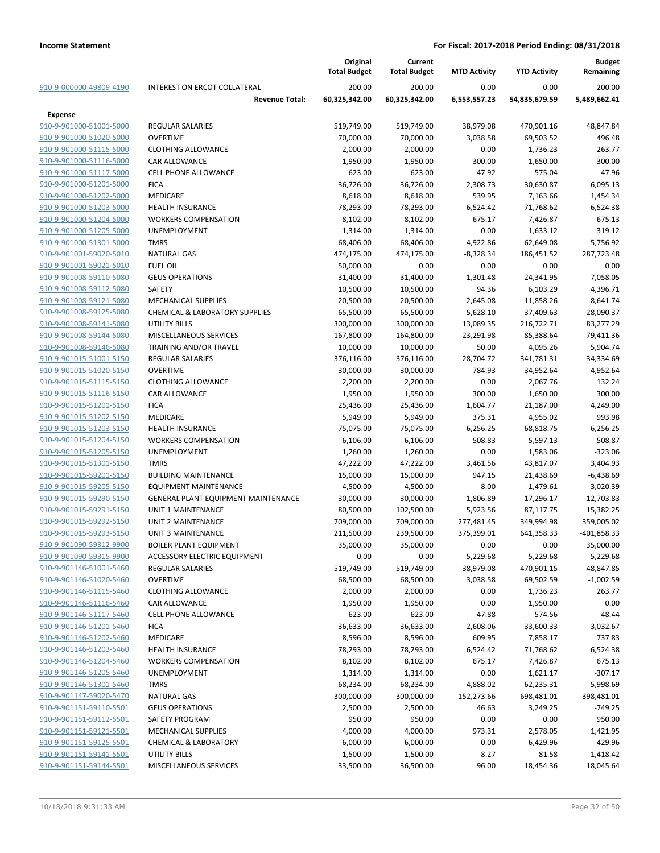|                         |                                            | Original<br><b>Total Budget</b> | Current<br><b>Total Budget</b> | <b>MTD Activity</b> | <b>YTD Activity</b> | <b>Budget</b><br>Remaining |
|-------------------------|--------------------------------------------|---------------------------------|--------------------------------|---------------------|---------------------|----------------------------|
| 910-9-000000-49809-4190 | <b>INTEREST ON ERCOT COLLATERAL</b>        | 200.00                          | 200.00                         | 0.00                | 0.00                | 200.00                     |
|                         | <b>Revenue Total:</b>                      | 60,325,342.00                   | 60,325,342.00                  | 6,553,557.23        | 54,835,679.59       | 5,489,662.41               |
| <b>Expense</b>          |                                            |                                 |                                |                     |                     |                            |
| 910-9-901000-51001-5000 | <b>REGULAR SALARIES</b>                    | 519,749.00                      | 519,749.00                     | 38,979.08           | 470,901.16          | 48,847.84                  |
| 910-9-901000-51020-5000 | <b>OVERTIME</b>                            | 70,000.00                       | 70,000.00                      | 3,038.58            | 69,503.52           | 496.48                     |
| 910-9-901000-51115-5000 | <b>CLOTHING ALLOWANCE</b>                  | 2,000.00                        | 2,000.00                       | 0.00                | 1,736.23            | 263.77                     |
| 910-9-901000-51116-5000 | <b>CAR ALLOWANCE</b>                       | 1,950.00                        | 1,950.00                       | 300.00              | 1,650.00            | 300.00                     |
| 910-9-901000-51117-5000 | <b>CELL PHONE ALLOWANCE</b>                | 623.00                          | 623.00                         | 47.92               | 575.04              | 47.96                      |
| 910-9-901000-51201-5000 | <b>FICA</b>                                | 36,726.00                       | 36,726.00                      | 2,308.73            | 30,630.87           | 6,095.13                   |
| 910-9-901000-51202-5000 | <b>MEDICARE</b>                            | 8,618.00                        | 8,618.00                       | 539.95              | 7,163.66            | 1,454.34                   |
| 910-9-901000-51203-5000 | <b>HEALTH INSURANCE</b>                    | 78,293.00                       | 78,293.00                      | 6,524.42            | 71,768.62           | 6,524.38                   |
| 910-9-901000-51204-5000 | <b>WORKERS COMPENSATION</b>                | 8,102.00                        | 8,102.00                       | 675.17              | 7,426.87            | 675.13                     |
| 910-9-901000-51205-5000 | <b>UNEMPLOYMENT</b>                        | 1,314.00                        | 1,314.00                       | 0.00                | 1,633.12            | $-319.12$                  |
| 910-9-901000-51301-5000 | <b>TMRS</b>                                | 68,406.00                       | 68,406.00                      | 4,922.86            | 62,649.08           | 5,756.92                   |
| 910-9-901001-59020-5010 | <b>NATURAL GAS</b>                         | 474,175.00                      | 474,175.00                     | $-8,328.34$         | 186,451.52          | 287,723.48                 |
| 910-9-901001-59021-5010 | <b>FUEL OIL</b>                            | 50,000.00                       | 0.00                           | 0.00                | 0.00                | 0.00                       |
| 910-9-901008-59110-5080 | <b>GEUS OPERATIONS</b>                     | 31,400.00                       | 31,400.00                      | 1,301.48            | 24,341.95           | 7,058.05                   |
| 910-9-901008-59112-5080 | SAFETY                                     | 10,500.00                       | 10,500.00                      | 94.36               | 6,103.29            | 4,396.71                   |
| 910-9-901008-59121-5080 | <b>MECHANICAL SUPPLIES</b>                 | 20,500.00                       | 20,500.00                      | 2,645.08            | 11,858.26           | 8,641.74                   |
| 910-9-901008-59125-5080 | <b>CHEMICAL &amp; LABORATORY SUPPLIES</b>  | 65,500.00                       | 65,500.00                      | 5,628.10            | 37,409.63           | 28,090.37                  |
| 910-9-901008-59141-5080 | <b>UTILITY BILLS</b>                       | 300,000.00                      | 300,000.00                     | 13,089.35           | 216,722.71          | 83,277.29                  |
| 910-9-901008-59144-5080 | MISCELLANEOUS SERVICES                     | 167,800.00                      | 164,800.00                     | 23,291.98           | 85,388.64           | 79,411.36                  |
| 910-9-901008-59146-5080 | <b>TRAINING AND/OR TRAVEL</b>              | 10,000.00                       | 10,000.00                      | 50.00               | 4,095.26            | 5,904.74                   |
| 910-9-901015-51001-5150 | <b>REGULAR SALARIES</b>                    | 376,116.00                      | 376,116.00                     | 28,704.72           | 341,781.31          | 34,334.69                  |
| 910-9-901015-51020-5150 | <b>OVERTIME</b>                            | 30,000.00                       | 30,000.00                      | 784.93              | 34,952.64           | $-4,952.64$                |
| 910-9-901015-51115-5150 | <b>CLOTHING ALLOWANCE</b>                  | 2,200.00                        | 2,200.00                       | 0.00                | 2,067.76            | 132.24                     |
| 910-9-901015-51116-5150 | <b>CAR ALLOWANCE</b>                       | 1,950.00                        | 1,950.00                       | 300.00              | 1,650.00            | 300.00                     |
| 910-9-901015-51201-5150 | <b>FICA</b>                                | 25,436.00                       | 25,436.00                      | 1,604.77            | 21,187.00           | 4,249.00                   |
| 910-9-901015-51202-5150 | <b>MEDICARE</b>                            | 5,949.00                        | 5,949.00                       | 375.31              | 4,955.02            | 993.98                     |
| 910-9-901015-51203-5150 | <b>HEALTH INSURANCE</b>                    | 75,075.00                       | 75,075.00                      | 6,256.25            | 68,818.75           | 6,256.25                   |
| 910-9-901015-51204-5150 | <b>WORKERS COMPENSATION</b>                | 6,106.00                        | 6,106.00                       | 508.83              | 5,597.13            | 508.87                     |
| 910-9-901015-51205-5150 | <b>UNEMPLOYMENT</b>                        | 1,260.00                        | 1,260.00                       | 0.00                | 1,583.06            | $-323.06$                  |
| 910-9-901015-51301-5150 | <b>TMRS</b>                                | 47,222.00                       | 47,222.00                      | 3,461.56            | 43,817.07           | 3,404.93                   |
| 910-9-901015-59201-5150 | <b>BUILDING MAINTENANCE</b>                | 15,000.00                       | 15,000.00                      | 947.15              | 21,438.69           | $-6,438.69$                |
| 910-9-901015-59205-5150 | <b>EQUIPMENT MAINTENANCE</b>               | 4,500.00                        | 4,500.00                       | 8.00                | 1,479.61            | 3,020.39                   |
| 910-9-901015-59290-5150 | <b>GENERAL PLANT EQUIPMENT MAINTENANCE</b> | 30,000.00                       | 30,000.00                      | 1,806.89            | 17,296.17           | 12,703.83                  |
| 910-9-901015-59291-5150 | UNIT 1 MAINTENANCE                         | 80,500.00                       | 102,500.00                     | 5,923.56            | 87,117.75           | 15,382.25                  |
| 910-9-901015-59292-5150 | UNIT 2 MAINTENANCE                         | 709,000.00                      | 709,000.00                     | 277,481.45          | 349,994.98          | 359,005.02                 |
| 910-9-901015-59293-5150 | <b>UNIT 3 MAINTENANCE</b>                  | 211,500.00                      | 239,500.00                     | 375,399.01          | 641,358.33          | $-401,858.33$              |
| 910-9-901090-59312-9900 | <b>BOILER PLANT EQUIPMENT</b>              | 35,000.00                       | 35,000.00                      | 0.00                | 0.00                | 35,000.00                  |
| 910-9-901090-59315-9900 | ACCESSORY ELECTRIC EQUIPMENT               | 0.00                            | 0.00                           | 5,229.68            | 5,229.68            | $-5,229.68$                |
| 910-9-901146-51001-5460 | <b>REGULAR SALARIES</b>                    | 519,749.00                      | 519,749.00                     | 38,979.08           | 470,901.15          | 48,847.85                  |
| 910-9-901146-51020-5460 | <b>OVERTIME</b>                            | 68,500.00                       | 68,500.00                      | 3,038.58            | 69,502.59           | $-1,002.59$                |
| 910-9-901146-51115-5460 | <b>CLOTHING ALLOWANCE</b>                  | 2,000.00                        | 2,000.00                       | 0.00                | 1,736.23            | 263.77                     |
| 910-9-901146-51116-5460 | <b>CAR ALLOWANCE</b>                       | 1,950.00                        | 1,950.00                       | 0.00                | 1,950.00            | 0.00                       |
| 910-9-901146-51117-5460 | <b>CELL PHONE ALLOWANCE</b>                | 623.00                          | 623.00                         | 47.88               | 574.56              | 48.44                      |
| 910-9-901146-51201-5460 | <b>FICA</b>                                | 36,633.00                       | 36,633.00                      | 2,608.06            | 33,600.33           | 3,032.67                   |
| 910-9-901146-51202-5460 | MEDICARE                                   | 8,596.00                        | 8,596.00                       | 609.95              | 7,858.17            | 737.83                     |
| 910-9-901146-51203-5460 | <b>HEALTH INSURANCE</b>                    | 78,293.00                       | 78,293.00                      | 6,524.42            | 71,768.62           | 6,524.38                   |
| 910-9-901146-51204-5460 | <b>WORKERS COMPENSATION</b>                | 8,102.00                        | 8,102.00                       | 675.17              | 7,426.87            | 675.13                     |
| 910-9-901146-51205-5460 | <b>UNEMPLOYMENT</b>                        | 1,314.00                        | 1,314.00                       | 0.00                | 1,621.17            | $-307.17$                  |
| 910-9-901146-51301-5460 | <b>TMRS</b>                                | 68,234.00                       | 68,234.00                      | 4,888.02            | 62,235.31           | 5,998.69                   |
| 910-9-901147-59020-5470 | <b>NATURAL GAS</b>                         | 300,000.00                      | 300,000.00                     | 152,273.66          | 698,481.01          | $-398,481.01$              |
| 910-9-901151-59110-5501 | <b>GEUS OPERATIONS</b>                     | 2,500.00                        | 2,500.00                       | 46.63               | 3,249.25            | $-749.25$                  |
| 910-9-901151-59112-5501 | SAFETY PROGRAM                             | 950.00                          | 950.00                         | 0.00                | 0.00                | 950.00                     |
| 910-9-901151-59121-5501 | MECHANICAL SUPPLIES                        | 4,000.00                        | 4,000.00                       | 973.31              | 2,578.05            | 1,421.95                   |
| 910-9-901151-59125-5501 | <b>CHEMICAL &amp; LABORATORY</b>           | 6,000.00                        | 6,000.00                       | 0.00                | 6,429.96            | $-429.96$                  |
| 910-9-901151-59141-5501 | UTILITY BILLS                              | 1,500.00                        | 1,500.00                       | 8.27                | 81.58               | 1,418.42                   |
| 910-9-901151-59144-5501 | MISCELLANEOUS SERVICES                     | 33,500.00                       | 36,500.00                      | 96.00               | 18,454.36           | 18,045.64                  |
|                         |                                            |                                 |                                |                     |                     |                            |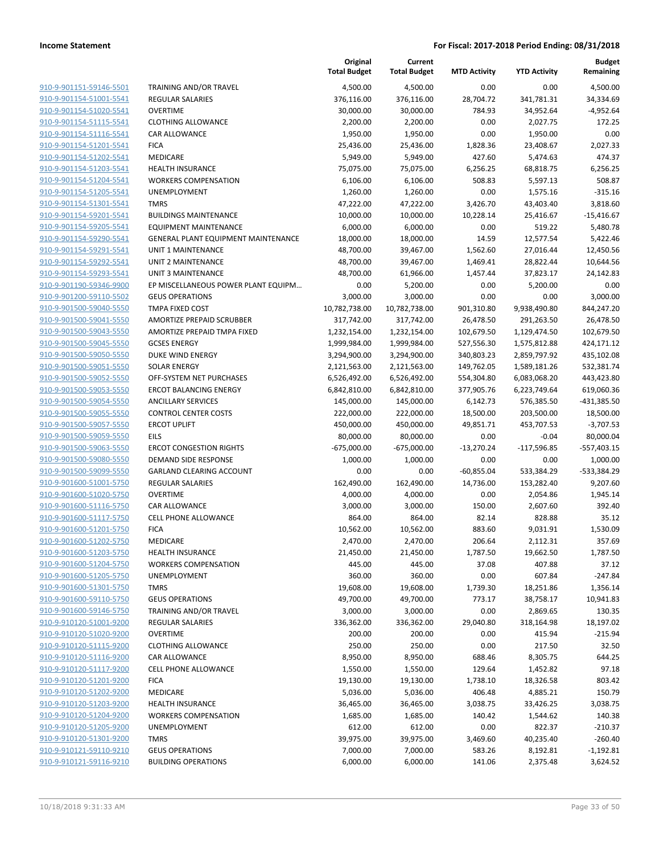**Current**

**Original**

**MTD Activity YTD Activity**

**Budget Remaining**

|                                                    |                                                           | <b>Total Budget</b> | <b>Total Budget</b>   | <b>MTD Activity</b> | <b>YTD Activity</b>   | Remaining          |
|----------------------------------------------------|-----------------------------------------------------------|---------------------|-----------------------|---------------------|-----------------------|--------------------|
| 910-9-901151-59146-5501                            | <b>TRAINING AND/OR TRAVEL</b>                             | 4,500.00            | 4,500.00              | 0.00                | 0.00                  | 4,500.00           |
| 910-9-901154-51001-5541                            | <b>REGULAR SALARIES</b>                                   | 376,116.00          | 376,116.00            | 28,704.72           | 341,781.31            | 34,334.69          |
| 910-9-901154-51020-5541                            | <b>OVERTIME</b>                                           | 30,000.00           | 30,000.00             | 784.93              | 34,952.64             | $-4,952.64$        |
| 910-9-901154-51115-5541                            | <b>CLOTHING ALLOWANCE</b>                                 | 2,200.00            | 2,200.00              | 0.00                | 2,027.75              | 172.25             |
| 910-9-901154-51116-5541                            | CAR ALLOWANCE                                             | 1,950.00            | 1,950.00              | 0.00                | 1,950.00              | 0.00               |
| 910-9-901154-51201-5541                            | <b>FICA</b>                                               | 25,436.00           | 25,436.00             | 1,828.36            | 23,408.67             | 2,027.33           |
| 910-9-901154-51202-5541                            | MEDICARE                                                  | 5,949.00            | 5,949.00              | 427.60              | 5,474.63              | 474.37             |
| 910-9-901154-51203-5541                            | <b>HEALTH INSURANCE</b>                                   | 75,075.00           | 75,075.00             | 6,256.25            | 68,818.75             | 6,256.25           |
| 910-9-901154-51204-5541                            | <b>WORKERS COMPENSATION</b>                               | 6,106.00            | 6,106.00              | 508.83              | 5,597.13              | 508.87             |
| 910-9-901154-51205-5541                            | UNEMPLOYMENT                                              | 1,260.00            | 1,260.00              | 0.00                | 1,575.16              | $-315.16$          |
| 910-9-901154-51301-5541                            | <b>TMRS</b>                                               | 47,222.00           | 47,222.00             | 3,426.70            | 43,403.40             | 3,818.60           |
| 910-9-901154-59201-5541                            | <b>BUILDINGS MAINTENANCE</b>                              | 10,000.00           | 10,000.00             | 10,228.14           | 25,416.67             | $-15,416.67$       |
| 910-9-901154-59205-5541                            | <b>EQUIPMENT MAINTENANCE</b>                              | 6,000.00            | 6,000.00              | 0.00                | 519.22                | 5,480.78           |
| 910-9-901154-59290-5541                            | GENERAL PLANT EQUIPMENT MAINTENANCE                       | 18,000.00           | 18,000.00             | 14.59               | 12,577.54             | 5,422.46           |
| 910-9-901154-59291-5541                            | UNIT 1 MAINTENANCE                                        | 48,700.00           | 39,467.00             | 1,562.60            | 27,016.44             | 12,450.56          |
| 910-9-901154-59292-5541<br>910-9-901154-59293-5541 | UNIT 2 MAINTENANCE                                        | 48,700.00           | 39,467.00             | 1,469.41            | 28,822.44             | 10,644.56          |
| 910-9-901190-59346-9900                            | UNIT 3 MAINTENANCE<br>EP MISCELLANEOUS POWER PLANT EQUIPM | 48,700.00<br>0.00   | 61,966.00<br>5,200.00 | 1,457.44<br>0.00    | 37,823.17<br>5,200.00 | 24,142.83<br>0.00  |
| 910-9-901200-59110-5502                            | <b>GEUS OPERATIONS</b>                                    | 3,000.00            | 3,000.00              | 0.00                | 0.00                  | 3,000.00           |
| 910-9-901500-59040-5550                            | TMPA FIXED COST                                           | 10,782,738.00       | 10,782,738.00         | 901,310.80          | 9,938,490.80          | 844,247.20         |
| 910-9-901500-59041-5550                            | AMORTIZE PREPAID SCRUBBER                                 | 317,742.00          | 317,742.00            | 26,478.50           | 291,263.50            | 26,478.50          |
| 910-9-901500-59043-5550                            | AMORTIZE PREPAID TMPA FIXED                               | 1,232,154.00        | 1,232,154.00          | 102,679.50          | 1,129,474.50          | 102,679.50         |
| 910-9-901500-59045-5550                            | <b>GCSES ENERGY</b>                                       | 1,999,984.00        | 1,999,984.00          | 527,556.30          | 1,575,812.88          | 424,171.12         |
| 910-9-901500-59050-5550                            | DUKE WIND ENERGY                                          | 3,294,900.00        | 3,294,900.00          | 340,803.23          | 2,859,797.92          | 435,102.08         |
| 910-9-901500-59051-5550                            | <b>SOLAR ENERGY</b>                                       | 2,121,563.00        | 2,121,563.00          | 149,762.05          | 1,589,181.26          | 532,381.74         |
| 910-9-901500-59052-5550                            | OFF-SYSTEM NET PURCHASES                                  | 6,526,492.00        | 6,526,492.00          | 554,304.80          | 6,083,068.20          | 443,423.80         |
| 910-9-901500-59053-5550                            | <b>ERCOT BALANCING ENERGY</b>                             | 6,842,810.00        | 6,842,810.00          | 377,905.76          | 6,223,749.64          | 619,060.36         |
| 910-9-901500-59054-5550                            | <b>ANCILLARY SERVICES</b>                                 | 145,000.00          | 145,000.00            | 6,142.73            | 576,385.50            | -431,385.50        |
| 910-9-901500-59055-5550                            | <b>CONTROL CENTER COSTS</b>                               | 222,000.00          | 222,000.00            | 18,500.00           | 203,500.00            | 18,500.00          |
| 910-9-901500-59057-5550                            | <b>ERCOT UPLIFT</b>                                       | 450,000.00          | 450,000.00            | 49,851.71           | 453,707.53            | $-3,707.53$        |
| 910-9-901500-59059-5550                            | <b>EILS</b>                                               | 80,000.00           | 80,000.00             | 0.00                | $-0.04$               | 80,000.04          |
| 910-9-901500-59063-5550                            | <b>ERCOT CONGESTION RIGHTS</b>                            | $-675,000.00$       | $-675,000.00$         | $-13,270.24$        | $-117,596.85$         | $-557,403.15$      |
| 910-9-901500-59080-5550                            | DEMAND SIDE RESPONSE                                      | 1,000.00            | 1,000.00              | 0.00                | 0.00                  | 1,000.00           |
| 910-9-901500-59099-5550                            | <b>GARLAND CLEARING ACCOUNT</b>                           | 0.00                | 0.00                  | $-60,855.04$        | 533,384.29            | -533,384.29        |
| 910-9-901600-51001-5750                            | <b>REGULAR SALARIES</b>                                   | 162,490.00          | 162,490.00            | 14,736.00           | 153,282.40            | 9,207.60           |
| 910-9-901600-51020-5750                            | <b>OVERTIME</b>                                           | 4,000.00            | 4,000.00              | 0.00                | 2,054.86              | 1,945.14           |
| 910-9-901600-51116-5750                            | CAR ALLOWANCE                                             | 3,000.00            | 3,000.00              | 150.00              | 2,607.60              | 392.40             |
| 910-9-901600-51117-5750                            | <b>CELL PHONE ALLOWANCE</b>                               | 864.00              | 864.00                | 82.14               | 828.88                | 35.12              |
| 910-9-901600-51201-5750                            | <b>FICA</b>                                               | 10,562.00           | 10,562.00             | 883.60              | 9,031.91              | 1,530.09           |
| 910-9-901600-51202-5750                            | MEDICARE                                                  | 2,470.00            | 2,470.00              | 206.64              | 2,112.31              | 357.69             |
| 910-9-901600-51203-5750<br>910-9-901600-51204-5750 | HEALTH INSURANCE                                          | 21,450.00           | 21,450.00             | 1,787.50            | 19,662.50             | 1,787.50           |
| 910-9-901600-51205-5750                            | <b>WORKERS COMPENSATION</b><br>UNEMPLOYMENT               | 445.00<br>360.00    | 445.00<br>360.00      | 37.08<br>0.00       | 407.88<br>607.84      | 37.12<br>$-247.84$ |
| 910-9-901600-51301-5750                            | <b>TMRS</b>                                               | 19,608.00           | 19,608.00             | 1,739.30            | 18,251.86             | 1,356.14           |
| 910-9-901600-59110-5750                            | <b>GEUS OPERATIONS</b>                                    | 49,700.00           | 49,700.00             | 773.17              | 38,758.17             | 10,941.83          |
| 910-9-901600-59146-5750                            | <b>TRAINING AND/OR TRAVEL</b>                             | 3,000.00            | 3,000.00              | 0.00                | 2,869.65              | 130.35             |
| 910-9-910120-51001-9200                            | <b>REGULAR SALARIES</b>                                   | 336,362.00          | 336,362.00            | 29,040.80           | 318,164.98            | 18,197.02          |
| 910-9-910120-51020-9200                            | <b>OVERTIME</b>                                           | 200.00              | 200.00                | 0.00                | 415.94                | $-215.94$          |
| 910-9-910120-51115-9200                            | <b>CLOTHING ALLOWANCE</b>                                 | 250.00              | 250.00                | 0.00                | 217.50                | 32.50              |
| 910-9-910120-51116-9200                            | CAR ALLOWANCE                                             | 8,950.00            | 8,950.00              | 688.46              | 8,305.75              | 644.25             |
| 910-9-910120-51117-9200                            | <b>CELL PHONE ALLOWANCE</b>                               | 1,550.00            | 1,550.00              | 129.64              | 1,452.82              | 97.18              |
| 910-9-910120-51201-9200                            | <b>FICA</b>                                               | 19,130.00           | 19,130.00             | 1,738.10            | 18,326.58             | 803.42             |
| 910-9-910120-51202-9200                            | MEDICARE                                                  | 5,036.00            | 5,036.00              | 406.48              | 4,885.21              | 150.79             |
| 910-9-910120-51203-9200                            | <b>HEALTH INSURANCE</b>                                   | 36,465.00           | 36,465.00             | 3,038.75            | 33,426.25             | 3,038.75           |
| 910-9-910120-51204-9200                            | <b>WORKERS COMPENSATION</b>                               | 1,685.00            | 1,685.00              | 140.42              | 1,544.62              | 140.38             |
| 910-9-910120-51205-9200                            | UNEMPLOYMENT                                              | 612.00              | 612.00                | 0.00                | 822.37                | $-210.37$          |
| 910-9-910120-51301-9200                            | <b>TMRS</b>                                               | 39,975.00           | 39,975.00             | 3,469.60            | 40,235.40             | $-260.40$          |
| 910-9-910121-59110-9210                            | <b>GEUS OPERATIONS</b>                                    | 7,000.00            | 7,000.00              | 583.26              | 8,192.81              | $-1,192.81$        |
| 910-9-910121-59116-9210                            | <b>BUILDING OPERATIONS</b>                                | 6,000.00            | 6,000.00              | 141.06              | 2,375.48              | 3,624.52           |
|                                                    |                                                           |                     |                       |                     |                       |                    |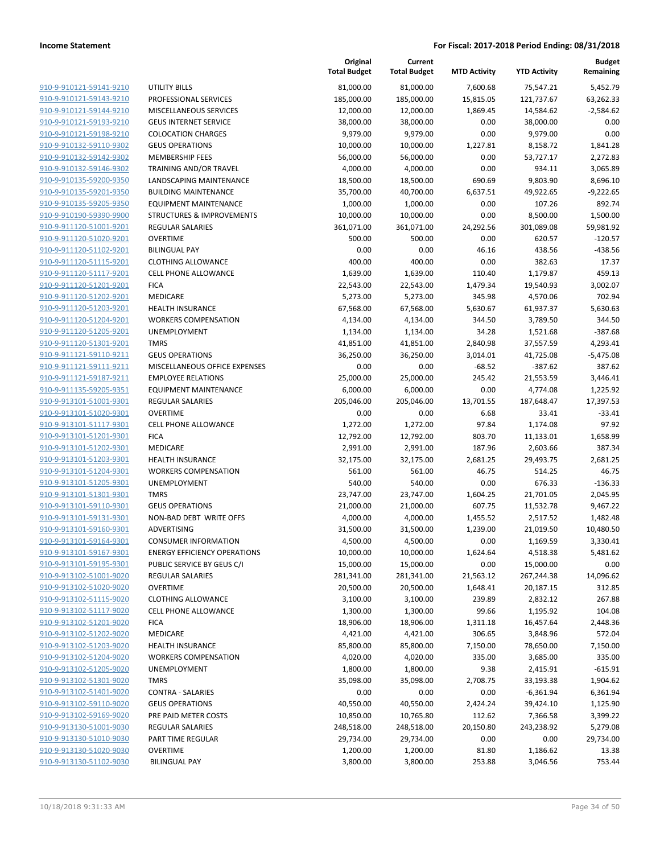|                                                    |                                                | Original<br><b>Total Budget</b> | Current<br><b>Total Budget</b> | <b>MTD Activity</b> | <b>YTD Activity</b> | <b>Budget</b><br>Remaining |
|----------------------------------------------------|------------------------------------------------|---------------------------------|--------------------------------|---------------------|---------------------|----------------------------|
| 910-9-910121-59141-9210                            | <b>UTILITY BILLS</b>                           | 81,000.00                       | 81,000.00                      | 7,600.68            | 75,547.21           | 5,452.79                   |
| 910-9-910121-59143-9210                            | PROFESSIONAL SERVICES                          | 185,000.00                      | 185,000.00                     | 15,815.05           | 121,737.67          | 63,262.33                  |
| 910-9-910121-59144-9210                            | MISCELLANEOUS SERVICES                         | 12,000.00                       | 12,000.00                      | 1,869.45            | 14,584.62           | $-2,584.62$                |
| 910-9-910121-59193-9210                            | <b>GEUS INTERNET SERVICE</b>                   | 38,000.00                       | 38,000.00                      | 0.00                | 38,000.00           | 0.00                       |
| 910-9-910121-59198-9210                            | <b>COLOCATION CHARGES</b>                      | 9,979.00                        | 9,979.00                       | 0.00                | 9,979.00            | 0.00                       |
| 910-9-910132-59110-9302                            | <b>GEUS OPERATIONS</b>                         | 10,000.00                       | 10,000.00                      | 1,227.81            | 8,158.72            | 1,841.28                   |
| 910-9-910132-59142-9302                            | <b>MEMBERSHIP FEES</b>                         | 56,000.00                       | 56,000.00                      | 0.00                | 53,727.17           | 2,272.83                   |
| 910-9-910132-59146-9302                            | TRAINING AND/OR TRAVEL                         | 4,000.00                        | 4,000.00                       | 0.00                | 934.11              | 3,065.89                   |
| 910-9-910135-59200-9350                            | LANDSCAPING MAINTENANCE                        | 18,500.00                       | 18,500.00                      | 690.69              | 9,803.90            | 8,696.10                   |
| 910-9-910135-59201-9350                            | <b>BUILDING MAINTENANCE</b>                    | 35,700.00                       | 40,700.00                      | 6,637.51            | 49,922.65           | $-9,222.65$                |
| 910-9-910135-59205-9350                            | <b>EQUIPMENT MAINTENANCE</b>                   | 1,000.00                        | 1,000.00                       | 0.00                | 107.26              | 892.74                     |
| 910-9-910190-59390-9900                            | <b>STRUCTURES &amp; IMPROVEMENTS</b>           | 10,000.00                       | 10,000.00                      | 0.00                | 8,500.00            | 1,500.00                   |
| 910-9-911120-51001-9201                            | <b>REGULAR SALARIES</b>                        | 361,071.00                      | 361,071.00                     | 24,292.56           | 301,089.08          | 59,981.92                  |
| 910-9-911120-51020-9201                            | <b>OVERTIME</b>                                | 500.00                          | 500.00                         | 0.00                | 620.57              | $-120.57$                  |
| 910-9-911120-51102-9201                            | <b>BILINGUAL PAY</b>                           | 0.00                            | 0.00                           | 46.16               | 438.56              | $-438.56$                  |
| 910-9-911120-51115-9201                            | <b>CLOTHING ALLOWANCE</b>                      | 400.00                          | 400.00                         | 0.00                | 382.63              | 17.37                      |
| 910-9-911120-51117-9201                            | <b>CELL PHONE ALLOWANCE</b>                    | 1,639.00                        | 1,639.00                       | 110.40              | 1,179.87            | 459.13                     |
| 910-9-911120-51201-9201                            | <b>FICA</b>                                    | 22,543.00                       | 22,543.00                      | 1,479.34            | 19,540.93           | 3,002.07                   |
| 910-9-911120-51202-9201                            | MEDICARE                                       | 5,273.00                        | 5,273.00                       | 345.98              | 4,570.06            | 702.94                     |
| 910-9-911120-51203-9201                            | <b>HEALTH INSURANCE</b>                        | 67,568.00                       | 67,568.00                      | 5,630.67            | 61,937.37           | 5,630.63                   |
| 910-9-911120-51204-9201                            | <b>WORKERS COMPENSATION</b>                    | 4,134.00                        | 4,134.00                       | 344.50              | 3,789.50            | 344.50                     |
| 910-9-911120-51205-9201                            | <b>UNEMPLOYMENT</b>                            | 1,134.00                        | 1,134.00                       | 34.28               | 1,521.68            | $-387.68$                  |
| 910-9-911120-51301-9201                            | <b>TMRS</b>                                    | 41,851.00                       | 41,851.00                      | 2,840.98            | 37,557.59           | 4,293.41                   |
| 910-9-911121-59110-9211                            | <b>GEUS OPERATIONS</b>                         | 36,250.00                       | 36,250.00                      | 3,014.01            | 41,725.08           | $-5,475.08$                |
| 910-9-911121-59111-9211                            | MISCELLANEOUS OFFICE EXPENSES                  | 0.00                            | 0.00                           | $-68.52$            | $-387.62$           | 387.62                     |
| 910-9-911121-59187-9211                            | <b>EMPLOYEE RELATIONS</b>                      | 25,000.00                       | 25,000.00                      | 245.42              | 21,553.59           | 3,446.41                   |
| 910-9-911135-59205-9351                            | <b>EQUIPMENT MAINTENANCE</b>                   | 6,000.00                        | 6,000.00                       | 0.00                | 4,774.08            | 1,225.92                   |
| 910-9-913101-51001-9301<br>910-9-913101-51020-9301 | <b>REGULAR SALARIES</b>                        | 205,046.00                      | 205,046.00                     | 13,701.55           | 187,648.47          | 17,397.53                  |
| 910-9-913101-51117-9301                            | <b>OVERTIME</b><br><b>CELL PHONE ALLOWANCE</b> | 0.00<br>1,272.00                | 0.00<br>1,272.00               | 6.68<br>97.84       | 33.41<br>1,174.08   | $-33.41$<br>97.92          |
| 910-9-913101-51201-9301                            | <b>FICA</b>                                    | 12,792.00                       | 12,792.00                      | 803.70              | 11,133.01           | 1,658.99                   |
| 910-9-913101-51202-9301                            | MEDICARE                                       | 2,991.00                        | 2,991.00                       | 187.96              | 2,603.66            | 387.34                     |
| 910-9-913101-51203-9301                            | <b>HEALTH INSURANCE</b>                        | 32,175.00                       | 32,175.00                      | 2,681.25            | 29,493.75           | 2,681.25                   |
| 910-9-913101-51204-9301                            | <b>WORKERS COMPENSATION</b>                    | 561.00                          | 561.00                         | 46.75               | 514.25              | 46.75                      |
| 910-9-913101-51205-9301                            | UNEMPLOYMENT                                   | 540.00                          | 540.00                         | 0.00                | 676.33              | $-136.33$                  |
| 910-9-913101-51301-9301                            | <b>TMRS</b>                                    | 23,747.00                       | 23,747.00                      | 1,604.25            | 21,701.05           | 2,045.95                   |
| 910-9-913101-59110-9301                            | <b>GEUS OPERATIONS</b>                         | 21,000.00                       | 21,000.00                      | 607.75              | 11,532.78           | 9,467.22                   |
| 910-9-913101-59131-9301                            | NON-BAD DEBT WRITE OFFS                        | 4,000.00                        | 4,000.00                       | 1,455.52            | 2,517.52            | 1,482.48                   |
| 910-9-913101-59160-9301                            | ADVERTISING                                    | 31,500.00                       | 31,500.00                      | 1,239.00            | 21,019.50           | 10,480.50                  |
| 910-9-913101-59164-9301                            | <b>CONSUMER INFORMATION</b>                    | 4,500.00                        | 4,500.00                       | 0.00                | 1,169.59            | 3,330.41                   |
| 910-9-913101-59167-9301                            | <b>ENERGY EFFICIENCY OPERATIONS</b>            | 10,000.00                       | 10,000.00                      | 1,624.64            | 4,518.38            | 5,481.62                   |
| 910-9-913101-59195-9301                            | PUBLIC SERVICE BY GEUS C/I                     | 15,000.00                       | 15,000.00                      | 0.00                | 15,000.00           | 0.00                       |
| 910-9-913102-51001-9020                            | REGULAR SALARIES                               | 281,341.00                      | 281,341.00                     | 21,563.12           | 267,244.38          | 14,096.62                  |
| 910-9-913102-51020-9020                            | <b>OVERTIME</b>                                | 20,500.00                       | 20,500.00                      | 1,648.41            | 20,187.15           | 312.85                     |
| 910-9-913102-51115-9020                            | <b>CLOTHING ALLOWANCE</b>                      | 3,100.00                        | 3,100.00                       | 239.89              | 2,832.12            | 267.88                     |
| 910-9-913102-51117-9020                            | <b>CELL PHONE ALLOWANCE</b>                    | 1,300.00                        | 1,300.00                       | 99.66               | 1,195.92            | 104.08                     |
| 910-9-913102-51201-9020                            | <b>FICA</b>                                    | 18,906.00                       | 18,906.00                      | 1,311.18            | 16,457.64           | 2,448.36                   |
| 910-9-913102-51202-9020                            | MEDICARE                                       | 4,421.00                        | 4,421.00                       | 306.65              | 3,848.96            | 572.04                     |
| 910-9-913102-51203-9020                            | <b>HEALTH INSURANCE</b>                        | 85,800.00                       | 85,800.00                      | 7,150.00            | 78,650.00           | 7,150.00                   |
| 910-9-913102-51204-9020                            | <b>WORKERS COMPENSATION</b>                    | 4,020.00                        | 4,020.00                       | 335.00              | 3,685.00            | 335.00                     |
| 910-9-913102-51205-9020                            | UNEMPLOYMENT                                   | 1,800.00                        | 1,800.00                       | 9.38                | 2,415.91            | $-615.91$                  |
| 910-9-913102-51301-9020                            | <b>TMRS</b>                                    | 35,098.00                       | 35,098.00                      | 2,708.75            | 33,193.38           | 1,904.62                   |
| 910-9-913102-51401-9020                            | <b>CONTRA - SALARIES</b>                       | 0.00                            | 0.00                           | 0.00                | $-6,361.94$         | 6,361.94                   |
| 910-9-913102-59110-9020                            | <b>GEUS OPERATIONS</b>                         | 40,550.00                       | 40,550.00                      | 2,424.24            | 39,424.10           | 1,125.90                   |
| 910-9-913102-59169-9020                            | PRE PAID METER COSTS                           | 10,850.00                       | 10,765.80                      | 112.62              | 7,366.58            | 3,399.22                   |
| 910-9-913130-51001-9030                            | <b>REGULAR SALARIES</b>                        | 248,518.00                      | 248,518.00                     | 20,150.80           | 243,238.92          | 5,279.08                   |
| 910-9-913130-51010-9030                            | PART TIME REGULAR                              | 29,734.00                       | 29,734.00                      | 0.00                | 0.00                | 29,734.00                  |
| 910-9-913130-51020-9030                            | <b>OVERTIME</b>                                | 1,200.00                        | 1,200.00                       | 81.80               | 1,186.62            | 13.38                      |
| 910-9-913130-51102-9030                            | <b>BILINGUAL PAY</b>                           | 3,800.00                        | 3,800.00                       | 253.88              | 3,046.56            | 753.44                     |
|                                                    |                                                |                                 |                                |                     |                     |                            |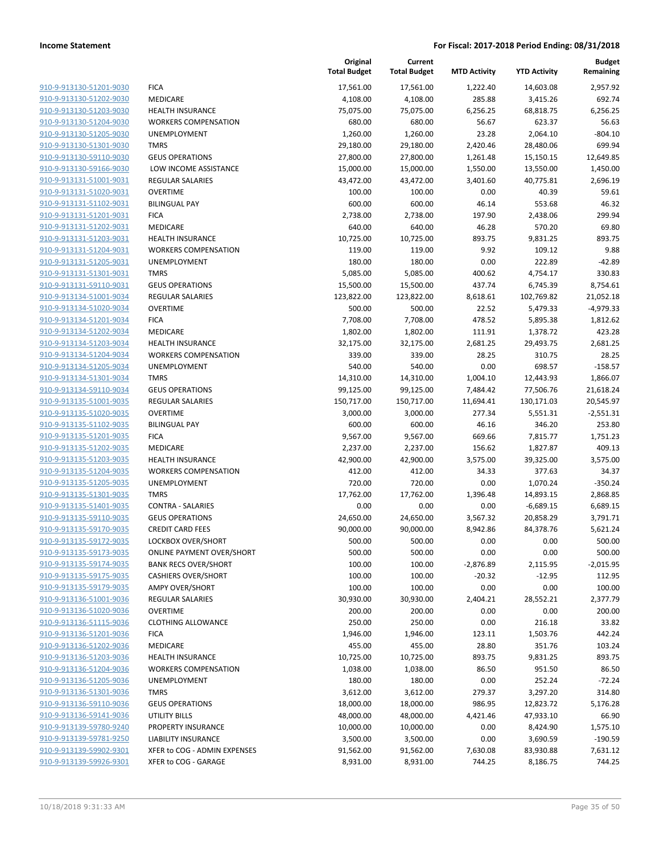|                         |                                  | Original<br><b>Total Budget</b> | Current<br><b>Total Budget</b> | <b>MTD Activity</b> | <b>YTD Activity</b> | <b>Budget</b><br>Remaining |
|-------------------------|----------------------------------|---------------------------------|--------------------------------|---------------------|---------------------|----------------------------|
| 910-9-913130-51201-9030 | <b>FICA</b>                      | 17,561.00                       | 17,561.00                      | 1,222.40            | 14,603.08           | 2,957.92                   |
| 910-9-913130-51202-9030 | MEDICARE                         | 4,108.00                        | 4,108.00                       | 285.88              | 3,415.26            | 692.74                     |
| 910-9-913130-51203-9030 | <b>HEALTH INSURANCE</b>          | 75,075.00                       | 75,075.00                      | 6,256.25            | 68,818.75           | 6,256.25                   |
| 910-9-913130-51204-9030 | <b>WORKERS COMPENSATION</b>      | 680.00                          | 680.00                         | 56.67               | 623.37              | 56.63                      |
| 910-9-913130-51205-9030 | UNEMPLOYMENT                     | 1,260.00                        | 1,260.00                       | 23.28               | 2,064.10            | $-804.10$                  |
| 910-9-913130-51301-9030 | <b>TMRS</b>                      | 29,180.00                       | 29,180.00                      | 2,420.46            | 28,480.06           | 699.94                     |
| 910-9-913130-59110-9030 | <b>GEUS OPERATIONS</b>           | 27,800.00                       | 27,800.00                      | 1,261.48            | 15,150.15           | 12,649.85                  |
| 910-9-913130-59166-9030 | LOW INCOME ASSISTANCE            | 15,000.00                       | 15,000.00                      | 1,550.00            | 13,550.00           | 1,450.00                   |
| 910-9-913131-51001-9031 | <b>REGULAR SALARIES</b>          | 43,472.00                       | 43,472.00                      | 3,401.60            | 40,775.81           | 2,696.19                   |
| 910-9-913131-51020-9031 | <b>OVERTIME</b>                  | 100.00                          | 100.00                         | 0.00                | 40.39               | 59.61                      |
| 910-9-913131-51102-9031 | <b>BILINGUAL PAY</b>             | 600.00                          | 600.00                         | 46.14               | 553.68              | 46.32                      |
| 910-9-913131-51201-9031 | <b>FICA</b>                      | 2,738.00                        | 2,738.00                       | 197.90              | 2,438.06            | 299.94                     |
| 910-9-913131-51202-9031 | MEDICARE                         | 640.00                          | 640.00                         | 46.28               | 570.20              | 69.80                      |
| 910-9-913131-51203-9031 | <b>HEALTH INSURANCE</b>          | 10,725.00                       | 10,725.00                      | 893.75              | 9,831.25            | 893.75                     |
| 910-9-913131-51204-9031 | <b>WORKERS COMPENSATION</b>      | 119.00                          | 119.00                         | 9.92                | 109.12              | 9.88                       |
| 910-9-913131-51205-9031 | UNEMPLOYMENT                     | 180.00                          | 180.00                         | 0.00                | 222.89              | $-42.89$                   |
| 910-9-913131-51301-9031 | <b>TMRS</b>                      | 5,085.00                        | 5,085.00                       | 400.62              | 4,754.17            | 330.83                     |
| 910-9-913131-59110-9031 | <b>GEUS OPERATIONS</b>           | 15,500.00                       | 15,500.00                      | 437.74              | 6,745.39            | 8,754.61                   |
| 910-9-913134-51001-9034 | <b>REGULAR SALARIES</b>          | 123,822.00                      | 123,822.00                     | 8,618.61            | 102,769.82          | 21,052.18                  |
| 910-9-913134-51020-9034 | <b>OVERTIME</b>                  | 500.00                          | 500.00                         | 22.52               | 5,479.33            | $-4,979.33$                |
| 910-9-913134-51201-9034 | <b>FICA</b>                      | 7,708.00                        | 7,708.00                       | 478.52              | 5,895.38            | 1,812.62                   |
| 910-9-913134-51202-9034 | MEDICARE                         | 1,802.00                        | 1,802.00                       | 111.91              | 1,378.72            | 423.28                     |
| 910-9-913134-51203-9034 | <b>HEALTH INSURANCE</b>          | 32,175.00                       | 32,175.00                      | 2,681.25            | 29,493.75           | 2,681.25                   |
| 910-9-913134-51204-9034 | <b>WORKERS COMPENSATION</b>      | 339.00                          | 339.00                         | 28.25               | 310.75              | 28.25                      |
| 910-9-913134-51205-9034 | UNEMPLOYMENT                     | 540.00                          | 540.00                         | 0.00                | 698.57              | $-158.57$                  |
| 910-9-913134-51301-9034 | <b>TMRS</b>                      | 14,310.00                       | 14,310.00                      | 1,004.10            | 12,443.93           | 1,866.07                   |
| 910-9-913134-59110-9034 | <b>GEUS OPERATIONS</b>           | 99,125.00                       | 99,125.00                      | 7,484.42            | 77,506.76           | 21,618.24                  |
| 910-9-913135-51001-9035 | <b>REGULAR SALARIES</b>          | 150,717.00                      | 150,717.00                     | 11,694.41           | 130,171.03          | 20,545.97                  |
| 910-9-913135-51020-9035 | <b>OVERTIME</b>                  | 3,000.00                        | 3,000.00                       | 277.34              | 5,551.31            | $-2,551.31$                |
| 910-9-913135-51102-9035 | <b>BILINGUAL PAY</b>             | 600.00                          | 600.00                         | 46.16               | 346.20              | 253.80                     |
| 910-9-913135-51201-9035 | <b>FICA</b>                      | 9,567.00                        | 9,567.00                       | 669.66              | 7,815.77            | 1,751.23                   |
| 910-9-913135-51202-9035 | MEDICARE                         | 2,237.00                        | 2,237.00                       | 156.62              | 1,827.87            | 409.13                     |
| 910-9-913135-51203-9035 | <b>HEALTH INSURANCE</b>          | 42,900.00                       | 42,900.00                      | 3,575.00            | 39,325.00           | 3,575.00                   |
| 910-9-913135-51204-9035 | <b>WORKERS COMPENSATION</b>      | 412.00                          | 412.00                         | 34.33               | 377.63              | 34.37                      |
| 910-9-913135-51205-9035 | UNEMPLOYMENT                     | 720.00                          | 720.00                         | 0.00                | 1,070.24            | $-350.24$                  |
| 910-9-913135-51301-9035 | <b>TMRS</b>                      | 17,762.00                       | 17,762.00                      | 1,396.48            | 14,893.15           | 2,868.85                   |
| 910-9-913135-51401-9035 | <b>CONTRA - SALARIES</b>         | 0.00                            | 0.00                           | 0.00                | $-6,689.15$         | 6,689.15                   |
| 910-9-913135-59110-9035 | <b>GEUS OPERATIONS</b>           | 24,650.00                       | 24,650.00                      | 3,567.32            | 20,858.29           | 3,791.71                   |
| 910-9-913135-59170-9035 | <b>CREDIT CARD FEES</b>          | 90,000.00                       | 90,000.00                      | 8,942.86            | 84,378.76           | 5,621.24                   |
| 910-9-913135-59172-9035 | LOCKBOX OVER/SHORT               | 500.00                          | 500.00                         | 0.00                | 0.00                | 500.00                     |
| 910-9-913135-59173-9035 | <b>ONLINE PAYMENT OVER/SHORT</b> | 500.00                          | 500.00                         | 0.00                | 0.00                | 500.00                     |
| 910-9-913135-59174-9035 | <b>BANK RECS OVER/SHORT</b>      | 100.00                          | 100.00                         | $-2,876.89$         | 2,115.95            | $-2,015.95$                |
| 910-9-913135-59175-9035 | <b>CASHIERS OVER/SHORT</b>       | 100.00                          | 100.00                         | $-20.32$            | $-12.95$            | 112.95                     |
| 910-9-913135-59179-9035 | <b>AMPY OVER/SHORT</b>           | 100.00                          | 100.00                         | 0.00                | 0.00                | 100.00                     |
| 910-9-913136-51001-9036 | REGULAR SALARIES                 | 30,930.00                       | 30,930.00                      | 2,404.21            | 28,552.21           | 2,377.79                   |
| 910-9-913136-51020-9036 | <b>OVERTIME</b>                  | 200.00                          | 200.00                         | 0.00                | 0.00                | 200.00                     |
| 910-9-913136-51115-9036 | <b>CLOTHING ALLOWANCE</b>        | 250.00                          | 250.00                         | 0.00                | 216.18              | 33.82                      |
| 910-9-913136-51201-9036 | <b>FICA</b>                      | 1,946.00                        | 1,946.00                       | 123.11              | 1,503.76            | 442.24                     |
| 910-9-913136-51202-9036 | MEDICARE                         | 455.00                          | 455.00                         | 28.80               | 351.76              | 103.24                     |
| 910-9-913136-51203-9036 | <b>HEALTH INSURANCE</b>          | 10,725.00                       | 10,725.00                      | 893.75              | 9,831.25            | 893.75                     |
| 910-9-913136-51204-9036 | <b>WORKERS COMPENSATION</b>      | 1,038.00                        | 1,038.00                       | 86.50               | 951.50              | 86.50                      |
| 910-9-913136-51205-9036 | UNEMPLOYMENT                     | 180.00                          | 180.00                         | 0.00                | 252.24              | $-72.24$                   |
| 910-9-913136-51301-9036 | <b>TMRS</b>                      | 3,612.00                        | 3,612.00                       | 279.37              | 3,297.20            | 314.80                     |
| 910-9-913136-59110-9036 | <b>GEUS OPERATIONS</b>           | 18,000.00                       | 18,000.00                      | 986.95              | 12,823.72           | 5,176.28                   |
| 910-9-913136-59141-9036 | UTILITY BILLS                    | 48,000.00                       | 48,000.00                      | 4,421.46            | 47,933.10           | 66.90                      |
| 910-9-913139-59780-9240 | PROPERTY INSURANCE               | 10,000.00                       | 10,000.00                      | 0.00                | 8,424.90            | 1,575.10                   |
| 910-9-913139-59781-9250 | <b>LIABILITY INSURANCE</b>       | 3,500.00                        | 3,500.00                       | 0.00                | 3,690.59            | $-190.59$                  |
| 910-9-913139-59902-9301 | XFER to COG - ADMIN EXPENSES     | 91,562.00                       | 91,562.00                      | 7,630.08            | 83,930.88           | 7,631.12                   |
| 910-9-913139-59926-9301 | XFER to COG - GARAGE             | 8,931.00                        | 8,931.00                       | 744.25              | 8,186.75            | 744.25                     |
|                         |                                  |                                 |                                |                     |                     |                            |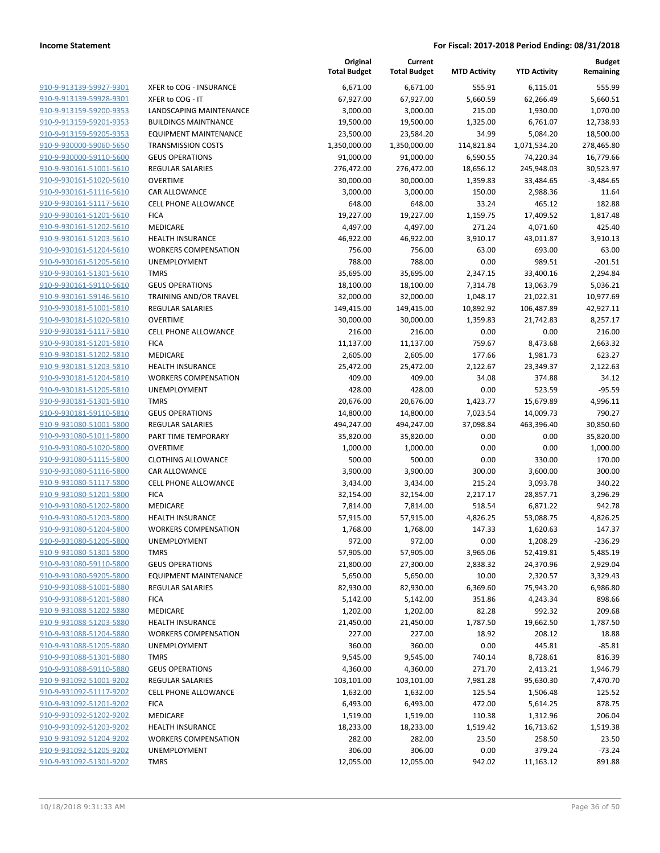| 910-9-913139-59927-9301                                   |  |
|-----------------------------------------------------------|--|
| 910-9-913139-59928-9301                                   |  |
| 910-9-913159-59200-9353                                   |  |
| <u>910-9-913159-59201-9353</u>                            |  |
| 910-9-913159-59205-9353                                   |  |
| 910-9-930000-59060-5650                                   |  |
| 910-9-930000-59110-5600                                   |  |
| <u>910-9-930161-51001-5610</u>                            |  |
| <u>910-9-930161-51020-5610</u>                            |  |
| 910-9-930161-51116-5610                                   |  |
| 910-9-930161-51117-5610                                   |  |
| 910-9-930161-51201-5610                                   |  |
| 910-9-930161-51202-5610                                   |  |
| <u>910-9-930161-51203-5610</u>                            |  |
| 910-9-930161-51204-5610                                   |  |
| 910-9-930161-51205-5610                                   |  |
| 910-9-930161-51301-5610                                   |  |
| 910-9-930161-59110-5610                                   |  |
| <u>910-9-930161-59146-5610</u>                            |  |
| <u>910-9-930181-51001-5810</u>                            |  |
| 910-9-930181-51020-5810                                   |  |
| 910-9-930181-51117-5810                                   |  |
| <u>910-9-930181-51201-5810</u>                            |  |
| <u>910-9-930181-51202-5810</u>                            |  |
| 910-9-930181-51203-5810                                   |  |
| 910-9-930181-51204-5810                                   |  |
| 910-9-930181-51205-5810                                   |  |
| 910-9-930181-51301-5810                                   |  |
| <u>910-9-930181-59110-5810</u>                            |  |
| <u>910-9-931080-51001-5800</u>                            |  |
| 910-9-931080-51011-5800                                   |  |
| 910-9-931080-51020-5800                                   |  |
| 910-9-931080-51115-5800                                   |  |
| <u>910-9-931080-51116-5800</u>                            |  |
| 910-9-931080-51117-5800                                   |  |
| 910-9-931080-51201-5800                                   |  |
| 910-9-931080-51202-5800                                   |  |
|                                                           |  |
| 910-9-931080-51203-5800                                   |  |
| <u>910-9-931080-51204-5800</u><br>910-9-931080-51205-5800 |  |
|                                                           |  |
| 910-9-931080-51301-5800                                   |  |
| 910-9-931080-59110-5800                                   |  |
| <u>910-9-931080-59205-5800</u>                            |  |
| <u>910-9-931088-51001-5880</u>                            |  |
| <u>910-9-931088-51201-5880</u>                            |  |
| 910-9-931088-51202-5880                                   |  |
| 910-9-931088-51203-5880                                   |  |
| 910-9-931088-51204-5880                                   |  |
| <u>910-9-931088-51205-5880</u>                            |  |
| <u>910-9-931088-51301-5880</u>                            |  |
| 910-9-931088-59110-5880                                   |  |
| 910-9-931092-51001-9202                                   |  |
| 910-9-931092-51117-9202                                   |  |
| <u>910-9-931092-51201-9202</u>                            |  |
| <u>910-9-931092-51202-9202</u>                            |  |
| 910-9-931092-51203-9202                                   |  |
| 910-9-931092-51204-9202                                   |  |
| <u>910-9-931092-51205-9202</u>                            |  |
| <u>910-9-931092-51301-9202</u>                            |  |
|                                                           |  |

|                         |                              | Original<br><b>Total Budget</b> | Current<br><b>Total Budget</b> | <b>MTD Activity</b> | <b>YTD Activity</b> | <b>Budget</b><br>Remaining |
|-------------------------|------------------------------|---------------------------------|--------------------------------|---------------------|---------------------|----------------------------|
| 910-9-913139-59927-9301 | XFER to COG - INSURANCE      | 6,671.00                        | 6,671.00                       | 555.91              | 6,115.01            | 555.99                     |
| 910-9-913139-59928-9301 | XFER to COG - IT             | 67,927.00                       | 67,927.00                      | 5,660.59            | 62,266.49           | 5,660.51                   |
| 910-9-913159-59200-9353 | LANDSCAPING MAINTENANCE      | 3,000.00                        | 3,000.00                       | 215.00              | 1,930.00            | 1,070.00                   |
| 910-9-913159-59201-9353 | <b>BUILDINGS MAINTNANCE</b>  | 19,500.00                       | 19,500.00                      | 1,325.00            | 6,761.07            | 12,738.93                  |
| 910-9-913159-59205-9353 | <b>EQUIPMENT MAINTENANCE</b> | 23,500.00                       | 23,584.20                      | 34.99               | 5,084.20            | 18,500.00                  |
| 910-9-930000-59060-5650 | <b>TRANSMISSION COSTS</b>    | 1,350,000.00                    | 1,350,000.00                   | 114,821.84          | 1,071,534.20        | 278,465.80                 |
| 910-9-930000-59110-5600 | <b>GEUS OPERATIONS</b>       | 91,000.00                       | 91,000.00                      | 6,590.55            | 74,220.34           | 16,779.66                  |
| 910-9-930161-51001-5610 | REGULAR SALARIES             | 276,472.00                      | 276,472.00                     | 18,656.12           | 245,948.03          | 30,523.97                  |
| 910-9-930161-51020-5610 | <b>OVERTIME</b>              | 30,000.00                       | 30,000.00                      | 1,359.83            | 33,484.65           | $-3,484.65$                |
| 910-9-930161-51116-5610 | CAR ALLOWANCE                | 3,000.00                        | 3,000.00                       | 150.00              | 2,988.36            | 11.64                      |
| 910-9-930161-51117-5610 | <b>CELL PHONE ALLOWANCE</b>  | 648.00                          | 648.00                         | 33.24               | 465.12              | 182.88                     |
| 910-9-930161-51201-5610 | <b>FICA</b>                  | 19,227.00                       | 19,227.00                      | 1,159.75            | 17,409.52           | 1,817.48                   |
| 910-9-930161-51202-5610 | MEDICARE                     | 4,497.00                        | 4,497.00                       | 271.24              | 4,071.60            | 425.40                     |
| 910-9-930161-51203-5610 | <b>HEALTH INSURANCE</b>      | 46,922.00                       | 46,922.00                      | 3,910.17            | 43,011.87           | 3,910.13                   |
| 910-9-930161-51204-5610 | <b>WORKERS COMPENSATION</b>  | 756.00                          | 756.00                         | 63.00               | 693.00              | 63.00                      |
| 910-9-930161-51205-5610 | UNEMPLOYMENT                 | 788.00                          | 788.00                         | 0.00                | 989.51              | $-201.51$                  |
| 910-9-930161-51301-5610 | <b>TMRS</b>                  | 35,695.00                       | 35,695.00                      | 2,347.15            | 33,400.16           | 2,294.84                   |
| 910-9-930161-59110-5610 | <b>GEUS OPERATIONS</b>       | 18,100.00                       | 18,100.00                      | 7,314.78            | 13,063.79           | 5,036.21                   |
| 910-9-930161-59146-5610 | TRAINING AND/OR TRAVEL       | 32,000.00                       | 32,000.00                      | 1,048.17            | 21,022.31           | 10,977.69                  |
| 910-9-930181-51001-5810 | REGULAR SALARIES             | 149,415.00                      | 149,415.00                     | 10,892.92           | 106,487.89          | 42,927.11                  |
| 910-9-930181-51020-5810 | <b>OVERTIME</b>              | 30,000.00                       | 30,000.00                      | 1,359.83            | 21,742.83           | 8,257.17                   |
| 910-9-930181-51117-5810 | <b>CELL PHONE ALLOWANCE</b>  | 216.00                          | 216.00                         | 0.00                | 0.00                | 216.00                     |
| 910-9-930181-51201-5810 | <b>FICA</b>                  | 11,137.00                       | 11,137.00                      | 759.67              | 8,473.68            | 2,663.32                   |
| 910-9-930181-51202-5810 | <b>MEDICARE</b>              | 2,605.00                        | 2,605.00                       | 177.66              | 1,981.73            | 623.27                     |
| 910-9-930181-51203-5810 | <b>HEALTH INSURANCE</b>      | 25,472.00                       | 25,472.00                      | 2,122.67            | 23,349.37           | 2,122.63                   |
| 910-9-930181-51204-5810 | <b>WORKERS COMPENSATION</b>  | 409.00                          | 409.00                         | 34.08               | 374.88              | 34.12                      |
| 910-9-930181-51205-5810 | <b>UNEMPLOYMENT</b>          | 428.00                          | 428.00                         | 0.00                | 523.59              | $-95.59$                   |
| 910-9-930181-51301-5810 | <b>TMRS</b>                  | 20,676.00                       | 20,676.00                      | 1,423.77            | 15,679.89           | 4,996.11                   |
| 910-9-930181-59110-5810 | <b>GEUS OPERATIONS</b>       | 14,800.00                       | 14,800.00                      | 7,023.54            | 14,009.73           | 790.27                     |
| 910-9-931080-51001-5800 | REGULAR SALARIES             | 494,247.00                      | 494,247.00                     | 37,098.84           | 463,396.40          | 30,850.60                  |
| 910-9-931080-51011-5800 | PART TIME TEMPORARY          | 35,820.00                       | 35,820.00                      | 0.00                | 0.00                | 35,820.00                  |
| 910-9-931080-51020-5800 | <b>OVERTIME</b>              | 1,000.00                        | 1,000.00                       | 0.00                | 0.00                | 1,000.00                   |
| 910-9-931080-51115-5800 | <b>CLOTHING ALLOWANCE</b>    | 500.00                          | 500.00                         | 0.00                | 330.00              | 170.00                     |
| 910-9-931080-51116-5800 | CAR ALLOWANCE                | 3,900.00                        | 3,900.00                       | 300.00              | 3,600.00            | 300.00                     |
| 910-9-931080-51117-5800 | <b>CELL PHONE ALLOWANCE</b>  | 3,434.00                        | 3,434.00                       | 215.24              | 3,093.78            | 340.22                     |
| 910-9-931080-51201-5800 | <b>FICA</b>                  | 32,154.00                       | 32,154.00                      | 2,217.17            | 28,857.71           | 3,296.29                   |
| 910-9-931080-51202-5800 | MEDICARE                     | 7,814.00                        | 7,814.00                       | 518.54              | 6,871.22            | 942.78                     |
| 910-9-931080-51203-5800 | <b>HEALTH INSURANCE</b>      | 57,915.00                       | 57,915.00                      | 4,826.25            | 53,088.75           | 4,826.25                   |
| 910-9-931080-51204-5800 | <b>WORKERS COMPENSATION</b>  | 1,768.00                        | 1,768.00                       | 147.33              | 1,620.63            | 147.37                     |
| 910-9-931080-51205-5800 | UNEMPLOYMENT                 | 972.00                          | 972.00                         | 0.00                | 1,208.29            | $-236.29$                  |
| 910-9-931080-51301-5800 | <b>TMRS</b>                  | 57,905.00                       | 57,905.00                      | 3,965.06            | 52,419.81           | 5,485.19                   |
| 910-9-931080-59110-5800 | <b>GEUS OPERATIONS</b>       | 21,800.00                       | 27,300.00                      | 2,838.32            | 24,370.96           | 2,929.04                   |
| 910-9-931080-59205-5800 | <b>EQUIPMENT MAINTENANCE</b> | 5,650.00                        | 5,650.00                       | 10.00               | 2,320.57            | 3,329.43                   |
| 910-9-931088-51001-5880 | <b>REGULAR SALARIES</b>      | 82,930.00                       | 82,930.00                      | 6,369.60            | 75,943.20           | 6,986.80                   |
| 910-9-931088-51201-5880 | <b>FICA</b>                  | 5,142.00                        | 5,142.00                       | 351.86              | 4,243.34            | 898.66                     |
| 910-9-931088-51202-5880 | MEDICARE                     | 1,202.00                        | 1,202.00                       | 82.28               | 992.32              | 209.68                     |
| 910-9-931088-51203-5880 | <b>HEALTH INSURANCE</b>      | 21,450.00                       | 21,450.00                      | 1,787.50            | 19,662.50           | 1,787.50                   |
| 910-9-931088-51204-5880 | <b>WORKERS COMPENSATION</b>  | 227.00                          | 227.00                         | 18.92               | 208.12              | 18.88                      |
| 910-9-931088-51205-5880 | UNEMPLOYMENT                 | 360.00                          | 360.00                         | 0.00                | 445.81              | $-85.81$                   |
| 910-9-931088-51301-5880 | <b>TMRS</b>                  | 9,545.00                        | 9,545.00                       | 740.14              | 8,728.61            | 816.39                     |
| 910-9-931088-59110-5880 | <b>GEUS OPERATIONS</b>       | 4,360.00                        | 4,360.00                       | 271.70              | 2,413.21            | 1,946.79                   |
| 910-9-931092-51001-9202 | REGULAR SALARIES             | 103,101.00                      | 103,101.00                     | 7,981.28            | 95,630.30           | 7,470.70                   |
| 910-9-931092-51117-9202 | <b>CELL PHONE ALLOWANCE</b>  |                                 |                                |                     |                     |                            |
| 910-9-931092-51201-9202 | <b>FICA</b>                  | 1,632.00                        | 1,632.00                       | 125.54              | 1,506.48            | 125.52                     |
| 910-9-931092-51202-9202 | MEDICARE                     | 6,493.00                        | 6,493.00                       | 472.00              | 5,614.25            | 878.75<br>206.04           |
| 910-9-931092-51203-9202 |                              | 1,519.00                        | 1,519.00                       | 110.38              | 1,312.96            |                            |
|                         | <b>HEALTH INSURANCE</b>      | 18,233.00                       | 18,233.00                      | 1,519.42            | 16,713.62           | 1,519.38                   |
| 910-9-931092-51204-9202 | <b>WORKERS COMPENSATION</b>  | 282.00                          | 282.00                         | 23.50               | 258.50              | 23.50                      |
| 910-9-931092-51205-9202 | UNEMPLOYMENT                 | 306.00                          | 306.00                         | 0.00                | 379.24              | $-73.24$                   |
| 910-9-931092-51301-9202 | <b>TMRS</b>                  | 12,055.00                       | 12,055.00                      | 942.02              | 11,163.12           | 891.88                     |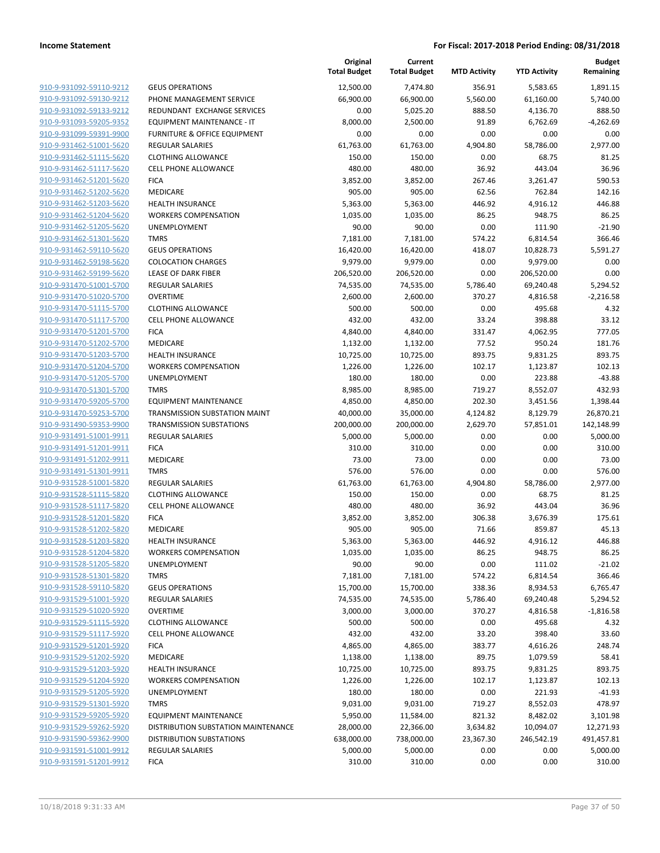|                         |                                         | Original<br><b>Total Budget</b> | Current<br><b>Total Budget</b> | <b>MTD Activity</b> | <b>YTD Activity</b> | <b>Budget</b><br>Remaining |
|-------------------------|-----------------------------------------|---------------------------------|--------------------------------|---------------------|---------------------|----------------------------|
| 910-9-931092-59110-9212 | <b>GEUS OPERATIONS</b>                  | 12,500.00                       | 7,474.80                       | 356.91              | 5,583.65            | 1,891.15                   |
| 910-9-931092-59130-9212 | PHONE MANAGEMENT SERVICE                | 66,900.00                       | 66,900.00                      | 5,560.00            | 61,160.00           | 5,740.00                   |
| 910-9-931092-59133-9212 | REDUNDANT EXCHANGE SERVICES             | 0.00                            | 5,025.20                       | 888.50              | 4,136.70            | 888.50                     |
| 910-9-931093-59205-9352 | EQUIPMENT MAINTENANCE - IT              | 8,000.00                        | 2,500.00                       | 91.89               | 6,762.69            | $-4,262.69$                |
| 910-9-931099-59391-9900 | <b>FURNITURE &amp; OFFICE EQUIPMENT</b> | 0.00                            | 0.00                           | 0.00                | 0.00                | 0.00                       |
| 910-9-931462-51001-5620 | <b>REGULAR SALARIES</b>                 | 61,763.00                       | 61,763.00                      | 4,904.80            | 58,786.00           | 2,977.00                   |
| 910-9-931462-51115-5620 | <b>CLOTHING ALLOWANCE</b>               | 150.00                          | 150.00                         | 0.00                | 68.75               | 81.25                      |
| 910-9-931462-51117-5620 | <b>CELL PHONE ALLOWANCE</b>             | 480.00                          | 480.00                         | 36.92               | 443.04              | 36.96                      |
| 910-9-931462-51201-5620 | <b>FICA</b>                             | 3,852.00                        | 3,852.00                       | 267.46              | 3,261.47            | 590.53                     |
| 910-9-931462-51202-5620 | MEDICARE                                | 905.00                          | 905.00                         | 62.56               | 762.84              | 142.16                     |
| 910-9-931462-51203-5620 | <b>HEALTH INSURANCE</b>                 | 5,363.00                        | 5,363.00                       | 446.92              | 4,916.12            | 446.88                     |
| 910-9-931462-51204-5620 | <b>WORKERS COMPENSATION</b>             | 1,035.00                        | 1,035.00                       | 86.25               | 948.75              | 86.25                      |
| 910-9-931462-51205-5620 | UNEMPLOYMENT                            | 90.00                           | 90.00                          | 0.00                | 111.90              | $-21.90$                   |
| 910-9-931462-51301-5620 | <b>TMRS</b>                             | 7,181.00                        | 7,181.00                       | 574.22              | 6,814.54            | 366.46                     |
| 910-9-931462-59110-5620 | <b>GEUS OPERATIONS</b>                  | 16,420.00                       | 16,420.00                      | 418.07              | 10,828.73           | 5,591.27                   |
| 910-9-931462-59198-5620 | <b>COLOCATION CHARGES</b>               | 9,979.00                        | 9,979.00                       | 0.00                | 9,979.00            | 0.00                       |
| 910-9-931462-59199-5620 | <b>LEASE OF DARK FIBER</b>              | 206,520.00                      | 206,520.00                     | 0.00                | 206,520.00          | 0.00                       |
| 910-9-931470-51001-5700 | <b>REGULAR SALARIES</b>                 | 74,535.00                       | 74,535.00                      | 5,786.40            | 69,240.48           | 5,294.52                   |
| 910-9-931470-51020-5700 | <b>OVERTIME</b>                         | 2,600.00                        | 2,600.00                       | 370.27              | 4,816.58            | $-2.216.58$                |
| 910-9-931470-51115-5700 | <b>CLOTHING ALLOWANCE</b>               | 500.00                          | 500.00                         | 0.00                | 495.68              | 4.32                       |
| 910-9-931470-51117-5700 | <b>CELL PHONE ALLOWANCE</b>             | 432.00                          | 432.00                         | 33.24               | 398.88              | 33.12                      |
| 910-9-931470-51201-5700 | <b>FICA</b>                             | 4,840.00                        | 4,840.00                       | 331.47              | 4,062.95            | 777.05                     |
| 910-9-931470-51202-5700 | MEDICARE                                | 1,132.00                        | 1,132.00                       | 77.52               | 950.24              | 181.76                     |
| 910-9-931470-51203-5700 | <b>HEALTH INSURANCE</b>                 | 10,725.00                       | 10,725.00                      | 893.75              | 9,831.25            | 893.75                     |
| 910-9-931470-51204-5700 | <b>WORKERS COMPENSATION</b>             | 1,226.00                        | 1,226.00                       | 102.17              | 1,123.87            | 102.13                     |
| 910-9-931470-51205-5700 | UNEMPLOYMENT                            | 180.00                          | 180.00                         | 0.00                | 223.88              | $-43.88$                   |
| 910-9-931470-51301-5700 | <b>TMRS</b>                             | 8,985.00                        | 8,985.00                       | 719.27              | 8,552.07            | 432.93                     |
| 910-9-931470-59205-5700 | <b>EQUIPMENT MAINTENANCE</b>            | 4,850.00                        | 4,850.00                       | 202.30              | 3,451.56            | 1,398.44                   |
| 910-9-931470-59253-5700 | TRANSMISSION SUBSTATION MAINT           | 40,000.00                       | 35,000.00                      | 4,124.82            | 8,129.79            | 26,870.21                  |
| 910-9-931490-59353-9900 | <b>TRANSMISSION SUBSTATIONS</b>         | 200,000.00                      | 200,000.00                     | 2,629.70            | 57,851.01           | 142,148.99                 |
| 910-9-931491-51001-9911 | <b>REGULAR SALARIES</b>                 | 5,000.00                        | 5,000.00                       | 0.00                | 0.00                | 5,000.00                   |
| 910-9-931491-51201-9911 | <b>FICA</b>                             | 310.00                          | 310.00                         | 0.00                | 0.00                | 310.00                     |
| 910-9-931491-51202-9911 | MEDICARE                                | 73.00                           | 73.00                          | 0.00                | 0.00                | 73.00                      |
| 910-9-931491-51301-9911 | <b>TMRS</b>                             | 576.00                          | 576.00                         | 0.00                | 0.00                | 576.00                     |
| 910-9-931528-51001-5820 | <b>REGULAR SALARIES</b>                 | 61,763.00                       | 61,763.00                      | 4,904.80            | 58,786.00           | 2,977.00                   |
| 910-9-931528-51115-5820 | <b>CLOTHING ALLOWANCE</b>               | 150.00                          | 150.00                         | 0.00                | 68.75               | 81.25                      |
| 910-9-931528-51117-5820 | <b>CELL PHONE ALLOWANCE</b>             | 480.00                          | 480.00                         | 36.92               | 443.04              | 36.96                      |
| 910-9-931528-51201-5820 | <b>FICA</b>                             | 3,852.00                        | 3,852.00                       | 306.38              | 3,676.39            | 175.61                     |
| 910-9-931528-51202-5820 | <b>MEDICARE</b>                         | 905.00                          | 905.00                         | 71.66               | 859.87              | 45.13                      |
| 910-9-931528-51203-5820 | <b>HEALTH INSURANCE</b>                 | 5,363.00                        | 5,363.00                       | 446.92              | 4,916.12            | 446.88                     |
| 910-9-931528-51204-5820 | <b>WORKERS COMPENSATION</b>             | 1,035.00                        | 1,035.00                       | 86.25               | 948.75              | 86.25                      |
| 910-9-931528-51205-5820 | UNEMPLOYMENT                            | 90.00                           | 90.00                          | 0.00                | 111.02              | $-21.02$                   |
| 910-9-931528-51301-5820 | <b>TMRS</b>                             | 7,181.00                        | 7,181.00                       | 574.22              | 6,814.54            | 366.46                     |
| 910-9-931528-59110-5820 | <b>GEUS OPERATIONS</b>                  | 15,700.00                       | 15,700.00                      | 338.36              | 8,934.53            | 6,765.47                   |
| 910-9-931529-51001-5920 | <b>REGULAR SALARIES</b>                 | 74,535.00                       | 74,535.00                      | 5,786.40            | 69,240.48           | 5,294.52                   |
| 910-9-931529-51020-5920 | <b>OVERTIME</b>                         | 3,000.00                        | 3,000.00                       | 370.27              | 4,816.58            | $-1,816.58$                |
| 910-9-931529-51115-5920 | <b>CLOTHING ALLOWANCE</b>               | 500.00                          | 500.00                         | 0.00                | 495.68              | 4.32                       |
| 910-9-931529-51117-5920 | <b>CELL PHONE ALLOWANCE</b>             | 432.00                          | 432.00                         | 33.20               | 398.40              | 33.60                      |
| 910-9-931529-51201-5920 | <b>FICA</b>                             | 4,865.00                        | 4,865.00                       | 383.77              | 4,616.26            | 248.74                     |
| 910-9-931529-51202-5920 | MEDICARE                                | 1,138.00                        | 1,138.00                       | 89.75               | 1,079.59            | 58.41                      |
| 910-9-931529-51203-5920 | <b>HEALTH INSURANCE</b>                 | 10,725.00                       | 10,725.00                      | 893.75              | 9,831.25            | 893.75                     |
| 910-9-931529-51204-5920 | <b>WORKERS COMPENSATION</b>             | 1,226.00                        | 1,226.00                       | 102.17              | 1,123.87            | 102.13                     |
| 910-9-931529-51205-5920 | UNEMPLOYMENT                            | 180.00                          | 180.00                         | 0.00                | 221.93              | $-41.93$                   |
| 910-9-931529-51301-5920 | <b>TMRS</b>                             | 9,031.00                        | 9,031.00                       | 719.27              | 8,552.03            | 478.97                     |
| 910-9-931529-59205-5920 | <b>EQUIPMENT MAINTENANCE</b>            | 5,950.00                        | 11,584.00                      | 821.32              | 8,482.02            | 3,101.98                   |
| 910-9-931529-59262-5920 | DISTRIBUTION SUBSTATION MAINTENANCE     | 28,000.00                       | 22,366.00                      | 3,634.82            | 10,094.07           | 12,271.93                  |
| 910-9-931590-59362-9900 | <b>DISTRIBUTION SUBSTATIONS</b>         | 638,000.00                      | 738,000.00                     | 23,367.30           | 246,542.19          | 491,457.81                 |
| 910-9-931591-51001-9912 | <b>REGULAR SALARIES</b>                 | 5,000.00                        | 5,000.00                       | 0.00                | 0.00                | 5,000.00                   |
| 910-9-931591-51201-9912 | <b>FICA</b>                             | 310.00                          | 310.00                         | 0.00                | 0.00                | 310.00                     |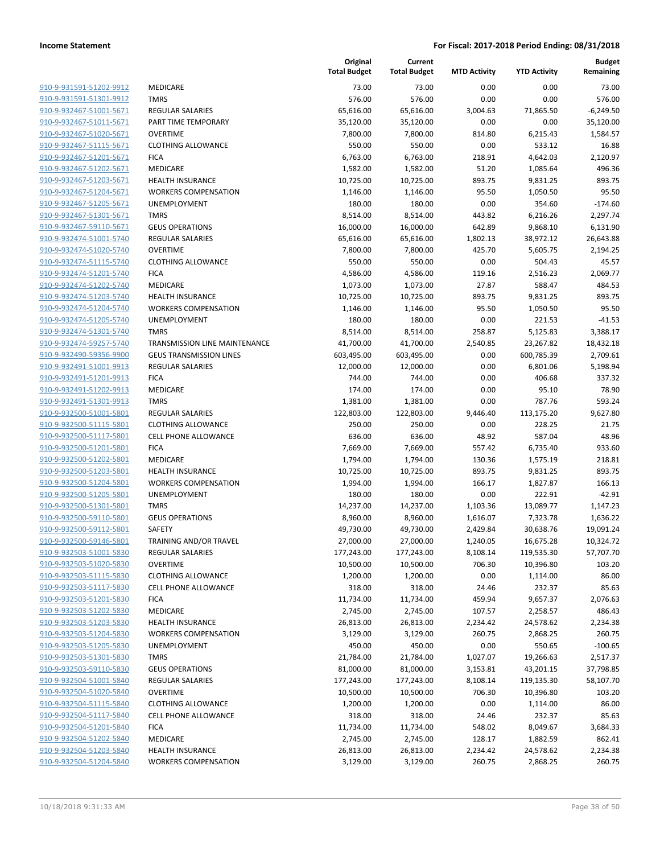| 910-9-931591-51202-9912                                          |
|------------------------------------------------------------------|
| 910-9-931591-51301-9912                                          |
| 910-9-932467-51001-5671                                          |
| <u>910-9-932467-51011-5671</u>                                   |
| 910-9-932467-51020-5671                                          |
| 910-9-932467-51115-5671                                          |
| 910-9-932467-51201-5671                                          |
|                                                                  |
| 910-9-932467-51202-5671                                          |
| <u>910-9-932467-51203-5671</u>                                   |
| 910-9-932467-51204-5671                                          |
| 910-9-932467-51205-5671                                          |
| 910-9-932467-51301-5671                                          |
| 910-9-932467-59110-5671                                          |
| <u>910-9-932474-51001-5740</u>                                   |
| 910-9-932474-51020-5740                                          |
| 910-9-932474-51115-5740                                          |
| 910-9-932474-51201-5740                                          |
| 910-9-932474-51202-5740                                          |
|                                                                  |
| <u>910-9-932474-51203-5740</u>                                   |
| 910-9-932474-51204-5740                                          |
| 910-9-932474-51205-5740                                          |
| 910-9-932474-51301-5740                                          |
| 910-9-932474-59257-5740                                          |
| <u>910-9-932490-59356-9900</u>                                   |
| 910-9-932491-51001-9913                                          |
| 910-9-932491-51201-9913                                          |
| 910-9-932491-51202-9913                                          |
| 910-9-932491-51301-9913                                          |
| <u>910-9-932500-51001-5801</u>                                   |
| 910-9-932500-51115-5801                                          |
| 910-9-932500-51117-5801                                          |
|                                                                  |
| 910-9-932500-51201-5801                                          |
| 910-9-932500-51202-5801                                          |
| <u>910-9-932500-51203-5801</u>                                   |
| 910-9-932500-51204-5801                                          |
| 910-9-932500-51205-5801                                          |
| 910-9-932500-51301-5801                                          |
| 910-9-932500-59110-5801                                          |
| 910-9-932500-59112-5801                                          |
| 910-9-932500-59146-5801                                          |
| 910-9-932503-51001-5830                                          |
| 910-9-932503-51020-5830                                          |
| <u>910-9-932503-51115-5830</u>                                   |
| <u>910-9-932503-51117-5830</u>                                   |
| 910-9-932503-51201-5830                                          |
|                                                                  |
| 910-9-932503-51202-5830                                          |
| 910-9-932503-51203-5830                                          |
| 910-9-932503-51204-5830                                          |
| <u>910-9-932503-51205-5830</u>                                   |
| <u>910-9-932503-51301-5830</u>                                   |
| 910-9-932503-59110-5830                                          |
| 910-9-932504-51001-5840                                          |
| 910-9-932504-51020-5840                                          |
| <u>910-9-932504-51115-5840</u>                                   |
| <u>910-9-932504-51117-5840</u>                                   |
| 910-9-932504-51201-5840                                          |
| 910-9-932504-51202-5840                                          |
|                                                                  |
|                                                                  |
| <u>910-9-932504-51203-5840</u><br><u>910-9-932504-51204-5840</u> |

|                         |                                | Original<br><b>Total Budget</b> | Current<br><b>Total Budget</b> | <b>MTD Activity</b> | <b>YTD Activity</b> | <b>Budget</b><br>Remaining |
|-------------------------|--------------------------------|---------------------------------|--------------------------------|---------------------|---------------------|----------------------------|
| 910-9-931591-51202-9912 | <b>MEDICARE</b>                | 73.00                           | 73.00                          | 0.00                | 0.00                | 73.00                      |
| 910-9-931591-51301-9912 | <b>TMRS</b>                    | 576.00                          | 576.00                         | 0.00                | 0.00                | 576.00                     |
| 910-9-932467-51001-5671 | <b>REGULAR SALARIES</b>        | 65,616.00                       | 65,616.00                      | 3,004.63            | 71,865.50           | $-6,249.50$                |
| 910-9-932467-51011-5671 | PART TIME TEMPORARY            | 35,120.00                       | 35,120.00                      | 0.00                | 0.00                | 35,120.00                  |
| 910-9-932467-51020-5671 | <b>OVERTIME</b>                | 7,800.00                        | 7,800.00                       | 814.80              | 6,215.43            | 1,584.57                   |
| 910-9-932467-51115-5671 | <b>CLOTHING ALLOWANCE</b>      | 550.00                          | 550.00                         | 0.00                | 533.12              | 16.88                      |
| 910-9-932467-51201-5671 | <b>FICA</b>                    | 6,763.00                        | 6,763.00                       | 218.91              | 4,642.03            | 2,120.97                   |
| 910-9-932467-51202-5671 | MEDICARE                       | 1,582.00                        | 1,582.00                       | 51.20               | 1,085.64            | 496.36                     |
| 910-9-932467-51203-5671 | <b>HEALTH INSURANCE</b>        | 10,725.00                       | 10,725.00                      | 893.75              | 9,831.25            | 893.75                     |
| 910-9-932467-51204-5671 | <b>WORKERS COMPENSATION</b>    | 1,146.00                        | 1,146.00                       | 95.50               | 1,050.50            | 95.50                      |
| 910-9-932467-51205-5671 | <b>UNEMPLOYMENT</b>            | 180.00                          | 180.00                         | 0.00                | 354.60              | $-174.60$                  |
| 910-9-932467-51301-5671 | <b>TMRS</b>                    | 8,514.00                        | 8,514.00                       | 443.82              | 6,216.26            | 2,297.74                   |
| 910-9-932467-59110-5671 | <b>GEUS OPERATIONS</b>         | 16,000.00                       | 16,000.00                      | 642.89              | 9,868.10            | 6,131.90                   |
| 910-9-932474-51001-5740 | <b>REGULAR SALARIES</b>        | 65,616.00                       | 65,616.00                      | 1,802.13            | 38,972.12           | 26,643.88                  |
| 910-9-932474-51020-5740 | <b>OVERTIME</b>                | 7,800.00                        | 7,800.00                       | 425.70              | 5,605.75            | 2,194.25                   |
| 910-9-932474-51115-5740 | <b>CLOTHING ALLOWANCE</b>      | 550.00                          | 550.00                         | 0.00                | 504.43              | 45.57                      |
| 910-9-932474-51201-5740 | <b>FICA</b>                    | 4,586.00                        | 4,586.00                       | 119.16              | 2,516.23            | 2,069.77                   |
| 910-9-932474-51202-5740 | MEDICARE                       | 1,073.00                        | 1,073.00                       | 27.87               | 588.47              | 484.53                     |
| 910-9-932474-51203-5740 | <b>HEALTH INSURANCE</b>        | 10,725.00                       | 10,725.00                      | 893.75              | 9,831.25            | 893.75                     |
| 910-9-932474-51204-5740 | <b>WORKERS COMPENSATION</b>    | 1,146.00                        | 1,146.00                       | 95.50               | 1,050.50            | 95.50                      |
| 910-9-932474-51205-5740 | UNEMPLOYMENT                   | 180.00                          | 180.00                         | 0.00                | 221.53              | $-41.53$                   |
| 910-9-932474-51301-5740 | <b>TMRS</b>                    | 8,514.00                        | 8,514.00                       | 258.87              | 5,125.83            | 3,388.17                   |
| 910-9-932474-59257-5740 | TRANSMISSION LINE MAINTENANCE  | 41,700.00                       | 41,700.00                      | 2,540.85            | 23,267.82           | 18,432.18                  |
| 910-9-932490-59356-9900 | <b>GEUS TRANSMISSION LINES</b> | 603,495.00                      | 603,495.00                     | 0.00                | 600,785.39          | 2,709.61                   |
| 910-9-932491-51001-9913 | <b>REGULAR SALARIES</b>        | 12,000.00                       | 12,000.00                      | 0.00                | 6,801.06            | 5,198.94                   |
| 910-9-932491-51201-9913 | <b>FICA</b>                    | 744.00                          | 744.00                         | 0.00                | 406.68              | 337.32                     |
| 910-9-932491-51202-9913 | MEDICARE                       | 174.00                          | 174.00                         | 0.00                | 95.10               | 78.90                      |
| 910-9-932491-51301-9913 | <b>TMRS</b>                    | 1,381.00                        | 1,381.00                       | 0.00                | 787.76              | 593.24                     |
| 910-9-932500-51001-5801 | <b>REGULAR SALARIES</b>        | 122,803.00                      | 122,803.00                     | 9,446.40            | 113,175.20          | 9,627.80                   |
| 910-9-932500-51115-5801 | <b>CLOTHING ALLOWANCE</b>      | 250.00                          | 250.00                         | 0.00                | 228.25              | 21.75                      |
| 910-9-932500-51117-5801 | <b>CELL PHONE ALLOWANCE</b>    | 636.00                          | 636.00                         | 48.92               | 587.04              | 48.96                      |
| 910-9-932500-51201-5801 | <b>FICA</b>                    | 7,669.00                        | 7,669.00                       | 557.42              | 6,735.40            | 933.60                     |
| 910-9-932500-51202-5801 | MEDICARE                       | 1,794.00                        | 1,794.00                       | 130.36              | 1,575.19            | 218.81                     |
| 910-9-932500-51203-5801 | <b>HEALTH INSURANCE</b>        | 10,725.00                       | 10,725.00                      | 893.75              | 9,831.25            | 893.75                     |
| 910-9-932500-51204-5801 | <b>WORKERS COMPENSATION</b>    | 1,994.00                        | 1,994.00                       | 166.17              | 1,827.87            | 166.13                     |
| 910-9-932500-51205-5801 | UNEMPLOYMENT                   | 180.00                          | 180.00                         | 0.00                | 222.91              | $-42.91$                   |
| 910-9-932500-51301-5801 | <b>TMRS</b>                    | 14,237.00                       | 14,237.00                      | 1,103.36            | 13,089.77           | 1,147.23                   |
| 910-9-932500-59110-5801 | <b>GEUS OPERATIONS</b>         | 8,960.00                        | 8,960.00                       | 1,616.07            | 7,323.78            | 1,636.22                   |
| 910-9-932500-59112-5801 | SAFETY                         | 49,730.00                       | 49,730.00                      | 2,429.84            | 30,638.76           | 19,091.24                  |
| 910-9-932500-59146-5801 | <b>TRAINING AND/OR TRAVEL</b>  | 27,000.00                       | 27,000.00                      | 1,240.05            | 16,675.28           | 10,324.72                  |
| 910-9-932503-51001-5830 | REGULAR SALARIES               | 177,243.00                      | 177,243.00                     | 8,108.14            | 119,535.30          | 57,707.70                  |
| 910-9-932503-51020-5830 | <b>OVERTIME</b>                | 10,500.00                       | 10,500.00                      | 706.30              | 10,396.80           | 103.20                     |
| 910-9-932503-51115-5830 | <b>CLOTHING ALLOWANCE</b>      | 1,200.00                        | 1,200.00                       | 0.00                | 1,114.00            | 86.00                      |
| 910-9-932503-51117-5830 | <b>CELL PHONE ALLOWANCE</b>    | 318.00                          | 318.00                         | 24.46               | 232.37              | 85.63                      |
| 910-9-932503-51201-5830 | <b>FICA</b>                    | 11,734.00                       | 11,734.00                      | 459.94              | 9,657.37            | 2,076.63                   |
| 910-9-932503-51202-5830 | MEDICARE                       | 2,745.00                        | 2,745.00                       | 107.57              | 2,258.57            | 486.43                     |
| 910-9-932503-51203-5830 | HEALTH INSURANCE               | 26,813.00                       | 26,813.00                      | 2,234.42            | 24,578.62           | 2,234.38                   |
| 910-9-932503-51204-5830 | <b>WORKERS COMPENSATION</b>    | 3,129.00                        | 3,129.00                       | 260.75              | 2,868.25            | 260.75                     |
| 910-9-932503-51205-5830 | UNEMPLOYMENT                   | 450.00                          | 450.00                         | 0.00                | 550.65              | $-100.65$                  |
| 910-9-932503-51301-5830 | <b>TMRS</b>                    | 21,784.00                       | 21,784.00                      | 1,027.07            | 19,266.63           | 2,517.37                   |
| 910-9-932503-59110-5830 | <b>GEUS OPERATIONS</b>         | 81,000.00                       | 81,000.00                      | 3,153.81            | 43,201.15           | 37,798.85                  |
| 910-9-932504-51001-5840 | REGULAR SALARIES               | 177,243.00                      | 177,243.00                     | 8,108.14            | 119,135.30          | 58,107.70                  |
| 910-9-932504-51020-5840 | <b>OVERTIME</b>                | 10,500.00                       | 10,500.00                      | 706.30              | 10,396.80           | 103.20                     |
| 910-9-932504-51115-5840 | <b>CLOTHING ALLOWANCE</b>      | 1,200.00                        | 1,200.00                       | 0.00                | 1,114.00            | 86.00                      |
| 910-9-932504-51117-5840 | <b>CELL PHONE ALLOWANCE</b>    | 318.00                          | 318.00                         | 24.46               | 232.37              | 85.63                      |
| 910-9-932504-51201-5840 | <b>FICA</b>                    | 11,734.00                       | 11,734.00                      | 548.02              | 8,049.67            | 3,684.33                   |
| 910-9-932504-51202-5840 | MEDICARE                       | 2,745.00                        | 2,745.00                       | 128.17              | 1,882.59            | 862.41                     |
| 910-9-932504-51203-5840 | <b>HEALTH INSURANCE</b>        | 26,813.00                       | 26,813.00                      | 2,234.42            | 24,578.62           | 2,234.38                   |
| 910-9-932504-51204-5840 | <b>WORKERS COMPENSATION</b>    | 3,129.00                        | 3,129.00                       | 260.75              | 2,868.25            | 260.75                     |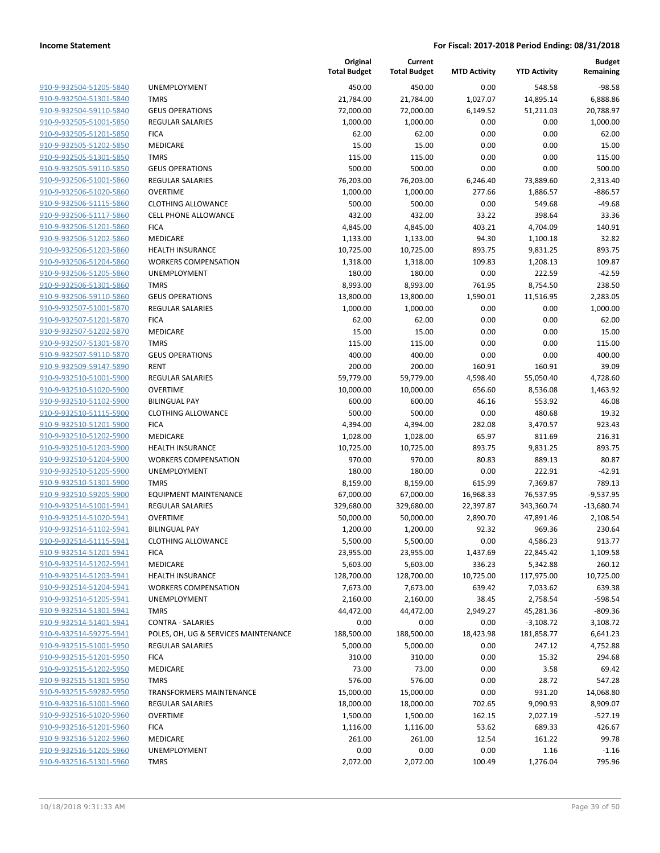| 910-9-932504-51205-5840        |
|--------------------------------|
| 910-9-932504-51301-5840        |
| 910-9-932504-59110-5840        |
| 910-9-932505-51001-5850        |
| 910-9-932505-51201-5850        |
| 910-9-932505-51202-5850        |
| 910-9-932505-51301-5850        |
| 910-9-932505-59110-5850        |
| 910-9-932506-51001-5860        |
| 910-9-932506-51020-5860        |
| 910-9-932506-51115-5860        |
| 910-9-932506-51117-5860        |
| 910-9-932506-51201-5860        |
| 910-9-932506-51202-5860        |
|                                |
| 910-9-932506-51203-5860        |
| 910-9-932506-51204-5860        |
| 910-9-932506-51205-5860        |
| 910-9-932506-51301-5860        |
| 910-9-932506-59110-5860        |
| 910-9-932507-51001-5870        |
| 910-9-932507-51201-5870        |
| 910-9-932507-51202-5870        |
| 910-9-932507-51301-5870        |
| 910-9-932507-59110-5870        |
| 910-9-932509-59147-5890        |
| 910-9-932510-51001-5900        |
| 910-9-932510-51020-5900        |
| 910-9-932510-51102-5900        |
| 910-9-932510-51115-5900        |
| 910-9-932510-51201-5900        |
| 910-9-932510-51202-5900        |
| 910-9-932510-51203-5900        |
| 910-9-932510-51204-5900        |
| 910-9-932510-51205-5900        |
|                                |
| 910-9-932510-51301-5900        |
| 910-9-932510-59205-5900        |
| 910-9-932514-51001-5941        |
| 910-9-932514-51020-5941        |
| 910-9-932514-51102-5941        |
| 910-9-932514-51115-5941        |
| 910-9-932514-51201-5941        |
| 910-9-932514-51202-5941        |
| 910-9-932514-51203-5941        |
| 910-9-932514-51204-5941        |
| 910-9-932514-51205-5941        |
| 910-9-932514-51301-5941        |
| 910-9-932514-51401-5941        |
| 910-9-932514-59275-5941        |
| 910-9-932515-51001-5950        |
| 910-9-932515-51201-5950        |
| 910-9-932515-51202-5950        |
| 910-9-932515-51301-5950        |
| 910-9-932515-59282-5950        |
|                                |
| 910-9-932516-51001-5960        |
| 910-9-932516-51020-5960        |
| <u>910-9-932516-51201-5960</u> |
| 910-9-932516-51202-5960        |
| 910-9-932516-51205-5960        |
| 910-9-932516-51301-5960        |
|                                |

|                         |                                      | Original<br><b>Total Budget</b> | Current<br><b>Total Budget</b> | <b>MTD Activity</b> | <b>YTD Activity</b> | <b>Budget</b><br>Remaining |
|-------------------------|--------------------------------------|---------------------------------|--------------------------------|---------------------|---------------------|----------------------------|
| 910-9-932504-51205-5840 | UNEMPLOYMENT                         | 450.00                          | 450.00                         | 0.00                | 548.58              | $-98.58$                   |
| 910-9-932504-51301-5840 | <b>TMRS</b>                          | 21,784.00                       | 21,784.00                      | 1,027.07            | 14,895.14           | 6,888.86                   |
| 910-9-932504-59110-5840 | <b>GEUS OPERATIONS</b>               | 72,000.00                       | 72,000.00                      | 6,149.52            | 51,211.03           | 20,788.97                  |
| 910-9-932505-51001-5850 | REGULAR SALARIES                     | 1,000.00                        | 1,000.00                       | 0.00                | 0.00                | 1,000.00                   |
| 910-9-932505-51201-5850 | <b>FICA</b>                          | 62.00                           | 62.00                          | 0.00                | 0.00                | 62.00                      |
| 910-9-932505-51202-5850 | MEDICARE                             | 15.00                           | 15.00                          | 0.00                | 0.00                | 15.00                      |
| 910-9-932505-51301-5850 | <b>TMRS</b>                          | 115.00                          | 115.00                         | 0.00                | 0.00                | 115.00                     |
| 910-9-932505-59110-5850 | <b>GEUS OPERATIONS</b>               | 500.00                          | 500.00                         | 0.00                | 0.00                | 500.00                     |
| 910-9-932506-51001-5860 | REGULAR SALARIES                     | 76,203.00                       | 76,203.00                      | 6,246.40            | 73,889.60           | 2,313.40                   |
| 910-9-932506-51020-5860 | <b>OVERTIME</b>                      | 1,000.00                        | 1,000.00                       | 277.66              | 1,886.57            | $-886.57$                  |
| 910-9-932506-51115-5860 | <b>CLOTHING ALLOWANCE</b>            | 500.00                          | 500.00                         | 0.00                | 549.68              | $-49.68$                   |
| 910-9-932506-51117-5860 | <b>CELL PHONE ALLOWANCE</b>          | 432.00                          | 432.00                         | 33.22               | 398.64              | 33.36                      |
| 910-9-932506-51201-5860 | <b>FICA</b>                          | 4,845.00                        | 4,845.00                       | 403.21              | 4,704.09            | 140.91                     |
| 910-9-932506-51202-5860 | MEDICARE                             | 1,133.00                        | 1,133.00                       | 94.30               | 1,100.18            | 32.82                      |
| 910-9-932506-51203-5860 | <b>HEALTH INSURANCE</b>              | 10,725.00                       | 10,725.00                      | 893.75              | 9,831.25            | 893.75                     |
| 910-9-932506-51204-5860 | <b>WORKERS COMPENSATION</b>          | 1,318.00                        | 1,318.00                       | 109.83              | 1,208.13            | 109.87                     |
| 910-9-932506-51205-5860 | UNEMPLOYMENT                         | 180.00                          | 180.00                         | 0.00                | 222.59              | $-42.59$                   |
| 910-9-932506-51301-5860 | <b>TMRS</b>                          | 8,993.00                        | 8,993.00                       | 761.95              | 8,754.50            | 238.50                     |
| 910-9-932506-59110-5860 | <b>GEUS OPERATIONS</b>               | 13,800.00                       | 13,800.00                      | 1,590.01            | 11,516.95           | 2,283.05                   |
| 910-9-932507-51001-5870 | REGULAR SALARIES                     | 1,000.00                        | 1,000.00                       | 0.00                | 0.00                | 1,000.00                   |
| 910-9-932507-51201-5870 | <b>FICA</b>                          | 62.00                           | 62.00                          | 0.00                | 0.00                | 62.00                      |
| 910-9-932507-51202-5870 | MEDICARE                             | 15.00                           | 15.00                          | 0.00                | 0.00                | 15.00                      |
| 910-9-932507-51301-5870 | <b>TMRS</b>                          | 115.00                          | 115.00                         | 0.00                | 0.00                | 115.00                     |
| 910-9-932507-59110-5870 | <b>GEUS OPERATIONS</b>               | 400.00                          | 400.00                         | 0.00                | 0.00                | 400.00                     |
| 910-9-932509-59147-5890 | <b>RENT</b>                          | 200.00                          | 200.00                         | 160.91              | 160.91              | 39.09                      |
| 910-9-932510-51001-5900 | REGULAR SALARIES                     | 59,779.00                       | 59,779.00                      | 4,598.40            | 55,050.40           | 4,728.60                   |
| 910-9-932510-51020-5900 | <b>OVERTIME</b>                      | 10,000.00                       | 10,000.00                      | 656.60              | 8,536.08            | 1,463.92                   |
| 910-9-932510-51102-5900 | <b>BILINGUAL PAY</b>                 | 600.00                          | 600.00                         | 46.16               | 553.92              | 46.08                      |
| 910-9-932510-51115-5900 | <b>CLOTHING ALLOWANCE</b>            | 500.00                          | 500.00                         | 0.00                | 480.68              | 19.32                      |
| 910-9-932510-51201-5900 | <b>FICA</b>                          | 4,394.00                        | 4,394.00                       | 282.08              | 3,470.57            | 923.43                     |
| 910-9-932510-51202-5900 | MEDICARE                             | 1,028.00                        | 1,028.00                       | 65.97               | 811.69              | 216.31                     |
| 910-9-932510-51203-5900 | <b>HEALTH INSURANCE</b>              | 10,725.00                       | 10,725.00                      | 893.75              | 9,831.25            | 893.75                     |
| 910-9-932510-51204-5900 | <b>WORKERS COMPENSATION</b>          | 970.00                          | 970.00                         | 80.83               | 889.13              | 80.87                      |
| 910-9-932510-51205-5900 | UNEMPLOYMENT                         | 180.00                          | 180.00                         | 0.00                | 222.91              | $-42.91$                   |
| 910-9-932510-51301-5900 | <b>TMRS</b>                          | 8,159.00                        | 8,159.00                       | 615.99              | 7,369.87            | 789.13                     |
| 910-9-932510-59205-5900 | <b>EQUIPMENT MAINTENANCE</b>         | 67,000.00                       | 67,000.00                      | 16,968.33           | 76,537.95           | $-9,537.95$                |
| 910-9-932514-51001-5941 | REGULAR SALARIES                     | 329,680.00                      | 329,680.00                     | 22,397.87           | 343,360.74          | $-13,680.74$               |
| 910-9-932514-51020-5941 | <b>OVERTIME</b>                      | 50,000.00                       | 50,000.00                      | 2,890.70            | 47,891.46           | 2,108.54                   |
| 910-9-932514-51102-5941 | <b>BILINGUAL PAY</b>                 | 1,200.00                        | 1,200.00                       | 92.32               | 969.36              | 230.64                     |
| 910-9-932514-51115-5941 | <b>CLOTHING ALLOWANCE</b>            | 5,500.00                        | 5,500.00                       | 0.00                | 4,586.23            | 913.77                     |
| 910-9-932514-51201-5941 | <b>FICA</b>                          | 23,955.00                       | 23,955.00                      | 1,437.69            | 22,845.42           | 1,109.58                   |
| 910-9-932514-51202-5941 | <b>MEDICARE</b>                      | 5,603.00                        | 5,603.00                       | 336.23              | 5,342.88            | 260.12                     |
| 910-9-932514-51203-5941 | <b>HEALTH INSURANCE</b>              | 128,700.00                      | 128,700.00                     | 10,725.00           | 117,975.00          | 10,725.00                  |
| 910-9-932514-51204-5941 | <b>WORKERS COMPENSATION</b>          | 7,673.00                        | 7,673.00                       | 639.42              | 7,033.62            | 639.38                     |
| 910-9-932514-51205-5941 | UNEMPLOYMENT                         | 2,160.00                        | 2,160.00                       | 38.45               | 2,758.54            | $-598.54$                  |
| 910-9-932514-51301-5941 | <b>TMRS</b>                          | 44,472.00                       | 44,472.00                      | 2,949.27            | 45,281.36           | $-809.36$                  |
| 910-9-932514-51401-5941 | <b>CONTRA - SALARIES</b>             | 0.00                            | 0.00                           | 0.00                | $-3,108.72$         | 3,108.72                   |
| 910-9-932514-59275-5941 | POLES, OH, UG & SERVICES MAINTENANCE | 188,500.00                      | 188,500.00                     | 18,423.98           | 181,858.77          | 6,641.23                   |
| 910-9-932515-51001-5950 | <b>REGULAR SALARIES</b>              | 5,000.00                        | 5,000.00                       | 0.00                | 247.12              | 4,752.88                   |
| 910-9-932515-51201-5950 | <b>FICA</b>                          | 310.00                          | 310.00                         | 0.00                | 15.32               | 294.68                     |
| 910-9-932515-51202-5950 | <b>MEDICARE</b>                      | 73.00                           | 73.00                          | 0.00                | 3.58                | 69.42                      |
| 910-9-932515-51301-5950 | <b>TMRS</b>                          | 576.00                          | 576.00                         | 0.00                | 28.72               | 547.28                     |
| 910-9-932515-59282-5950 | <b>TRANSFORMERS MAINTENANCE</b>      | 15,000.00                       | 15,000.00                      | 0.00                | 931.20              | 14,068.80                  |
| 910-9-932516-51001-5960 | <b>REGULAR SALARIES</b>              | 18,000.00                       | 18,000.00                      | 702.65              | 9,090.93            | 8,909.07                   |
| 910-9-932516-51020-5960 | <b>OVERTIME</b>                      | 1,500.00                        | 1,500.00                       | 162.15              | 2,027.19            | $-527.19$                  |
| 910-9-932516-51201-5960 | <b>FICA</b>                          | 1,116.00                        | 1,116.00                       | 53.62               | 689.33              | 426.67                     |
| 910-9-932516-51202-5960 | MEDICARE                             | 261.00                          | 261.00                         | 12.54               | 161.22              | 99.78                      |
| 910-9-932516-51205-5960 | UNEMPLOYMENT                         | 0.00                            | 0.00                           | 0.00                | 1.16                | $-1.16$                    |
| 910-9-932516-51301-5960 | <b>TMRS</b>                          | 2,072.00                        | 2,072.00                       | 100.49              | 1,276.04            | 795.96                     |
|                         |                                      |                                 |                                |                     |                     |                            |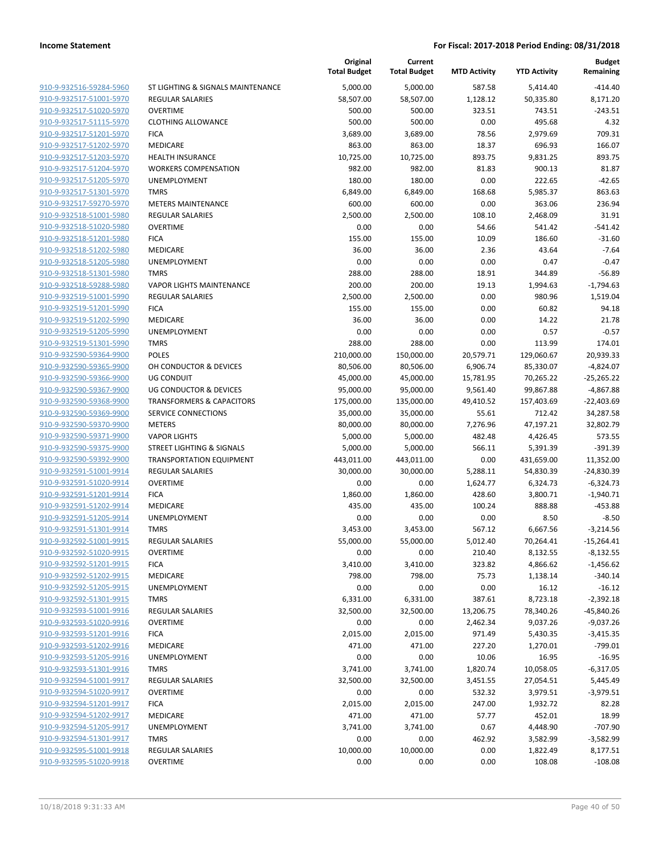| 910-9-932516-59284-5960                            | <b>ST LIGHTIN</b>              |
|----------------------------------------------------|--------------------------------|
| 910-9-932517-51001-5970                            | <b>REGULAR S.</b>              |
| 910-9-932517-51020-5970                            | <b>OVERTIME</b>                |
| 910-9-932517-51115-5970                            | <b>CLOTHING</b>                |
| 910-9-932517-51201-5970                            | <b>FICA</b>                    |
| 910-9-932517-51202-5970                            | MEDICARE                       |
| 910-9-932517-51203-5970                            | <b>HEALTH INS</b>              |
| 910-9-932517-51204-5970                            | <b>WORKERS</b>                 |
| 910-9-932517-51205-5970                            | <b>UNEMPLOY</b>                |
| 910-9-932517-51301-5970                            | TMRS                           |
| 910-9-932517-59270-5970                            | METERS M/                      |
| 910-9-932518-51001-5980                            | <b>REGULAR S.</b>              |
| 910-9-932518-51020-5980                            | <b>OVERTIME</b>                |
| 910-9-932518-51201-5980                            | <b>FICA</b>                    |
| 910-9-932518-51202-5980                            | MEDICARE                       |
| 910-9-932518-51205-5980                            | <b>UNEMPLOY</b>                |
| 910-9-932518-51301-5980                            | TMRS                           |
| 910-9-932518-59288-5980                            | <b>VAPOR LIGI</b>              |
| 910-9-932519-51001-5990                            | REGULAR S.                     |
| 910-9-932519-51201-5990                            | <b>FICA</b>                    |
| 910-9-932519-51202-5990                            | <b>MEDICARE</b>                |
| 910-9-932519-51205-5990                            | <b>UNEMPLOY</b>                |
| 910-9-932519-51301-5990                            | <b>TMRS</b>                    |
| 910-9-932590-59364-9900                            | <b>POLES</b>                   |
| 910-9-932590-59365-9900                            | OH CONDU                       |
| 910-9-932590-59366-9900                            | UG CONDU                       |
| 910-9-932590-59367-9900                            | UG CONDU                       |
| 910-9-932590-59368-9900                            | <b>TRANSFORM</b>               |
| 910-9-932590-59369-9900                            | SERVICE CO                     |
| 910-9-932590-59370-9900                            | METERS                         |
| 910-9-932590-59371-9900                            | <b>VAPOR LIGI</b>              |
| 910-9-932590-59375-9900                            | <b>STREET LIGI</b>             |
| 910-9-932590-59392-9900                            | <b>TRANSPORT</b>               |
| 910-9-932591-51001-9914                            | <b>REGULAR S.</b>              |
| 910-9-932591-51020-9914                            | OVERTIME                       |
| 910-9-932591-51201-9914                            | <b>FICA</b><br><b>MEDICARE</b> |
| 910-9-932591-51202-9914                            | <b>UNEMPLOY</b>                |
| 910-9-932591-51205-9914<br>910-9-932591-51301-9914 | <b>TMRS</b>                    |
| 910-9-932592-51001-9915                            | <b>REGULAR S.</b>              |
| 910-9-932592-51020-9915                            | <b>OVERTIME</b>                |
| 910-9-932592-51201-9915                            | <b>FICA</b>                    |
| 910-9-932592-51202-9915                            | MEDICARE                       |
| 910-9-932592-51205-9915                            | <b>UNEMPLOY</b>                |
| 910-9-932592-51301-9915                            | <b>TMRS</b>                    |
| 910-9-932593-51001-9916                            | REGULAR S.                     |
| 910-9-932593-51020-9916                            | <b>OVERTIME</b>                |
| 910-9-932593-51201-9916                            | <b>FICA</b>                    |
| 910-9-932593-51202-9916                            | MEDICARE                       |
| 910-9-932593-51205-9916                            | <b>UNEMPLOY</b>                |
| 910-9-932593-51301-9916                            | TMRS                           |
| 910-9-932594-51001-9917                            | REGULAR S.                     |
| 910-9-932594-51020-9917                            | <b>OVERTIME</b>                |
| 910-9-932594-51201-9917                            | <b>FICA</b>                    |
| 910-9-932594-51202-9917                            | MEDICARE                       |
| 910-9-932594-51205-9917                            | <b>UNEMPLOY</b>                |
| 910-9-932594-51301-9917                            | <b>TMRS</b>                    |
| 910-9-932595-51001-9918                            | REGULAR S.                     |
| 910-9-932595-51020-9918                            | OVERTIME                       |
|                                                    |                                |

|                                                    |                                      | Original<br><b>Total Budget</b> | Current<br><b>Total Budget</b> | <b>MTD Activity</b> | <b>YTD Activity</b> | <b>Budget</b><br>Remaining |
|----------------------------------------------------|--------------------------------------|---------------------------------|--------------------------------|---------------------|---------------------|----------------------------|
| 910-9-932516-59284-5960                            | ST LIGHTING & SIGNALS MAINTENANCE    | 5,000.00                        | 5,000.00                       | 587.58              | 5,414.40            | $-414.40$                  |
| 910-9-932517-51001-5970                            | <b>REGULAR SALARIES</b>              | 58,507.00                       | 58,507.00                      | 1,128.12            | 50,335.80           | 8,171.20                   |
| 910-9-932517-51020-5970                            | <b>OVERTIME</b>                      | 500.00                          | 500.00                         | 323.51              | 743.51              | $-243.51$                  |
| 910-9-932517-51115-5970                            | <b>CLOTHING ALLOWANCE</b>            | 500.00                          | 500.00                         | 0.00                | 495.68              | 4.32                       |
| 910-9-932517-51201-5970                            | <b>FICA</b>                          | 3,689.00                        | 3,689.00                       | 78.56               | 2,979.69            | 709.31                     |
| 910-9-932517-51202-5970                            | MEDICARE                             | 863.00                          | 863.00                         | 18.37               | 696.93              | 166.07                     |
| 910-9-932517-51203-5970                            | <b>HEALTH INSURANCE</b>              | 10,725.00                       | 10,725.00                      | 893.75              | 9,831.25            | 893.75                     |
| 910-9-932517-51204-5970                            | <b>WORKERS COMPENSATION</b>          | 982.00                          | 982.00                         | 81.83               | 900.13              | 81.87                      |
| 910-9-932517-51205-5970                            | <b>UNEMPLOYMENT</b>                  | 180.00                          | 180.00                         | 0.00                | 222.65              | $-42.65$                   |
| 910-9-932517-51301-5970                            | <b>TMRS</b>                          | 6,849.00                        | 6,849.00                       | 168.68              | 5,985.37            | 863.63                     |
| 910-9-932517-59270-5970                            | <b>METERS MAINTENANCE</b>            | 600.00                          | 600.00                         | 0.00                | 363.06              | 236.94                     |
| 910-9-932518-51001-5980                            | <b>REGULAR SALARIES</b>              | 2,500.00                        | 2,500.00                       | 108.10              | 2,468.09            | 31.91                      |
| 910-9-932518-51020-5980                            | <b>OVERTIME</b>                      | 0.00                            | 0.00                           | 54.66               | 541.42              | $-541.42$                  |
| 910-9-932518-51201-5980                            | <b>FICA</b>                          | 155.00                          | 155.00                         | 10.09               | 186.60              | $-31.60$                   |
| 910-9-932518-51202-5980                            | MEDICARE                             | 36.00                           | 36.00                          | 2.36                | 43.64               | $-7.64$                    |
| 910-9-932518-51205-5980                            | <b>UNEMPLOYMENT</b>                  | 0.00                            | 0.00                           | 0.00                | 0.47                | $-0.47$                    |
| 910-9-932518-51301-5980                            | <b>TMRS</b>                          | 288.00                          | 288.00                         | 18.91               | 344.89              | $-56.89$                   |
| 910-9-932518-59288-5980                            | <b>VAPOR LIGHTS MAINTENANCE</b>      | 200.00                          | 200.00                         | 19.13               | 1,994.63            | $-1,794.63$                |
| 910-9-932519-51001-5990                            | <b>REGULAR SALARIES</b>              | 2,500.00                        | 2,500.00                       | 0.00                | 980.96              | 1,519.04                   |
| 910-9-932519-51201-5990                            | <b>FICA</b>                          | 155.00                          | 155.00                         | 0.00                | 60.82               | 94.18                      |
| 910-9-932519-51202-5990                            | MEDICARE                             | 36.00                           | 36.00                          | 0.00                | 14.22               | 21.78                      |
| 910-9-932519-51205-5990                            | <b>UNEMPLOYMENT</b>                  | 0.00                            | 0.00                           | 0.00                | 0.57                | $-0.57$                    |
| 910-9-932519-51301-5990                            | <b>TMRS</b>                          | 288.00                          | 288.00                         | 0.00                | 113.99              | 174.01                     |
| 910-9-932590-59364-9900                            | <b>POLES</b>                         | 210,000.00                      | 150,000.00                     | 20,579.71           | 129,060.67          | 20,939.33                  |
| 910-9-932590-59365-9900                            | OH CONDUCTOR & DEVICES               | 80,506.00                       | 80,506.00                      | 6,906.74            | 85,330.07           | $-4,824.07$                |
| 910-9-932590-59366-9900                            | <b>UG CONDUIT</b>                    | 45,000.00                       | 45,000.00                      | 15,781.95           | 70,265.22           | $-25,265.22$               |
| 910-9-932590-59367-9900                            | <b>UG CONDUCTOR &amp; DEVICES</b>    | 95,000.00                       | 95,000.00                      | 9,561.40            | 99,867.88           | $-4,867.88$                |
| 910-9-932590-59368-9900                            | <b>TRANSFORMERS &amp; CAPACITORS</b> | 175,000.00                      | 135,000.00                     | 49,410.52           | 157,403.69          | $-22,403.69$               |
| 910-9-932590-59369-9900                            | SERVICE CONNECTIONS                  | 35,000.00                       | 35,000.00                      | 55.61               | 712.42              | 34,287.58                  |
| 910-9-932590-59370-9900                            | <b>METERS</b>                        | 80,000.00                       | 80,000.00                      | 7,276.96            | 47,197.21           | 32,802.79                  |
| 910-9-932590-59371-9900                            | <b>VAPOR LIGHTS</b>                  | 5,000.00                        | 5,000.00                       | 482.48              | 4,426.45            | 573.55                     |
| 910-9-932590-59375-9900                            | <b>STREET LIGHTING &amp; SIGNALS</b> | 5,000.00                        | 5,000.00                       | 566.11              | 5,391.39            | $-391.39$                  |
| 910-9-932590-59392-9900                            | <b>TRANSPORTATION EQUIPMENT</b>      | 443,011.00                      | 443,011.00                     | 0.00                | 431,659.00          | 11,352.00                  |
| 910-9-932591-51001-9914                            | <b>REGULAR SALARIES</b>              | 30,000.00                       | 30,000.00                      | 5,288.11            | 54,830.39           | $-24,830.39$               |
| 910-9-932591-51020-9914                            | <b>OVERTIME</b>                      | 0.00                            | 0.00                           | 1,624.77            | 6,324.73            | $-6,324.73$                |
| 910-9-932591-51201-9914                            | <b>FICA</b>                          | 1,860.00                        | 1,860.00                       | 428.60              | 3,800.71            | $-1,940.71$                |
| 910-9-932591-51202-9914                            | MEDICARE                             | 435.00                          | 435.00                         | 100.24              | 888.88              | $-453.88$                  |
| 910-9-932591-51205-9914                            | <b>UNEMPLOYMENT</b>                  | 0.00                            | 0.00                           | 0.00                | 8.50                | $-8.50$                    |
| 910-9-932591-51301-9914                            | <b>TMRS</b>                          | 3,453.00                        | 3,453.00                       | 567.12              | 6,667.56            | $-3,214.56$                |
| 910-9-932592-51001-9915                            | <b>REGULAR SALARIES</b>              | 55,000.00                       | 55,000.00                      | 5,012.40            | 70,264.41           | $-15,264.41$               |
| 910-9-932592-51020-9915                            | <b>OVERTIME</b>                      | 0.00                            | 0.00                           | 210.40              | 8,132.55            | $-8,132.55$                |
| 910-9-932592-51201-9915                            | <b>FICA</b>                          | 3,410.00                        | 3,410.00                       | 323.82              | 4,866.62            | $-1,456.62$                |
| 910-9-932592-51202-9915                            | MEDICARE                             | 798.00                          | 798.00                         | 75.73               | 1,138.14            | $-340.14$                  |
| 910-9-932592-51205-9915                            | <b>UNEMPLOYMENT</b>                  | 0.00                            | 0.00                           | 0.00                | 16.12               | $-16.12$                   |
| 910-9-932592-51301-9915                            | <b>TMRS</b>                          | 6,331.00                        | 6,331.00                       | 387.61              | 8,723.18            | $-2,392.18$                |
| 910-9-932593-51001-9916                            | <b>REGULAR SALARIES</b>              | 32,500.00                       | 32,500.00                      | 13,206.75           | 78,340.26           | $-45,840.26$               |
| 910-9-932593-51020-9916                            | <b>OVERTIME</b>                      | 0.00                            | 0.00                           | 2,462.34            | 9,037.26            | $-9,037.26$                |
| 910-9-932593-51201-9916                            | <b>FICA</b>                          | 2,015.00                        | 2,015.00                       | 971.49              | 5,430.35            | $-3,415.35$                |
| 910-9-932593-51202-9916                            | MEDICARE                             | 471.00                          | 471.00                         | 227.20              | 1,270.01            | $-799.01$                  |
| 910-9-932593-51205-9916<br>910-9-932593-51301-9916 | UNEMPLOYMENT                         | 0.00                            | 0.00                           | 10.06               | 16.95               | $-16.95$                   |
|                                                    | <b>TMRS</b>                          | 3,741.00<br>32,500.00           | 3,741.00                       | 1,820.74            | 10,058.05           | $-6,317.05$                |
| 910-9-932594-51001-9917<br>910-9-932594-51020-9917 | REGULAR SALARIES<br><b>OVERTIME</b>  |                                 | 32,500.00                      | 3,451.55            | 27,054.51           | 5,445.49                   |
| 910-9-932594-51201-9917                            | <b>FICA</b>                          | 0.00                            | 0.00                           | 532.32              | 3,979.51            | $-3,979.51$                |
| 910-9-932594-51202-9917                            | MEDICARE                             | 2,015.00<br>471.00              | 2,015.00<br>471.00             | 247.00<br>57.77     | 1,932.72<br>452.01  | 82.28<br>18.99             |
| 910-9-932594-51205-9917                            | UNEMPLOYMENT                         | 3,741.00                        | 3,741.00                       | 0.67                | 4,448.90            | $-707.90$                  |
| 910-9-932594-51301-9917                            | <b>TMRS</b>                          | 0.00                            | 0.00                           | 462.92              |                     |                            |
| 910-9-932595-51001-9918                            | REGULAR SALARIES                     | 10,000.00                       | 10,000.00                      | 0.00                | 3,582.99            | -3,582.99<br>8,177.51      |
| 910-9-932595-51020-9918                            | <b>OVERTIME</b>                      | 0.00                            | 0.00                           | 0.00                | 1,822.49<br>108.08  | $-108.08$                  |
|                                                    |                                      |                                 |                                |                     |                     |                            |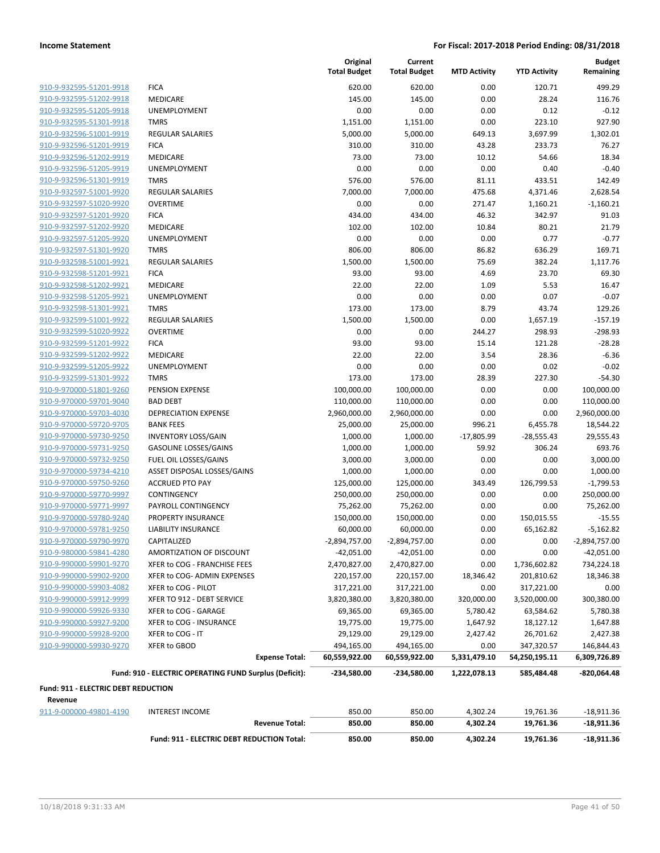| 910-9-932595-51201-9918        |
|--------------------------------|
| 910-9-932595-51202-9918        |
| 910-9-932595-51205-9918        |
| 910-9-932595-51301-9918        |
| 910-9-932596-51001-9919        |
| 910-9-932596-51201-9919        |
| 910-9-932596-51202-9919        |
| 910-9-932596-51205-9919        |
| 910-9-932596-51301-9919        |
| 910-9-932597-51001-9920        |
| 910-9-932597-51020-9920        |
| 910-9-932597-51201-9920        |
| 910-9-932597-51202-9920        |
| 910-9-932597-51205-9920        |
| <u>910-9-932597-51301-9920</u> |
| 910-9-932598-51001-9921        |
| 910-9-932598-51201-9921        |
| 910-9-932598-51202-9921        |
| 910-9-932598-51205-9921        |
| <u>910-9-932598-51301-9921</u> |
| 910-9-932599-51001-9922        |
| 910-9-932599-51020-9922        |
| 910-9-932599-51201-9922        |
| 910-9-932599-51202-9922        |
| 910-9-932599-51205-9922        |
|                                |
| 910-9-932599-51301-9922        |
| 910-9-970000-51801-9260        |
| 910-9-970000-59701-9040        |
| 910-9-970000-59703-4030        |
| 910-9-970000-59720-9705        |
| 910-9-970000-59730-9250        |
| 910-9-970000-59731-9250        |
| 910-9-970000-59732-9250        |
| 910-9-970000-59734-4210        |
| 910-9-970000-59750-9260        |
| 910-9-970000-59770-9997        |
| 910-9-970000-59771-9997        |
| 910-9-970000-59780-9240        |
| 910-9-970000-59781-9250        |
| <u>910-9-970000-59790-9970</u> |
| 910-9-980000-59841-4280        |
| 910-9-990000-59901-9270        |
| 910-9-990000-59902-9200        |
| 910-9-990000-59903-4082        |
| <u>910-9-990000-59912-9999</u> |
| 910-9-990000-59926-9330        |
| 910-9-990000-59927-9200        |
| 910-9-990000-59928-9200        |
| 910-9-990000-59930-9270        |
|                                |

|                                     |                                                        | Original<br><b>Total Budget</b> | Current<br><b>Total Budget</b> | <b>MTD Activity</b> | <b>YTD Activity</b> | <b>Budget</b><br>Remaining |
|-------------------------------------|--------------------------------------------------------|---------------------------------|--------------------------------|---------------------|---------------------|----------------------------|
| 910-9-932595-51201-9918             | <b>FICA</b>                                            | 620.00                          | 620.00                         | 0.00                | 120.71              | 499.29                     |
| 910-9-932595-51202-9918             | MEDICARE                                               | 145.00                          | 145.00                         | 0.00                | 28.24               | 116.76                     |
| 910-9-932595-51205-9918             | <b>UNEMPLOYMENT</b>                                    | 0.00                            | 0.00                           | 0.00                | 0.12                | $-0.12$                    |
| 910-9-932595-51301-9918             | <b>TMRS</b>                                            | 1,151.00                        | 1,151.00                       | 0.00                | 223.10              | 927.90                     |
| 910-9-932596-51001-9919             | <b>REGULAR SALARIES</b>                                | 5,000.00                        | 5,000.00                       | 649.13              | 3,697.99            | 1,302.01                   |
| 910-9-932596-51201-9919             | <b>FICA</b>                                            | 310.00                          | 310.00                         | 43.28               | 233.73              | 76.27                      |
| 910-9-932596-51202-9919             | MEDICARE                                               | 73.00                           | 73.00                          | 10.12               | 54.66               | 18.34                      |
| 910-9-932596-51205-9919             | <b>UNEMPLOYMENT</b>                                    | 0.00                            | 0.00                           | 0.00                | 0.40                | $-0.40$                    |
| 910-9-932596-51301-9919             | <b>TMRS</b>                                            | 576.00                          | 576.00                         | 81.11               | 433.51              | 142.49                     |
| 910-9-932597-51001-9920             | <b>REGULAR SALARIES</b>                                | 7,000.00                        | 7,000.00                       | 475.68              | 4,371.46            | 2,628.54                   |
| 910-9-932597-51020-9920             | <b>OVERTIME</b>                                        | 0.00                            | 0.00                           | 271.47              | 1,160.21            | $-1,160.21$                |
| 910-9-932597-51201-9920             | <b>FICA</b>                                            | 434.00                          | 434.00                         | 46.32               | 342.97              | 91.03                      |
| 910-9-932597-51202-9920             | MEDICARE                                               | 102.00                          | 102.00                         | 10.84               | 80.21               | 21.79                      |
| 910-9-932597-51205-9920             | <b>UNEMPLOYMENT</b>                                    | 0.00                            | 0.00                           | 0.00                | 0.77                | $-0.77$                    |
| 910-9-932597-51301-9920             | <b>TMRS</b>                                            | 806.00                          | 806.00                         | 86.82               | 636.29              | 169.71                     |
| 910-9-932598-51001-9921             | <b>REGULAR SALARIES</b>                                | 1,500.00                        | 1,500.00                       | 75.69               | 382.24              | 1,117.76                   |
| 910-9-932598-51201-9921             | <b>FICA</b>                                            | 93.00                           | 93.00                          | 4.69                | 23.70               | 69.30                      |
| 910-9-932598-51202-9921             | <b>MEDICARE</b>                                        | 22.00                           | 22.00                          | 1.09                | 5.53                | 16.47                      |
| 910-9-932598-51205-9921             | <b>UNEMPLOYMENT</b>                                    | 0.00                            | 0.00                           | 0.00                | 0.07                | $-0.07$                    |
| 910-9-932598-51301-9921             | <b>TMRS</b>                                            | 173.00                          | 173.00                         | 8.79                | 43.74               | 129.26                     |
| 910-9-932599-51001-9922             | <b>REGULAR SALARIES</b>                                | 1,500.00                        | 1,500.00                       | 0.00                | 1,657.19            | $-157.19$                  |
| 910-9-932599-51020-9922             | <b>OVERTIME</b>                                        | 0.00                            | 0.00                           | 244.27              | 298.93              | $-298.93$                  |
| 910-9-932599-51201-9922             | <b>FICA</b>                                            | 93.00                           | 93.00                          | 15.14               | 121.28              | $-28.28$                   |
| 910-9-932599-51202-9922             | MEDICARE                                               | 22.00                           | 22.00                          | 3.54                | 28.36               | $-6.36$                    |
| 910-9-932599-51205-9922             | <b>UNEMPLOYMENT</b>                                    | 0.00                            | 0.00                           | 0.00                | 0.02                | $-0.02$                    |
| 910-9-932599-51301-9922             | <b>TMRS</b>                                            | 173.00                          | 173.00                         | 28.39               | 227.30              | $-54.30$                   |
| 910-9-970000-51801-9260             | PENSION EXPENSE                                        | 100,000.00                      | 100,000.00                     | 0.00                | 0.00                | 100,000.00                 |
| 910-9-970000-59701-9040             | <b>BAD DEBT</b>                                        | 110,000.00                      | 110,000.00                     | 0.00                | 0.00                | 110,000.00                 |
| 910-9-970000-59703-4030             | DEPRECIATION EXPENSE                                   | 2,960,000.00                    | 2,960,000.00                   | 0.00                | 0.00                | 2,960,000.00               |
| 910-9-970000-59720-9705             | <b>BANK FEES</b>                                       | 25,000.00                       | 25,000.00                      | 996.21              | 6,455.78            | 18,544.22                  |
| 910-9-970000-59730-9250             | <b>INVENTORY LOSS/GAIN</b>                             | 1,000.00                        | 1,000.00                       | $-17,805.99$        | $-28,555.43$        | 29,555.43                  |
| 910-9-970000-59731-9250             | <b>GASOLINE LOSSES/GAINS</b>                           | 1,000.00                        | 1,000.00                       | 59.92               | 306.24              | 693.76                     |
| 910-9-970000-59732-9250             | FUEL OIL LOSSES/GAINS                                  | 3,000.00                        | 3,000.00                       | 0.00                | 0.00                | 3,000.00                   |
| 910-9-970000-59734-4210             | ASSET DISPOSAL LOSSES/GAINS                            | 1,000.00                        | 1,000.00                       | 0.00                | 0.00                | 1,000.00                   |
| 910-9-970000-59750-9260             | <b>ACCRUED PTO PAY</b>                                 | 125,000.00                      | 125,000.00                     | 343.49              | 126,799.53          | $-1,799.53$                |
| 910-9-970000-59770-9997             | CONTINGENCY                                            | 250,000.00                      | 250,000.00                     | 0.00                | 0.00                | 250,000.00                 |
| 910-9-970000-59771-9997             | PAYROLL CONTINGENCY                                    | 75,262.00                       | 75,262.00                      | 0.00                | 0.00                | 75,262.00                  |
| 910-9-970000-59780-9240             | <b>PROPERTY INSURANCE</b>                              | 150,000.00                      | 150,000.00                     | 0.00                | 150,015.55          | $-15.55$                   |
| 910-9-970000-59781-9250             | <b>LIABILITY INSURANCE</b>                             | 60,000.00                       | 60,000.00                      | 0.00                | 65,162.82           | $-5,162.82$                |
| 910-9-970000-59790-9970             | CAPITALIZED                                            | $-2,894,757.00$                 | $-2,894,757.00$                | 0.00                | 0.00                | $-2,894,757.00$            |
| 910-9-980000-59841-4280             | AMORTIZATION OF DISCOUNT                               | $-42,051.00$                    | $-42,051.00$                   | 0.00                | 0.00                | $-42,051.00$               |
| 910-9-990000-59901-9270             | XFER to COG - FRANCHISE FEES                           | 2,470,827.00                    | 2,470,827.00                   | 0.00                | 1,736,602.82        | 734,224.18                 |
| 910-9-990000-59902-9200             | XFER to COG- ADMIN EXPENSES                            | 220,157.00                      | 220,157.00                     | 18,346.42           | 201,810.62          | 18,346.38                  |
| 910-9-990000-59903-4082             | XFER to COG - PILOT                                    | 317,221.00                      | 317,221.00                     | 0.00                | 317,221.00          | 0.00                       |
| 910-9-990000-59912-9999             | XFER TO 912 - DEBT SERVICE                             | 3,820,380.00                    | 3,820,380.00                   | 320,000.00          | 3,520,000.00        | 300,380.00                 |
| 910-9-990000-59926-9330             | XFER to COG - GARAGE                                   | 69,365.00                       | 69,365.00                      | 5,780.42            | 63,584.62           | 5,780.38                   |
| 910-9-990000-59927-9200             | XFER to COG - INSURANCE                                | 19,775.00                       | 19,775.00                      | 1,647.92            | 18,127.12           | 1,647.88                   |
| 910-9-990000-59928-9200             | XFER to COG - IT                                       | 29,129.00                       | 29,129.00                      | 2,427.42            | 26,701.62           | 2,427.38                   |
| 910-9-990000-59930-9270             | XFER to GBOD                                           | 494,165.00                      | 494,165.00                     | 0.00                | 347,320.57          | 146,844.43                 |
|                                     | <b>Expense Total:</b>                                  | 60,559,922.00                   | 60,559,922.00                  | 5,331,479.10        | 54,250,195.11       | 6,309,726.89               |
|                                     | Fund: 910 - ELECTRIC OPERATING FUND Surplus (Deficit): | -234,580.00                     | $-234,580.00$                  | 1,222,078.13        | 585,484.48          | -820,064.48                |
| Fund: 911 - ELECTRIC DEBT REDUCTION |                                                        |                                 |                                |                     |                     |                            |
| Revenue                             |                                                        |                                 |                                |                     |                     |                            |
| 911-9-000000-49801-4190             | <b>INTEREST INCOME</b>                                 | 850.00                          | 850.00                         | 4,302.24            | 19,761.36           | $-18,911.36$               |
|                                     | <b>Revenue Total:</b>                                  | 850.00                          | 850.00                         | 4,302.24            | 19,761.36           | $-18,911.36$               |
|                                     | Fund: 911 - ELECTRIC DEBT REDUCTION Total:             | 850.00                          | 850.00                         | 4,302.24            | 19,761.36           | $-18,911.36$               |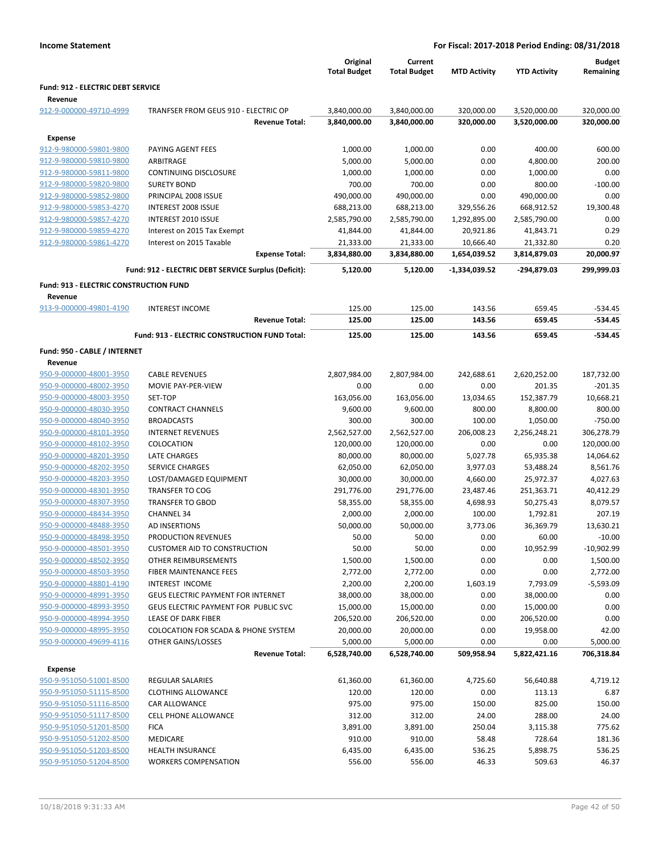|                                                    |                                                      | Original<br><b>Total Budget</b> | Current<br><b>Total Budget</b> | <b>MTD Activity</b>  | <b>YTD Activity</b>  | <b>Budget</b><br>Remaining |
|----------------------------------------------------|------------------------------------------------------|---------------------------------|--------------------------------|----------------------|----------------------|----------------------------|
| <b>Fund: 912 - ELECTRIC DEBT SERVICE</b>           |                                                      |                                 |                                |                      |                      |                            |
| Revenue                                            |                                                      |                                 |                                |                      |                      |                            |
| 912-9-000000-49710-4999                            | TRANFSER FROM GEUS 910 - ELECTRIC OP                 | 3,840,000.00                    | 3,840,000.00                   | 320,000.00           | 3,520,000.00         | 320,000.00                 |
|                                                    | <b>Revenue Total:</b>                                | 3,840,000.00                    | 3,840,000.00                   | 320,000.00           | 3,520,000.00         | 320,000.00                 |
| <b>Expense</b>                                     |                                                      |                                 |                                |                      |                      |                            |
| 912-9-980000-59801-9800                            | PAYING AGENT FEES                                    | 1,000.00                        | 1,000.00                       | 0.00                 | 400.00               | 600.00                     |
| 912-9-980000-59810-9800                            | ARBITRAGE                                            | 5,000.00                        | 5,000.00                       | 0.00                 | 4,800.00             | 200.00                     |
| 912-9-980000-59811-9800                            | <b>CONTINUING DISCLOSURE</b>                         | 1,000.00                        | 1,000.00                       | 0.00                 | 1,000.00             | 0.00                       |
| 912-9-980000-59820-9800                            | <b>SURETY BOND</b>                                   | 700.00                          | 700.00                         | 0.00                 | 800.00               | $-100.00$                  |
| 912-9-980000-59852-9800                            | PRINCIPAL 2008 ISSUE                                 | 490,000.00                      | 490,000.00                     | 0.00                 | 490,000.00           | 0.00                       |
| 912-9-980000-59853-4270                            | INTEREST 2008 ISSUE                                  | 688,213.00                      | 688,213.00                     | 329,556.26           | 668,912.52           | 19,300.48                  |
| 912-9-980000-59857-4270                            | INTEREST 2010 ISSUE                                  | 2,585,790.00                    | 2,585,790.00                   | 1,292,895.00         | 2,585,790.00         | 0.00                       |
| 912-9-980000-59859-4270                            | Interest on 2015 Tax Exempt                          | 41,844.00                       | 41,844.00                      | 20,921.86            | 41,843.71            | 0.29                       |
| 912-9-980000-59861-4270                            | Interest on 2015 Taxable                             | 21,333.00                       | 21,333.00                      | 10,666.40            | 21,332.80            | 0.20                       |
|                                                    | <b>Expense Total:</b>                                | 3,834,880.00                    | 3,834,880.00                   | 1,654,039.52         | 3,814,879.03         | 20,000.97                  |
|                                                    | Fund: 912 - ELECTRIC DEBT SERVICE Surplus (Deficit): | 5,120.00                        | 5,120.00                       | -1,334,039.52        | -294,879.03          | 299,999.03                 |
| <b>Fund: 913 - ELECTRIC CONSTRUCTION FUND</b>      |                                                      |                                 |                                |                      |                      |                            |
| Revenue                                            |                                                      |                                 |                                |                      |                      |                            |
| 913-9-000000-49801-4190                            | <b>INTEREST INCOME</b><br><b>Revenue Total:</b>      | 125.00<br>125.00                | 125.00<br>125.00               | 143.56<br>143.56     | 659.45<br>659.45     | $-534.45$<br>$-534.45$     |
|                                                    |                                                      |                                 |                                |                      |                      |                            |
|                                                    | Fund: 913 - ELECTRIC CONSTRUCTION FUND Total:        | 125.00                          | 125.00                         | 143.56               | 659.45               | $-534.45$                  |
| Fund: 950 - CABLE / INTERNET                       |                                                      |                                 |                                |                      |                      |                            |
| Revenue                                            |                                                      |                                 |                                |                      |                      |                            |
| 950-9-000000-48001-3950                            | <b>CABLE REVENUES</b>                                | 2,807,984.00                    | 2,807,984.00                   | 242,688.61           | 2,620,252.00         | 187,732.00                 |
| 950-9-000000-48002-3950                            | MOVIE PAY-PER-VIEW                                   | 0.00                            | 0.00                           | 0.00                 | 201.35               | $-201.35$                  |
| 950-9-000000-48003-3950<br>950-9-000000-48030-3950 | SET-TOP                                              | 163,056.00                      | 163,056.00                     | 13,034.65            | 152,387.79           | 10,668.21                  |
|                                                    | <b>CONTRACT CHANNELS</b><br><b>BROADCASTS</b>        | 9,600.00                        | 9,600.00                       | 800.00               | 8,800.00             | 800.00                     |
| 950-9-000000-48040-3950<br>950-9-000000-48101-3950 | <b>INTERNET REVENUES</b>                             | 300.00                          | 300.00                         | 100.00               | 1,050.00             | $-750.00$                  |
| 950-9-000000-48102-3950                            | COLOCATION                                           | 2,562,527.00<br>120,000.00      | 2,562,527.00<br>120,000.00     | 206,008.23<br>0.00   | 2,256,248.21<br>0.00 | 306,278.79<br>120,000.00   |
| 950-9-000000-48201-3950                            | <b>LATE CHARGES</b>                                  | 80,000.00                       | 80,000.00                      |                      | 65,935.38            | 14,064.62                  |
| 950-9-000000-48202-3950                            | <b>SERVICE CHARGES</b>                               | 62,050.00                       | 62,050.00                      | 5,027.78<br>3,977.03 | 53,488.24            | 8,561.76                   |
| 950-9-000000-48203-3950                            | LOST/DAMAGED EQUIPMENT                               | 30,000.00                       | 30,000.00                      | 4,660.00             | 25,972.37            | 4,027.63                   |
| 950-9-000000-48301-3950                            | <b>TRANSFER TO COG</b>                               | 291,776.00                      | 291,776.00                     | 23,487.46            | 251,363.71           | 40,412.29                  |
| 950-9-000000-48307-3950                            | <b>TRANSFER TO GBOD</b>                              | 58,355.00                       | 58,355.00                      | 4,698.93             | 50,275.43            | 8,079.57                   |
| 950-9-000000-48434-3950                            | <b>CHANNEL 34</b>                                    | 2,000.00                        | 2,000.00                       | 100.00               | 1,792.81             | 207.19                     |
| 950-9-000000-48488-3950                            | AD INSERTIONS                                        | 50,000.00                       | 50,000.00                      | 3,773.06             | 36,369.79            | 13,630.21                  |
| 950-9-000000-48498-3950                            | PRODUCTION REVENUES                                  | 50.00                           | 50.00                          | 0.00                 | 60.00                | $-10.00$                   |
| 950-9-000000-48501-3950                            | <b>CUSTOMER AID TO CONSTRUCTION</b>                  | 50.00                           | 50.00                          | 0.00                 | 10,952.99            | $-10,902.99$               |
| 950-9-000000-48502-3950                            | <b>OTHER REIMBURSEMENTS</b>                          | 1,500.00                        | 1,500.00                       | 0.00                 | 0.00                 | 1,500.00                   |
| 950-9-000000-48503-3950                            | <b>FIBER MAINTENANCE FEES</b>                        | 2,772.00                        | 2,772.00                       | 0.00                 | 0.00                 | 2,772.00                   |
| 950-9-000000-48801-4190                            | <b>INTEREST INCOME</b>                               | 2,200.00                        | 2,200.00                       | 1,603.19             | 7,793.09             | $-5,593.09$                |
| 950-9-000000-48991-3950                            | <b>GEUS ELECTRIC PAYMENT FOR INTERNET</b>            | 38,000.00                       | 38,000.00                      | 0.00                 | 38,000.00            | 0.00                       |
| 950-9-000000-48993-3950                            | GEUS ELECTRIC PAYMENT FOR PUBLIC SVC                 | 15,000.00                       | 15,000.00                      | 0.00                 | 15,000.00            | 0.00                       |
| 950-9-000000-48994-3950                            | LEASE OF DARK FIBER                                  | 206,520.00                      | 206,520.00                     | 0.00                 | 206,520.00           | 0.00                       |
| 950-9-000000-48995-3950                            | <b>COLOCATION FOR SCADA &amp; PHONE SYSTEM</b>       | 20,000.00                       | 20,000.00                      | 0.00                 | 19,958.00            | 42.00                      |
| 950-9-000000-49699-4116                            | OTHER GAINS/LOSSES                                   | 5,000.00                        | 5,000.00                       | 0.00                 | 0.00                 | 5,000.00                   |
|                                                    | <b>Revenue Total:</b>                                | 6,528,740.00                    | 6,528,740.00                   | 509,958.94           | 5,822,421.16         | 706,318.84                 |
| <b>Expense</b>                                     |                                                      |                                 |                                |                      |                      |                            |
| 950-9-951050-51001-8500                            | <b>REGULAR SALARIES</b>                              | 61,360.00                       | 61,360.00                      | 4,725.60             | 56,640.88            | 4,719.12                   |
| 950-9-951050-51115-8500                            | <b>CLOTHING ALLOWANCE</b>                            | 120.00                          | 120.00                         | 0.00                 | 113.13               | 6.87                       |
| 950-9-951050-51116-8500                            | CAR ALLOWANCE                                        | 975.00                          | 975.00                         | 150.00               | 825.00               | 150.00                     |
| 950-9-951050-51117-8500                            | <b>CELL PHONE ALLOWANCE</b>                          | 312.00                          | 312.00                         | 24.00                | 288.00               | 24.00                      |
| 950-9-951050-51201-8500                            | <b>FICA</b>                                          | 3,891.00                        | 3,891.00                       | 250.04               | 3,115.38             | 775.62                     |
| 950-9-951050-51202-8500                            | <b>MEDICARE</b>                                      | 910.00                          | 910.00                         | 58.48                | 728.64               | 181.36                     |
| 950-9-951050-51203-8500                            | HEALTH INSURANCE                                     | 6,435.00                        | 6,435.00                       | 536.25               | 5,898.75             | 536.25                     |
| 950-9-951050-51204-8500                            | <b>WORKERS COMPENSATION</b>                          | 556.00                          | 556.00                         | 46.33                | 509.63               | 46.37                      |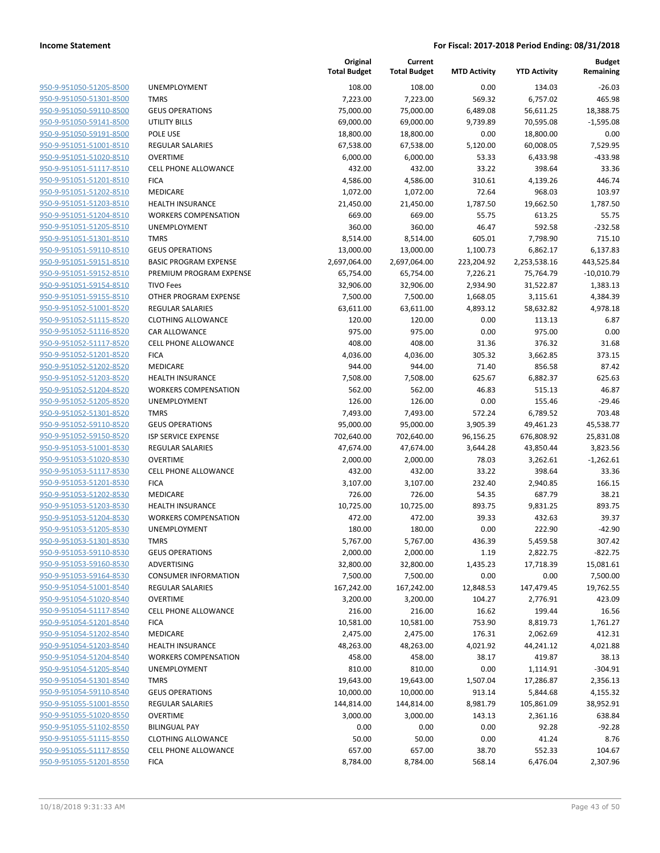950-9-951050-51205-8500 950-9-951050-51301-8500 950-9-951050-59110-8500 950-9-951050-59141-8500 950-9-951050-59191-8500 950-9-951051-51001-8510 950-9-951051-51020-8510 950-9-951051-51117-8510 950-9-951051-51201-8510 950-9-951051-51202-8510 950-9-951051-51203-8510 950-9-951051-51204-8510 950-9-951051-51205-8510 950-9-951051-51301-8510 950-9-951051-59110-8510 950-9-951051-59151-8510 950-9-951051-59152-8510 950-9-951051-59154-8510 950-9-951051-59155-8510 950-9-951052-51001-8520 950-9-951052-51115-8520 950-9-951052-51116-8520 950-9-951052-51117-8520 950-9-951052-51201-8520 950-9-951052-51202-8520 950-9-951052-51203-8520 950-9-951052-51204-8520 950-9-951052-51205-8520 950-9-951052-51301-8520 950-9-951052-59110-8520 950-9-951052-59150-8520 950-9-951053-51001-8530 950-9-951053-51020-8530 950-9-951053-51117-8530 950-9-951053-51201-8530 950-9-951053-51202-8530 950-9-951053-51203-8530 950-9-951053-51204-8530 950-9-951053-51205-8530 950-9-951053-51301-8530 950-9-951053-59110-8530 950-9-951053-59160-8530 950-9-951053-59164-8530 950-9-951054-51001-8540 950-9-951054-51020-8540 950-9-951054-51117-8540 950-9-951054-51201-8540 950-9-951054-51202-8540 950-9-951054-51203-8540 950-9-951054-51204-8540 950-9-951054-51205-8540 950-9-951054-51301-8540 950-9-951054-59110-8540 950-9-951055-51001-8550 950-9-951055-51020-8550 950-9-951055-51102-8550 950-9-951055-51115-8550 950-9-951055-51117-8550 950-9-951055-51201-8550

|                              | Original<br><b>Total Budget</b> | Current<br><b>Total Budget</b> | <b>MTD Activity</b> | <b>YTD Activity</b> | <b>Budget</b><br>Remaining |
|------------------------------|---------------------------------|--------------------------------|---------------------|---------------------|----------------------------|
| UNEMPLOYMENT                 | 108.00                          | 108.00                         | 0.00                | 134.03              | $-26.03$                   |
| <b>TMRS</b>                  | 7,223.00                        | 7,223.00                       | 569.32              | 6,757.02            | 465.98                     |
| <b>GEUS OPERATIONS</b>       | 75,000.00                       | 75,000.00                      | 6,489.08            | 56,611.25           | 18,388.75                  |
| <b>UTILITY BILLS</b>         | 69,000.00                       | 69,000.00                      | 9,739.89            | 70,595.08           | $-1,595.08$                |
| POLE USE                     | 18,800.00                       | 18,800.00                      | 0.00                | 18,800.00           | 0.00                       |
| <b>REGULAR SALARIES</b>      | 67,538.00                       | 67,538.00                      | 5,120.00            | 60,008.05           | 7,529.95                   |
| <b>OVERTIME</b>              | 6,000.00                        | 6,000.00                       | 53.33               | 6,433.98            | $-433.98$                  |
| <b>CELL PHONE ALLOWANCE</b>  | 432.00                          | 432.00                         | 33.22               | 398.64              | 33.36                      |
| <b>FICA</b>                  | 4,586.00                        | 4,586.00                       | 310.61              | 4,139.26            | 446.74                     |
| <b>MEDICARE</b>              | 1,072.00                        | 1,072.00                       | 72.64               | 968.03              | 103.97                     |
| <b>HEALTH INSURANCE</b>      | 21,450.00                       | 21,450.00                      | 1,787.50            | 19,662.50           | 1,787.50                   |
| <b>WORKERS COMPENSATION</b>  | 669.00                          | 669.00                         | 55.75               | 613.25              | 55.75                      |
| UNEMPLOYMENT                 | 360.00                          | 360.00                         | 46.47               | 592.58              | $-232.58$                  |
| <b>TMRS</b>                  | 8,514.00                        | 8,514.00                       | 605.01              | 7,798.90            | 715.10                     |
| <b>GEUS OPERATIONS</b>       | 13,000.00                       | 13,000.00                      | 1,100.73            | 6,862.17            | 6,137.83                   |
| <b>BASIC PROGRAM EXPENSE</b> | 2,697,064.00                    | 2,697,064.00                   | 223,204.92          | 2,253,538.16        | 443,525.84                 |
| PREMIUM PROGRAM EXPENSE      | 65,754.00                       | 65,754.00                      | 7,226.21            | 75,764.79           | $-10,010.79$               |
| <b>TIVO Fees</b>             | 32,906.00                       | 32,906.00                      | 2,934.90            | 31,522.87           | 1,383.13                   |
| OTHER PROGRAM EXPENSE        | 7,500.00                        | 7,500.00                       | 1,668.05            | 3,115.61            | 4,384.39                   |
| <b>REGULAR SALARIES</b>      | 63,611.00                       | 63,611.00                      | 4,893.12            | 58,632.82           | 4,978.18                   |
| <b>CLOTHING ALLOWANCE</b>    | 120.00                          | 120.00                         | 0.00                | 113.13              | 6.87                       |
| <b>CAR ALLOWANCE</b>         | 975.00                          | 975.00                         | 0.00                | 975.00              | 0.00                       |
| <b>CELL PHONE ALLOWANCE</b>  | 408.00                          | 408.00                         | 31.36               | 376.32              | 31.68                      |
| <b>FICA</b>                  | 4,036.00                        | 4,036.00                       | 305.32              | 3,662.85            | 373.15                     |
| <b>MEDICARE</b>              | 944.00                          | 944.00                         | 71.40               | 856.58              | 87.42                      |
| <b>HEALTH INSURANCE</b>      | 7,508.00                        | 7,508.00                       | 625.67              | 6,882.37            | 625.63                     |
| <b>WORKERS COMPENSATION</b>  | 562.00                          | 562.00                         | 46.83               | 515.13              | 46.87                      |
| UNEMPLOYMENT                 | 126.00                          | 126.00                         | 0.00                | 155.46              | $-29.46$                   |
| <b>TMRS</b>                  | 7,493.00                        | 7,493.00                       | 572.24              | 6,789.52            | 703.48                     |
| <b>GEUS OPERATIONS</b>       | 95,000.00                       | 95,000.00                      | 3,905.39            | 49,461.23           | 45,538.77                  |
| <b>ISP SERVICE EXPENSE</b>   | 702,640.00                      | 702,640.00                     | 96,156.25           | 676,808.92          | 25,831.08                  |
| <b>REGULAR SALARIES</b>      | 47,674.00                       | 47,674.00                      | 3,644.28            | 43,850.44           | 3,823.56                   |
| <b>OVERTIME</b>              | 2,000.00                        | 2,000.00                       | 78.03               | 3,262.61            | $-1,262.61$                |
| <b>CELL PHONE ALLOWANCE</b>  | 432.00                          | 432.00                         | 33.22               | 398.64              | 33.36                      |
| <b>FICA</b>                  | 3,107.00                        | 3,107.00                       | 232.40              | 2,940.85            | 166.15                     |
| <b>MEDICARE</b>              | 726.00                          | 726.00                         | 54.35               | 687.79              | 38.21                      |
| <b>HEALTH INSURANCE</b>      | 10,725.00                       | 10,725.00                      | 893.75              | 9,831.25            | 893.75                     |
| <b>WORKERS COMPENSATION</b>  | 472.00                          | 472.00                         | 39.33               | 432.63              | 39.37                      |
| <b>UNEMPLOYMENT</b>          | 180.00                          | 180.00                         | 0.00                | 222.90              | $-42.90$                   |
| TMRS                         | 5,767.00                        | 5,767.00                       | 436.39              | 5,459.58            | 307.42                     |
| <b>GEUS OPERATIONS</b>       | 2,000.00                        | 2,000.00                       | 1.19                | 2,822.75            | $-822.75$                  |
| ADVERTISING                  | 32,800.00                       | 32,800.00                      | 1,435.23            | 17,718.39           | 15,081.61                  |
| <b>CONSUMER INFORMATION</b>  | 7,500.00                        | 7,500.00                       | 0.00                | 0.00                | 7,500.00                   |
| <b>REGULAR SALARIES</b>      | 167,242.00                      | 167,242.00                     | 12,848.53           | 147,479.45          | 19,762.55                  |
| <b>OVERTIME</b>              | 3,200.00                        | 3,200.00                       | 104.27              | 2,776.91            | 423.09                     |
| CELL PHONE ALLOWANCE         | 216.00                          | 216.00                         | 16.62               | 199.44              | 16.56                      |
| <b>FICA</b>                  | 10,581.00                       | 10,581.00                      | 753.90              | 8,819.73            | 1,761.27                   |
| <b>MEDICARE</b>              | 2,475.00                        | 2,475.00                       | 176.31              | 2,062.69            | 412.31                     |
| <b>HEALTH INSURANCE</b>      | 48,263.00                       | 48,263.00                      | 4,021.92            | 44,241.12           | 4,021.88                   |
| <b>WORKERS COMPENSATION</b>  | 458.00                          | 458.00                         | 38.17               | 419.87              | 38.13                      |
| <b>UNEMPLOYMENT</b>          | 810.00                          | 810.00                         | 0.00                | 1,114.91            | $-304.91$                  |
| <b>TMRS</b>                  | 19,643.00                       | 19,643.00                      | 1,507.04            | 17,286.87           | 2,356.13                   |
| <b>GEUS OPERATIONS</b>       | 10,000.00                       | 10,000.00                      | 913.14              | 5,844.68            | 4,155.32                   |
| <b>REGULAR SALARIES</b>      | 144,814.00                      | 144,814.00                     | 8,981.79            | 105,861.09          | 38,952.91                  |
| <b>OVERTIME</b>              | 3,000.00                        | 3,000.00                       | 143.13              | 2,361.16            | 638.84                     |
| <b>BILINGUAL PAY</b>         | 0.00                            | 0.00                           | 0.00                | 92.28               | $-92.28$                   |
| <b>CLOTHING ALLOWANCE</b>    | 50.00                           | 50.00                          | 0.00                | 41.24               | 8.76                       |
| <b>CELL PHONE ALLOWANCE</b>  | 657.00                          | 657.00                         | 38.70               | 552.33              | 104.67                     |
| <b>FICA</b>                  | 8,784.00                        | 8,784.00                       | 568.14              | 6,476.04            | 2,307.96                   |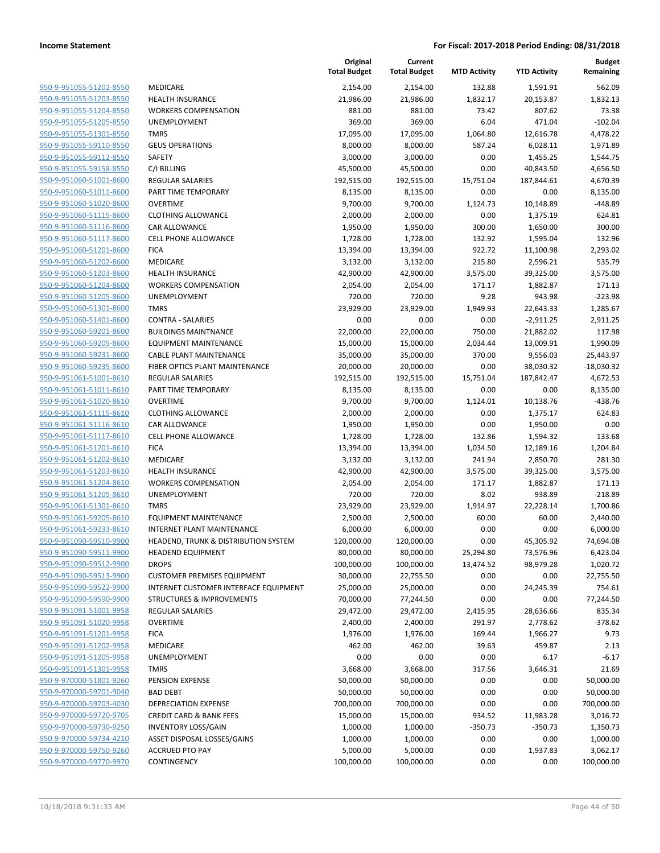|                         |                                                 | Original<br><b>Total Budget</b> | Current<br><b>Total Budget</b> | <b>MTD Activity</b> | <b>YTD Activity</b> | Budget<br>Remaining |
|-------------------------|-------------------------------------------------|---------------------------------|--------------------------------|---------------------|---------------------|---------------------|
| 950-9-951055-51202-8550 | MEDICARE                                        | 2,154.00                        | 2,154.00                       | 132.88              | 1,591.91            | 562.09              |
| 950-9-951055-51203-8550 | <b>HEALTH INSURANCE</b>                         | 21,986.00                       | 21,986.00                      | 1,832.17            | 20,153.87           | 1,832.13            |
| 950-9-951055-51204-8550 | <b>WORKERS COMPENSATION</b>                     | 881.00                          | 881.00                         | 73.42               | 807.62              | 73.38               |
| 950-9-951055-51205-8550 | <b>UNEMPLOYMENT</b>                             | 369.00                          | 369.00                         | 6.04                | 471.04              | $-102.04$           |
| 950-9-951055-51301-8550 | <b>TMRS</b>                                     | 17,095.00                       | 17,095.00                      | 1,064.80            | 12,616.78           | 4,478.22            |
| 950-9-951055-59110-8550 | <b>GEUS OPERATIONS</b>                          | 8,000.00                        | 8,000.00                       | 587.24              | 6,028.11            | 1,971.89            |
| 950-9-951055-59112-8550 | SAFETY                                          | 3,000.00                        | 3,000.00                       | 0.00                | 1,455.25            | 1,544.75            |
| 950-9-951055-59158-8550 | C/I BILLING                                     | 45,500.00                       | 45,500.00                      | 0.00                | 40,843.50           | 4,656.50            |
| 950-9-951060-51001-8600 | <b>REGULAR SALARIES</b>                         | 192,515.00                      | 192,515.00                     | 15,751.04           | 187,844.61          | 4,670.39            |
| 950-9-951060-51011-8600 | PART TIME TEMPORARY                             | 8,135.00                        | 8,135.00                       | 0.00                | 0.00                | 8,135.00            |
| 950-9-951060-51020-8600 | <b>OVERTIME</b>                                 | 9,700.00                        | 9,700.00                       | 1,124.73            | 10,148.89           | $-448.89$           |
| 950-9-951060-51115-8600 | <b>CLOTHING ALLOWANCE</b>                       | 2,000.00                        | 2,000.00                       | 0.00                | 1,375.19            | 624.81              |
| 950-9-951060-51116-8600 | CAR ALLOWANCE                                   | 1,950.00                        | 1,950.00                       | 300.00              | 1,650.00            | 300.00              |
| 950-9-951060-51117-8600 | <b>CELL PHONE ALLOWANCE</b>                     | 1,728.00                        | 1,728.00                       | 132.92              | 1,595.04            | 132.96              |
| 950-9-951060-51201-8600 | <b>FICA</b>                                     | 13,394.00                       | 13,394.00                      | 922.72              | 11,100.98           | 2,293.02            |
| 950-9-951060-51202-8600 | MEDICARE                                        | 3,132.00                        | 3,132.00                       | 215.80              | 2,596.21            | 535.79              |
| 950-9-951060-51203-8600 | <b>HEALTH INSURANCE</b>                         | 42,900.00                       | 42,900.00                      | 3,575.00            | 39,325.00           | 3,575.00            |
| 950-9-951060-51204-8600 | <b>WORKERS COMPENSATION</b>                     | 2,054.00                        | 2,054.00                       | 171.17              | 1,882.87            | 171.13              |
| 950-9-951060-51205-8600 | UNEMPLOYMENT                                    | 720.00                          | 720.00                         | 9.28                | 943.98              | $-223.98$           |
| 950-9-951060-51301-8600 | <b>TMRS</b>                                     | 23,929.00                       | 23,929.00                      | 1,949.93            | 22,643.33           | 1,285.67            |
| 950-9-951060-51401-8600 | <b>CONTRA - SALARIES</b>                        | 0.00                            | 0.00                           | 0.00                | $-2,911.25$         | 2,911.25            |
| 950-9-951060-59201-8600 | <b>BUILDINGS MAINTNANCE</b>                     | 22,000.00                       | 22,000.00                      | 750.00              | 21,882.02           | 117.98              |
| 950-9-951060-59205-8600 | <b>EQUIPMENT MAINTENANCE</b>                    | 15,000.00                       | 15,000.00                      | 2,034.44            | 13,009.91           | 1,990.09            |
| 950-9-951060-59231-8600 | <b>CABLE PLANT MAINTENANCE</b>                  | 35,000.00                       | 35,000.00                      | 370.00              | 9,556.03            | 25,443.97           |
| 950-9-951060-59235-8600 | FIBER OPTICS PLANT MAINTENANCE                  | 20,000.00                       | 20,000.00                      | 0.00                | 38,030.32           | $-18,030.32$        |
| 950-9-951061-51001-8610 | <b>REGULAR SALARIES</b>                         | 192,515.00                      | 192,515.00                     | 15,751.04           | 187,842.47          | 4,672.53            |
| 950-9-951061-51011-8610 | PART TIME TEMPORARY                             | 8,135.00                        | 8,135.00                       | 0.00                | 0.00                | 8,135.00            |
| 950-9-951061-51020-8610 | <b>OVERTIME</b>                                 | 9,700.00                        | 9,700.00                       | 1,124.01            | 10,138.76           | $-438.76$           |
| 950-9-951061-51115-8610 | <b>CLOTHING ALLOWANCE</b>                       | 2,000.00                        | 2,000.00                       | 0.00                | 1,375.17            | 624.83              |
| 950-9-951061-51116-8610 | CAR ALLOWANCE                                   | 1,950.00                        | 1,950.00                       | 0.00                | 1,950.00            | 0.00                |
| 950-9-951061-51117-8610 | <b>CELL PHONE ALLOWANCE</b>                     | 1,728.00                        | 1,728.00                       | 132.86              | 1,594.32            | 133.68              |
| 950-9-951061-51201-8610 | <b>FICA</b>                                     | 13,394.00                       | 13,394.00                      | 1,034.50            | 12,189.16           | 1,204.84            |
| 950-9-951061-51202-8610 | MEDICARE                                        | 3,132.00                        | 3,132.00                       | 241.94              | 2,850.70            | 281.30              |
| 950-9-951061-51203-8610 | <b>HEALTH INSURANCE</b>                         | 42,900.00                       | 42,900.00                      | 3,575.00            | 39,325.00           | 3,575.00            |
| 950-9-951061-51204-8610 | <b>WORKERS COMPENSATION</b>                     | 2,054.00                        | 2,054.00                       | 171.17              | 1,882.87            | 171.13              |
| 950-9-951061-51205-8610 | <b>UNEMPLOYMENT</b>                             | 720.00                          | 720.00                         | 8.02                | 938.89              | $-218.89$           |
| 950-9-951061-51301-8610 | <b>TMRS</b>                                     | 23,929.00                       | 23,929.00                      | 1,914.97            | 22,228.14           | 1,700.86            |
| 950-9-951061-59205-8610 | <b>EQUIPMENT MAINTENANCE</b>                    | 2,500.00                        | 2,500.00                       | 60.00               | 60.00               | 2,440.00            |
| 950-9-951061-59233-8610 | <b>INTERNET PLANT MAINTENANCE</b>               | 6,000.00                        | 6,000.00                       | 0.00                | 0.00                | 6,000.00            |
| 950-9-951090-59510-9900 | <b>HEADEND, TRUNK &amp; DISTRIBUTION SYSTEM</b> | 120,000.00                      | 120,000.00                     | 0.00                | 45,305.92           | 74,694.08           |
| 950-9-951090-59511-9900 | <b>HEADEND EQUIPMENT</b>                        | 80,000.00                       | 80,000.00                      | 25,294.80           | 73,576.96           | 6,423.04            |
| 950-9-951090-59512-9900 | <b>DROPS</b>                                    | 100,000.00                      | 100,000.00                     | 13,474.52           | 98,979.28           | 1,020.72            |
| 950-9-951090-59513-9900 | <b>CUSTOMER PREMISES EQUIPMENT</b>              | 30,000.00                       | 22,755.50                      | 0.00                | 0.00                | 22,755.50           |
| 950-9-951090-59522-9900 | INTERNET CUSTOMER INTERFACE EQUIPMENT           | 25,000.00                       | 25,000.00                      | 0.00                | 24,245.39           | 754.61              |
| 950-9-951090-59590-9900 | STRUCTURES & IMPROVEMENTS                       | 70,000.00                       | 77,244.50                      | 0.00                | 0.00                | 77,244.50           |
| 950-9-951091-51001-9958 | REGULAR SALARIES                                | 29,472.00                       | 29,472.00                      | 2,415.95            | 28,636.66           | 835.34              |
| 950-9-951091-51020-9958 | <b>OVERTIME</b>                                 | 2,400.00                        | 2,400.00                       | 291.97              | 2,778.62            | $-378.62$           |
| 950-9-951091-51201-9958 | <b>FICA</b>                                     | 1,976.00                        | 1,976.00                       | 169.44              | 1,966.27            | 9.73                |
| 950-9-951091-51202-9958 | MEDICARE                                        | 462.00                          | 462.00                         | 39.63               | 459.87              | 2.13                |
| 950-9-951091-51205-9958 | UNEMPLOYMENT                                    | 0.00                            | 0.00                           | 0.00                | 6.17                | $-6.17$             |
| 950-9-951091-51301-9958 | <b>TMRS</b>                                     | 3,668.00                        | 3,668.00                       | 317.56              | 3,646.31            | 21.69               |
| 950-9-970000-51801-9260 | PENSION EXPENSE                                 | 50,000.00                       | 50,000.00                      | 0.00                | 0.00                | 50,000.00           |
| 950-9-970000-59701-9040 | <b>BAD DEBT</b>                                 | 50,000.00                       | 50,000.00                      | 0.00                | 0.00                | 50,000.00           |
| 950-9-970000-59703-4030 | <b>DEPRECIATION EXPENSE</b>                     | 700,000.00                      | 700,000.00                     | 0.00                | 0.00                | 700,000.00          |
| 950-9-970000-59720-9705 | <b>CREDIT CARD &amp; BANK FEES</b>              | 15,000.00                       | 15,000.00                      | 934.52              | 11,983.28           | 3,016.72            |
| 950-9-970000-59730-9250 | <b>INVENTORY LOSS/GAIN</b>                      | 1,000.00                        | 1,000.00                       | $-350.73$           | $-350.73$           | 1,350.73            |
| 950-9-970000-59734-4210 | ASSET DISPOSAL LOSSES/GAINS                     | 1,000.00                        | 1,000.00                       | 0.00                | 0.00                |                     |
| 950-9-970000-59750-9260 |                                                 |                                 |                                |                     |                     | 1,000.00            |
| 950-9-970000-59770-9970 | <b>ACCRUED PTO PAY</b>                          | 5,000.00                        | 5,000.00                       | 0.00                | 1,937.83            | 3,062.17            |
|                         | CONTINGENCY                                     | 100,000.00                      | 100,000.00                     | 0.00                | 0.00                | 100,000.00          |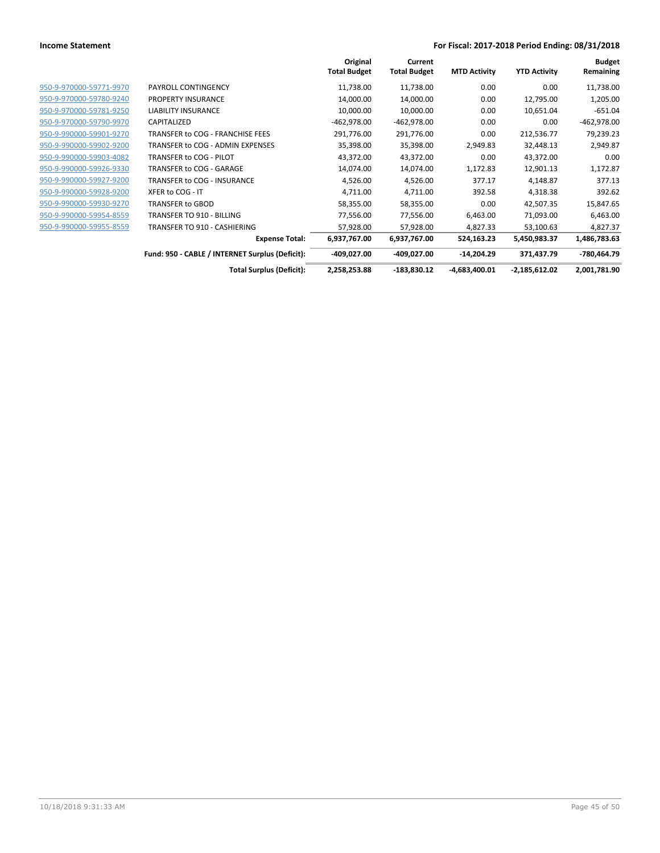|                         |                                                 | Original<br><b>Total Budget</b> | Current<br><b>Total Budget</b> | <b>MTD Activity</b> | <b>YTD Activity</b> | <b>Budget</b><br>Remaining |
|-------------------------|-------------------------------------------------|---------------------------------|--------------------------------|---------------------|---------------------|----------------------------|
| 950-9-970000-59771-9970 | PAYROLL CONTINGENCY                             | 11,738.00                       | 11,738.00                      | 0.00                | 0.00                | 11,738.00                  |
| 950-9-970000-59780-9240 | <b>PROPERTY INSURANCE</b>                       | 14,000.00                       | 14,000.00                      | 0.00                | 12,795.00           | 1,205.00                   |
| 950-9-970000-59781-9250 | <b>LIABILITY INSURANCE</b>                      | 10,000.00                       | 10,000.00                      | 0.00                | 10,651.04           | $-651.04$                  |
| 950-9-970000-59790-9970 | CAPITALIZED                                     | -462,978.00                     | -462,978.00                    | 0.00                | 0.00                | $-462,978.00$              |
| 950-9-990000-59901-9270 | TRANSFER to COG - FRANCHISE FEES                | 291,776.00                      | 291,776.00                     | 0.00                | 212,536.77          | 79,239.23                  |
| 950-9-990000-59902-9200 | TRANSFER to COG - ADMIN EXPENSES                | 35,398.00                       | 35,398.00                      | 2,949.83            | 32,448.13           | 2,949.87                   |
| 950-9-990000-59903-4082 | TRANSFER to COG - PILOT                         | 43,372.00                       | 43,372.00                      | 0.00                | 43,372.00           | 0.00                       |
| 950-9-990000-59926-9330 | TRANSFER to COG - GARAGE                        | 14,074.00                       | 14,074.00                      | 1,172.83            | 12,901.13           | 1,172.87                   |
| 950-9-990000-59927-9200 | TRANSFER to COG - INSURANCE                     | 4,526.00                        | 4,526.00                       | 377.17              | 4,148.87            | 377.13                     |
| 950-9-990000-59928-9200 | XFER to COG - IT                                | 4,711.00                        | 4,711.00                       | 392.58              | 4,318.38            | 392.62                     |
| 950-9-990000-59930-9270 | <b>TRANSFER to GBOD</b>                         | 58,355.00                       | 58,355.00                      | 0.00                | 42,507.35           | 15,847.65                  |
| 950-9-990000-59954-8559 | TRANSFER TO 910 - BILLING                       | 77,556.00                       | 77,556.00                      | 6,463.00            | 71,093.00           | 6,463.00                   |
| 950-9-990000-59955-8559 | TRANSFER TO 910 - CASHIERING                    | 57,928.00                       | 57,928.00                      | 4,827.33            | 53,100.63           | 4,827.37                   |
|                         | <b>Expense Total:</b>                           | 6,937,767.00                    | 6,937,767.00                   | 524,163.23          | 5,450,983.37        | 1,486,783.63               |
|                         | Fund: 950 - CABLE / INTERNET Surplus (Deficit): | -409,027.00                     | -409,027.00                    | $-14,204.29$        | 371,437.79          | -780,464.79                |
|                         | <b>Total Surplus (Deficit):</b>                 | 2,258,253.88                    | $-183,830.12$                  | $-4,683,400.01$     | $-2,185,612.02$     | 2,001,781.90               |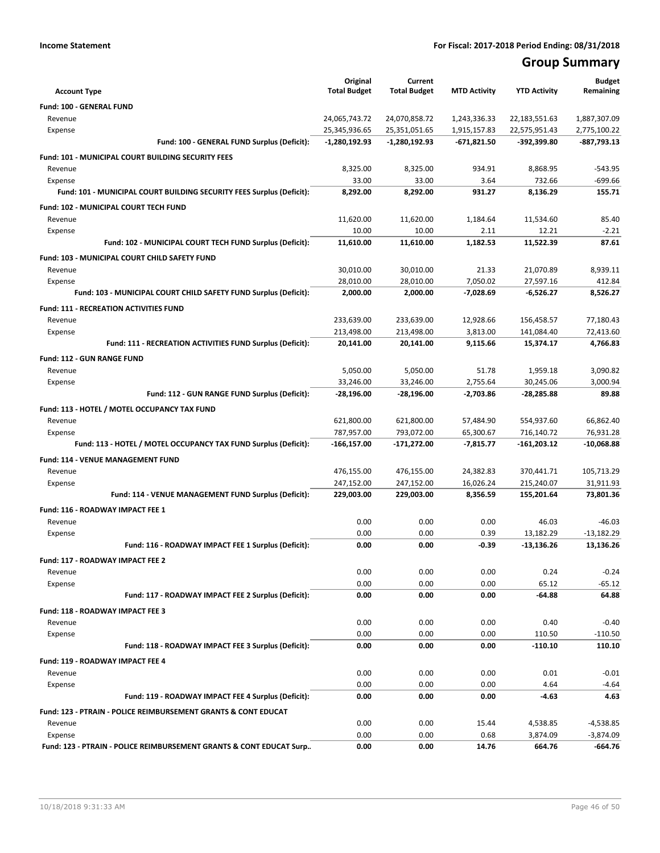# **Group Summary**

|                                                                       | Original                         | Current                          |                               |                              | <b>Budget</b>                 |
|-----------------------------------------------------------------------|----------------------------------|----------------------------------|-------------------------------|------------------------------|-------------------------------|
| <b>Account Type</b>                                                   | <b>Total Budget</b>              | <b>Total Budget</b>              | <b>MTD Activity</b>           | <b>YTD Activity</b>          | Remaining                     |
| Fund: 100 - GENERAL FUND                                              |                                  |                                  |                               |                              |                               |
| Revenue                                                               | 24,065,743.72                    | 24,070,858.72                    | 1,243,336.33                  | 22,183,551.63                | 1,887,307.09                  |
| Expense<br>Fund: 100 - GENERAL FUND Surplus (Deficit):                | 25,345,936.65<br>$-1,280,192.93$ | 25,351,051.65<br>$-1,280,192.93$ | 1,915,157.83<br>$-671,821.50$ | 22,575,951.43<br>-392,399.80 | 2,775,100.22<br>$-887,793.13$ |
|                                                                       |                                  |                                  |                               |                              |                               |
| <b>Fund: 101 - MUNICIPAL COURT BUILDING SECURITY FEES</b>             |                                  |                                  |                               |                              |                               |
| Revenue<br>Expense                                                    | 8,325.00<br>33.00                | 8,325.00<br>33.00                | 934.91<br>3.64                | 8,868.95<br>732.66           | -543.95<br>$-699.66$          |
| Fund: 101 - MUNICIPAL COURT BUILDING SECURITY FEES Surplus (Deficit): | 8,292.00                         | 8,292.00                         | 931.27                        | 8,136.29                     | 155.71                        |
|                                                                       |                                  |                                  |                               |                              |                               |
| <b>Fund: 102 - MUNICIPAL COURT TECH FUND</b><br>Revenue               | 11,620.00                        | 11,620.00                        | 1,184.64                      | 11,534.60                    | 85.40                         |
| Expense                                                               | 10.00                            | 10.00                            | 2.11                          | 12.21                        | $-2.21$                       |
| Fund: 102 - MUNICIPAL COURT TECH FUND Surplus (Deficit):              | 11,610.00                        | 11,610.00                        | 1,182.53                      | 11,522.39                    | 87.61                         |
| Fund: 103 - MUNICIPAL COURT CHILD SAFETY FUND                         |                                  |                                  |                               |                              |                               |
| Revenue                                                               | 30,010.00                        | 30,010.00                        | 21.33                         | 21,070.89                    | 8,939.11                      |
| Expense                                                               | 28,010.00                        | 28,010.00                        | 7,050.02                      | 27,597.16                    | 412.84                        |
| Fund: 103 - MUNICIPAL COURT CHILD SAFETY FUND Surplus (Deficit):      | 2,000.00                         | 2,000.00                         | $-7,028.69$                   | $-6,526.27$                  | 8,526.27                      |
| <b>Fund: 111 - RECREATION ACTIVITIES FUND</b>                         |                                  |                                  |                               |                              |                               |
| Revenue                                                               | 233,639.00                       | 233.639.00                       | 12,928.66                     | 156,458.57                   | 77,180.43                     |
| Expense                                                               | 213,498.00                       | 213,498.00                       | 3,813.00                      | 141,084.40                   | 72.413.60                     |
| Fund: 111 - RECREATION ACTIVITIES FUND Surplus (Deficit):             | 20,141.00                        | 20,141.00                        | 9,115.66                      | 15,374.17                    | 4,766.83                      |
| Fund: 112 - GUN RANGE FUND                                            |                                  |                                  |                               |                              |                               |
| Revenue                                                               | 5,050.00                         | 5,050.00                         | 51.78                         | 1,959.18                     | 3,090.82                      |
| Expense                                                               | 33,246.00                        | 33,246.00                        | 2,755.64                      | 30,245.06                    | 3,000.94                      |
| Fund: 112 - GUN RANGE FUND Surplus (Deficit):                         | $-28,196.00$                     | $-28,196.00$                     | $-2,703.86$                   | -28,285.88                   | 89.88                         |
| Fund: 113 - HOTEL / MOTEL OCCUPANCY TAX FUND                          |                                  |                                  |                               |                              |                               |
| Revenue                                                               | 621,800.00                       | 621,800.00                       | 57,484.90                     | 554,937.60                   | 66,862.40                     |
| Expense                                                               | 787,957.00                       | 793,072.00                       | 65,300.67                     | 716,140.72                   | 76,931.28                     |
| Fund: 113 - HOTEL / MOTEL OCCUPANCY TAX FUND Surplus (Deficit):       | $-166, 157.00$                   | $-171,272.00$                    | $-7,815.77$                   | $-161,203.12$                | $-10,068.88$                  |
| <b>Fund: 114 - VENUE MANAGEMENT FUND</b>                              |                                  |                                  |                               |                              |                               |
| Revenue                                                               | 476,155.00                       | 476,155.00                       | 24,382.83                     | 370,441.71                   | 105,713.29                    |
| Expense                                                               | 247,152.00                       | 247,152.00                       | 16,026.24                     | 215,240.07                   | 31,911.93                     |
| Fund: 114 - VENUE MANAGEMENT FUND Surplus (Deficit):                  | 229,003.00                       | 229,003.00                       | 8,356.59                      | 155,201.64                   | 73,801.36                     |
| Fund: 116 - ROADWAY IMPACT FEE 1                                      |                                  |                                  |                               |                              |                               |
| Revenue                                                               | 0.00                             | 0.00                             | 0.00                          | 46.03                        | $-46.03$                      |
| Expense                                                               | 0.00                             | 0.00                             | 0.39                          | 13,182.29                    | $-13.182.29$                  |
| Fund: 116 - ROADWAY IMPACT FEE 1 Surplus (Deficit):                   | 0.00                             | 0.00                             | $-0.39$                       | $-13,136.26$                 | 13,136.26                     |
| Fund: 117 - ROADWAY IMPACT FEE 2                                      |                                  |                                  |                               |                              |                               |
| Revenue                                                               | 0.00                             | 0.00                             | 0.00                          | 0.24                         | $-0.24$                       |
| Expense                                                               | 0.00                             | 0.00                             | 0.00                          | 65.12                        | $-65.12$                      |
| Fund: 117 - ROADWAY IMPACT FEE 2 Surplus (Deficit):                   | 0.00                             | 0.00                             | 0.00                          | $-64.88$                     | 64.88                         |
| Fund: 118 - ROADWAY IMPACT FEE 3                                      |                                  |                                  |                               |                              |                               |
| Revenue                                                               | 0.00                             | 0.00                             | 0.00                          | 0.40                         | $-0.40$                       |
| Expense                                                               | 0.00                             | 0.00                             | 0.00                          | 110.50                       | $-110.50$                     |
| Fund: 118 - ROADWAY IMPACT FEE 3 Surplus (Deficit):                   | 0.00                             | 0.00                             | 0.00                          | $-110.10$                    | 110.10                        |
| Fund: 119 - ROADWAY IMPACT FEE 4                                      |                                  |                                  |                               |                              |                               |
| Revenue                                                               | 0.00                             | 0.00                             | 0.00                          | 0.01                         | $-0.01$                       |
| Expense                                                               | 0.00                             | 0.00                             | 0.00                          | 4.64                         | $-4.64$                       |
| Fund: 119 - ROADWAY IMPACT FEE 4 Surplus (Deficit):                   | 0.00                             | 0.00                             | 0.00                          | $-4.63$                      | 4.63                          |
| Fund: 123 - PTRAIN - POLICE REIMBURSEMENT GRANTS & CONT EDUCAT        |                                  |                                  |                               |                              |                               |
| Revenue                                                               | 0.00                             | 0.00                             | 15.44                         | 4,538.85                     | $-4,538.85$                   |
| Expense                                                               | 0.00                             | 0.00                             | 0.68                          | 3,874.09                     | $-3,874.09$                   |
| Fund: 123 - PTRAIN - POLICE REIMBURSEMENT GRANTS & CONT EDUCAT Surp   | 0.00                             | 0.00                             | 14.76                         | 664.76                       | -664.76                       |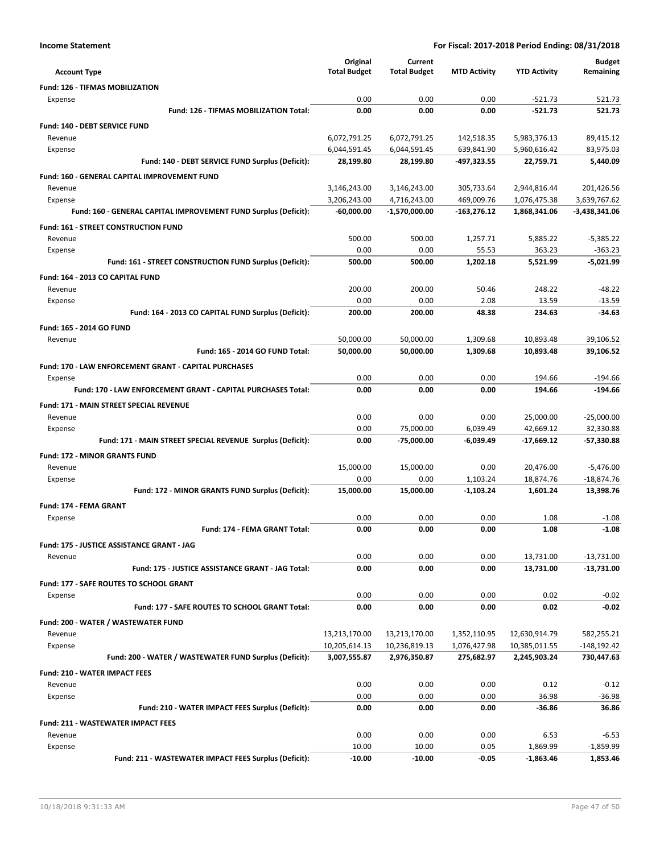|                                                                            | Original                     | Current                       |                           |                              | <b>Budget</b>                 |
|----------------------------------------------------------------------------|------------------------------|-------------------------------|---------------------------|------------------------------|-------------------------------|
| <b>Account Type</b>                                                        | <b>Total Budget</b>          | <b>Total Budget</b>           | <b>MTD Activity</b>       | <b>YTD Activity</b>          | Remaining                     |
| Fund: 126 - TIFMAS MOBILIZATION                                            |                              |                               |                           |                              |                               |
| Expense                                                                    | 0.00                         | 0.00                          | 0.00                      | $-521.73$                    | 521.73                        |
| Fund: 126 - TIFMAS MOBILIZATION Total:                                     | 0.00                         | 0.00                          | 0.00                      | $-521.73$                    | 521.73                        |
| Fund: 140 - DEBT SERVICE FUND                                              |                              |                               |                           |                              |                               |
| Revenue                                                                    | 6,072,791.25                 | 6,072,791.25                  | 142,518.35                | 5,983,376.13                 | 89,415.12                     |
| Expense                                                                    | 6,044,591.45                 | 6,044,591.45                  | 639,841.90                | 5,960,616.42                 | 83,975.03                     |
| Fund: 140 - DEBT SERVICE FUND Surplus (Deficit):                           | 28,199.80                    | 28,199.80                     | -497,323.55               | 22,759.71                    | 5,440.09                      |
| Fund: 160 - GENERAL CAPITAL IMPROVEMENT FUND                               |                              |                               |                           |                              |                               |
| Revenue                                                                    | 3,146,243.00                 | 3,146,243.00                  | 305,733.64                | 2,944,816.44                 | 201,426.56                    |
| Expense<br>Fund: 160 - GENERAL CAPITAL IMPROVEMENT FUND Surplus (Deficit): | 3,206,243.00<br>$-60,000.00$ | 4,716,243.00<br>-1,570,000.00 | 469,009.76<br>-163,276.12 | 1,076,475.38<br>1,868,341.06 | 3,639,767.62<br>-3,438,341.06 |
|                                                                            |                              |                               |                           |                              |                               |
| <b>Fund: 161 - STREET CONSTRUCTION FUND</b>                                |                              |                               |                           |                              |                               |
| Revenue<br>Expense                                                         | 500.00<br>0.00               | 500.00<br>0.00                | 1,257.71<br>55.53         | 5,885.22<br>363.23           | $-5,385.22$<br>$-363.23$      |
| Fund: 161 - STREET CONSTRUCTION FUND Surplus (Deficit):                    | 500.00                       | 500.00                        | 1,202.18                  | 5,521.99                     | $-5,021.99$                   |
|                                                                            |                              |                               |                           |                              |                               |
| Fund: 164 - 2013 CO CAPITAL FUND<br>Revenue                                | 200.00                       | 200.00                        | 50.46                     | 248.22                       | -48.22                        |
| Expense                                                                    | 0.00                         | 0.00                          | 2.08                      | 13.59                        | $-13.59$                      |
| Fund: 164 - 2013 CO CAPITAL FUND Surplus (Deficit):                        | 200.00                       | 200.00                        | 48.38                     | 234.63                       | $-34.63$                      |
| <b>Fund: 165 - 2014 GO FUND</b>                                            |                              |                               |                           |                              |                               |
| Revenue                                                                    | 50,000.00                    | 50,000.00                     | 1,309.68                  | 10,893.48                    | 39,106.52                     |
| Fund: 165 - 2014 GO FUND Total:                                            | 50,000.00                    | 50,000.00                     | 1,309.68                  | 10,893.48                    | 39,106.52                     |
| Fund: 170 - LAW ENFORCEMENT GRANT - CAPITAL PURCHASES                      |                              |                               |                           |                              |                               |
| Expense                                                                    | 0.00                         | 0.00                          | 0.00                      | 194.66                       | $-194.66$                     |
| Fund: 170 - LAW ENFORCEMENT GRANT - CAPITAL PURCHASES Total:               | 0.00                         | 0.00                          | 0.00                      | 194.66                       | $-194.66$                     |
| Fund: 171 - MAIN STREET SPECIAL REVENUE                                    |                              |                               |                           |                              |                               |
| Revenue                                                                    | 0.00                         | 0.00                          | 0.00                      | 25,000.00                    | $-25,000.00$                  |
| Expense                                                                    | 0.00                         | 75,000.00                     | 6,039.49                  | 42,669.12                    | 32,330.88                     |
| Fund: 171 - MAIN STREET SPECIAL REVENUE Surplus (Deficit):                 | 0.00                         | $-75,000.00$                  | $-6,039.49$               | $-17,669.12$                 | $-57,330.88$                  |
| <b>Fund: 172 - MINOR GRANTS FUND</b>                                       |                              |                               |                           |                              |                               |
| Revenue                                                                    | 15,000.00                    | 15,000.00                     | 0.00                      | 20,476.00                    | $-5,476.00$                   |
| Expense                                                                    | 0.00                         | 0.00                          | 1,103.24                  | 18,874.76                    | $-18,874.76$                  |
| Fund: 172 - MINOR GRANTS FUND Surplus (Deficit):                           | 15,000.00                    | 15,000.00                     | $-1,103.24$               | 1,601.24                     | 13,398.76                     |
| Fund: 174 - FEMA GRANT                                                     |                              |                               |                           |                              |                               |
| Expense                                                                    | 0.00                         | 0.00                          | 0.00                      | 1.08                         | $-1.08$                       |
| <b>Fund: 174 - FEMA GRANT Total:</b>                                       | 0.00                         | 0.00                          | 0.00                      | 1.08                         | $-1.08$                       |
| Fund: 175 - JUSTICE ASSISTANCE GRANT - JAG                                 |                              |                               |                           |                              |                               |
| Revenue                                                                    | 0.00                         | 0.00                          | 0.00                      | 13,731.00                    | $-13,731.00$                  |
| Fund: 175 - JUSTICE ASSISTANCE GRANT - JAG Total:                          | 0.00                         | 0.00                          | 0.00                      | 13,731.00                    | -13,731.00                    |
| Fund: 177 - SAFE ROUTES TO SCHOOL GRANT                                    |                              |                               |                           |                              |                               |
| Expense                                                                    | 0.00                         | 0.00                          | 0.00                      | 0.02                         | $-0.02$                       |
| Fund: 177 - SAFE ROUTES TO SCHOOL GRANT Total:                             | 0.00                         | 0.00                          | 0.00                      | 0.02                         | $-0.02$                       |
| Fund: 200 - WATER / WASTEWATER FUND                                        |                              |                               |                           |                              |                               |
| Revenue                                                                    | 13,213,170.00                | 13,213,170.00                 | 1,352,110.95              | 12,630,914.79                | 582,255.21                    |
| Expense                                                                    | 10,205,614.13                | 10,236,819.13                 | 1,076,427.98              | 10,385,011.55                | $-148, 192.42$                |
| Fund: 200 - WATER / WASTEWATER FUND Surplus (Deficit):                     | 3,007,555.87                 | 2,976,350.87                  | 275,682.97                | 2,245,903.24                 | 730,447.63                    |
| <b>Fund: 210 - WATER IMPACT FEES</b>                                       |                              |                               |                           |                              |                               |
| Revenue                                                                    | 0.00                         | 0.00                          | 0.00                      | 0.12                         | $-0.12$                       |
| Expense                                                                    | 0.00                         | 0.00                          | 0.00                      | 36.98                        | $-36.98$                      |
| Fund: 210 - WATER IMPACT FEES Surplus (Deficit):                           | 0.00                         | 0.00                          | 0.00                      | -36.86                       | 36.86                         |
| <b>Fund: 211 - WASTEWATER IMPACT FEES</b>                                  |                              |                               |                           |                              |                               |
| Revenue                                                                    | 0.00                         | 0.00                          | 0.00                      | 6.53                         | $-6.53$                       |
| Expense                                                                    | 10.00                        | 10.00                         | 0.05                      | 1,869.99                     | $-1,859.99$                   |
| Fund: 211 - WASTEWATER IMPACT FEES Surplus (Deficit):                      | $-10.00$                     | $-10.00$                      | $-0.05$                   | $-1,863.46$                  | 1,853.46                      |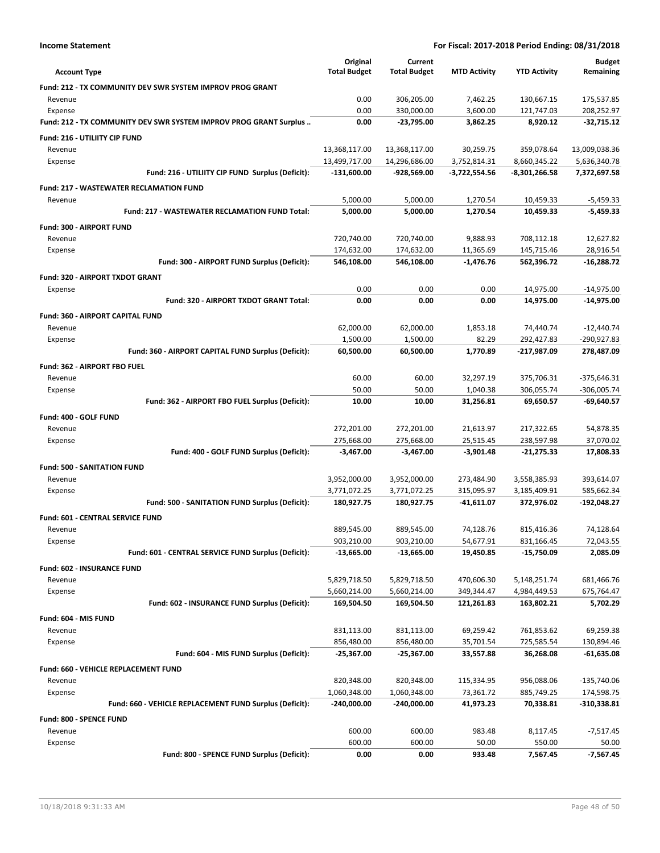|                                                                   | Original<br><b>Total Budget</b> | Current<br><b>Total Budget</b> |                     | <b>YTD Activity</b> | <b>Budget</b><br>Remaining |
|-------------------------------------------------------------------|---------------------------------|--------------------------------|---------------------|---------------------|----------------------------|
| <b>Account Type</b>                                               |                                 |                                | <b>MTD Activity</b> |                     |                            |
| Fund: 212 - TX COMMUNITY DEV SWR SYSTEM IMPROV PROG GRANT         |                                 |                                |                     |                     |                            |
| Revenue                                                           | 0.00                            | 306,205.00                     | 7,462.25            | 130,667.15          | 175,537.85                 |
| Expense                                                           | 0.00                            | 330,000.00                     | 3,600.00            | 121,747.03          | 208,252.97                 |
| Fund: 212 - TX COMMUNITY DEV SWR SYSTEM IMPROV PROG GRANT Surplus | 0.00                            | -23,795.00                     | 3,862.25            | 8,920.12            | $-32,715.12$               |
| Fund: 216 - UTILIITY CIP FUND                                     |                                 |                                |                     |                     |                            |
| Revenue                                                           | 13,368,117.00                   | 13,368,117.00                  | 30,259.75           | 359,078.64          | 13,009,038.36              |
| Expense                                                           | 13,499,717.00                   | 14,296,686.00                  | 3,752,814.31        | 8,660,345.22        | 5,636,340.78               |
| Fund: 216 - UTILIITY CIP FUND Surplus (Deficit):                  | $-131,600.00$                   | -928,569.00                    | $-3,722,554.56$     | $-8,301,266.58$     | 7,372,697.58               |
| <b>Fund: 217 - WASTEWATER RECLAMATION FUND</b>                    |                                 |                                |                     |                     |                            |
| Revenue                                                           | 5,000.00                        | 5,000.00                       | 1,270.54            | 10,459.33           | $-5,459.33$                |
| <b>Fund: 217 - WASTEWATER RECLAMATION FUND Total:</b>             | 5,000.00                        | 5,000.00                       | 1,270.54            | 10,459.33           | $-5,459.33$                |
| <b>Fund: 300 - AIRPORT FUND</b>                                   |                                 |                                |                     |                     |                            |
| Revenue                                                           | 720,740.00                      | 720,740.00                     | 9,888.93            | 708,112.18          | 12,627.82                  |
| Expense                                                           | 174,632.00                      | 174,632.00                     | 11,365.69           | 145,715.46          | 28,916.54                  |
| Fund: 300 - AIRPORT FUND Surplus (Deficit):                       | 546,108.00                      | 546,108.00                     | $-1,476.76$         | 562,396.72          | $-16,288.72$               |
| Fund: 320 - AIRPORT TXDOT GRANT                                   |                                 |                                |                     |                     |                            |
| Expense                                                           | 0.00                            | 0.00                           | 0.00                | 14,975.00           | $-14,975.00$               |
| Fund: 320 - AIRPORT TXDOT GRANT Total:                            | 0.00                            | 0.00                           | 0.00                | 14,975.00           | $-14,975.00$               |
| Fund: 360 - AIRPORT CAPITAL FUND                                  |                                 |                                |                     |                     |                            |
| Revenue                                                           | 62,000.00                       | 62,000.00                      | 1,853.18            | 74,440.74           | $-12,440.74$               |
| Expense                                                           | 1,500.00                        | 1,500.00                       | 82.29               | 292,427.83          | -290,927.83                |
| Fund: 360 - AIRPORT CAPITAL FUND Surplus (Deficit):               | 60,500.00                       | 60,500.00                      | 1,770.89            | -217,987.09         | 278,487.09                 |
| Fund: 362 - AIRPORT FBO FUEL                                      |                                 |                                |                     |                     |                            |
| Revenue                                                           | 60.00                           | 60.00                          | 32,297.19           | 375,706.31          | $-375,646.31$              |
| Expense                                                           | 50.00                           | 50.00                          | 1,040.38            | 306,055.74          | $-306,005.74$              |
| Fund: 362 - AIRPORT FBO FUEL Surplus (Deficit):                   | 10.00                           | 10.00                          | 31,256.81           | 69,650.57           | -69,640.57                 |
|                                                                   |                                 |                                |                     |                     |                            |
| Fund: 400 - GOLF FUND                                             |                                 |                                |                     |                     |                            |
| Revenue                                                           | 272,201.00                      | 272,201.00                     | 21,613.97           | 217,322.65          | 54,878.35                  |
| Expense                                                           | 275,668.00                      | 275,668.00                     | 25,515.45           | 238,597.98          | 37,070.02                  |
| Fund: 400 - GOLF FUND Surplus (Deficit):                          | $-3,467.00$                     | $-3,467.00$                    | $-3,901.48$         | $-21,275.33$        | 17,808.33                  |
| <b>Fund: 500 - SANITATION FUND</b>                                |                                 |                                |                     |                     |                            |
| Revenue                                                           | 3,952,000.00                    | 3,952,000.00                   | 273,484.90          | 3,558,385.93        | 393,614.07                 |
| Expense                                                           | 3,771,072.25                    | 3,771,072.25                   | 315,095.97          | 3,185,409.91        | 585,662.34                 |
| Fund: 500 - SANITATION FUND Surplus (Deficit):                    | 180,927.75                      | 180,927.75                     | -41,611.07          | 372,976.02          | -192,048.27                |
| <b>Fund: 601 - CENTRAL SERVICE FUND</b>                           |                                 |                                |                     |                     |                            |
| Revenue                                                           | 889,545.00                      | 889,545.00                     | 74,128.76           | 815,416.36          | 74,128.64                  |
| Expense                                                           | 903,210.00                      | 903,210.00                     | 54,677.91           | 831,166.45          | 72,043.55                  |
| Fund: 601 - CENTRAL SERVICE FUND Surplus (Deficit):               | $-13,665.00$                    | -13,665.00                     | 19,450.85           | $-15,750.09$        | 2,085.09                   |
| Fund: 602 - INSURANCE FUND                                        |                                 |                                |                     |                     |                            |
| Revenue                                                           | 5,829,718.50                    | 5,829,718.50                   | 470,606.30          | 5,148,251.74        | 681,466.76                 |
| Expense                                                           | 5,660,214.00                    | 5,660,214.00                   | 349,344.47          | 4,984,449.53        | 675,764.47                 |
| Fund: 602 - INSURANCE FUND Surplus (Deficit):                     | 169,504.50                      | 169,504.50                     | 121,261.83          | 163,802.21          | 5,702.29                   |
| Fund: 604 - MIS FUND                                              |                                 |                                |                     |                     |                            |
| Revenue                                                           | 831,113.00                      | 831,113.00                     | 69,259.42           | 761,853.62          | 69,259.38                  |
| Expense                                                           | 856,480.00                      | 856,480.00                     | 35,701.54           | 725,585.54          | 130,894.46                 |
| Fund: 604 - MIS FUND Surplus (Deficit):                           | $-25,367.00$                    | $-25,367.00$                   | 33,557.88           | 36,268.08           | $-61,635.08$               |
| Fund: 660 - VEHICLE REPLACEMENT FUND                              |                                 |                                |                     |                     |                            |
| Revenue                                                           | 820,348.00                      | 820,348.00                     | 115,334.95          | 956,088.06          | $-135,740.06$              |
| Expense                                                           | 1,060,348.00                    | 1,060,348.00                   | 73,361.72           | 885,749.25          | 174,598.75                 |
| Fund: 660 - VEHICLE REPLACEMENT FUND Surplus (Deficit):           | $-240,000.00$                   | -240,000.00                    | 41,973.23           | 70,338.81           | $-310,338.81$              |
|                                                                   |                                 |                                |                     |                     |                            |
| Fund: 800 - SPENCE FUND                                           |                                 |                                |                     |                     |                            |
| Revenue                                                           | 600.00                          | 600.00                         | 983.48              | 8,117.45            | $-7,517.45$                |
| Expense<br>Fund: 800 - SPENCE FUND Surplus (Deficit):             | 600.00<br>0.00                  | 600.00<br>0.00                 | 50.00<br>933.48     | 550.00<br>7,567.45  | 50.00<br>-7,567.45         |
|                                                                   |                                 |                                |                     |                     |                            |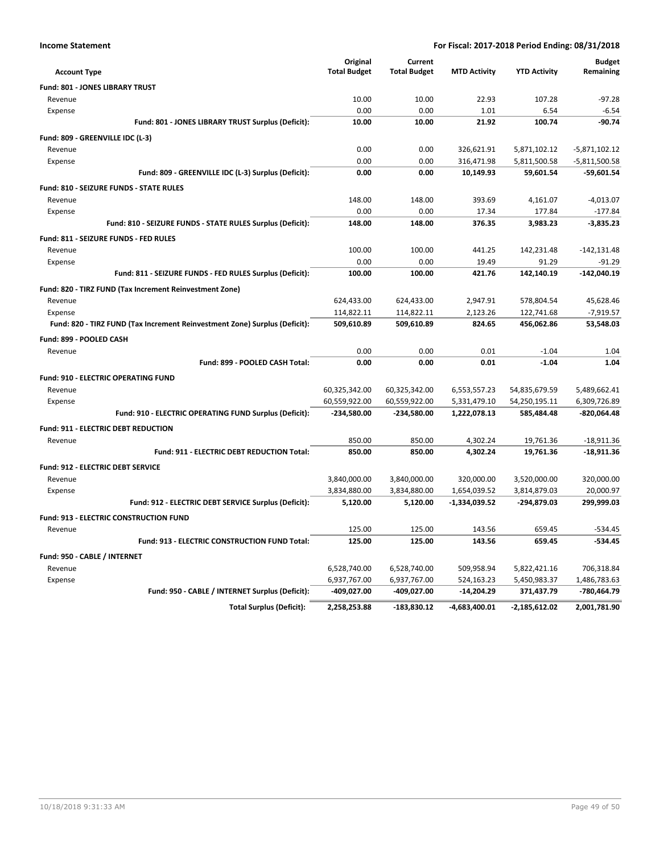| ne Statement |  |
|--------------|--|
|              |  |

| <b>Account Type</b>                                                        | Original<br><b>Total Budget</b> | Current<br><b>Total Budget</b> | <b>MTD Activity</b> | <b>YTD Activity</b> | <b>Budget</b><br>Remaining |
|----------------------------------------------------------------------------|---------------------------------|--------------------------------|---------------------|---------------------|----------------------------|
| <b>Fund: 801 - JONES LIBRARY TRUST</b>                                     |                                 |                                |                     |                     |                            |
| Revenue                                                                    | 10.00                           | 10.00                          | 22.93               | 107.28              | $-97.28$                   |
| Expense                                                                    | 0.00                            | 0.00                           | 1.01                | 6.54                | $-6.54$                    |
| Fund: 801 - JONES LIBRARY TRUST Surplus (Deficit):                         | 10.00                           | 10.00                          | 21.92               | 100.74              | $-90.74$                   |
| Fund: 809 - GREENVILLE IDC (L-3)                                           |                                 |                                |                     |                     |                            |
| Revenue                                                                    | 0.00                            | 0.00                           | 326,621.91          | 5,871,102.12        | $-5,871,102.12$            |
| Expense                                                                    | 0.00                            | 0.00                           | 316,471.98          | 5,811,500.58        | $-5,811,500.58$            |
| Fund: 809 - GREENVILLE IDC (L-3) Surplus (Deficit):                        | 0.00                            | 0.00                           | 10,149.93           | 59,601.54           | $-59,601.54$               |
| Fund: 810 - SEIZURE FUNDS - STATE RULES                                    |                                 |                                |                     |                     |                            |
| Revenue                                                                    | 148.00                          | 148.00                         | 393.69              | 4,161.07            | $-4,013.07$                |
| Expense                                                                    | 0.00                            | 0.00                           | 17.34               | 177.84              | $-177.84$                  |
| Fund: 810 - SEIZURE FUNDS - STATE RULES Surplus (Deficit):                 | 148.00                          | 148.00                         | 376.35              | 3,983.23            | $-3,835.23$                |
| Fund: 811 - SEIZURE FUNDS - FED RULES                                      |                                 |                                |                     |                     |                            |
| Revenue                                                                    | 100.00                          | 100.00                         | 441.25              | 142,231.48          | $-142, 131.48$             |
| Expense                                                                    | 0.00                            | 0.00                           | 19.49               | 91.29               | $-91.29$                   |
| Fund: 811 - SEIZURE FUNDS - FED RULES Surplus (Deficit):                   | 100.00                          | 100.00                         | 421.76              | 142,140.19          | $-142,040.19$              |
| Fund: 820 - TIRZ FUND (Tax Increment Reinvestment Zone)                    |                                 |                                |                     |                     |                            |
| Revenue                                                                    | 624,433.00                      | 624,433.00                     | 2,947.91            | 578,804.54          | 45,628.46                  |
| Expense                                                                    | 114,822.11                      | 114,822.11                     | 2,123.26            | 122,741.68          | $-7,919.57$                |
| Fund: 820 - TIRZ FUND (Tax Increment Reinvestment Zone) Surplus (Deficit): | 509,610.89                      | 509,610.89                     | 824.65              | 456,062.86          | 53,548.03                  |
| Fund: 899 - POOLED CASH                                                    |                                 |                                |                     |                     |                            |
| Revenue                                                                    | 0.00                            | 0.00                           | 0.01                | $-1.04$             | 1.04                       |
| Fund: 899 - POOLED CASH Total:                                             | 0.00                            | 0.00                           | 0.01                | $-1.04$             | 1.04                       |
| <b>Fund: 910 - ELECTRIC OPERATING FUND</b>                                 |                                 |                                |                     |                     |                            |
| Revenue                                                                    | 60,325,342.00                   | 60,325,342.00                  | 6,553,557.23        | 54,835,679.59       | 5,489,662.41               |
| Expense                                                                    | 60,559,922.00                   | 60,559,922.00                  | 5,331,479.10        | 54,250,195.11       | 6,309,726.89               |
| Fund: 910 - ELECTRIC OPERATING FUND Surplus (Deficit):                     | $-234,580.00$                   | $-234,580.00$                  | 1,222,078.13        | 585,484.48          | $-820,064.48$              |
| <b>Fund: 911 - ELECTRIC DEBT REDUCTION</b>                                 |                                 |                                |                     |                     |                            |
| Revenue                                                                    | 850.00                          | 850.00                         | 4,302.24            | 19,761.36           | $-18,911.36$               |
| Fund: 911 - ELECTRIC DEBT REDUCTION Total:                                 | 850.00                          | 850.00                         | 4,302.24            | 19,761.36           | $-18,911.36$               |
| <b>Fund: 912 - ELECTRIC DEBT SERVICE</b>                                   |                                 |                                |                     |                     |                            |
| Revenue                                                                    | 3,840,000.00                    | 3,840,000.00                   | 320,000.00          | 3,520,000.00        | 320,000.00                 |
| Expense                                                                    | 3,834,880.00                    | 3,834,880.00                   | 1,654,039.52        | 3,814,879.03        | 20,000.97                  |
| Fund: 912 - ELECTRIC DEBT SERVICE Surplus (Deficit):                       | 5,120.00                        | 5,120.00                       | -1,334,039.52       | -294,879.03         | 299,999.03                 |
| Fund: 913 - ELECTRIC CONSTRUCTION FUND                                     |                                 |                                |                     |                     |                            |
| Revenue                                                                    | 125.00                          | 125.00                         | 143.56              | 659.45              | $-534.45$                  |
| Fund: 913 - ELECTRIC CONSTRUCTION FUND Total:                              | 125.00                          | 125.00                         | 143.56              | 659.45              | $-534.45$                  |
| Fund: 950 - CABLE / INTERNET                                               |                                 |                                |                     |                     |                            |
| Revenue                                                                    | 6,528,740.00                    | 6,528,740.00                   | 509,958.94          | 5,822,421.16        | 706,318.84                 |
| Expense                                                                    | 6,937,767.00                    | 6,937,767.00                   | 524,163.23          | 5,450,983.37        | 1,486,783.63               |
| Fund: 950 - CABLE / INTERNET Surplus (Deficit):                            | -409,027.00                     | -409,027.00                    | $-14,204.29$        | 371,437.79          | -780,464.79                |
| <b>Total Surplus (Deficit):</b>                                            | 2,258,253.88                    | $-183,830.12$                  | -4,683,400.01       | $-2,185,612.02$     | 2,001,781.90               |